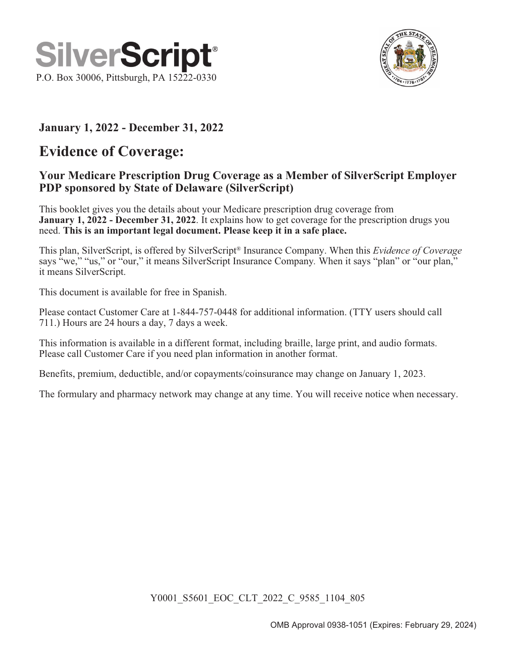



#### January 1, 2022 - December 31, 2022

### Evidence of Coverage:

#### Your Medicare Prescription Drug Coverage as a Member of SilverScript Employer PDP sponsored by State of Delaware (SilverScript)

This booklet gives you the details about your Medicare prescription drug coverage from January 1, 2022 - December 31, 2022. It explains how to get coverage for the prescription drugs you need. This is an important legal document. Please keep it in a safe place.

This plan, SilverScript, is offered by SilverScript<sup>®</sup> Insurance Company. When this *Evidence of Coverage* says "we," "us," or "our," it means SilverScript Insurance Company. When it says "plan" or "our plan," it means SilverScript.

This document is available for free in Spanish.

Please contact Customer Care at 1-844-757-0448 for additional information. (TTY users should call 711.) Hours are 24 hours a day, 7 days a week.

This information is available in a different format, including braille, large print, and audio formats. Please call Customer Care if you need plan information in another format.

Benefits, premium, deductible, and/or copayments/coinsurance may change on January 1, 2023.

The formulary and pharmacy network may change at any time. You will receive notice when necessary.

Y0001\_S5601\_EOC\_CLT\_2022\_C\_9585\_1104\_805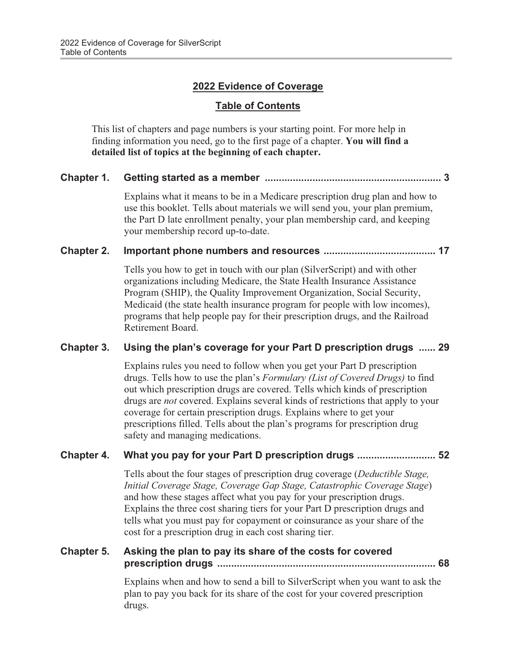#### 2022 Evidence of Coverage

#### Table of Contents

This list of chapters and page numbers is your starting point. For more help in finding information you need, go to the first page of a chapter. You will find a detailed list of topics at the beginning of each chapter.

#### Chapter 1. Getting started as a member ............................................................... 3

Explains what it means to be in a Medicare prescription drug plan and how to use this booklet. Tells about materials we will send you, your plan premium, the Part D late enrollment penalty, your plan membership card, and keeping your membership record up-to-date.

#### Chapter 2. Important phone numbers and resources ........................................ 17

Tells you how to get in touch with our plan (SilverScript) and with other organizations including Medicare, the State Health Insurance Assistance Program (SHIP), the Quality Improvement Organization, Social Security, Medicaid (the state health insurance program for people with low incomes), programs that help people pay for their prescription drugs, and the Railroad Retirement Board.

#### Chapter 3. Using the plan's coverage for your Part D prescription drugs ...... 29

Explains rules you need to follow when you get your Part D prescription drugs. Tells how to use the plan's Formulary (List of Covered Drugs) to find out which prescription drugs are covered. Tells which kinds of prescription drugs are not covered. Explains several kinds of restrictions that apply to your coverage for certain prescription drugs. Explains where to get your prescriptions filled. Tells about the plan's programs for prescription drug safety and managing medications.

#### Chapter 4. What you pay for your Part D prescription drugs ............................ 52

Tells about the four stages of prescription drug coverage (Deductible Stage, Initial Coverage Stage, Coverage Gap Stage, Catastrophic Coverage Stage) and how these stages affect what you pay for your prescription drugs. Explains the three cost sharing tiers for your Part D prescription drugs and tells what you must pay for copayment or coinsurance as your share of the cost for a prescription drug in each cost sharing tier.

#### Chapter 5. Asking the plan to pay its share of the costs for covered prescription drugs .............................................................................. 68

Explains when and how to send a bill to SilverScript when you want to ask the plan to pay you back for its share of the cost for your covered prescription drugs.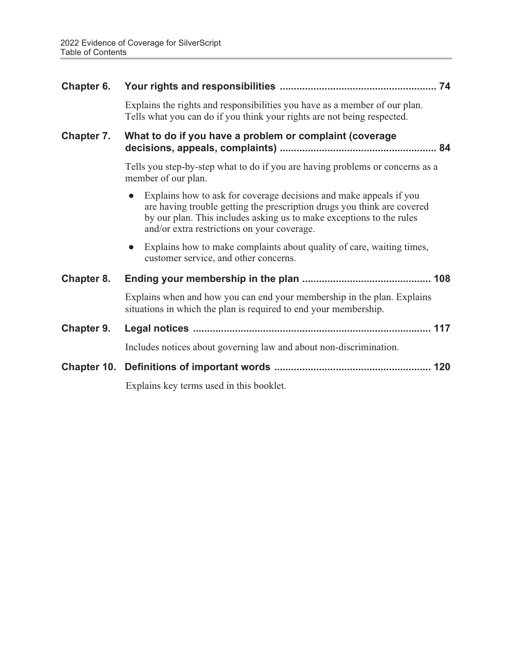| Chapter 6. |                                                                                                                                                                                                                                                                      |  |
|------------|----------------------------------------------------------------------------------------------------------------------------------------------------------------------------------------------------------------------------------------------------------------------|--|
|            | Explains the rights and responsibilities you have as a member of our plan.<br>Tells what you can do if you think your rights are not being respected.                                                                                                                |  |
| Chapter 7. | What to do if you have a problem or complaint (coverage                                                                                                                                                                                                              |  |
|            | Tells you step-by-step what to do if you are having problems or concerns as a<br>member of our plan.                                                                                                                                                                 |  |
|            | Explains how to ask for coverage decisions and make appeals if you<br>are having trouble getting the prescription drugs you think are covered<br>by our plan. This includes asking us to make exceptions to the rules<br>and/or extra restrictions on your coverage. |  |
|            | Explains how to make complaints about quality of care, waiting times,<br>customer service, and other concerns.                                                                                                                                                       |  |
| Chapter 8. |                                                                                                                                                                                                                                                                      |  |
|            | Explains when and how you can end your membership in the plan. Explains<br>situations in which the plan is required to end your membership.                                                                                                                          |  |
| Chapter 9. |                                                                                                                                                                                                                                                                      |  |
|            | Includes notices about governing law and about non-discrimination.                                                                                                                                                                                                   |  |
|            |                                                                                                                                                                                                                                                                      |  |
|            | Explains key terms used in this booklet.                                                                                                                                                                                                                             |  |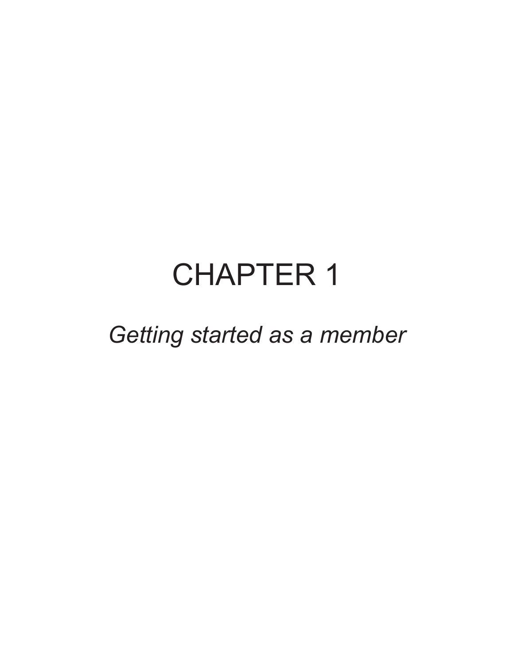# CHAPTER 1

Getting started as a member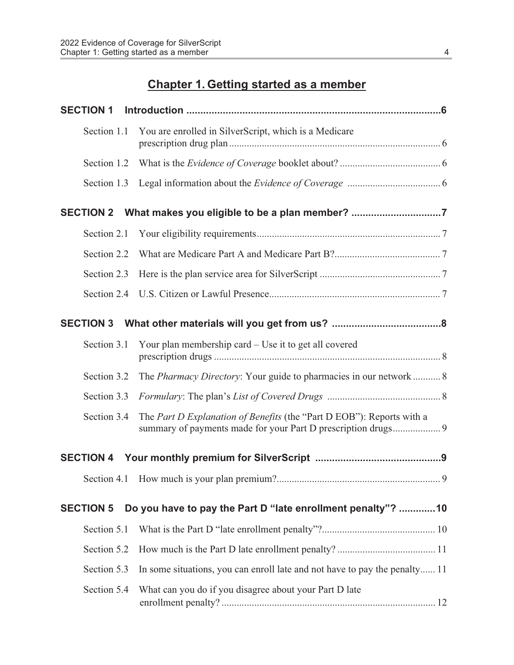### Chapter 1. Getting started as a member

| <b>SECTION 1</b> |                                                                                                                                        |  |
|------------------|----------------------------------------------------------------------------------------------------------------------------------------|--|
| Section 1.1      | You are enrolled in SilverScript, which is a Medicare                                                                                  |  |
| Section 1.2      |                                                                                                                                        |  |
| Section 1.3      |                                                                                                                                        |  |
|                  | SECTION 2 What makes you eligible to be a plan member? 7                                                                               |  |
| Section 2.1      |                                                                                                                                        |  |
| Section 2.2      |                                                                                                                                        |  |
| Section 2.3      |                                                                                                                                        |  |
| Section 2.4      |                                                                                                                                        |  |
|                  |                                                                                                                                        |  |
| Section 3.1      | Your plan membership card – Use it to get all covered                                                                                  |  |
| Section 3.2      | The <i>Pharmacy Directory</i> : Your guide to pharmacies in our network 8                                                              |  |
| Section 3.3      |                                                                                                                                        |  |
| Section 3.4      | The Part D Explanation of Benefits (the "Part D EOB"): Reports with a<br>summary of payments made for your Part D prescription drugs 9 |  |
|                  |                                                                                                                                        |  |
|                  | 9                                                                                                                                      |  |
| <b>SECTION 5</b> | Do you have to pay the Part D "late enrollment penalty"?  10                                                                           |  |
| Section 5.1      |                                                                                                                                        |  |
| Section 5.2      |                                                                                                                                        |  |
| Section 5.3      | In some situations, you can enroll late and not have to pay the penalty 11                                                             |  |
| Section 5.4      | What can you do if you disagree about your Part D late                                                                                 |  |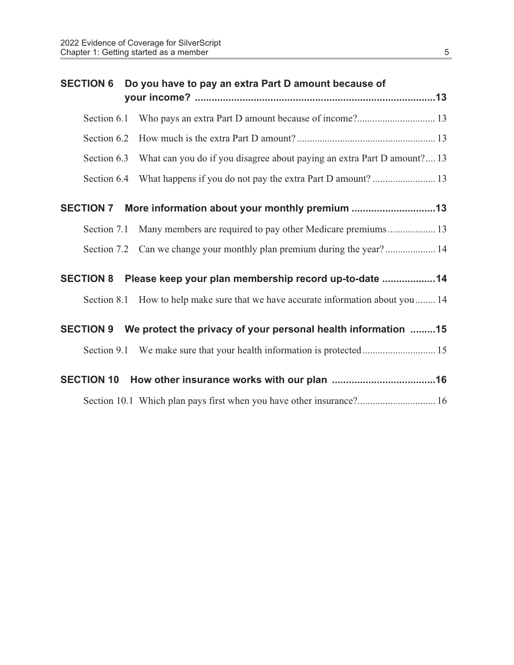| <b>SECTION 6</b>  | Do you have to pay an extra Part D amount because of                              |
|-------------------|-----------------------------------------------------------------------------------|
| Section 6.1       |                                                                                   |
| Section 6.2       |                                                                                   |
| Section 6.3       | What can you do if you disagree about paying an extra Part D amount? 13           |
|                   |                                                                                   |
| <b>SECTION 7</b>  |                                                                                   |
| Section 7.1       | Many members are required to pay other Medicare premiums 13                       |
|                   | Section 7.2 Can we change your monthly plan premium during the year? 14           |
| <b>SECTION 8</b>  | Please keep your plan membership record up-to-date  14                            |
|                   | Section 8.1 How to help make sure that we have accurate information about you  14 |
| <b>SECTION 9</b>  | We protect the privacy of your personal health information 15                     |
|                   |                                                                                   |
| <b>SECTION 10</b> |                                                                                   |
|                   | Section 10.1 Which plan pays first when you have other insurance? 16              |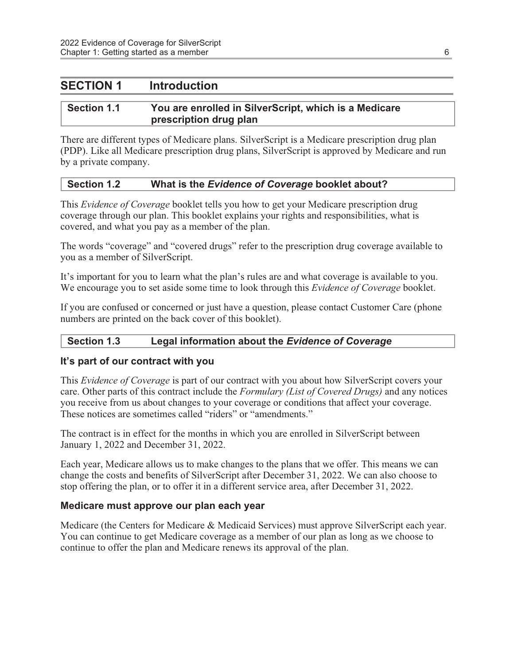#### SECTION 1 Introduction

#### Section 1.1 You are enrolled in SilverScript, which is a Medicare prescription drug plan

There are different types of Medicare plans. SilverScript is a Medicare prescription drug plan (PDP). Like all Medicare prescription drug plans, SilverScript is approved by Medicare and run by a private company.

#### Section 1.2 What is the Evidence of Coverage booklet about?

This *Evidence of Coverage* booklet tells you how to get your Medicare prescription drug coverage through our plan. This booklet explains your rights and responsibilities, what is covered, and what you pay as a member of the plan.

The words "coverage" and "covered drugs" refer to the prescription drug coverage available to you as a member of SilverScript.

It's important for you to learn what the plan's rules are and what coverage is available to you. We encourage you to set aside some time to look through this *Evidence of Coverage* booklet.

If you are confused or concerned or just have a question, please contact Customer Care (phone numbers are printed on the back cover of this booklet).

#### Section 1.3 Legal information about the Evidence of Coverage

#### It's part of our contract with you

This *Evidence of Coverage* is part of our contract with you about how SilverScript covers your care. Other parts of this contract include the Formulary (List of Covered Drugs) and any notices you receive from us about changes to your coverage or conditions that affect your coverage. These notices are sometimes called "riders" or "amendments."

The contract is in effect for the months in which you are enrolled in SilverScript between January 1, 2022 and December 31, 2022.

Each year, Medicare allows us to make changes to the plans that we offer. This means we can change the costs and benefits of SilverScript after December 31, 2022. We can also choose to stop offering the plan, or to offer it in a different service area, after December 31, 2022.

#### Medicare must approve our plan each year

Medicare (the Centers for Medicare & Medicaid Services) must approve SilverScript each year. You can continue to get Medicare coverage as a member of our plan as long as we choose to continue to offer the plan and Medicare renews its approval of the plan.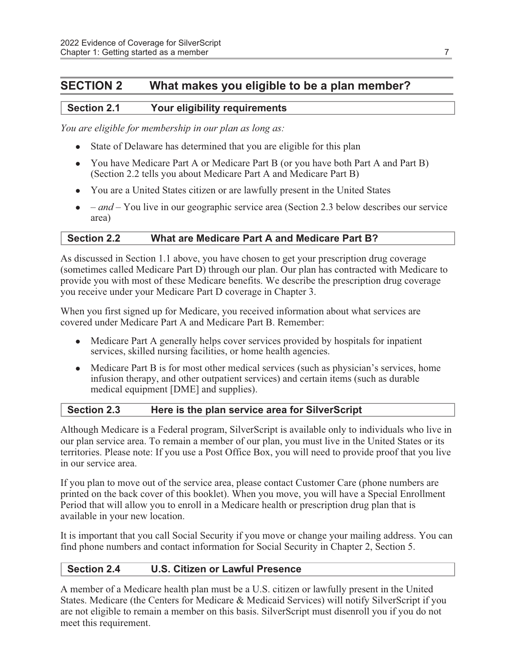#### SECTION 2 What makes you eligible to be a plan member?

#### Section 2.1 Your eligibility requirements

You are eligible for membership in our plan as long as:

- State of Delaware has determined that you are eligible for this plan
- You have Medicare Part A or Medicare Part B (or you have both Part A and Part B) (Section 2.2 tells you about Medicare Part A and Medicare Part B)
- You are a United States citizen or are lawfully present in the United States
- $\bullet$  and You live in our geographic service area (Section 2.3 below describes our service area)

#### Section 2.2 What are Medicare Part A and Medicare Part B?

As discussed in Section 1.1 above, you have chosen to get your prescription drug coverage (sometimes called Medicare Part D) through our plan. Our plan has contracted with Medicare to provide you with most of these Medicare benefits. We describe the prescription drug coverage you receive under your Medicare Part D coverage in Chapter 3.

When you first signed up for Medicare, you received information about what services are covered under Medicare Part A and Medicare Part B. Remember:

- Medicare Part A generally helps cover services provided by hospitals for inpatient services, skilled nursing facilities, or home health agencies.
- $\bullet$  Medicare Part B is for most other medical services (such as physician's services, home infusion therapy, and other outpatient services) and certain items (such as durable medical equipment [DME] and supplies).

#### Section 2.3 Here is the plan service area for SilverScript

Although Medicare is a Federal program, SilverScript is available only to individuals who live in our plan service area. To remain a member of our plan, you must live in the United States or its territories. Please note: If you use a Post Office Box, you will need to provide proof that you live in our service area.

If you plan to move out of the service area, please contact Customer Care (phone numbers are printed on the back cover of this booklet). When you move, you will have a Special Enrollment Period that will allow you to enroll in a Medicare health or prescription drug plan that is available in your new location.

It is important that you call Social Security if you move or change your mailing address. You can find phone numbers and contact information for Social Security in Chapter 2, Section 5.

#### Section 2.4 U.S. Citizen or Lawful Presence

A member of a Medicare health plan must be a U.S. citizen or lawfully present in the United States. Medicare (the Centers for Medicare & Medicaid Services) will notify SilverScript if you are not eligible to remain a member on this basis. SilverScript must disenroll you if you do not meet this requirement.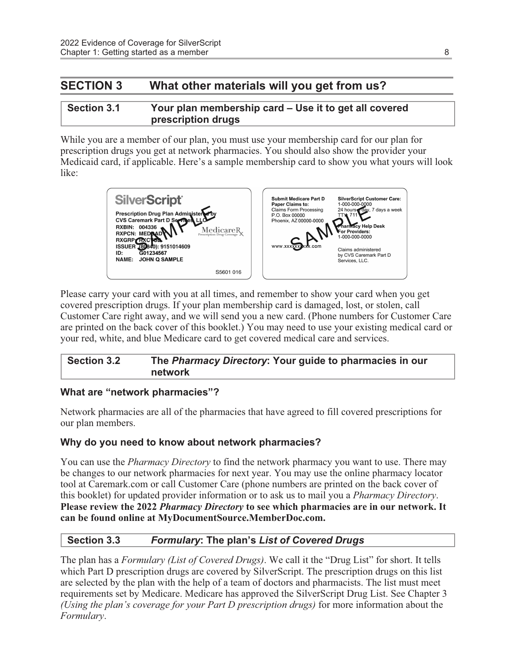#### SECTION 3 What other materials will you get from us?

#### Section 3.1 Your plan membership card – Use it to get all covered prescription drugs

While you are a member of our plan, you must use your membership card for our plan for prescription drugs you get at network pharmacies. You should also show the provider your Medicaid card, if applicable. Here's a sample membership card to show you what yours will look like:



Please carry your card with you at all times, and remember to show your card when you get covered prescription drugs. If your plan membership card is damaged, lost, or stolen, call Customer Care right away, and we will send you a new card. (Phone numbers for Customer Care are printed on the back cover of this booklet.) You may need to use your existing medical card or your red, white, and blue Medicare card to get covered medical care and services.

#### Section 3.2 The Pharmacy Directory: Your guide to pharmacies in our network

#### What are "network pharmacies"?

Network pharmacies are all of the pharmacies that have agreed to fill covered prescriptions for our plan members.

#### Why do you need to know about network pharmacies?

You can use the *Pharmacy Directory* to find the network pharmacy you want to use. There may be changes to our network pharmacies for next year. You may use the online pharmacy locator tool at Caremark.com or call Customer Care (phone numbers are printed on the back cover of this booklet) for updated provider information or to ask us to mail you a Pharmacy Directory. Please review the 2022 *Pharmacy Directory* to see which pharmacies are in our network. It can be found online at MyDocumentSource.MemberDoc.com.

#### Section 3.3 Formulary: The plan's List of Covered Drugs

The plan has a *Formulary (List of Covered Drugs)*. We call it the "Drug List" for short. It tells which Part D prescription drugs are covered by SilverScript. The prescription drugs on this list are selected by the plan with the help of a team of doctors and pharmacists. The list must meet requirements set by Medicare. Medicare has approved the SilverScript Drug List. See Chapter 3 (Using the plan's coverage for your Part D prescription drugs) for more information about the Formulary.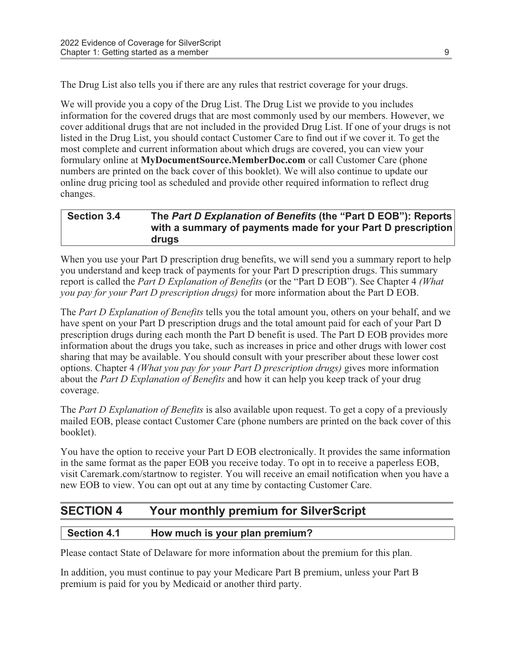The Drug List also tells you if there are any rules that restrict coverage for your drugs.

We will provide you a copy of the Drug List. The Drug List we provide to you includes information for the covered drugs that are most commonly used by our members. However, we cover additional drugs that are not included in the provided Drug List. If one of your drugs is not listed in the Drug List, you should contact Customer Care to find out if we cover it. To get the most complete and current information about which drugs are covered, you can view your formulary online at MyDocumentSource.MemberDoc.com or call Customer Care (phone numbers are printed on the back cover of this booklet). We will also continue to update our online drug pricing tool as scheduled and provide other required information to reflect drug changes.

#### Section 3.4 The Part D Explanation of Benefits (the "Part D EOB"): Reports with a summary of payments made for your Part D prescription drugs

When you use your Part D prescription drug benefits, we will send you a summary report to help you understand and keep track of payments for your Part D prescription drugs. This summary report is called the *Part D Explanation of Benefits* (or the "Part D EOB"). See Chapter 4 (What you pay for your Part D prescription drugs) for more information about the Part D EOB.

The Part D Explanation of Benefits tells you the total amount you, others on your behalf, and we have spent on your Part D prescription drugs and the total amount paid for each of your Part D prescription drugs during each month the Part D benefit is used. The Part D EOB provides more information about the drugs you take, such as increases in price and other drugs with lower cost sharing that may be available. You should consult with your prescriber about these lower cost options. Chapter 4 (What you pay for your Part D prescription drugs) gives more information about the Part D Explanation of Benefits and how it can help you keep track of your drug coverage.

The *Part D Explanation of Benefits* is also available upon request. To get a copy of a previously mailed EOB, please contact Customer Care (phone numbers are printed on the back cover of this booklet).

You have the option to receive your Part D EOB electronically. It provides the same information in the same format as the paper EOB you receive today. To opt in to receive a paperless EOB, visit Caremark.com/startnow to register. You will receive an email notification when you have a new EOB to view. You can opt out at any time by contacting Customer Care.

#### SECTION 4 Your monthly premium for SilverScript

#### Section 4.1 How much is your plan premium?

Please contact State of Delaware for more information about the premium for this plan.

In addition, you must continue to pay your Medicare Part B premium, unless your Part B premium is paid for you by Medicaid or another third party.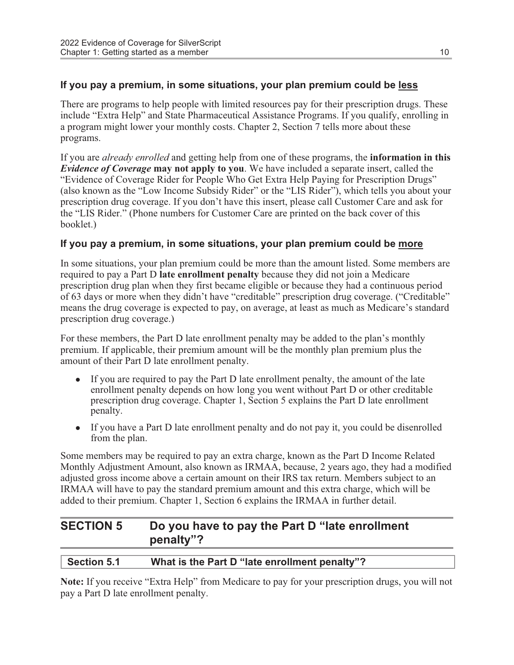#### If you pay a premium, in some situations, your plan premium could be less

There are programs to help people with limited resources pay for their prescription drugs. These include "Extra Help" and State Pharmaceutical Assistance Programs. If you qualify, enrolling in a program might lower your monthly costs. Chapter 2, Section 7 tells more about these programs.

If you are *already enrolled* and getting help from one of these programs, the **information in this** Evidence of Coverage may not apply to you. We have included a separate insert, called the "Evidence of Coverage Rider for People Who Get Extra Help Paying for Prescription Drugs" (also known as the "Low Income Subsidy Rider" or the "LIS Rider"), which tells you about your prescription drug coverage. If you don't have this insert, please call Customer Care and ask for the "LIS Rider." (Phone numbers for Customer Care are printed on the back cover of this booklet.)

#### If you pay a premium, in some situations, your plan premium could be more

In some situations, your plan premium could be more than the amount listed. Some members are required to pay a Part D late enrollment penalty because they did not join a Medicare prescription drug plan when they first became eligible or because they had a continuous period of 63 days or more when they didn't have "creditable" prescription drug coverage. ("Creditable" means the drug coverage is expected to pay, on average, at least as much as Medicare's standard prescription drug coverage.)

For these members, the Part D late enrollment penalty may be added to the plan's monthly premium. If applicable, their premium amount will be the monthly plan premium plus the amount of their Part D late enrollment penalty.

- $\bullet$  If you are required to pay the Part D late enrollment penalty, the amount of the late enrollment penalty depends on how long you went without Part D or other creditable prescription drug coverage. Chapter 1, Section 5 explains the Part D late enrollment penalty.
- $\bullet$  If you have a Part D late enrollment penalty and do not pay it, you could be disenrolled from the plan.

Some members may be required to pay an extra charge, known as the Part D Income Related Monthly Adjustment Amount, also known as IRMAA, because, 2 years ago, they had a modified adjusted gross income above a certain amount on their IRS tax return. Members subject to an IRMAA will have to pay the standard premium amount and this extra charge, which will be added to their premium. Chapter 1, Section 6 explains the IRMAA in further detail.

#### SECTION 5 Do you have to pay the Part D "late enrollment penalty"?

#### Section 5.1 What is the Part D "late enrollment penalty"?

Note: If you receive "Extra Help" from Medicare to pay for your prescription drugs, you will not pay a Part D late enrollment penalty.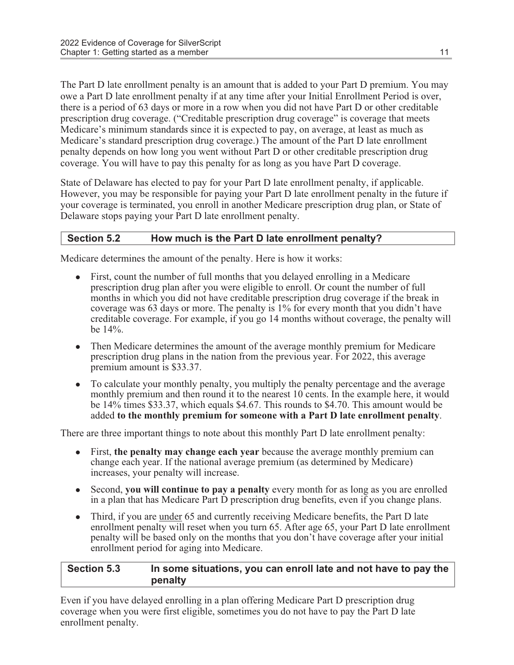The Part D late enrollment penalty is an amount that is added to your Part D premium. You may owe a Part D late enrollment penalty if at any time after your Initial Enrollment Period is over, there is a period of 63 days or more in a row when you did not have Part D or other creditable prescription drug coverage. ("Creditable prescription drug coverage" is coverage that meets Medicare's minimum standards since it is expected to pay, on average, at least as much as Medicare's standard prescription drug coverage.) The amount of the Part D late enrollment penalty depends on how long you went without Part D or other creditable prescription drug coverage. You will have to pay this penalty for as long as you have Part D coverage.

State of Delaware has elected to pay for your Part D late enrollment penalty, if applicable. However, you may be responsible for paying your Part D late enrollment penalty in the future if your coverage is terminated, you enroll in another Medicare prescription drug plan, or State of Delaware stops paying your Part D late enrollment penalty.

#### Section 5.2 How much is the Part D late enrollment penalty?

Medicare determines the amount of the penalty. Here is how it works:

- <sup>l</sup> First, count the number of full months that you delayed enrolling in a Medicare prescription drug plan after you were eligible to enroll. Or count the number of full months in which you did not have creditable prescription drug coverage if the break in coverage was 63 days or more. The penalty is 1% for every month that you didn't have creditable coverage. For example, if you go 14 months without coverage, the penalty will be 14%.
- Then Medicare determines the amount of the average monthly premium for Medicare prescription drug plans in the nation from the previous year. For 2022, this average premium amount is \$33.37.
- To calculate your monthly penalty, you multiply the penalty percentage and the average monthly premium and then round it to the nearest 10 cents. In the example here, it would be 14% times \$33.37, which equals \$4.67. This rounds to \$4.70. This amount would be added to the monthly premium for someone with a Part D late enrollment penalty.

There are three important things to note about this monthly Part D late enrollment penalty:

- $\bullet$  First, the penalty may change each year because the average monthly premium can change each year. If the national average premium (as determined by Medicare) increases, your penalty will increase.
- Second, you will continue to pay a penalty every month for as long as you are enrolled in a plan that has Medicare Part D prescription drug benefits, even if you change plans.
- Third, if you are under 65 and currently receiving Medicare benefits, the Part D late enrollment penalty will reset when you turn 65. After age 65, your Part D late enrollment penalty will be based only on the months that you don't have coverage after your initial enrollment period for aging into Medicare.

#### Section 5.3 In some situations, you can enroll late and not have to pay the penalty

Even if you have delayed enrolling in a plan offering Medicare Part D prescription drug coverage when you were first eligible, sometimes you do not have to pay the Part D late enrollment penalty.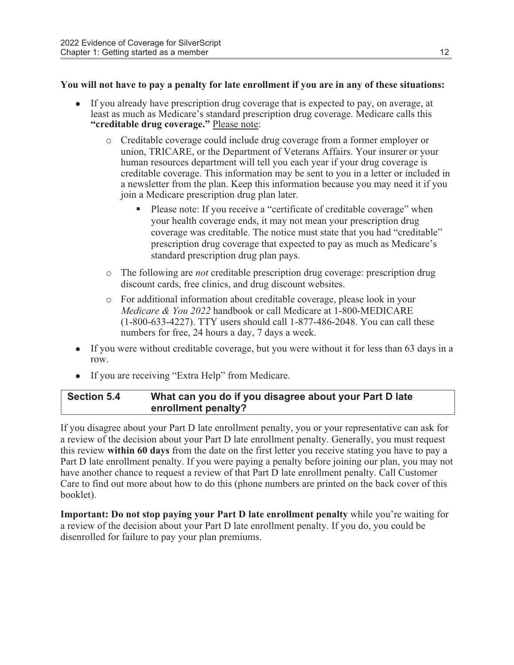#### You will not have to pay a penalty for late enrollment if you are in any of these situations:

- <sup>l</sup> If you already have prescription drug coverage that is expected to pay, on average, at least as much as Medicare's standard prescription drug coverage. Medicare calls this "creditable drug coverage." Please note:
	- o Creditable coverage could include drug coverage from a former employer or union, TRICARE, or the Department of Veterans Affairs. Your insurer or your human resources department will tell you each year if your drug coverage is creditable coverage. This information may be sent to you in a letter or included in a newsletter from the plan. Keep this information because you may need it if you join a Medicare prescription drug plan later.
		- Please note: If you receive a "certificate of creditable coverage" when your health coverage ends, it may not mean your prescription drug coverage was creditable. The notice must state that you had "creditable" prescription drug coverage that expected to pay as much as Medicare's standard prescription drug plan pays.
	- o The following are not creditable prescription drug coverage: prescription drug discount cards, free clinics, and drug discount websites.
	- o For additional information about creditable coverage, please look in your Medicare & You 2022 handbook or call Medicare at 1-800-MEDICARE (1-800-633-4227). TTY users should call 1-877-486-2048. You can call these numbers for free, 24 hours a day, 7 days a week.
- If you were without creditable coverage, but you were without it for less than 63 days in a row.
- If you are receiving "Extra Help" from Medicare.

#### Section 5.4 What can you do if you disagree about your Part D late enrollment penalty?

If you disagree about your Part D late enrollment penalty, you or your representative can ask for a review of the decision about your Part D late enrollment penalty. Generally, you must request this review within 60 days from the date on the first letter you receive stating you have to pay a Part D late enrollment penalty. If you were paying a penalty before joining our plan, you may not have another chance to request a review of that Part D late enrollment penalty. Call Customer Care to find out more about how to do this (phone numbers are printed on the back cover of this booklet).

Important: Do not stop paying your Part D late enrollment penalty while you're waiting for a review of the decision about your Part D late enrollment penalty. If you do, you could be disenrolled for failure to pay your plan premiums.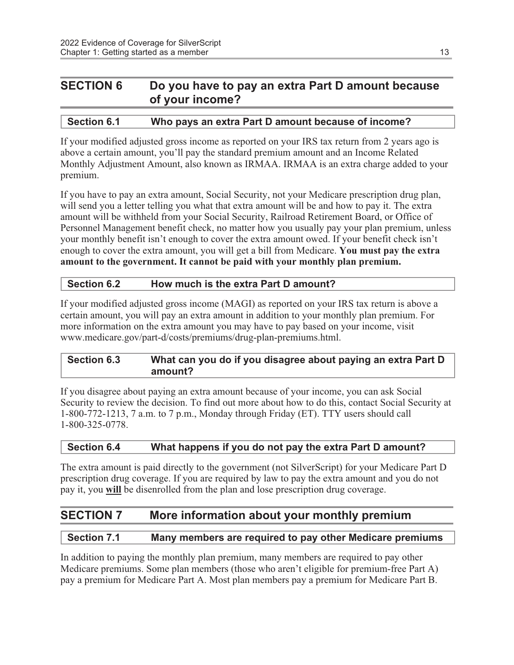#### SECTION 6 Do you have to pay an extra Part D amount because of your income?

#### Section 6.1 Who pays an extra Part D amount because of income?

If your modified adjusted gross income as reported on your IRS tax return from 2 years ago is above a certain amount, you'll pay the standard premium amount and an Income Related Monthly Adjustment Amount, also known as IRMAA. IRMAA is an extra charge added to your premium.

If you have to pay an extra amount, Social Security, not your Medicare prescription drug plan, will send you a letter telling you what that extra amount will be and how to pay it. The extra amount will be withheld from your Social Security, Railroad Retirement Board, or Office of Personnel Management benefit check, no matter how you usually pay your plan premium, unless your monthly benefit isn't enough to cover the extra amount owed. If your benefit check isn't enough to cover the extra amount, you will get a bill from Medicare. You must pay the extra amount to the government. It cannot be paid with your monthly plan premium.

#### Section 6.2 How much is the extra Part D amount?

If your modified adjusted gross income (MAGI) as reported on your IRS tax return is above a certain amount, you will pay an extra amount in addition to your monthly plan premium. For more information on the extra amount you may have to pay based on your income, visit www.medicare.gov/part-d/costs/premiums/drug-plan-premiums.html.

#### Section 6.3 What can you do if you disagree about paying an extra Part D amount?

If you disagree about paying an extra amount because of your income, you can ask Social Security to review the decision. To find out more about how to do this, contact Social Security at 1-800-772-1213, 7 a.m. to 7 p.m., Monday through Friday (ET). TTY users should call 1-800-325-0778.

#### Section 6.4 What happens if you do not pay the extra Part D amount?

The extra amount is paid directly to the government (not SilverScript) for your Medicare Part D prescription drug coverage. If you are required by law to pay the extra amount and you do not pay it, you will be disenrolled from the plan and lose prescription drug coverage.

#### SECTION 7 More information about your monthly premium

#### Section 7.1 Many members are required to pay other Medicare premiums

In addition to paying the monthly plan premium, many members are required to pay other Medicare premiums. Some plan members (those who aren't eligible for premium-free Part A) pay a premium for Medicare Part A. Most plan members pay a premium for Medicare Part B.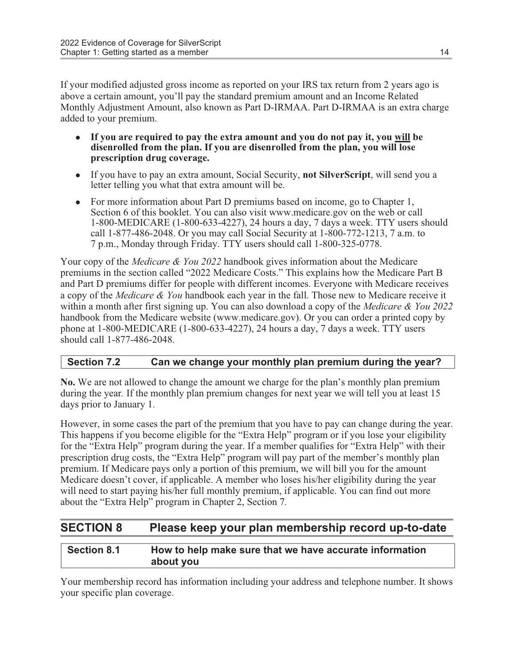If your modified adjusted gross income as reported on your IRS tax return from 2 years ago is above a certain amount, you'll pay the standard premium amount and an Income Related Monthly Adjustment Amount, also known as Part D-IRMAA. Part D-IRMAA is an extra charge added to your premium.

- If you are required to pay the extra amount and you do not pay it, you will be disenrolled from the plan. If you are disenrolled from the plan, you will lose prescription drug coverage.
- If you have to pay an extra amount, Social Security, **not SilverScript**, will send you a letter telling you what that extra amount will be.
- For more information about Part D premiums based on income, go to Chapter 1, Section 6 of this booklet. You can also visit www.medicare.gov on the web or call 1-800-MEDICARE (1-800-633-4227), 24 hours a day, 7 days a week. TTY users should call 1-877-486-2048. Or you may call Social Security at 1-800-772-1213, 7 a.m. to 7 p.m., Monday through Friday. TTY users should call 1-800-325-0778.

Your copy of the *Medicare & You 2022* handbook gives information about the Medicare premiums in the section called "2022 Medicare Costs." This explains how the Medicare Part B and Part D premiums differ for people with different incomes. Everyone with Medicare receives a copy of the Medicare & You handbook each year in the fall. Those new to Medicare receive it within a month after first signing up. You can also download a copy of the *Medicare & You 2022* handbook from the Medicare website (www.medicare.gov). Or you can order a printed copy by phone at 1-800-MEDICARE (1-800-633-4227), 24 hours a day, 7 days a week. TTY users should call 1-877-486-2048.

#### Section 7.2 Can we change your monthly plan premium during the year?

No. We are not allowed to change the amount we charge for the plan's monthly plan premium during the year. If the monthly plan premium changes for next year we will tell you at least 15 days prior to January 1.

However, in some cases the part of the premium that you have to pay can change during the year. This happens if you become eligible for the "Extra Help" program or if you lose your eligibility for the "Extra Help" program during the year. If a member qualifies for "Extra Help" with their prescription drug costs, the "Extra Help" program will pay part of the member's monthly plan premium. If Medicare pays only a portion of this premium, we will bill you for the amount Medicare doesn't cover, if applicable. A member who loses his/her eligibility during the year will need to start paying his/her full monthly premium, if applicable. You can find out more about the "Extra Help" program in Chapter 2, Section 7.

#### SECTION 8 Please keep your plan membership record up-to-date

#### Section 8.1 How to help make sure that we have accurate information about you

Your membership record has information including your address and telephone number. It shows your specific plan coverage.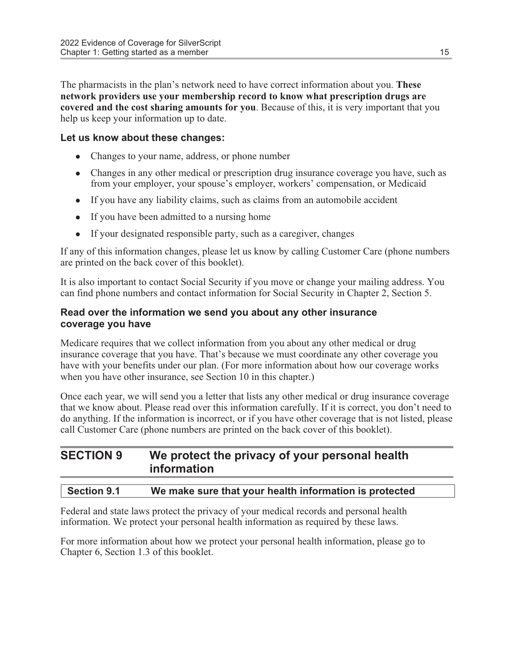The pharmacists in the plan's network need to have correct information about you. **These** network providers use your membership record to know what prescription drugs are covered and the cost sharing amounts for you. Because of this, it is very important that you help us keep your information up to date.

#### Let us know about these changes:

- Changes to your name, address, or phone number
- Changes in any other medical or prescription drug insurance coverage you have, such as from your employer, your spouse's employer, workers' compensation, or Medicaid
- If you have any liability claims, such as claims from an automobile accident
- If you have been admitted to a nursing home
- If your designated responsible party, such as a caregiver, changes

If any of this information changes, please let us know by calling Customer Care (phone numbers are printed on the back cover of this booklet).

It is also important to contact Social Security if you move or change your mailing address. You can find phone numbers and contact information for Social Security in Chapter 2, Section 5.

#### Read over the information we send you about any other insurance coverage you have

Medicare requires that we collect information from you about any other medical or drug insurance coverage that you have. That's because we must coordinate any other coverage you have with your benefits under our plan. (For more information about how our coverage works when you have other insurance, see Section 10 in this chapter.)

Once each year, we will send you a letter that lists any other medical or drug insurance coverage that we know about. Please read over this information carefully. If it is correct, you don't need to do anything. If the information is incorrect, or if you have other coverage that is not listed, please call Customer Care (phone numbers are printed on the back cover of this booklet).

#### SECTION 9 We protect the privacy of your personal health information

#### Section 9.1 We make sure that your health information is protected

Federal and state laws protect the privacy of your medical records and personal health information. We protect your personal health information as required by these laws.

For more information about how we protect your personal health information, please go to Chapter 6, Section 1.3 of this booklet.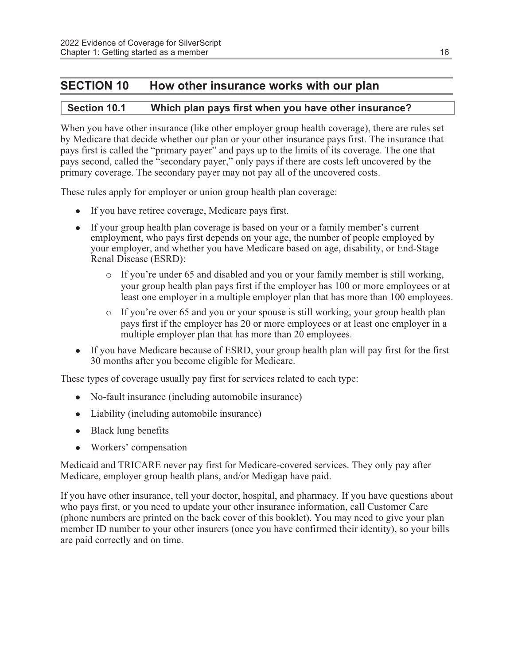#### SECTION 10 How other insurance works with our plan

#### Section 10.1 Which plan pays first when you have other insurance?

When you have other insurance (like other employer group health coverage), there are rules set by Medicare that decide whether our plan or your other insurance pays first. The insurance that pays first is called the "primary payer" and pays up to the limits of its coverage. The one that pays second, called the "secondary payer," only pays if there are costs left uncovered by the primary coverage. The secondary payer may not pay all of the uncovered costs.

These rules apply for employer or union group health plan coverage:

- If you have retiree coverage, Medicare pays first.
- If your group health plan coverage is based on your or a family member's current employment, who pays first depends on your age, the number of people employed by your employer, and whether you have Medicare based on age, disability, or End-Stage Renal Disease (ESRD):
	- $\circ$  If you're under 65 and disabled and you or your family member is still working, your group health plan pays first if the employer has 100 or more employees or at least one employer in a multiple employer plan that has more than 100 employees.
	- $\circ$  If you're over 65 and you or your spouse is still working, your group health plan pays first if the employer has 20 or more employees or at least one employer in a multiple employer plan that has more than 20 employees.
- If you have Medicare because of ESRD, your group health plan will pay first for the first 30 months after you become eligible for Medicare.

These types of coverage usually pay first for services related to each type:

- No-fault insurance (including automobile insurance)
- Liability (including automobile insurance)
- $\bullet$  Black lung benefits
- Workers' compensation

Medicaid and TRICARE never pay first for Medicare-covered services. They only pay after Medicare, employer group health plans, and/or Medigap have paid.

If you have other insurance, tell your doctor, hospital, and pharmacy. If you have questions about who pays first, or you need to update your other insurance information, call Customer Care (phone numbers are printed on the back cover of this booklet). You may need to give your plan member ID number to your other insurers (once you have confirmed their identity), so your bills are paid correctly and on time.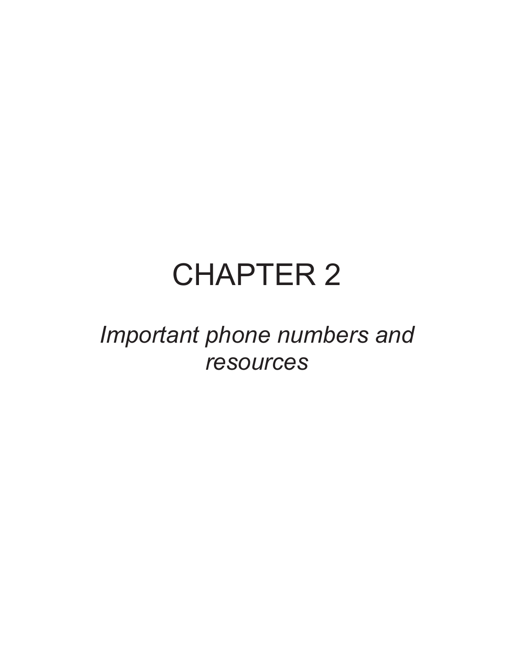# CHAPTER 2

## Important phone numbers and resources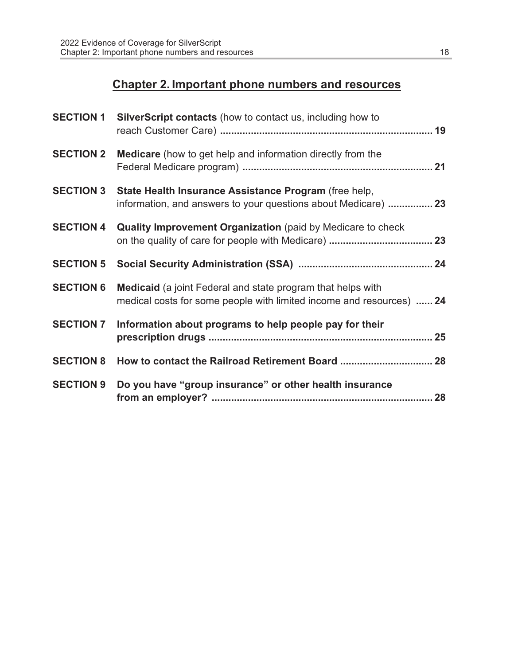### Chapter 2. Important phone numbers and resources

| <b>SECTION 1</b> | <b>SilverScript contacts</b> (how to contact us, including how to                                                                          |
|------------------|--------------------------------------------------------------------------------------------------------------------------------------------|
| <b>SECTION 2</b> | Medicare (how to get help and information directly from the                                                                                |
| <b>SECTION 3</b> | State Health Insurance Assistance Program (free help,<br>information, and answers to your questions about Medicare)  23                    |
| <b>SECTION 4</b> | <b>Quality Improvement Organization</b> (paid by Medicare to check                                                                         |
| <b>SECTION 5</b> |                                                                                                                                            |
| <b>SECTION 6</b> | <b>Medicaid</b> (a joint Federal and state program that helps with<br>medical costs for some people with limited income and resources)  24 |
| <b>SECTION 7</b> | Information about programs to help people pay for their                                                                                    |
| <b>SECTION 8</b> | How to contact the Railroad Retirement Board  28                                                                                           |
| <b>SECTION 9</b> | Do you have "group insurance" or other health insurance                                                                                    |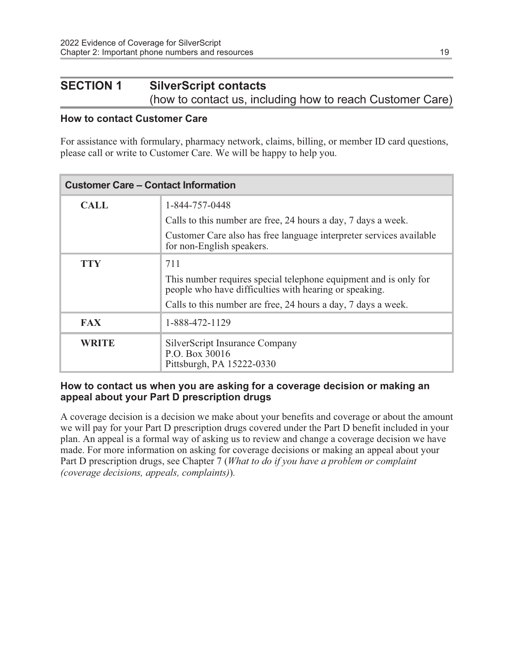#### SECTION 1 SilverScript contacts (how to contact us, including how to reach Customer Care)

#### How to contact Customer Care

For assistance with formulary, pharmacy network, claims, billing, or member ID card questions, please call or write to Customer Care. We will be happy to help you.

| <b>Customer Care – Contact Information</b> |                                                                                                                            |
|--------------------------------------------|----------------------------------------------------------------------------------------------------------------------------|
| <b>CALL</b>                                | 1-844-757-0448                                                                                                             |
|                                            | Calls to this number are free, 24 hours a day, 7 days a week.                                                              |
|                                            | Customer Care also has free language interpreter services available<br>for non-English speakers.                           |
| TTY                                        | 711                                                                                                                        |
|                                            | This number requires special telephone equipment and is only for<br>people who have difficulties with hearing or speaking. |
|                                            | Calls to this number are free, 24 hours a day, 7 days a week.                                                              |
| <b>FAX</b>                                 | 1-888-472-1129                                                                                                             |
| WRITE                                      | SilverScript Insurance Company<br>P.O. Box 30016<br>Pittsburgh, PA 15222-0330                                              |

#### How to contact us when you are asking for a coverage decision or making an appeal about your Part D prescription drugs

A coverage decision is a decision we make about your benefits and coverage or about the amount we will pay for your Part D prescription drugs covered under the Part D benefit included in your plan. An appeal is a formal way of asking us to review and change a coverage decision we have made. For more information on asking for coverage decisions or making an appeal about your Part D prescription drugs, see Chapter 7 (What to do if you have a problem or complaint (coverage decisions, appeals, complaints)).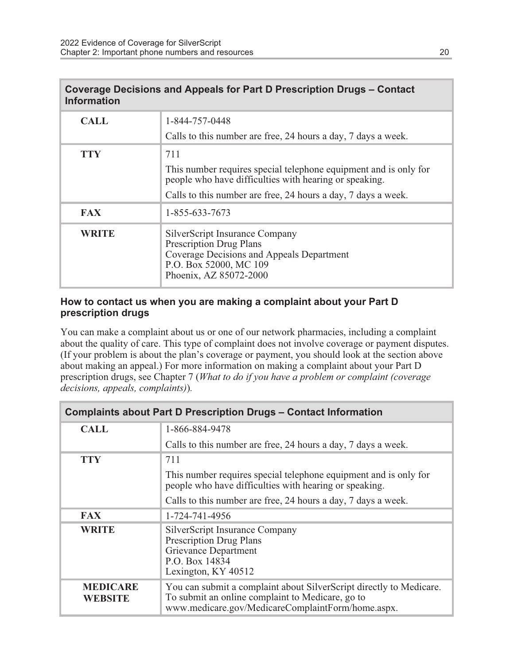| <b>Information</b> | Coverage Decisions and Appeals for Part D Prescription Drugs – Contact                                                                                            |
|--------------------|-------------------------------------------------------------------------------------------------------------------------------------------------------------------|
| <b>CALL</b>        | 1-844-757-0448                                                                                                                                                    |
|                    | Calls to this number are free, 24 hours a day, 7 days a week.                                                                                                     |
| <b>TTY</b>         | 711                                                                                                                                                               |
|                    | This number requires special telephone equipment and is only for<br>people who have difficulties with hearing or speaking.                                        |
|                    | Calls to this number are free, 24 hours a day, 7 days a week.                                                                                                     |
| <b>FAX</b>         | 1-855-633-7673                                                                                                                                                    |
| <b>WRITE</b>       | SilverScript Insurance Company<br><b>Prescription Drug Plans</b><br>Coverage Decisions and Appeals Department<br>P.O. Box 52000, MC 109<br>Phoenix, AZ 85072-2000 |

#### How to contact us when you are making a complaint about your Part D prescription drugs

You can make a complaint about us or one of our network pharmacies, including a complaint about the quality of care. This type of complaint does not involve coverage or payment disputes. (If your problem is about the plan's coverage or payment, you should look at the section above about making an appeal.) For more information on making a complaint about your Part D prescription drugs, see Chapter 7 (What to do if you have a problem or complaint (coverage decisions, appeals, complaints)).

| <b>Complaints about Part D Prescription Drugs – Contact Information</b> |                                                                                                                                                                              |  |
|-------------------------------------------------------------------------|------------------------------------------------------------------------------------------------------------------------------------------------------------------------------|--|
| <b>CALL</b>                                                             | 1-866-884-9478                                                                                                                                                               |  |
|                                                                         | Calls to this number are free, 24 hours a day, 7 days a week.                                                                                                                |  |
| <b>TTY</b>                                                              | 711                                                                                                                                                                          |  |
|                                                                         | This number requires special telephone equipment and is only for<br>people who have difficulties with hearing or speaking.                                                   |  |
|                                                                         | Calls to this number are free, 24 hours a day, 7 days a week.                                                                                                                |  |
| <b>FAX</b>                                                              | 1-724-741-4956                                                                                                                                                               |  |
| <b>WRITE</b>                                                            | SilverScript Insurance Company<br><b>Prescription Drug Plans</b><br>Grievance Department<br>P.O. Box 14834<br>Lexington, KY 40512                                            |  |
| <b>MEDICARE</b><br>WEBSITE                                              | You can submit a complaint about SilverScript directly to Medicare.<br>To submit an online complaint to Medicare, go to<br>www.medicare.gov/MedicareComplaintForm/home.aspx. |  |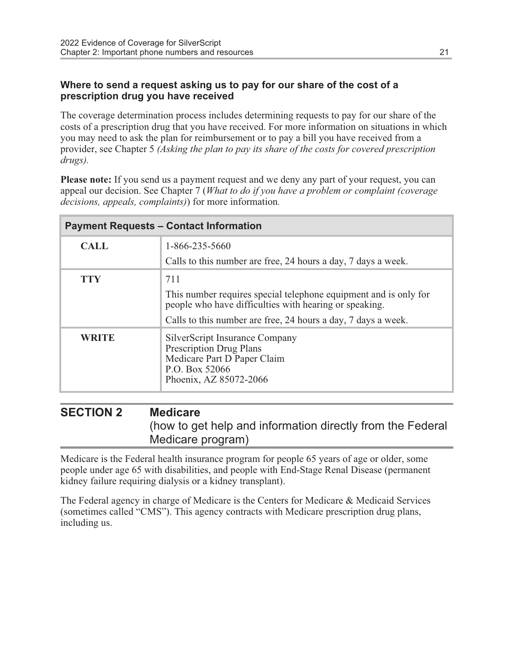#### Where to send a request asking us to pay for our share of the cost of a prescription drug you have received

The coverage determination process includes determining requests to pay for our share of the costs of a prescription drug that you have received. For more information on situations in which you may need to ask the plan for reimbursement or to pay a bill you have received from a provider, see Chapter 5 (Asking the plan to pay its share of the costs for covered prescription drugs).

Please note: If you send us a payment request and we deny any part of your request, you can appeal our decision. See Chapter 7 (What to do if you have a problem or complaint (coverage decisions, appeals, complaints)) for more information.

| <b>Payment Requests – Contact Information</b> |                                                                                                                                             |
|-----------------------------------------------|---------------------------------------------------------------------------------------------------------------------------------------------|
| <b>CALL</b>                                   | 1-866-235-5660                                                                                                                              |
|                                               | Calls to this number are free, 24 hours a day, 7 days a week.                                                                               |
| <b>TTY</b>                                    | 711                                                                                                                                         |
|                                               | This number requires special telephone equipment and is only for<br>people who have difficulties with hearing or speaking.                  |
|                                               | Calls to this number are free, 24 hours a day, 7 days a week.                                                                               |
| WRITE                                         | SilverScript Insurance Company<br><b>Prescription Drug Plans</b><br>Medicare Part D Paper Claim<br>P.O. Box 52066<br>Phoenix, AZ 85072-2066 |

#### SECTION 2 Medicare (how to get help and information directly from the Federal Medicare program)

Medicare is the Federal health insurance program for people 65 years of age or older, some people under age 65 with disabilities, and people with End-Stage Renal Disease (permanent kidney failure requiring dialysis or a kidney transplant).

The Federal agency in charge of Medicare is the Centers for Medicare & Medicaid Services (sometimes called "CMS"). This agency contracts with Medicare prescription drug plans, including us.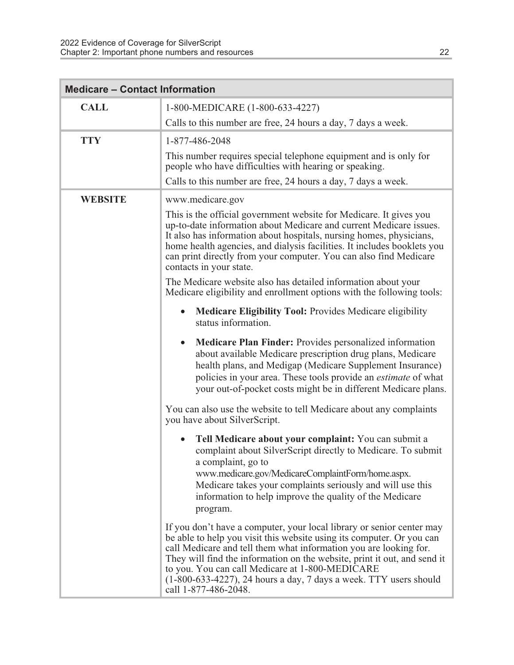| <b>Medicare - Contact Information</b> |                                                                                                                                                                                                                                                                                                                                                                                                                                                    |  |
|---------------------------------------|----------------------------------------------------------------------------------------------------------------------------------------------------------------------------------------------------------------------------------------------------------------------------------------------------------------------------------------------------------------------------------------------------------------------------------------------------|--|
| <b>CALL</b>                           | 1-800-MEDICARE (1-800-633-4227)                                                                                                                                                                                                                                                                                                                                                                                                                    |  |
|                                       | Calls to this number are free, 24 hours a day, 7 days a week.                                                                                                                                                                                                                                                                                                                                                                                      |  |
| <b>TTY</b>                            | 1-877-486-2048                                                                                                                                                                                                                                                                                                                                                                                                                                     |  |
|                                       | This number requires special telephone equipment and is only for<br>people who have difficulties with hearing or speaking.                                                                                                                                                                                                                                                                                                                         |  |
|                                       | Calls to this number are free, 24 hours a day, 7 days a week.                                                                                                                                                                                                                                                                                                                                                                                      |  |
| <b>WEBSITE</b>                        | www.medicare.gov                                                                                                                                                                                                                                                                                                                                                                                                                                   |  |
|                                       | This is the official government website for Medicare. It gives you<br>up-to-date information about Medicare and current Medicare issues.<br>It also has information about hospitals, nursing homes, physicians,<br>home health agencies, and dialysis facilities. It includes booklets you<br>can print directly from your computer. You can also find Medicare<br>contacts in your state.                                                         |  |
|                                       | The Medicare website also has detailed information about your<br>Medicare eligibility and enrollment options with the following tools:                                                                                                                                                                                                                                                                                                             |  |
|                                       | Medicare Eligibility Tool: Provides Medicare eligibility<br>$\bullet$<br>status information.                                                                                                                                                                                                                                                                                                                                                       |  |
|                                       | <b>Medicare Plan Finder:</b> Provides personalized information<br>$\bullet$<br>about available Medicare prescription drug plans, Medicare<br>health plans, and Medigap (Medicare Supplement Insurance)<br>policies in your area. These tools provide an <i>estimate</i> of what<br>your out-of-pocket costs might be in different Medicare plans.                                                                                                  |  |
|                                       | You can also use the website to tell Medicare about any complaints<br>you have about SilverScript.                                                                                                                                                                                                                                                                                                                                                 |  |
|                                       | Tell Medicare about your complaint: You can submit a<br>complaint about SilverScript directly to Medicare. To submit<br>a complaint, go to<br>www.medicare.gov/MedicareComplaintForm/home.aspx.<br>Medicare takes your complaints seriously and will use this<br>information to help improve the quality of the Medicare<br>program.                                                                                                               |  |
|                                       | If you don't have a computer, your local library or senior center may<br>be able to help you visit this website using its computer. Or you can<br>call Medicare and tell them what information you are looking for.<br>They will find the information on the website, print it out, and send it<br>to you. You can call Medicare at 1-800-MEDICARE<br>$(1-800-633-4227)$ , 24 hours a day, 7 days a week. TTY users should<br>call 1-877-486-2048. |  |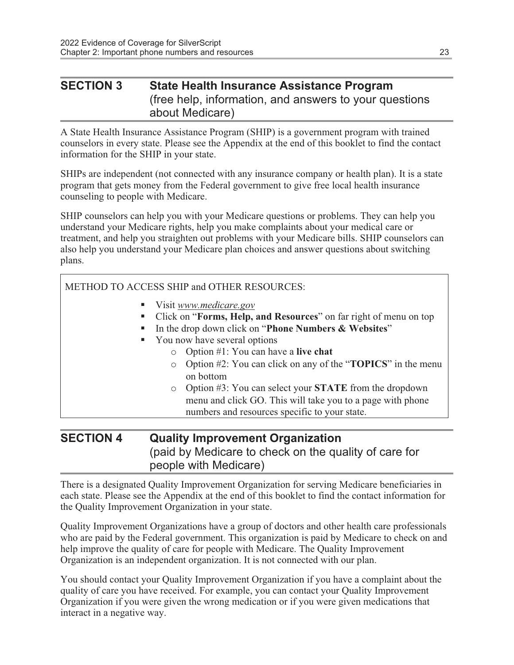#### SECTION 3 State Health Insurance Assistance Program (free help, information, and answers to your questions about Medicare)

A State Health Insurance Assistance Program (SHIP) is a government program with trained counselors in every state. Please see the Appendix at the end of this booklet to find the contact information for the SHIP in your state.

SHIPs are independent (not connected with any insurance company or health plan). It is a state program that gets money from the Federal government to give free local health insurance counseling to people with Medicare.

SHIP counselors can help you with your Medicare questions or problems. They can help you understand your Medicare rights, help you make complaints about your medical care or treatment, and help you straighten out problems with your Medicare bills. SHIP counselors can also help you understand your Medicare plan choices and answer questions about switching plans.

#### METHOD TO ACCESS SHIP and OTHER RESOURCES.

- Visit [www.medicare.gov](http://www.medicare.gov/)
- Click on "Forms, Help, and Resources" on far right of menu on top
- In the drop down click on "Phone Numbers & Websites"
- You now have several options
	- $\circ$  Option #1: You can have a live chat
	- o Option #2: You can click on any of the "TOPICS" in the menu on bottom
	- o Option #3: You can select your STATE from the dropdown menu and click GO. This will take you to a page with phone numbers and resources specific to your state.

#### SECTION 4 Quality Improvement Organization (paid by Medicare to check on the quality of care for people with Medicare)

There is a designated Quality Improvement Organization for serving Medicare beneficiaries in each state. Please see the Appendix at the end of this booklet to find the contact information for the Quality Improvement Organization in your state.

Quality Improvement Organizations have a group of doctors and other health care professionals who are paid by the Federal government. This organization is paid by Medicare to check on and help improve the quality of care for people with Medicare. The Quality Improvement Organization is an independent organization. It is not connected with our plan.

You should contact your Quality Improvement Organization if you have a complaint about the quality of care you have received. For example, you can contact your Quality Improvement Organization if you were given the wrong medication or if you were given medications that interact in a negative way.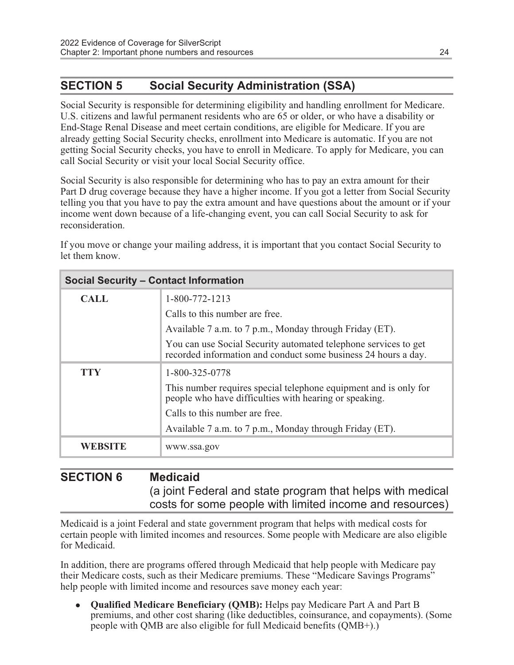#### SECTION 5 Social Security Administration (SSA)

Social Security is responsible for determining eligibility and handling enrollment for Medicare. U.S. citizens and lawful permanent residents who are 65 or older, or who have a disability or End-Stage Renal Disease and meet certain conditions, are eligible for Medicare. If you are already getting Social Security checks, enrollment into Medicare is automatic. If you are not getting Social Security checks, you have to enroll in Medicare. To apply for Medicare, you can call Social Security or visit your local Social Security office.

Social Security is also responsible for determining who has to pay an extra amount for their Part D drug coverage because they have a higher income. If you got a letter from Social Security telling you that you have to pay the extra amount and have questions about the amount or if your income went down because of a life-changing event, you can call Social Security to ask for reconsideration.

If you move or change your mailing address, it is important that you contact Social Security to let them know.

| <b>Social Security – Contact Information</b> |                                                                                                                                   |
|----------------------------------------------|-----------------------------------------------------------------------------------------------------------------------------------|
| <b>CALL</b>                                  | 1-800-772-1213                                                                                                                    |
|                                              | Calls to this number are free.                                                                                                    |
|                                              | Available 7 a.m. to 7 p.m., Monday through Friday (ET).                                                                           |
|                                              | You can use Social Security automated telephone services to get<br>recorded information and conduct some business 24 hours a day. |
| <b>TTY</b>                                   | 1-800-325-0778                                                                                                                    |
|                                              | This number requires special telephone equipment and is only for<br>people who have difficulties with hearing or speaking.        |
|                                              | Calls to this number are free.                                                                                                    |
|                                              | Available 7 a.m. to 7 p.m., Monday through Friday (ET).                                                                           |
| <b>WEBSITE</b>                               | www.ssa.gov                                                                                                                       |

#### SECTION 6 Medicaid (a joint Federal and state program that helps with medical costs for some people with limited income and resources)

Medicaid is a joint Federal and state government program that helps with medical costs for certain people with limited incomes and resources. Some people with Medicare are also eligible for Medicaid.

In addition, there are programs offered through Medicaid that help people with Medicare pay their Medicare costs, such as their Medicare premiums. These "Medicare Savings Programs" help people with limited income and resources save money each year:

• Qualified Medicare Beneficiary (QMB): Helps pay Medicare Part A and Part B premiums, and other cost sharing (like deductibles, coinsurance, and copayments). (Some people with QMB are also eligible for full Medicaid benefits (QMB+).)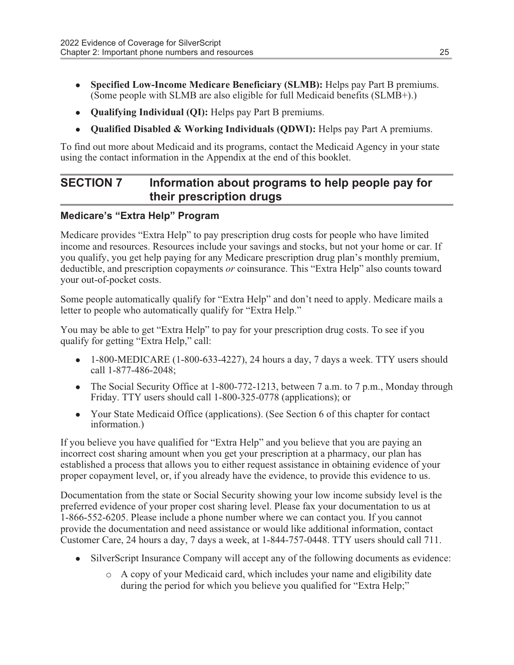- Specified Low-Income Medicare Beneficiary (SLMB): Helps pay Part B premiums. (Some people with SLMB are also eligible for full Medicaid benefits (SLMB+).)
- Oualifying Individual (OI): Helps pay Part B premiums.
- Qualified Disabled & Working Individuals (QDWI): Helps pay Part A premiums.

To find out more about Medicaid and its programs, contact the Medicaid Agency in your state using the contact information in the Appendix at the end of this booklet.

#### SECTION 7 Information about programs to help people pay for their prescription drugs

#### Medicare's "Extra Help" Program

Medicare provides "Extra Help" to pay prescription drug costs for people who have limited income and resources. Resources include your savings and stocks, but not your home or car. If you qualify, you get help paying for any Medicare prescription drug plan's monthly premium, deductible, and prescription copayments or coinsurance. This "Extra Help" also counts toward your out-of-pocket costs.

Some people automatically qualify for "Extra Help" and don't need to apply. Medicare mails a letter to people who automatically qualify for "Extra Help."

You may be able to get "Extra Help" to pay for your prescription drug costs. To see if you qualify for getting "Extra Help," call:

- 1-800-MEDICARE (1-800-633-4227), 24 hours a day, 7 days a week. TTY users should call 1-877-486-2048;
- The Social Security Office at  $1-800-772-1213$ , between 7 a.m. to 7 p.m., Monday through Friday. TTY users should call 1-800-325-0778 (applications); or
- Your State Medicaid Office (applications). (See Section 6 of this chapter for contact information.)

If you believe you have qualified for "Extra Help" and you believe that you are paying an incorrect cost sharing amount when you get your prescription at a pharmacy, our plan has established a process that allows you to either request assistance in obtaining evidence of your proper copayment level, or, if you already have the evidence, to provide this evidence to us.

Documentation from the state or Social Security showing your low income subsidy level is the preferred evidence of your proper cost sharing level. Please fax your documentation to us at 1-866-552-6205. Please include a phone number where we can contact you. If you cannot provide the documentation and need assistance or would like additional information, contact Customer Care, 24 hours a day, 7 days a week, at 1-844-757-0448. TTY users should call 711.

- SilverScript Insurance Company will accept any of the following documents as evidence:
	- o A copy of your Medicaid card, which includes your name and eligibility date during the period for which you believe you qualified for "Extra Help;"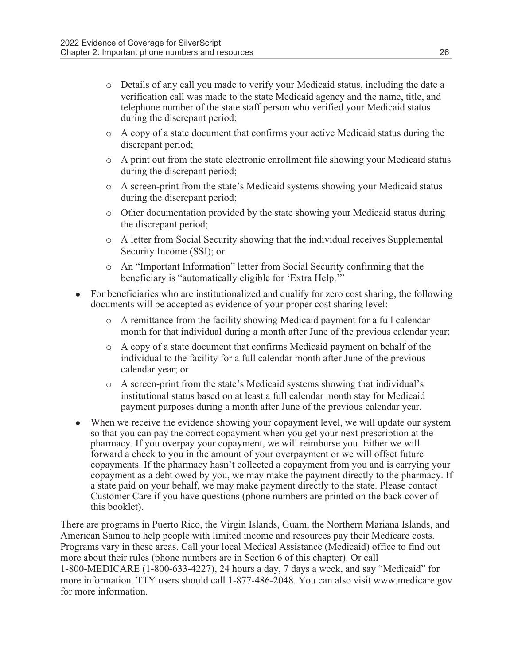- o Details of any call you made to verify your Medicaid status, including the date a verification call was made to the state Medicaid agency and the name, title, and telephone number of the state staff person who verified your Medicaid status during the discrepant period;
- o A copy of a state document that confirms your active Medicaid status during the discrepant period;
- o A print out from the state electronic enrollment file showing your Medicaid status during the discrepant period;
- o A screen-print from the state's Medicaid systems showing your Medicaid status during the discrepant period;
- $\circ$  Other documentation provided by the state showing your Medicaid status during the discrepant period;
- o A letter from Social Security showing that the individual receives Supplemental Security Income (SSI); or
- o An "Important Information" letter from Social Security confirming that the beneficiary is "automatically eligible for 'Extra Help.'"
- <sup>l</sup> For beneficiaries who are institutionalized and qualify for zero cost sharing, the following documents will be accepted as evidence of your proper cost sharing level:
	- o A remittance from the facility showing Medicaid payment for a full calendar month for that individual during a month after June of the previous calendar year;
	- $\circ$  A copy of a state document that confirms Medicaid payment on behalf of the individual to the facility for a full calendar month after June of the previous calendar year; or
	- o A screen-print from the state's Medicaid systems showing that individual's institutional status based on at least a full calendar month stay for Medicaid payment purposes during a month after June of the previous calendar year.
- When we receive the evidence showing your copayment level, we will update our system so that you can pay the correct copayment when you get your next prescription at the pharmacy. If you overpay your copayment, we will reimburse you. Either we will forward a check to you in the amount of your overpayment or we will offset future copayments. If the pharmacy hasn't collected a copayment from you and is carrying your copayment as a debt owed by you, we may make the payment directly to the pharmacy. If a state paid on your behalf, we may make payment directly to the state. Please contact Customer Care if you have questions (phone numbers are printed on the back cover of this booklet).

There are programs in Puerto Rico, the Virgin Islands, Guam, the Northern Mariana Islands, and American Samoa to help people with limited income and resources pay their Medicare costs. Programs vary in these areas. Call your local Medical Assistance (Medicaid) office to find out more about their rules (phone numbers are in Section 6 of this chapter). Or call 1-800-MEDICARE (1-800-633-4227), 24 hours a day, 7 days a week, and say "Medicaid" for more information. TTY users should call 1-877-486-2048. You can also visit www.medicare.gov for more information.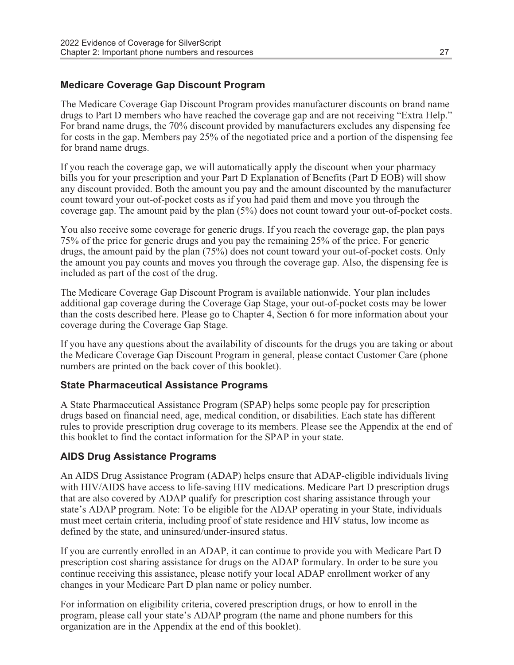#### Medicare Coverage Gap Discount Program

The Medicare Coverage Gap Discount Program provides manufacturer discounts on brand name drugs to Part D members who have reached the coverage gap and are not receiving "Extra Help." For brand name drugs, the 70% discount provided by manufacturers excludes any dispensing fee for costs in the gap. Members pay 25% of the negotiated price and a portion of the dispensing fee for brand name drugs.

If you reach the coverage gap, we will automatically apply the discount when your pharmacy bills you for your prescription and your Part D Explanation of Benefits (Part D EOB) will show any discount provided. Both the amount you pay and the amount discounted by the manufacturer count toward your out-of-pocket costs as if you had paid them and move you through the coverage gap. The amount paid by the plan (5%) does not count toward your out-of-pocket costs.

You also receive some coverage for generic drugs. If you reach the coverage gap, the plan pays 75% of the price for generic drugs and you pay the remaining 25% of the price. For generic drugs, the amount paid by the plan (75%) does not count toward your out-of-pocket costs. Only the amount you pay counts and moves you through the coverage gap. Also, the dispensing fee is included as part of the cost of the drug.

The Medicare Coverage Gap Discount Program is available nationwide. Your plan includes additional gap coverage during the Coverage Gap Stage, your out-of-pocket costs may be lower than the costs described here. Please go to Chapter 4, Section 6 for more information about your coverage during the Coverage Gap Stage.

If you have any questions about the availability of discounts for the drugs you are taking or about the Medicare Coverage Gap Discount Program in general, please contact Customer Care (phone numbers are printed on the back cover of this booklet).

#### State Pharmaceutical Assistance Programs

A State Pharmaceutical Assistance Program (SPAP) helps some people pay for prescription drugs based on financial need, age, medical condition, or disabilities. Each state has different rules to provide prescription drug coverage to its members. Please see the Appendix at the end of this booklet to find the contact information for the SPAP in your state.

#### AIDS Drug Assistance Programs

An AIDS Drug Assistance Program (ADAP) helps ensure that ADAP-eligible individuals living with HIV/AIDS have access to life-saving HIV medications. Medicare Part D prescription drugs that are also covered by ADAP qualify for prescription cost sharing assistance through your state's ADAP program. Note: To be eligible for the ADAP operating in your State, individuals must meet certain criteria, including proof of state residence and HIV status, low income as defined by the state, and uninsured/under-insured status.

If you are currently enrolled in an ADAP, it can continue to provide you with Medicare Part D prescription cost sharing assistance for drugs on the ADAP formulary. In order to be sure you continue receiving this assistance, please notify your local ADAP enrollment worker of any changes in your Medicare Part D plan name or policy number.

For information on eligibility criteria, covered prescription drugs, or how to enroll in the program, please call your state's ADAP program (the name and phone numbers for this organization are in the Appendix at the end of this booklet).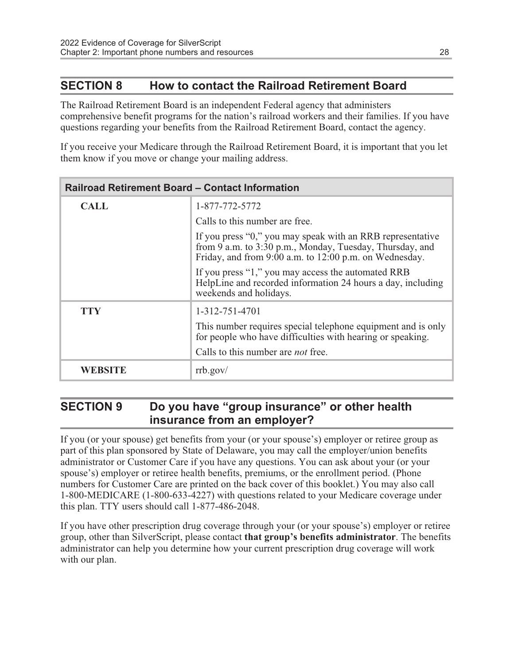#### SECTION 8 How to contact the Railroad Retirement Board

The Railroad Retirement Board is an independent Federal agency that administers comprehensive benefit programs for the nation's railroad workers and their families. If you have questions regarding your benefits from the Railroad Retirement Board, contact the agency.

If you receive your Medicare through the Railroad Retirement Board, it is important that you let them know if you move or change your mailing address.

| <b>Railroad Retirement Board – Contact Information</b> |                                                                                                                                                                                  |  |
|--------------------------------------------------------|----------------------------------------------------------------------------------------------------------------------------------------------------------------------------------|--|
| <b>CALL</b>                                            | 1-877-772-5772                                                                                                                                                                   |  |
|                                                        | Calls to this number are free.                                                                                                                                                   |  |
|                                                        | If you press "0," you may speak with an RRB representative<br>from 9 a.m. to 3:30 p.m., Monday, Tuesday, Thursday, and<br>Friday, and from 9:00 a.m. to 12:00 p.m. on Wednesday. |  |
|                                                        | If you press "1," you may access the automated RRB<br>HelpLine and recorded information 24 hours a day, including<br>weekends and holidays.                                      |  |
| <b>TTY</b>                                             | 1-312-751-4701                                                                                                                                                                   |  |
|                                                        | This number requires special telephone equipment and is only<br>for people who have difficulties with hearing or speaking.                                                       |  |
|                                                        | Calls to this number are <i>not</i> free.                                                                                                                                        |  |
| WEBSITE                                                | rrb.gov/                                                                                                                                                                         |  |

#### SECTION 9 Do you have "group insurance" or other health insurance from an employer?

If you (or your spouse) get benefits from your (or your spouse's) employer or retiree group as part of this plan sponsored by State of Delaware, you may call the employer/union benefits administrator or Customer Care if you have any questions. You can ask about your (or your spouse's) employer or retiree health benefits, premiums, or the enrollment period. (Phone numbers for Customer Care are printed on the back cover of this booklet.) You may also call 1-800-MEDICARE (1-800-633-4227) with questions related to your Medicare coverage under this plan. TTY users should call 1-877-486-2048.

If you have other prescription drug coverage through your (or your spouse's) employer or retiree group, other than SilverScript, please contact that group's benefits administrator. The benefits administrator can help you determine how your current prescription drug coverage will work with our plan.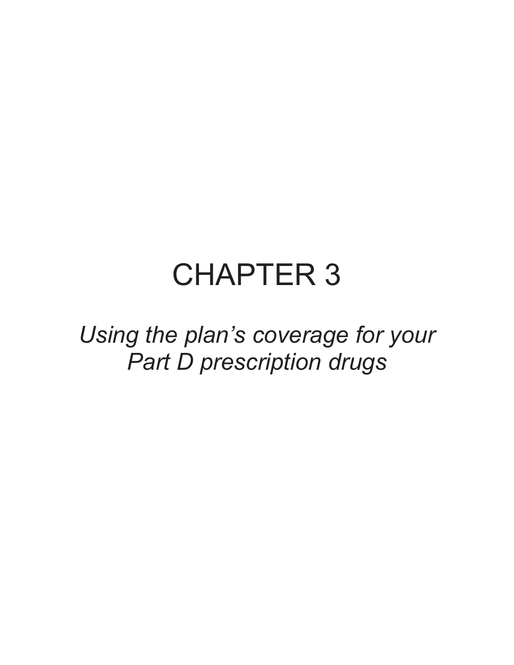## CHAPTER 3

Using the plan's coverage for your Part D prescription drugs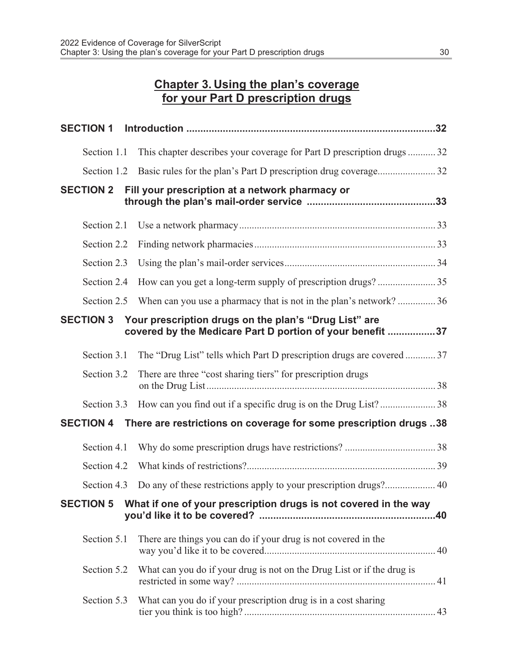#### Chapter 3. Using the plan's coverage for your Part D prescription drugs

| <b>SECTION 1</b> |                                                                                                                    |  |
|------------------|--------------------------------------------------------------------------------------------------------------------|--|
| Section 1.1      | This chapter describes your coverage for Part D prescription drugs32                                               |  |
| Section 1.2      |                                                                                                                    |  |
| <b>SECTION 2</b> | Fill your prescription at a network pharmacy or                                                                    |  |
| Section 2.1      |                                                                                                                    |  |
| Section 2.2      |                                                                                                                    |  |
| Section 2.3      |                                                                                                                    |  |
| Section 2.4      |                                                                                                                    |  |
| Section 2.5      | When can you use a pharmacy that is not in the plan's network?36                                                   |  |
| <b>SECTION 3</b> | Your prescription drugs on the plan's "Drug List" are<br>covered by the Medicare Part D portion of your benefit 37 |  |
| Section 3.1      | The "Drug List" tells which Part D prescription drugs are covered  37                                              |  |
| Section 3.2      | There are three "cost sharing tiers" for prescription drugs                                                        |  |
| Section 3.3      |                                                                                                                    |  |
| <b>SECTION 4</b> | There are restrictions on coverage for some prescription drugs 38                                                  |  |
| Section 4.1      |                                                                                                                    |  |
| Section 4.2      |                                                                                                                    |  |
| Section 4.3      |                                                                                                                    |  |
| <b>SECTION 5</b> | What if one of your prescription drugs is not covered in the way                                                   |  |
| Section 5.1      | There are things you can do if your drug is not covered in the                                                     |  |
| Section 5.2      | What can you do if your drug is not on the Drug List or if the drug is                                             |  |
| Section 5.3      | What can you do if your prescription drug is in a cost sharing                                                     |  |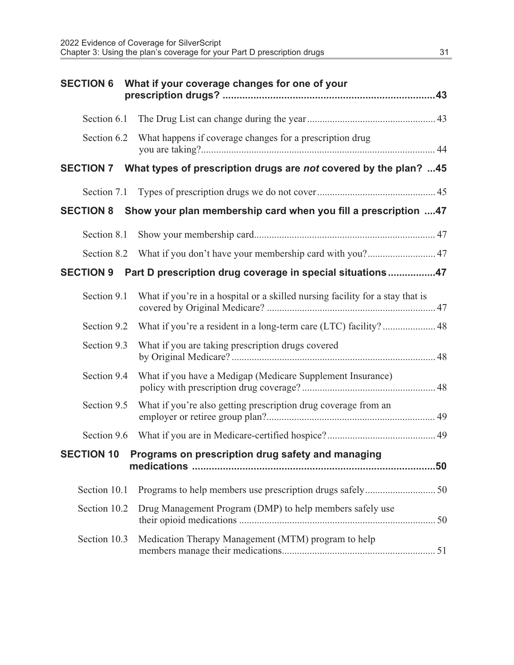| <b>SECTION 6</b> | What if your coverage changes for one of your                                 |
|------------------|-------------------------------------------------------------------------------|
| Section 6.1      |                                                                               |
| Section 6.2      | What happens if coverage changes for a prescription drug                      |
|                  | SECTION 7 What types of prescription drugs are not covered by the plan? 45    |
|                  |                                                                               |
| <b>SECTION 8</b> | Show your plan membership card when you fill a prescription 47                |
| Section 8.1      |                                                                               |
| Section 8.2      |                                                                               |
| <b>SECTION 9</b> | Part D prescription drug coverage in special situations47                     |
| Section 9.1      | What if you're in a hospital or a skilled nursing facility for a stay that is |
| Section 9.2      | What if you're a resident in a long-term care (LTC) facility? 48              |
| Section 9.3      | What if you are taking prescription drugs covered                             |
| Section 9.4      | What if you have a Medigap (Medicare Supplement Insurance)                    |
| Section 9.5      | What if you're also getting prescription drug coverage from an                |
| Section 9.6      |                                                                               |
|                  | SECTION 10 Programs on prescription drug safety and managing<br>.50           |
| Section 10.1     |                                                                               |
| Section 10.2     | Drug Management Program (DMP) to help members safely use                      |
| Section 10.3     | Medication Therapy Management (MTM) program to help                           |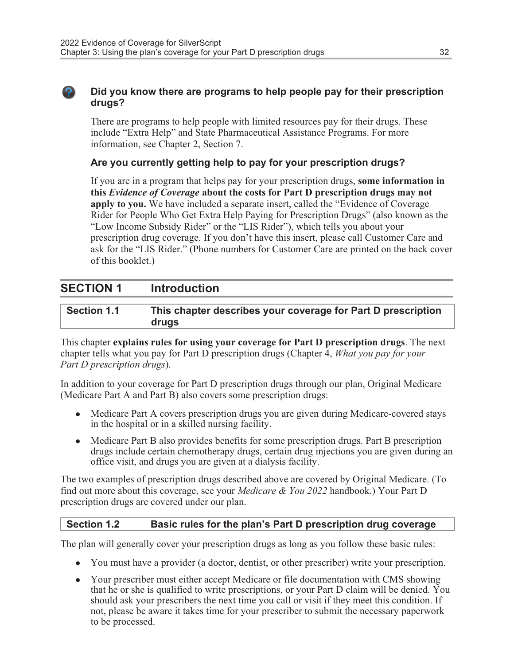#### . Did you know there are programs to help people pay for their prescription drugs?

There are programs to help people with limited resources pay for their drugs. These include "Extra Help" and State Pharmaceutical Assistance Programs. For more information, see Chapter 2, Section 7.

#### Are you currently getting help to pay for your prescription drugs?

If you are in a program that helps pay for your prescription drugs, some information in this *Evidence of Coverage* about the costs for Part D prescription drugs may not apply to you. We have included a separate insert, called the "Evidence of Coverage Rider for People Who Get Extra Help Paying for Prescription Drugs" (also known as the "Low Income Subsidy Rider" or the "LIS Rider"), which tells you about your prescription drug coverage. If you don't have this insert, please call Customer Care and ask for the "LIS Rider." (Phone numbers for Customer Care are printed on the back cover of this booklet.)

#### SECTION 1 Introduction

| <b>Section 1.1</b> | This chapter describes your coverage for Part D prescription |
|--------------------|--------------------------------------------------------------|
|                    | drugs                                                        |

This chapter explains rules for using your coverage for Part D prescription drugs. The next chapter tells what you pay for Part D prescription drugs (Chapter 4, What you pay for your Part D prescription drugs).

In addition to your coverage for Part D prescription drugs through our plan, Original Medicare (Medicare Part A and Part B) also covers some prescription drugs:

- Medicare Part A covers prescription drugs you are given during Medicare-covered stays in the hospital or in a skilled nursing facility.
- Medicare Part B also provides benefits for some prescription drugs. Part B prescription drugs include certain chemotherapy drugs, certain drug injections you are given during an office visit, and drugs you are given at a dialysis facility.

The two examples of prescription drugs described above are covered by Original Medicare. (To find out more about this coverage, see your Medicare & You 2022 handbook.) Your Part D prescription drugs are covered under our plan.

#### Section 1.2 Basic rules for the plan's Part D prescription drug coverage

The plan will generally cover your prescription drugs as long as you follow these basic rules:

- You must have a provider (a doctor, dentist, or other prescriber) write your prescription.
- Your prescriber must either accept Medicare or file documentation with CMS showing that he or she is qualified to write prescriptions, or your Part D claim will be denied. You should ask your prescribers the next time you call or visit if they meet this condition. If not, please be aware it takes time for your prescriber to submit the necessary paperwork to be processed.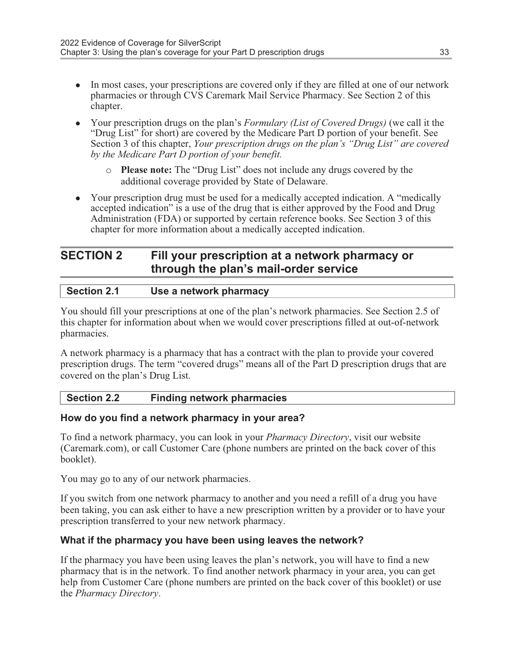- In most cases, your prescriptions are covered only if they are filled at one of our network pharmacies or through CVS Caremark Mail Service Pharmacy. See Section 2 of this chapter.
- Your prescription drugs on the plan's Formulary (List of Covered Drugs) (we call it the "Drug List" for short) are covered by the Medicare Part D portion of your benefit. See Section 3 of this chapter, *Your prescription drugs on the plan's "Drug List" are covered* by the Medicare Part D portion of your benefit.
	- o Please note: The "Drug List" does not include any drugs covered by the additional coverage provided by State of Delaware.
- Your prescription drug must be used for a medically accepted indication. A "medically accepted indication" is a use of the drug that is either approved by the Food and Drug Administration (FDA) or supported by certain reference books. See Section 3 of this chapter for more information about a medically accepted indication.

#### SECTION 2 Fill your prescription at a network pharmacy or through the plan's mail-order service

| <b>Section 2.1</b> | Use a network pharmacy |  |
|--------------------|------------------------|--|
|--------------------|------------------------|--|

You should fill your prescriptions at one of the plan's network pharmacies. See Section 2.5 of this chapter for information about when we would cover prescriptions filled at out-of-network pharmacies.

A network pharmacy is a pharmacy that has a contract with the plan to provide your covered prescription drugs. The term "covered drugs" means all of the Part D prescription drugs that are covered on the plan's Drug List.

#### Section 2.2 Finding network pharmacies

#### How do you find a network pharmacy in your area?

To find a network pharmacy, you can look in your Pharmacy Directory, visit our website (Caremark.com), or call Customer Care (phone numbers are printed on the back cover of this booklet).

You may go to any of our network pharmacies.

If you switch from one network pharmacy to another and you need a refill of a drug you have been taking, you can ask either to have a new prescription written by a provider or to have your prescription transferred to your new network pharmacy.

#### What if the pharmacy you have been using leaves the network?

If the pharmacy you have been using leaves the plan's network, you will have to find a new pharmacy that is in the network. To find another network pharmacy in your area, you can get help from Customer Care (phone numbers are printed on the back cover of this booklet) or use the Pharmacy Directory.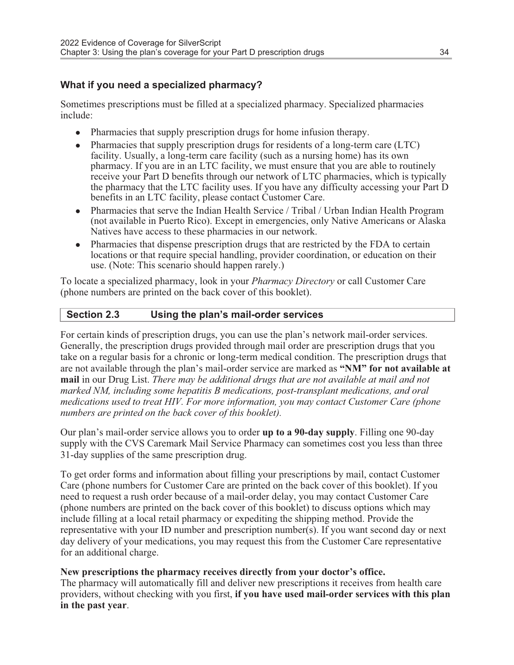#### What if you need a specialized pharmacy?

Sometimes prescriptions must be filled at a specialized pharmacy. Specialized pharmacies include:

- Pharmacies that supply prescription drugs for home infusion therapy.
- $\bullet$  Pharmacies that supply prescription drugs for residents of a long-term care (LTC) facility. Usually, a long-term care facility (such as a nursing home) has its own pharmacy. If you are in an LTC facility, we must ensure that you are able to routinely receive your Part D benefits through our network of LTC pharmacies, which is typically the pharmacy that the LTC facility uses. If you have any difficulty accessing your Part D benefits in an LTC facility, please contact Customer Care.
- Pharmacies that serve the Indian Health Service / Tribal / Urban Indian Health Program (not available in Puerto Rico). Except in emergencies, only Native Americans or Alaska Natives have access to these pharmacies in our network.
- Pharmacies that dispense prescription drugs that are restricted by the FDA to certain locations or that require special handling, provider coordination, or education on their use. (Note: This scenario should happen rarely.)

To locate a specialized pharmacy, look in your Pharmacy Directory or call Customer Care (phone numbers are printed on the back cover of this booklet).

#### Section 2.3 Using the plan's mail-order services

For certain kinds of prescription drugs, you can use the plan's network mail-order services. Generally, the prescription drugs provided through mail order are prescription drugs that you take on a regular basis for a chronic or long-term medical condition. The prescription drugs that are not available through the plan's mail-order service are marked as "NM" for not available at mail in our Drug List. There may be additional drugs that are not available at mail and not marked NM, including some hepatitis B medications, post-transplant medications, and oral medications used to treat HIV. For more information, you may contact Customer Care (phone numbers are printed on the back cover of this booklet).

Our plan's mail-order service allows you to order up to a 90-day supply. Filling one 90-day supply with the CVS Caremark Mail Service Pharmacy can sometimes cost you less than three 31-day supplies of the same prescription drug.

To get order forms and information about filling your prescriptions by mail, contact Customer Care (phone numbers for Customer Care are printed on the back cover of this booklet). If you need to request a rush order because of a mail-order delay, you may contact Customer Care (phone numbers are printed on the back cover of this booklet) to discuss options which may include filling at a local retail pharmacy or expediting the shipping method. Provide the representative with your ID number and prescription number(s). If you want second day or next day delivery of your medications, you may request this from the Customer Care representative for an additional charge.

#### New prescriptions the pharmacy receives directly from your doctor's office.

The pharmacy will automatically fill and deliver new prescriptions it receives from health care providers, without checking with you first, if you have used mail-order services with this plan in the past year.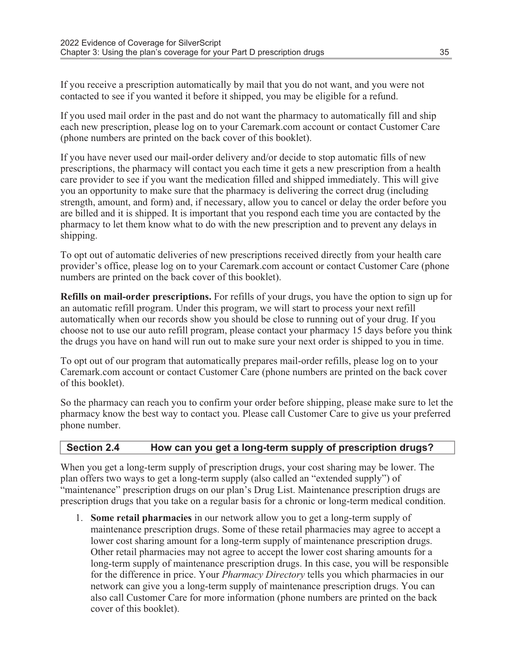If you receive a prescription automatically by mail that you do not want, and you were not contacted to see if you wanted it before it shipped, you may be eligible for a refund.

If you used mail order in the past and do not want the pharmacy to automatically fill and ship each new prescription, please log on to your Caremark.com account or contact Customer Care (phone numbers are printed on the back cover of this booklet).

If you have never used our mail-order delivery and/or decide to stop automatic fills of new prescriptions, the pharmacy will contact you each time it gets a new prescription from a health care provider to see if you want the medication filled and shipped immediately. This will give you an opportunity to make sure that the pharmacy is delivering the correct drug (including strength, amount, and form) and, if necessary, allow you to cancel or delay the order before you are billed and it is shipped. It is important that you respond each time you are contacted by the pharmacy to let them know what to do with the new prescription and to prevent any delays in shipping.

To opt out of automatic deliveries of new prescriptions received directly from your health care provider's office, please log on to your Caremark.com account or contact Customer Care (phone numbers are printed on the back cover of this booklet).

Refills on mail-order prescriptions. For refills of your drugs, you have the option to sign up for an automatic refill program. Under this program, we will start to process your next refill automatically when our records show you should be close to running out of your drug. If you choose not to use our auto refill program, please contact your pharmacy 15 days before you think the drugs you have on hand will run out to make sure your next order is shipped to you in time.

To opt out of our program that automatically prepares mail-order refills, please log on to your Caremark.com account or contact Customer Care (phone numbers are printed on the back cover of this booklet).

So the pharmacy can reach you to confirm your order before shipping, please make sure to let the pharmacy know the best way to contact you. Please call Customer Care to give us your preferred phone number.

### Section 2.4 How can you get a long-term supply of prescription drugs?

When you get a long-term supply of prescription drugs, your cost sharing may be lower. The plan offers two ways to get a long-term supply (also called an "extended supply") of "maintenance" prescription drugs on our plan's Drug List. Maintenance prescription drugs are prescription drugs that you take on a regular basis for a chronic or long-term medical condition.

1. Some retail pharmacies in our network allow you to get a long-term supply of maintenance prescription drugs. Some of these retail pharmacies may agree to accept a lower cost sharing amount for a long-term supply of maintenance prescription drugs. Other retail pharmacies may not agree to accept the lower cost sharing amounts for a long-term supply of maintenance prescription drugs. In this case, you will be responsible for the difference in price. Your *Pharmacy Directory* tells you which pharmacies in our network can give you a long-term supply of maintenance prescription drugs. You can also call Customer Care for more information (phone numbers are printed on the back cover of this booklet).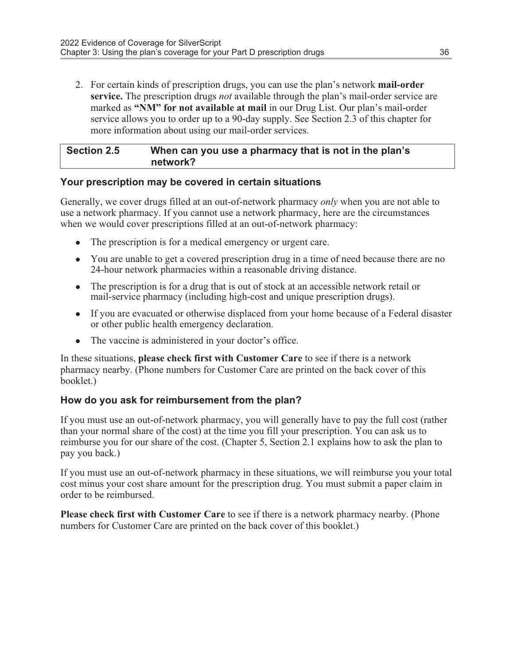2. For certain kinds of prescription drugs, you can use the plan's network **mail-order** service. The prescription drugs *not* available through the plan's mail-order service are marked as "NM" for not available at mail in our Drug List. Our plan's mail-order service allows you to order up to a 90-day supply. See Section 2.3 of this chapter for more information about using our mail-order services.

| <b>Section 2.5</b> | When can you use a pharmacy that is not in the plan's |
|--------------------|-------------------------------------------------------|
|                    | network?                                              |

#### Your prescription may be covered in certain situations

Generally, we cover drugs filled at an out-of-network pharmacy *only* when you are not able to use a network pharmacy. If you cannot use a network pharmacy, here are the circumstances when we would cover prescriptions filled at an out-of-network pharmacy:

- The prescription is for a medical emergency or urgent care.
- You are unable to get a covered prescription drug in a time of need because there are no 24-hour network pharmacies within a reasonable driving distance.
- The prescription is for a drug that is out of stock at an accessible network retail or mail-service pharmacy (including high-cost and unique prescription drugs).
- If you are evacuated or otherwise displaced from your home because of a Federal disaster or other public health emergency declaration.
- The vaccine is administered in your doctor's office.

In these situations, please check first with Customer Care to see if there is a network pharmacy nearby. (Phone numbers for Customer Care are printed on the back cover of this booklet.)

### How do you ask for reimbursement from the plan?

If you must use an out-of-network pharmacy, you will generally have to pay the full cost (rather than your normal share of the cost) at the time you fill your prescription. You can ask us to reimburse you for our share of the cost. (Chapter 5, Section 2.1 explains how to ask the plan to pay you back.)

If you must use an out-of-network pharmacy in these situations, we will reimburse you your total cost minus your cost share amount for the prescription drug. You must submit a paper claim in order to be reimbursed.

Please check first with Customer Care to see if there is a network pharmacy nearby. (Phone numbers for Customer Care are printed on the back cover of this booklet.)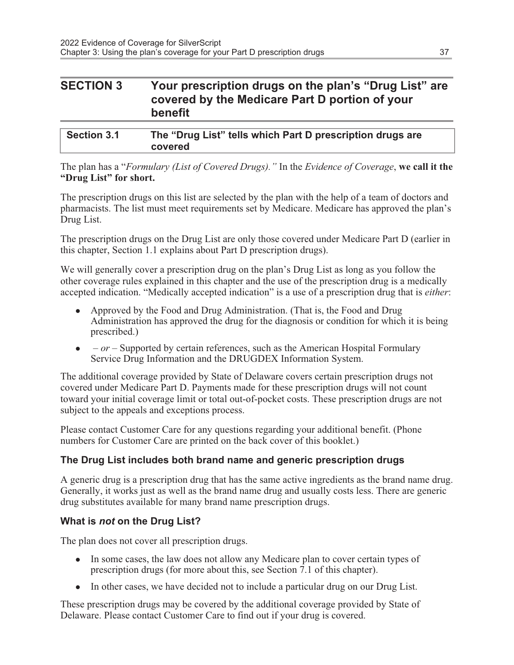### SECTION 3 Your prescription drugs on the plan's "Drug List" are covered by the Medicare Part D portion of your benefit

| <b>Section 3.1</b> | The "Drug List" tells which Part D prescription drugs are |
|--------------------|-----------------------------------------------------------|
|                    | covered                                                   |

The plan has a "Formulary (List of Covered Drugs)." In the Evidence of Coverage, we call it the "Drug List" for short.

The prescription drugs on this list are selected by the plan with the help of a team of doctors and pharmacists. The list must meet requirements set by Medicare. Medicare has approved the plan's Drug List.

The prescription drugs on the Drug List are only those covered under Medicare Part D (earlier in this chapter, Section 1.1 explains about Part D prescription drugs).

We will generally cover a prescription drug on the plan's Drug List as long as you follow the other coverage rules explained in this chapter and the use of the prescription drug is a medically accepted indication. "Medically accepted indication" is a use of a prescription drug that is either:

- Approved by the Food and Drug Administration. (That is, the Food and Drug Administration has approved the drug for the diagnosis or condition for which it is being prescribed.)
- $\bullet$  or Supported by certain references, such as the American Hospital Formulary Service Drug Information and the DRUGDEX Information System.

The additional coverage provided by State of Delaware covers certain prescription drugs not covered under Medicare Part D. Payments made for these prescription drugs will not count toward your initial coverage limit or total out-of-pocket costs. These prescription drugs are not subject to the appeals and exceptions process.

Please contact Customer Care for any questions regarding your additional benefit. (Phone numbers for Customer Care are printed on the back cover of this booklet.)

### The Drug List includes both brand name and generic prescription drugs

A generic drug is a prescription drug that has the same active ingredients as the brand name drug. Generally, it works just as well as the brand name drug and usually costs less. There are generic drug substitutes available for many brand name prescription drugs.

### What is not on the Drug List?

The plan does not cover all prescription drugs.

- In some cases, the law does not allow any Medicare plan to cover certain types of prescription drugs (for more about this, see Section 7.1 of this chapter).
- In other cases, we have decided not to include a particular drug on our Drug List.

These prescription drugs may be covered by the additional coverage provided by State of Delaware. Please contact Customer Care to find out if your drug is covered.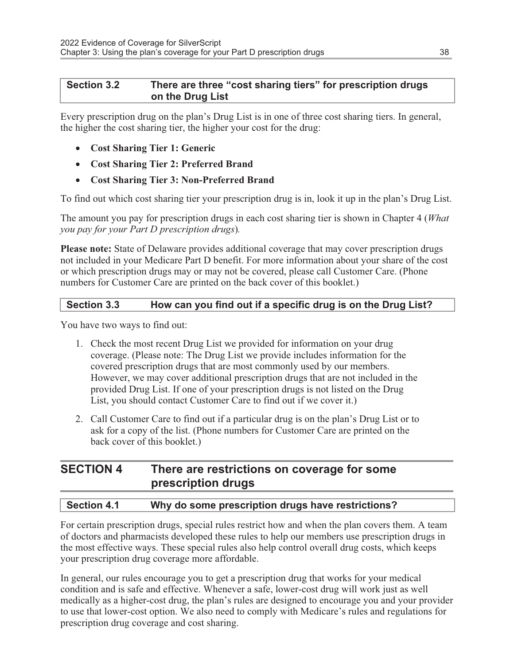### Section 3.2 There are three "cost sharing tiers" for prescription drugs on the Drug List

Every prescription drug on the plan's Drug List is in one of three cost sharing tiers. In general, the higher the cost sharing tier, the higher your cost for the drug:

- · Cost Sharing Tier 1: Generic
- · Cost Sharing Tier 2: Preferred Brand
- · Cost Sharing Tier 3: Non-Preferred Brand

To find out which cost sharing tier your prescription drug is in, look it up in the plan's Drug List.

The amount you pay for prescription drugs in each cost sharing tier is shown in Chapter 4 (What you pay for your Part D prescription drugs).

Please note: State of Delaware provides additional coverage that may cover prescription drugs not included in your Medicare Part D benefit. For more information about your share of the cost or which prescription drugs may or may not be covered, please call Customer Care. (Phone numbers for Customer Care are printed on the back cover of this booklet.)

### Section 3.3 How can you find out if a specific drug is on the Drug List?

You have two ways to find out:

- 1. Check the most recent Drug List we provided for information on your drug coverage. (Please note: The Drug List we provide includes information for the covered prescription drugs that are most commonly used by our members. However, we may cover additional prescription drugs that are not included in the provided Drug List. If one of your prescription drugs is not listed on the Drug List, you should contact Customer Care to find out if we cover it.)
- 2. Call Customer Care to find out if a particular drug is on the plan's Drug List or to ask for a copy of the list. (Phone numbers for Customer Care are printed on the back cover of this booklet.)

### SECTION 4 There are restrictions on coverage for some prescription drugs

### Section 4.1 Why do some prescription drugs have restrictions?

For certain prescription drugs, special rules restrict how and when the plan covers them. A team of doctors and pharmacists developed these rules to help our members use prescription drugs in the most effective ways. These special rules also help control overall drug costs, which keeps your prescription drug coverage more affordable.

In general, our rules encourage you to get a prescription drug that works for your medical condition and is safe and effective. Whenever a safe, lower-cost drug will work just as well medically as a higher-cost drug, the plan's rules are designed to encourage you and your provider to use that lower-cost option. We also need to comply with Medicare's rules and regulations for prescription drug coverage and cost sharing.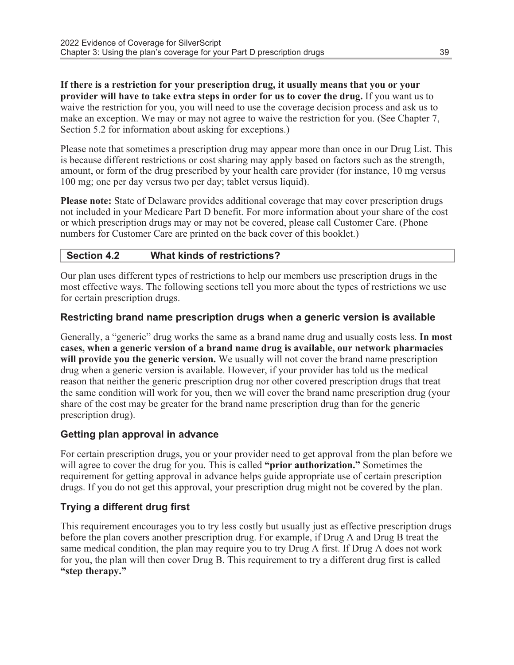If there is a restriction for your prescription drug, it usually means that you or your provider will have to take extra steps in order for us to cover the drug. If you want us to waive the restriction for you, you will need to use the coverage decision process and ask us to make an exception. We may or may not agree to waive the restriction for you. (See Chapter 7, Section 5.2 for information about asking for exceptions.)

Please note that sometimes a prescription drug may appear more than once in our Drug List. This is because different restrictions or cost sharing may apply based on factors such as the strength, amount, or form of the drug prescribed by your health care provider (for instance, 10 mg versus 100 mg; one per day versus two per day; tablet versus liquid).

Please note: State of Delaware provides additional coverage that may cover prescription drugs not included in your Medicare Part D benefit. For more information about your share of the cost or which prescription drugs may or may not be covered, please call Customer Care. (Phone numbers for Customer Care are printed on the back cover of this booklet.)

### Section 4.2 What kinds of restrictions?

Our plan uses different types of restrictions to help our members use prescription drugs in the most effective ways. The following sections tell you more about the types of restrictions we use for certain prescription drugs.

### Restricting brand name prescription drugs when a generic version is available

Generally, a "generic" drug works the same as a brand name drug and usually costs less. In most cases, when a generic version of a brand name drug is available, our network pharmacies will provide you the generic version. We usually will not cover the brand name prescription drug when a generic version is available. However, if your provider has told us the medical reason that neither the generic prescription drug nor other covered prescription drugs that treat the same condition will work for you, then we will cover the brand name prescription drug (your share of the cost may be greater for the brand name prescription drug than for the generic prescription drug).

### Getting plan approval in advance

For certain prescription drugs, you or your provider need to get approval from the plan before we will agree to cover the drug for you. This is called "prior authorization." Sometimes the requirement for getting approval in advance helps guide appropriate use of certain prescription drugs. If you do not get this approval, your prescription drug might not be covered by the plan.

### Trying a different drug first

This requirement encourages you to try less costly but usually just as effective prescription drugs before the plan covers another prescription drug. For example, if Drug A and Drug B treat the same medical condition, the plan may require you to try Drug A first. If Drug A does not work for you, the plan will then cover Drug B. This requirement to try a different drug first is called "step therapy."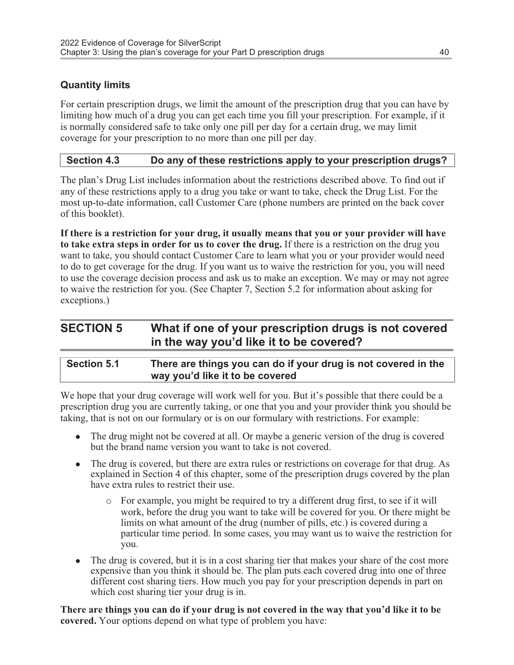### Quantity limits

For certain prescription drugs, we limit the amount of the prescription drug that you can have by limiting how much of a drug you can get each time you fill your prescription. For example, if it is normally considered safe to take only one pill per day for a certain drug, we may limit coverage for your prescription to no more than one pill per day.

### Section 4.3 Do any of these restrictions apply to your prescription drugs?

The plan's Drug List includes information about the restrictions described above. To find out if any of these restrictions apply to a drug you take or want to take, check the Drug List. For the most up-to-date information, call Customer Care (phone numbers are printed on the back cover of this booklet).

If there is a restriction for your drug, it usually means that you or your provider will have to take extra steps in order for us to cover the drug. If there is a restriction on the drug you want to take, you should contact Customer Care to learn what you or your provider would need to do to get coverage for the drug. If you want us to waive the restriction for you, you will need to use the coverage decision process and ask us to make an exception. We may or may not agree to waive the restriction for you. (See Chapter 7, Section 5.2 for information about asking for exceptions.)

### SECTION 5 What if one of your prescription drugs is not covered in the way you'd like it to be covered?

| <b>Section 5.1</b> | There are things you can do if your drug is not covered in the |
|--------------------|----------------------------------------------------------------|
|                    | way you'd like it to be covered                                |

We hope that your drug coverage will work well for you. But it's possible that there could be a prescription drug you are currently taking, or one that you and your provider think you should be taking, that is not on our formulary or is on our formulary with restrictions. For example:

- $\bullet$  The drug might not be covered at all. Or maybe a generic version of the drug is covered but the brand name version you want to take is not covered.
- The drug is covered, but there are extra rules or restrictions on coverage for that drug. As explained in Section 4 of this chapter, some of the prescription drugs covered by the plan have extra rules to restrict their use.
	- o For example, you might be required to try a different drug first, to see if it will work, before the drug you want to take will be covered for you. Or there might be limits on what amount of the drug (number of pills, etc.) is covered during a particular time period. In some cases, you may want us to waive the restriction for you.
- The drug is covered, but it is in a cost sharing tier that makes your share of the cost more expensive than you think it should be. The plan puts each covered drug into one of three different cost sharing tiers. How much you pay for your prescription depends in part on which cost sharing tier your drug is in.

There are things you can do if your drug is not covered in the way that you'd like it to be covered. Your options depend on what type of problem you have: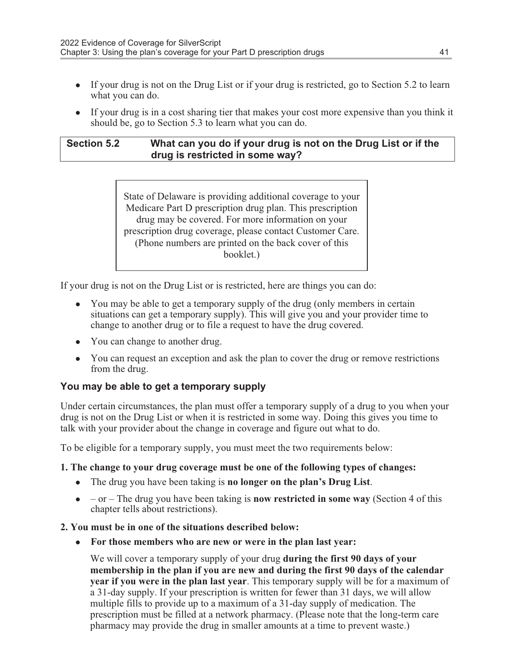- If your drug is not on the Drug List or if your drug is restricted, go to Section 5.2 to learn what you can do.
- If your drug is in a cost sharing tier that makes your cost more expensive than you think it should be, go to Section 5.3 to learn what you can do.

### Section 5.2 What can you do if your drug is not on the Drug List or if the drug is restricted in some way?

State of Delaware is providing additional coverage to your Medicare Part D prescription drug plan. This prescription drug may be covered. For more information on your prescription drug coverage, please contact Customer Care. (Phone numbers are printed on the back cover of this booklet.)

If your drug is not on the Drug List or is restricted, here are things you can do:

- You may be able to get a temporary supply of the drug (only members in certain situations can get a temporary supply). This will give you and your provider time to change to another drug or to file a request to have the drug covered.
- You can change to another drug.
- You can request an exception and ask the plan to cover the drug or remove restrictions from the drug.

#### You may be able to get a temporary supply

Under certain circumstances, the plan must offer a temporary supply of a drug to you when your drug is not on the Drug List or when it is restricted in some way. Doing this gives you time to talk with your provider about the change in coverage and figure out what to do.

To be eligible for a temporary supply, you must meet the two requirements below:

#### 1. The change to your drug coverage must be one of the following types of changes:

- The drug you have been taking is no longer on the plan's Drug List.
- $\bullet$  or The drug you have been taking is **now restricted in some way** (Section 4 of this chapter tells about restrictions).

#### 2. You must be in one of the situations described below:

• For those members who are new or were in the plan last year:

We will cover a temporary supply of your drug **during the first 90 days of your** membership in the plan if you are new and during the first 90 days of the calendar year if you were in the plan last year. This temporary supply will be for a maximum of a 31-day supply. If your prescription is written for fewer than 31 days, we will allow multiple fills to provide up to a maximum of a 31-day supply of medication. The prescription must be filled at a network pharmacy. (Please note that the long-term care pharmacy may provide the drug in smaller amounts at a time to prevent waste.)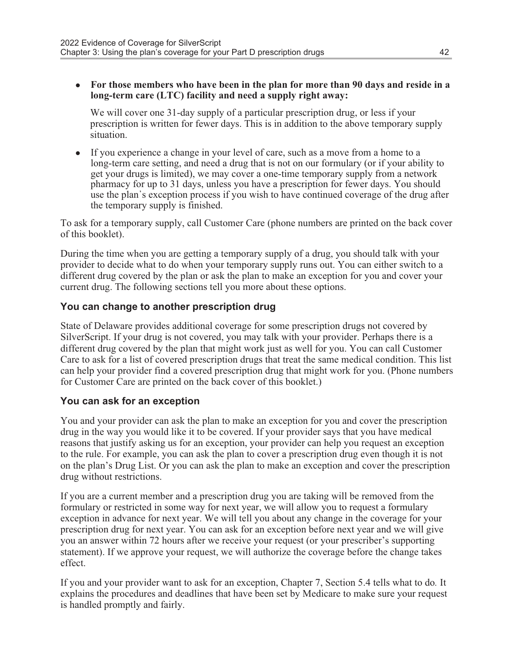• For those members who have been in the plan for more than 90 days and reside in a long-term care (LTC) facility and need a supply right away:

We will cover one 31-day supply of a particular prescription drug, or less if your prescription is written for fewer days. This is in addition to the above temporary supply situation.

<sup>l</sup> If you experience a change in your level of care, such as a move from a home to a long-term care setting, and need a drug that is not on our formulary (or if your ability to get your drugs is limited), we may cover a one-time temporary supply from a network pharmacy for up to 31 days, unless you have a prescription for fewer days. You should use the plan᾿s exception process if you wish to have continued coverage of the drug after the temporary supply is finished.

To ask for a temporary supply, call Customer Care (phone numbers are printed on the back cover of this booklet).

During the time when you are getting a temporary supply of a drug, you should talk with your provider to decide what to do when your temporary supply runs out. You can either switch to a different drug covered by the plan or ask the plan to make an exception for you and cover your current drug. The following sections tell you more about these options.

### You can change to another prescription drug

State of Delaware provides additional coverage for some prescription drugs not covered by SilverScript. If your drug is not covered, you may talk with your provider. Perhaps there is a different drug covered by the plan that might work just as well for you. You can call Customer Care to ask for a list of covered prescription drugs that treat the same medical condition. This list can help your provider find a covered prescription drug that might work for you. (Phone numbers for Customer Care are printed on the back cover of this booklet.)

### You can ask for an exception

You and your provider can ask the plan to make an exception for you and cover the prescription drug in the way you would like it to be covered. If your provider says that you have medical reasons that justify asking us for an exception, your provider can help you request an exception to the rule. For example, you can ask the plan to cover a prescription drug even though it is not on the plan's Drug List. Or you can ask the plan to make an exception and cover the prescription drug without restrictions.

If you are a current member and a prescription drug you are taking will be removed from the formulary or restricted in some way for next year, we will allow you to request a formulary exception in advance for next year. We will tell you about any change in the coverage for your prescription drug for next year. You can ask for an exception before next year and we will give you an answer within 72 hours after we receive your request (or your prescriber's supporting statement). If we approve your request, we will authorize the coverage before the change takes effect.

If you and your provider want to ask for an exception, Chapter 7, Section 5.4 tells what to do. It explains the procedures and deadlines that have been set by Medicare to make sure your request is handled promptly and fairly.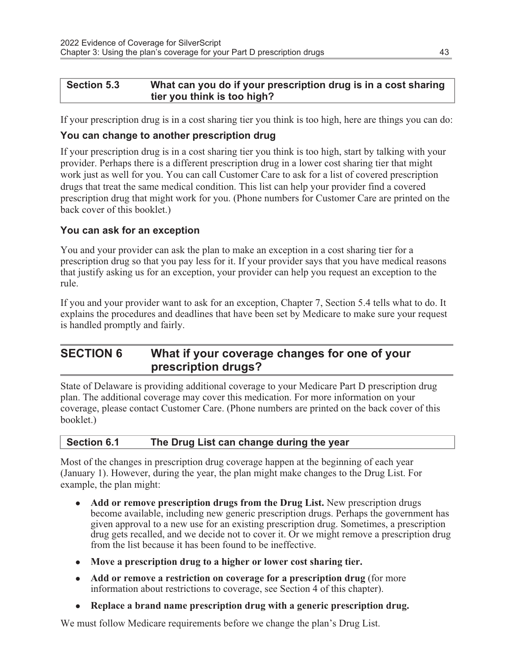### Section 5.3 What can you do if your prescription drug is in a cost sharing tier you think is too high?

If your prescription drug is in a cost sharing tier you think is too high, here are things you can do:

### You can change to another prescription drug

If your prescription drug is in a cost sharing tier you think is too high, start by talking with your provider. Perhaps there is a different prescription drug in a lower cost sharing tier that might work just as well for you. You can call Customer Care to ask for a list of covered prescription drugs that treat the same medical condition. This list can help your provider find a covered prescription drug that might work for you. (Phone numbers for Customer Care are printed on the back cover of this booklet.)

### You can ask for an exception

You and your provider can ask the plan to make an exception in a cost sharing tier for a prescription drug so that you pay less for it. If your provider says that you have medical reasons that justify asking us for an exception, your provider can help you request an exception to the rule.

If you and your provider want to ask for an exception, Chapter 7, Section 5.4 tells what to do. It explains the procedures and deadlines that have been set by Medicare to make sure your request is handled promptly and fairly.

### SECTION 6 What if your coverage changes for one of your prescription drugs?

State of Delaware is providing additional coverage to your Medicare Part D prescription drug plan. The additional coverage may cover this medication. For more information on your coverage, please contact Customer Care. (Phone numbers are printed on the back cover of this booklet.)

### Section 6.1 The Drug List can change during the year

Most of the changes in prescription drug coverage happen at the beginning of each year (January 1). However, during the year, the plan might make changes to the Drug List. For example, the plan might:

- Add or remove prescription drugs from the Drug List. New prescription drugs become available, including new generic prescription drugs. Perhaps the government has given approval to a new use for an existing prescription drug. Sometimes, a prescription drug gets recalled, and we decide not to cover it. Or we might remove a prescription drug from the list because it has been found to be ineffective.
- Move a prescription drug to a higher or lower cost sharing tier.
- Add or remove a restriction on coverage for a prescription drug (for more information about restrictions to coverage, see Section 4 of this chapter).
- Replace a brand name prescription drug with a generic prescription drug.

We must follow Medicare requirements before we change the plan's Drug List.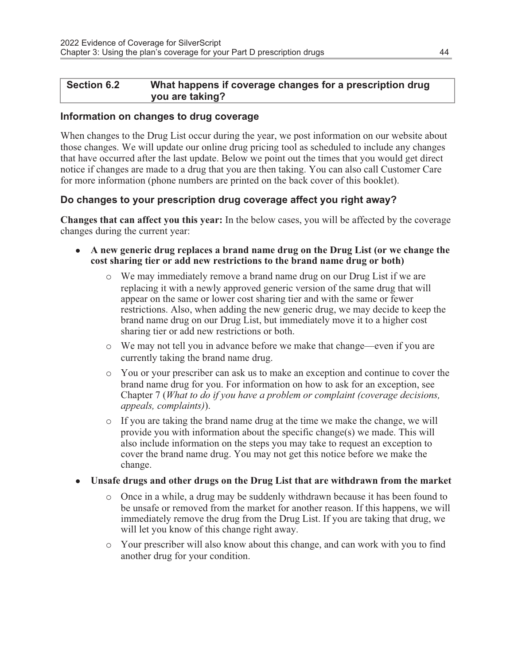### Section 6.2 What happens if coverage changes for a prescription drug you are taking?

### Information on changes to drug coverage

When changes to the Drug List occur during the year, we post information on our website about those changes. We will update our online drug pricing tool as scheduled to include any changes that have occurred after the last update. Below we point out the times that you would get direct notice if changes are made to a drug that you are then taking. You can also call Customer Care for more information (phone numbers are printed on the back cover of this booklet).

### Do changes to your prescription drug coverage affect you right away?

Changes that can affect you this year: In the below cases, you will be affected by the coverage changes during the current year:

- $\bullet$  A new generic drug replaces a brand name drug on the Drug List (or we change the cost sharing tier or add new restrictions to the brand name drug or both)
	- o We may immediately remove a brand name drug on our Drug List if we are replacing it with a newly approved generic version of the same drug that will appear on the same or lower cost sharing tier and with the same or fewer restrictions. Also, when adding the new generic drug, we may decide to keep the brand name drug on our Drug List, but immediately move it to a higher cost sharing tier or add new restrictions or both.
	- o We may not tell you in advance before we make that change—even if you are currently taking the brand name drug.
	- o You or your prescriber can ask us to make an exception and continue to cover the brand name drug for you. For information on how to ask for an exception, see Chapter 7 (What to do if you have a problem or complaint (coverage decisions, appeals, complaints)).
	- $\circ$  If you are taking the brand name drug at the time we make the change, we will provide you with information about the specific change(s) we made. This will also include information on the steps you may take to request an exception to cover the brand name drug. You may not get this notice before we make the change.
- <sup>l</sup> Unsafe drugs and other drugs on the Drug List that are withdrawn from the market
	- o Once in a while, a drug may be suddenly withdrawn because it has been found to be unsafe or removed from the market for another reason. If this happens, we will immediately remove the drug from the Drug List. If you are taking that drug, we will let you know of this change right away.
	- o Your prescriber will also know about this change, and can work with you to find another drug for your condition.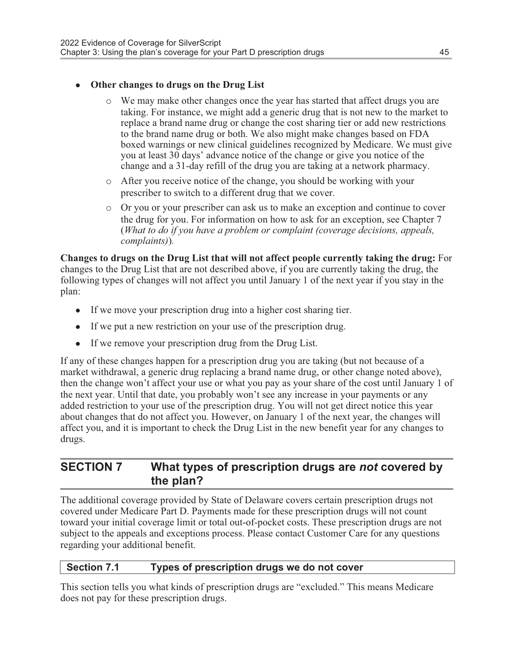### • Other changes to drugs on the Drug List

- o We may make other changes once the year has started that affect drugs you are taking. For instance, we might add a generic drug that is not new to the market to replace a brand name drug or change the cost sharing tier or add new restrictions to the brand name drug or both. We also might make changes based on FDA boxed warnings or new clinical guidelines recognized by Medicare. We must give you at least 30 days' advance notice of the change or give you notice of the change and a 31-day refill of the drug you are taking at a network pharmacy.
- o After you receive notice of the change, you should be working with your prescriber to switch to a different drug that we cover.
- o Or you or your prescriber can ask us to make an exception and continue to cover the drug for you. For information on how to ask for an exception, see Chapter 7 (What to do if you have a problem or complaint (coverage decisions, appeals, complaints)).

Changes to drugs on the Drug List that will not affect people currently taking the drug: For changes to the Drug List that are not described above, if you are currently taking the drug, the following types of changes will not affect you until January 1 of the next year if you stay in the plan:

- If we move your prescription drug into a higher cost sharing tier.
- If we put a new restriction on your use of the prescription drug.
- $\bullet$  If we remove your prescription drug from the Drug List.

If any of these changes happen for a prescription drug you are taking (but not because of a market withdrawal, a generic drug replacing a brand name drug, or other change noted above), then the change won't affect your use or what you pay as your share of the cost until January 1 of the next year. Until that date, you probably won't see any increase in your payments or any added restriction to your use of the prescription drug. You will not get direct notice this year about changes that do not affect you. However, on January 1 of the next year, the changes will affect you, and it is important to check the Drug List in the new benefit year for any changes to drugs.

### SECTION 7 What types of prescription drugs are not covered by the plan?

The additional coverage provided by State of Delaware covers certain prescription drugs not covered under Medicare Part D. Payments made for these prescription drugs will not count toward your initial coverage limit or total out-of-pocket costs. These prescription drugs are not subject to the appeals and exceptions process. Please contact Customer Care for any questions regarding your additional benefit.

### Section 7.1 Types of prescription drugs we do not cover

This section tells you what kinds of prescription drugs are "excluded." This means Medicare does not pay for these prescription drugs.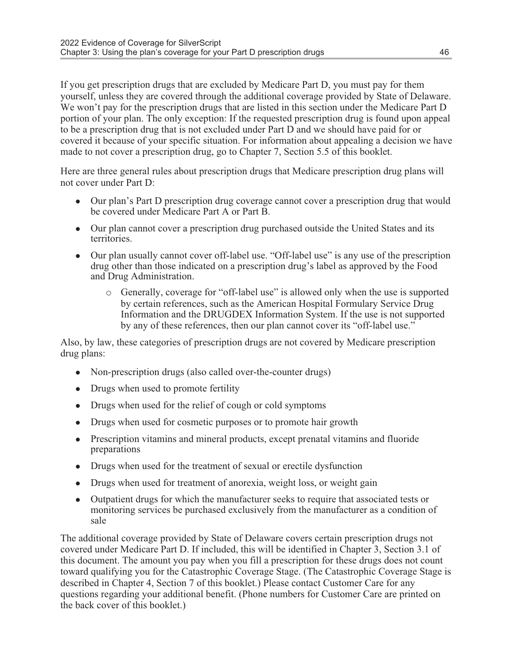If you get prescription drugs that are excluded by Medicare Part D, you must pay for them yourself, unless they are covered through the additional coverage provided by State of Delaware. We won't pay for the prescription drugs that are listed in this section under the Medicare Part D portion of your plan. The only exception: If the requested prescription drug is found upon appeal to be a prescription drug that is not excluded under Part D and we should have paid for or covered it because of your specific situation. For information about appealing a decision we have made to not cover a prescription drug, go to Chapter 7, Section 5.5 of this booklet.

Here are three general rules about prescription drugs that Medicare prescription drug plans will not cover under Part D:

- Our plan's Part D prescription drug coverage cannot cover a prescription drug that would be covered under Medicare Part A or Part B.
- Our plan cannot cover a prescription drug purchased outside the United States and its territories.
- Our plan usually cannot cover of f-label use. "Off-label use" is any use of the prescription drug other than those indicated on a prescription drug's label as approved by the Food and Drug Administration.
	- o Generally, coverage for "off-label use" is allowed only when the use is supported by certain references, such as the American Hospital Formulary Service Drug Information and the DRUGDEX Information System. If the use is not supported by any of these references, then our plan cannot cover its "off-label use."

Also, by law, these categories of prescription drugs are not covered by Medicare prescription drug plans:

- Non-prescription drugs (also called over-the-counter drugs)
- Drugs when used to promote fertility
- Drugs when used for the relief of cough or cold symptoms
- Drugs when used for cosmetic purposes or to promote hair growth
- Prescription vitamins and mineral products, except prenatal vitamins and fluoride preparations
- Drugs when used for the treatment of sexual or erectile dysfunction
- $\bullet$  Drugs when used for treatment of anorexia, weight loss, or weight gain
- Outpatient drugs for which the manufacturer seeks to require that associated tests or monitoring services be purchased exclusively from the manufacturer as a condition of sale

The additional coverage provided by State of Delaware covers certain prescription drugs not covered under Medicare Part D. If included, this will be identified in Chapter 3, Section 3.1 of this document. The amount you pay when you fill a prescription for these drugs does not count toward qualifying you for the Catastrophic Coverage Stage. (The Catastrophic Coverage Stage is described in Chapter 4, Section 7 of this booklet.) Please contact Customer Care for any questions regarding your additional benefit. (Phone numbers for Customer Care are printed on the back cover of this booklet.)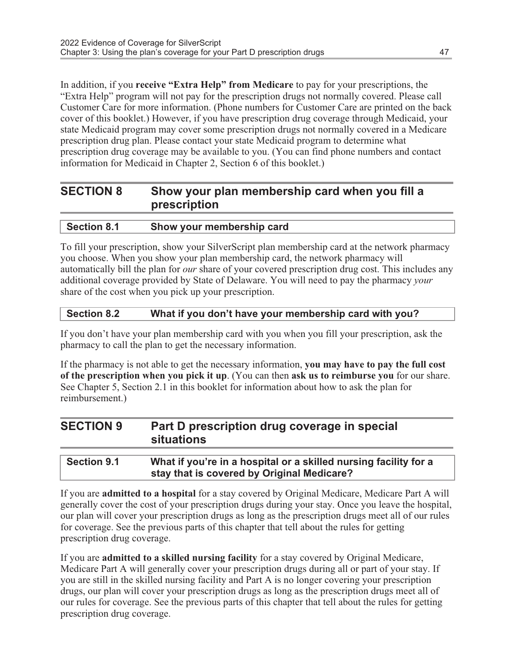In addition, if you receive "Extra Help" from Medicare to pay for your prescriptions, the "Extra Help" program will not pay for the prescription drugs not normally covered. Please call Customer Care for more information. (Phone numbers for Customer Care are printed on the back cover of this booklet.) However, if you have prescription drug coverage through Medicaid, your state Medicaid program may cover some prescription drugs not normally covered in a Medicare prescription drug plan. Please contact your state Medicaid program to determine what prescription drug coverage may be available to you. (You can find phone numbers and contact information for Medicaid in Chapter 2, Section 6 of this booklet.)

### SECTION 8 Show your plan membership card when you fill a prescription

| <b>Section 8.1</b> | Show your membership card |
|--------------------|---------------------------|
|                    |                           |

To fill your prescription, show your SilverScript plan membership card at the network pharmacy you choose. When you show your plan membership card, the network pharmacy will automatically bill the plan for our share of your covered prescription drug cost. This includes any additional coverage provided by State of Delaware. You will need to pay the pharmacy your share of the cost when you pick up your prescription.

### Section 8.2 What if you don't have your membership card with you?

If you don't have your plan membership card with you when you fill your prescription, ask the pharmacy to call the plan to get the necessary information.

If the pharmacy is not able to get the necessary information, you may have to pay the full cost of the prescription when you pick it up. (You can then ask us to reimburse you for our share. See Chapter 5, Section 2.1 in this booklet for information about how to ask the plan for reimbursement.)

| <b>SECTION 9</b> | Part D prescription drug coverage in special<br>situations |
|------------------|------------------------------------------------------------|
|                  |                                                            |

| <b>Section 9.1</b> | What if you're in a hospital or a skilled nursing facility for a |
|--------------------|------------------------------------------------------------------|
|                    | stay that is covered by Original Medicare?                       |

If you are admitted to a hospital for a stay covered by Original Medicare, Medicare Part A will generally cover the cost of your prescription drugs during your stay. Once you leave the hospital, our plan will cover your prescription drugs as long as the prescription drugs meet all of our rules for coverage. See the previous parts of this chapter that tell about the rules for getting prescription drug coverage.

If you are admitted to a skilled nursing facility for a stay covered by Original Medicare, Medicare Part A will generally cover your prescription drugs during all or part of your stay. If you are still in the skilled nursing facility and Part A is no longer covering your prescription drugs, our plan will cover your prescription drugs as long as the prescription drugs meet all of our rules for coverage. See the previous parts of this chapter that tell about the rules for getting prescription drug coverage.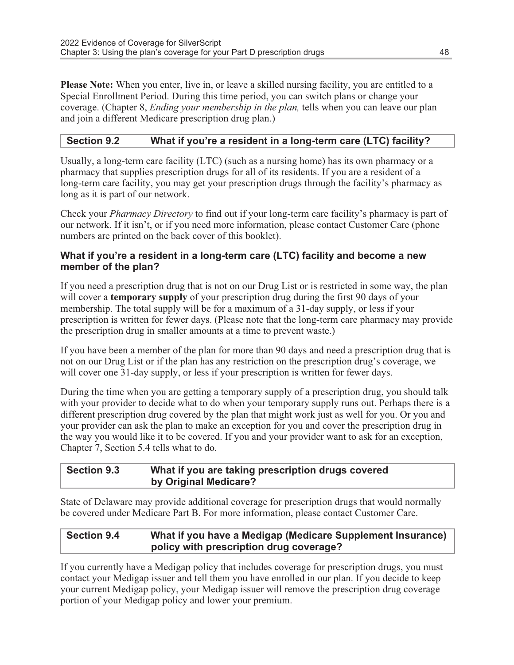Please Note: When you enter, live in, or leave a skilled nursing facility, you are entitled to a Special Enrollment Period. During this time period, you can switch plans or change your coverage. (Chapter 8, Ending your membership in the plan, tells when you can leave our plan and join a different Medicare prescription drug plan.)

### Section 9.2 What if you're a resident in a long-term care (LTC) facility?

Usually, a long-term care facility (LTC) (such as a nursing home) has its own pharmacy or a pharmacy that supplies prescription drugs for all of its residents. If you are a resident of a long-term care facility, you may get your prescription drugs through the facility's pharmacy as long as it is part of our network.

Check your Pharmacy Directory to find out if your long-term care facility's pharmacy is part of our network. If it isn't, or if you need more information, please contact Customer Care (phone numbers are printed on the back cover of this booklet).

### What if you're a resident in a long-term care (LTC) facility and become a new member of the plan?

If you need a prescription drug that is not on our Drug List or is restricted in some way, the plan will cover a **temporary supply** of your prescription drug during the first 90 days of your membership. The total supply will be for a maximum of a 31-day supply, or less if your prescription is written for fewer days. (Please note that the long-term care pharmacy may provide the prescription drug in smaller amounts at a time to prevent waste.)

If you have been a member of the plan for more than 90 days and need a prescription drug that is not on our Drug List or if the plan has any restriction on the prescription drug's coverage, we will cover one 31-day supply, or less if your prescription is written for fewer days.

During the time when you are getting a temporary supply of a prescription drug, you should talk with your provider to decide what to do when your temporary supply runs out. Perhaps there is a different prescription drug covered by the plan that might work just as well for you. Or you and your provider can ask the plan to make an exception for you and cover the prescription drug in the way you would like it to be covered. If you and your provider want to ask for an exception, Chapter 7, Section 5.4 tells what to do.

### Section 9.3 What if you are taking prescription drugs covered by Original Medicare?

State of Delaware may provide additional coverage for prescription drugs that would normally be covered under Medicare Part B. For more information, please contact Customer Care.

#### Section 9.4 What if you have a Medigap (Medicare Supplement Insurance) policy with prescription drug coverage?

If you currently have a Medigap policy that includes coverage for prescription drugs, you must contact your Medigap issuer and tell them you have enrolled in our plan. If you decide to keep your current Medigap policy, your Medigap issuer will remove the prescription drug coverage portion of your Medigap policy and lower your premium.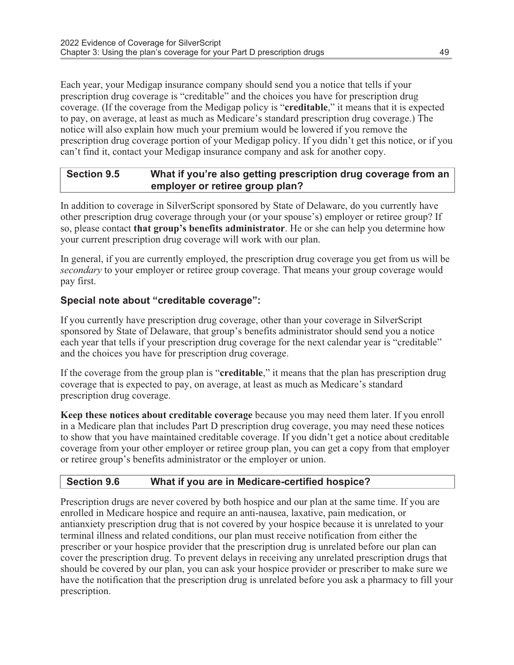Each year, your Medigap insurance company should send you a notice that tells if your prescription drug coverage is "creditable" and the choices you have for prescription drug coverage. (If the coverage from the Medigap policy is "creditable," it means that it is expected to pay, on average, at least as much as Medicare's standard prescription drug coverage.) The notice will also explain how much your premium would be lowered if you remove the prescription drug coverage portion of your Medigap policy. If you didn't get this notice, or if you can't find it, contact your Medigap insurance company and ask for another copy.

### Section 9.5 What if you're also getting prescription drug coverage from an employer or retiree group plan?

In addition to coverage in SilverScript sponsored by State of Delaware, do you currently have other prescription drug coverage through your (or your spouse's) employer or retiree group? If so, please contact that group's benefits administrator. He or she can help you determine how your current prescription drug coverage will work with our plan.

In general, if you are currently employed, the prescription drug coverage you get from us will be secondary to your employer or retiree group coverage. That means your group coverage would pay first.

### Special note about "creditable coverage":

If you currently have prescription drug coverage, other than your coverage in SilverScript sponsored by State of Delaware, that group's benefits administrator should send you a notice each year that tells if your prescription drug coverage for the next calendar year is "creditable" and the choices you have for prescription drug coverage.

If the coverage from the group plan is "creditable," it means that the plan has prescription drug coverage that is expected to pay, on average, at least as much as Medicare's standard prescription drug coverage.

Keep these notices about creditable coverage because you may need them later. If you enroll in a Medicare plan that includes Part D prescription drug coverage, you may need these notices to show that you have maintained creditable coverage. If you didn't get a notice about creditable coverage from your other employer or retiree group plan, you can get a copy from that employer or retiree group's benefits administrator or the employer or union.

### Section 9.6 What if you are in Medicare-certified hospice?

Prescription drugs are never covered by both hospice and our plan at the same time. If you are enrolled in Medicare hospice and require an anti-nausea, laxative, pain medication, or antianxiety prescription drug that is not covered by your hospice because it is unrelated to your terminal illness and related conditions, our plan must receive notification from either the prescriber or your hospice provider that the prescription drug is unrelated before our plan can cover the prescription drug. To prevent delays in receiving any unrelated prescription drugs that should be covered by our plan, you can ask your hospice provider or prescriber to make sure we have the notification that the prescription drug is unrelated before you ask a pharmacy to fill your prescription.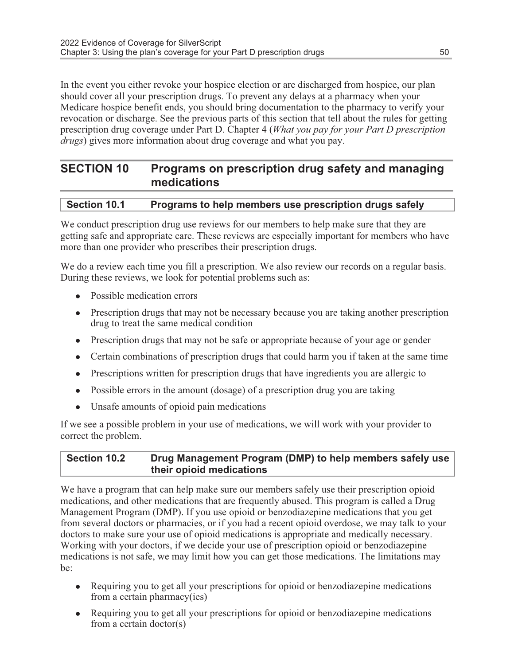In the event you either revoke your hospice election or are discharged from hospice, our plan should cover all your prescription drugs. To prevent any delays at a pharmacy when your Medicare hospice benefit ends, you should bring documentation to the pharmacy to verify your revocation or discharge. See the previous parts of this section that tell about the rules for getting prescription drug coverage under Part D. Chapter 4 (What you pay for your Part D prescription drugs) gives more information about drug coverage and what you pay.

### SECTION 10 Programs on prescription drug safety and managing medications

| Section 10.1 | Programs to help members use prescription drugs safely |  |  |
|--------------|--------------------------------------------------------|--|--|
|              |                                                        |  |  |

We conduct prescription drug use reviews for our members to help make sure that they are getting safe and appropriate care. These reviews are especially important for members who have more than one provider who prescribes their prescription drugs.

We do a review each time you fill a prescription. We also review our records on a regular basis. During these reviews, we look for potential problems such as:

- Possible medication errors
- <sup>l</sup> Prescription drugs that may not be necessary because you are taking another prescription drug to treat the same medical condition
- Prescription drugs that may not be safe or appropriate because of your age or gender
- $\bullet$  Certain combinations of prescription drugs that could harm you if taken at the same time
- Prescriptions written for prescription drugs that have ingredients you are allergic to
- Possible errors in the amount (dosage) of a prescription drug you are taking
- Unsafe amounts of opioid pain medications

If we see a possible problem in your use of medications, we will work with your provider to correct the problem.

#### Section 10.2 Drug Management Program (DMP) to help members safely use their opioid medications

We have a program that can help make sure our members safely use their prescription opioid medications, and other medications that are frequently abused. This program is called a Drug Management Program (DMP). If you use opioid or benzodiazepine medications that you get from several doctors or pharmacies, or if you had a recent opioid overdose, we may talk to your doctors to make sure your use of opioid medications is appropriate and medically necessary. Working with your doctors, if we decide your use of prescription opioid or benzodiazepine medications is not safe, we may limit how you can get those medications. The limitations may be:

- Requiring you to get all your prescriptions for opioid or benzodiazepine medications from a certain pharmacy(ies)
- Requiring you to get all your prescriptions for opioid or benzodiazepine medications from a certain doctor(s)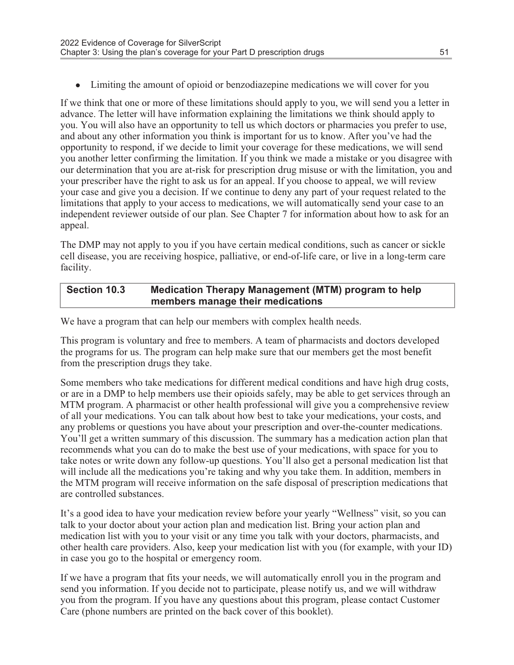• Limiting the amount of opioid or benzodiazepine medications we will cover for you

If we think that one or more of these limitations should apply to you, we will send you a letter in advance. The letter will have information explaining the limitations we think should apply to you. You will also have an opportunity to tell us which doctors or pharmacies you prefer to use, and about any other information you think is important for us to know. After you've had the opportunity to respond, if we decide to limit your coverage for these medications, we will send you another letter confirming the limitation. If you think we made a mistake or you disagree with our determination that you are at-risk for prescription drug misuse or with the limitation, you and your prescriber have the right to ask us for an appeal. If you choose to appeal, we will review your case and give you a decision. If we continue to deny any part of your request related to the limitations that apply to your access to medications, we will automatically send your case to an independent reviewer outside of our plan. See Chapter 7 for information about how to ask for an appeal.

The DMP may not apply to you if you have certain medical conditions, such as cancer or sickle cell disease, you are receiving hospice, palliative, or end-of-life care, or live in a long-term care facility.

### Section 10.3 Medication Therapy Management (MTM) program to help members manage their medications

We have a program that can help our members with complex health needs.

This program is voluntary and free to members. A team of pharmacists and doctors developed the programs for us. The program can help make sure that our members get the most benefit from the prescription drugs they take.

Some members who take medications for different medical conditions and have high drug costs, or are in a DMP to help members use their opioids safely, may be able to get services through an MTM program. A pharmacist or other health professional will give you a comprehensive review of all your medications. You can talk about how best to take your medications, your costs, and any problems or questions you have about your prescription and over-the-counter medications. You'll get a written summary of this discussion. The summary has a medication action plan that recommends what you can do to make the best use of your medications, with space for you to take notes or write down any follow-up questions. You'll also get a personal medication list that will include all the medications you're taking and why you take them. In addition, members in the MTM program will receive information on the safe disposal of prescription medications that are controlled substances.

It's a good idea to have your medication review before your yearly "Wellness" visit, so you can talk to your doctor about your action plan and medication list. Bring your action plan and medication list with you to your visit or any time you talk with your doctors, pharmacists, and other health care providers. Also, keep your medication list with you (for example, with your ID) in case you go to the hospital or emergency room.

If we have a program that fits your needs, we will automatically enroll you in the program and send you information. If you decide not to participate, please notify us, and we will withdraw you from the program. If you have any questions about this program, please contact Customer Care (phone numbers are printed on the back cover of this booklet).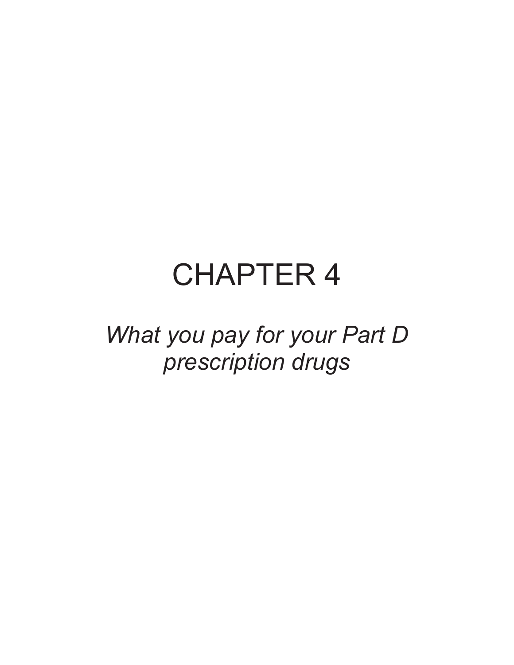# CHAPTER 4

What you pay for your Part D prescription drugs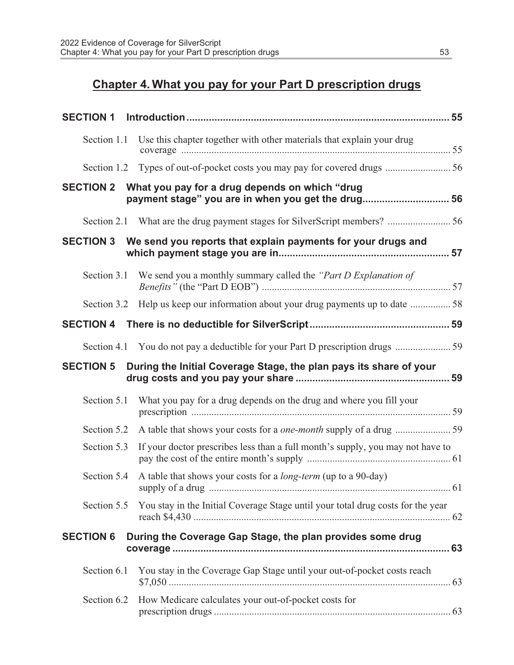## Chapter 4. What you pay for your Part D prescription drugs

| <b>SECTION 1</b> |                                                                                                                |
|------------------|----------------------------------------------------------------------------------------------------------------|
|                  | Section 1.1 Use this chapter together with other materials that explain your drug                              |
|                  |                                                                                                                |
|                  | SECTION 2 What you pay for a drug depends on which "drug<br>payment stage" you are in when you get the drug 56 |
|                  |                                                                                                                |
|                  | SECTION 3 We send you reports that explain payments for your drugs and                                         |
| Section 3.1      | We send you a monthly summary called the "Part D Explanation of                                                |
|                  | Section 3.2 Help us keep our information about your drug payments up to date  58                               |
|                  |                                                                                                                |
|                  |                                                                                                                |
| <b>SECTION 5</b> | During the Initial Coverage Stage, the plan pays its share of your                                             |
| Section 5.1      | What you pay for a drug depends on the drug and where you fill your                                            |
| Section 5.2      |                                                                                                                |
| Section 5.3      | If your doctor prescribes less than a full month's supply, you may not have to                                 |
| Section 5.4      | A table that shows your costs for a <i>long-term</i> (up to a 90-day)                                          |
| Section 5.5      | You stay in the Initial Coverage Stage until your total drug costs for the year                                |
| <b>SECTION 6</b> | During the Coverage Gap Stage, the plan provides some drug                                                     |
| Section 6.1      | You stay in the Coverage Gap Stage until your out-of-pocket costs reach                                        |
| Section 6.2      | How Medicare calculates your out-of-pocket costs for                                                           |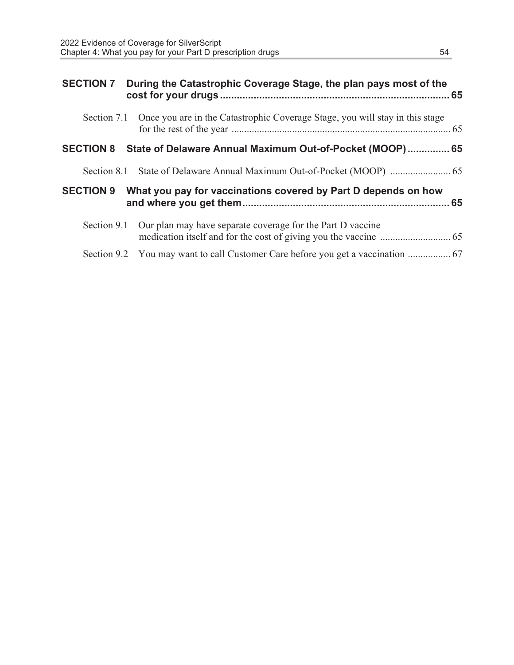| <b>SECTION 7</b> | During the Catastrophic Coverage Stage, the plan pays most of the                        |  |
|------------------|------------------------------------------------------------------------------------------|--|
|                  | Section 7.1 Once you are in the Catastrophic Coverage Stage, you will stay in this stage |  |
| <b>SECTION 8</b> | State of Delaware Annual Maximum Out-of-Pocket (MOOP) 65                                 |  |
|                  |                                                                                          |  |
| <b>SECTION 9</b> | What you pay for vaccinations covered by Part D depends on how                           |  |
| Section 9.1      | Our plan may have separate coverage for the Part D vaccine                               |  |
|                  | Section 9.2 You may want to call Customer Care before you get a vaccination  67          |  |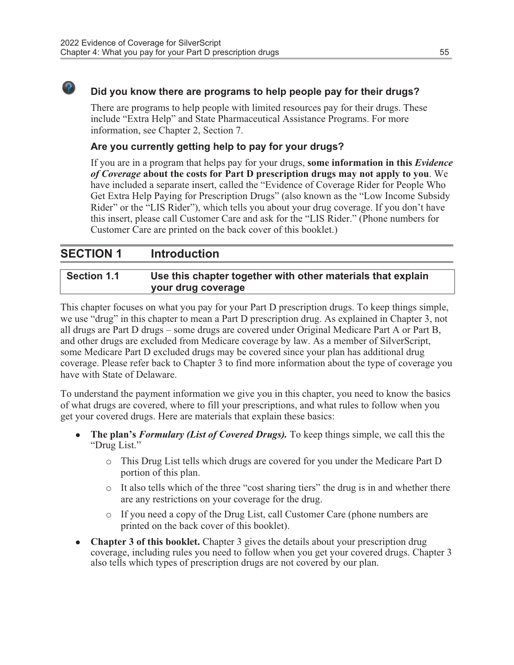### Did you know there are programs to help people pay for their drugs?

There are programs to help people with limited resources pay for their drugs. These include "Extra Help" and State Pharmaceutical Assistance Programs. For more information, see Chapter 2, Section 7.

### Are you currently getting help to pay for your drugs?

If you are in a program that helps pay for your drugs, some information in this *Evidence* of Coverage about the costs for Part D prescription drugs may not apply to you. We have included a separate insert, called the "Evidence of Coverage Rider for People Who Get Extra Help Paying for Prescription Drugs" (also known as the "Low Income Subsidy Rider" or the "LIS Rider"), which tells you about your drug coverage. If you don't have this insert, please call Customer Care and ask for the "LIS Rider." (Phone numbers for Customer Care are printed on the back cover of this booklet.)

### SECTION 1 Introduction

### Section 1.1 Use this chapter together with other materials that explain your drug coverage

This chapter focuses on what you pay for your Part D prescription drugs. To keep things simple, we use "drug" in this chapter to mean a Part D prescription drug. As explained in Chapter 3, not all drugs are Part D drugs – some drugs are covered under Original Medicare Part A or Part B, and other drugs are excluded from Medicare coverage by law. As a member of SilverScript, some Medicare Part D excluded drugs may be covered since your plan has additional drug coverage. Please refer back to Chapter 3 to find more information about the type of coverage you have with State of Delaware.

To understand the payment information we give you in this chapter, you need to know the basics of what drugs are covered, where to fill your prescriptions, and what rules to follow when you get your covered drugs. Here are materials that explain these basics:

- **The plan's Formulary (List of Covered Drugs).** To keep things simple, we call this the "Drug List."
	- o This Drug List tells which drugs are covered for you under the Medicare Part D portion of this plan.
	- $\circ$  It also tells which of the three "cost sharing tiers" the drug is in and whether there are any restrictions on your coverage for the drug.
	- o If you need a copy of the Drug List, call Customer Care (phone numbers are printed on the back cover of this booklet).
- <sup>l</sup> Chapter 3 of this booklet. Chapter 3 gives the details about your prescription drug coverage, including rules you need to follow when you get your covered drugs. Chapter 3 also tells which types of prescription drugs are not covered by our plan.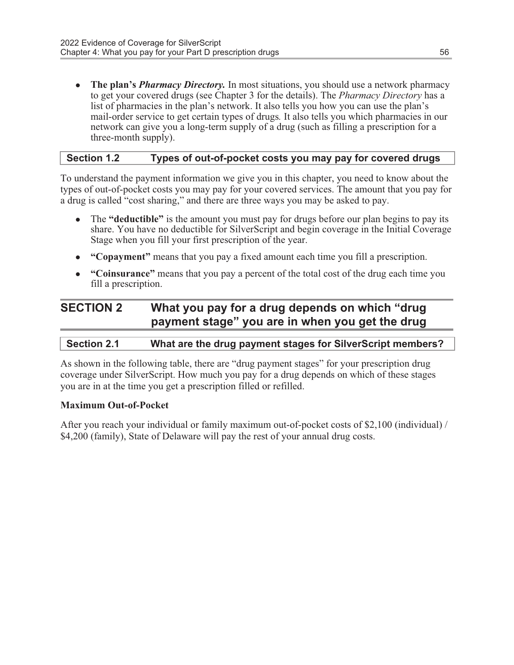• The plan's *Pharmacy Directory*. In most situations, you should use a network pharmacy to get your covered drugs (see Chapter 3 for the details). The Pharmacy Directory has a list of pharmacies in the plan's network. It also tells you how you can use the plan's mail-order service to get certain types of drugs. It also tells you which pharmacies in our network can give you a long-term supply of a drug (such as filling a prescription for a three-month supply).

### Section 1.2 Types of out-of-pocket costs you may pay for covered drugs

To understand the payment information we give you in this chapter, you need to know about the types of out-of-pocket costs you may pay for your covered services. The amount that you pay for a drug is called "cost sharing," and there are three ways you may be asked to pay.

- The "deductible" is the amount you must pay for drugs before our plan begins to pay its share. You have no deductible for SilverScript and begin coverage in the Initial Coverage Stage when you fill your first prescription of the year.
- "Copayment" means that you pay a fixed amount each time you fill a prescription.
- "Coinsurance" means that you pay a percent of the total cost of the drug each time you fill a prescription.

### SECTION 2 What you pay for a drug depends on which "drug payment stage" you are in when you get the drug

### Section 2.1 What are the drug payment stages for SilverScript members?

As shown in the following table, there are "drug payment stages" for your prescription drug coverage under SilverScript. How much you pay for a drug depends on which of these stages you are in at the time you get a prescription filled or refilled.

#### Maximum Out-of-Pocket

After you reach your individual or family maximum out-of-pocket costs of \$2,100 (individual) / \$4,200 (family), State of Delaware will pay the rest of your annual drug costs.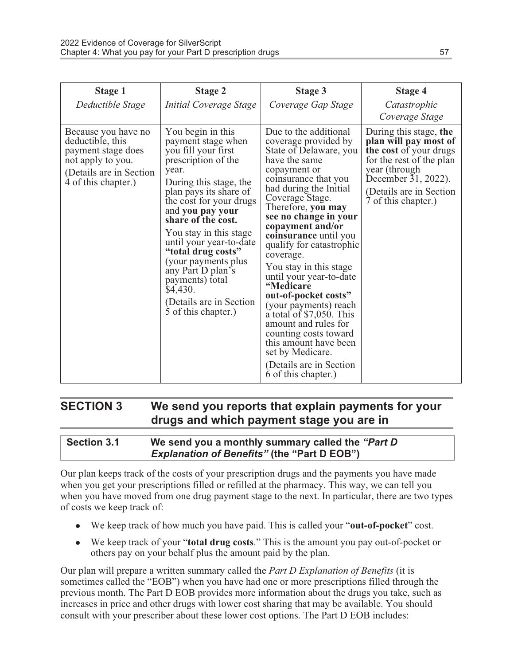| <b>Stage 1</b>                                                                                                                        | <b>Stage 2</b>                                                                                                                                                                                                                                                                                                                                                                                                                    | <b>Stage 3</b>                                                                                                                                                                                                                                                                                                                                                                                                                                                                                                                                                                                                     | <b>Stage 4</b>                                                                                                                                                                                    |
|---------------------------------------------------------------------------------------------------------------------------------------|-----------------------------------------------------------------------------------------------------------------------------------------------------------------------------------------------------------------------------------------------------------------------------------------------------------------------------------------------------------------------------------------------------------------------------------|--------------------------------------------------------------------------------------------------------------------------------------------------------------------------------------------------------------------------------------------------------------------------------------------------------------------------------------------------------------------------------------------------------------------------------------------------------------------------------------------------------------------------------------------------------------------------------------------------------------------|---------------------------------------------------------------------------------------------------------------------------------------------------------------------------------------------------|
| Deductible Stage                                                                                                                      | Initial Coverage Stage                                                                                                                                                                                                                                                                                                                                                                                                            | Coverage Gap Stage                                                                                                                                                                                                                                                                                                                                                                                                                                                                                                                                                                                                 | Catastrophic<br>Coverage Stage                                                                                                                                                                    |
| Because you have no<br>deductible, this<br>payment stage does<br>not apply to you.<br>(Details are in Section)<br>4 of this chapter.) | You begin in this<br>payment stage when<br>you fill your first<br>prescription of the<br>year.<br>During this stage, the<br>plan pays its share of<br>the cost for your drugs<br>and you pay your<br>share of the cost.<br>You stay in this stage<br>until your year-to-date<br>"total drug costs"<br>(your payments plus)<br>any Part D plan's<br>payments) total<br>\$4,430.<br>(Details are in Section)<br>5 of this chapter.) | Due to the additional<br>coverage provided by<br>State of Delaware, you<br>have the same<br>copayment or<br>coinsurance that you<br>had during the Initial<br>Coverage Stage.<br>Therefore, you may<br>see no change in your<br>copayment and/or<br>coinsurance until you<br>qualify for catastrophic<br>coverage.<br>You stay in this stage<br>until your year-to-date<br>"Medicare<br>out-of-pocket costs"<br>(your payments) reach<br>a total of \$7,050. This<br>amount and rules for<br>counting costs toward<br>this amount have been<br>set by Medicare.<br>(Details are in Section)<br>6 of this chapter.) | During this stage, the<br>plan will pay most of<br>the cost of your drugs<br>for the rest of the plan<br>year (through)<br>December 31, 2022).<br>(Details are in Section)<br>7 of this chapter.) |

### SECTION 3 We send you reports that explain payments for your drugs and which payment stage you are in

#### Section 3.1 We send you a monthly summary called the "Part D Explanation of Benefits" (the "Part D EOB")

Our plan keeps track of the costs of your prescription drugs and the payments you have made when you get your prescriptions filled or refilled at the pharmacy. This way, we can tell you when you have moved from one drug payment stage to the next. In particular, there are two types of costs we keep track of:

- We keep track of how much you have paid. This is called your "out-of-pocket" cost.
- $\bullet$  We keep track of your "total drug costs." This is the amount you pay out-of-pocket or others pay on your behalf plus the amount paid by the plan.

Our plan will prepare a written summary called the Part D Explanation of Benefits (it is sometimes called the "EOB") when you have had one or more prescriptions filled through the previous month. The Part D EOB provides more information about the drugs you take, such as increases in price and other drugs with lower cost sharing that may be available. You should consult with your prescriber about these lower cost options. The Part D EOB includes: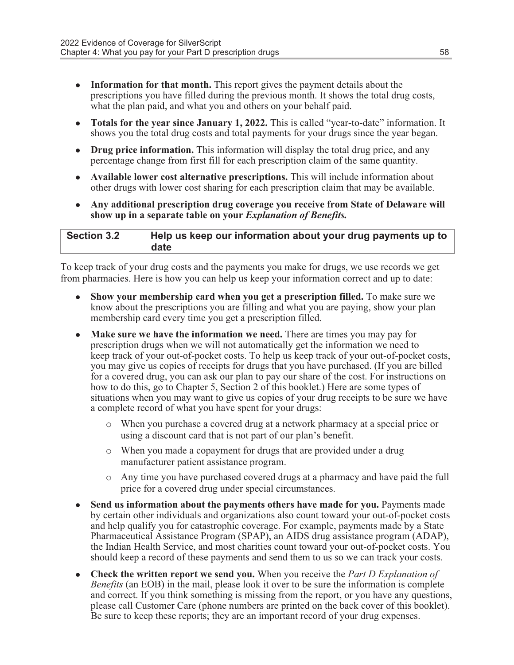- Information for that month. This report gives the payment details about the prescriptions you have filled during the previous month. It shows the total drug costs, what the plan paid, and what you and others on your behalf paid.
- Totals for the year since January 1, 2022. This is called "year-to-date" information. It shows you the total drug costs and total payments for your drugs since the year began.
- Drug price information. This information will display the total drug price, and any percentage change from first fill for each prescription claim of the same quantity.
- Available lower cost alternative prescriptions. This will include information about other drugs with lower cost sharing for each prescription claim that may be available.
- Any additional prescription drug coverage you receive from State of Delaware will show up in a separate table on your *Explanation of Benefits*.

| <b>Section 3.2</b> | Help us keep our information about your drug payments up to |
|--------------------|-------------------------------------------------------------|
|                    | date                                                        |

To keep track of your drug costs and the payments you make for drugs, we use records we get from pharmacies. Here is how you can help us keep your information correct and up to date:

- **.** Show your membership card when you get a prescription filled. To make sure we know about the prescriptions you are filling and what you are paying, show your plan membership card every time you get a prescription filled.
- Make sure we have the information we need. There are times you may pay for prescription drugs when we will not automatically get the information we need to keep track of your out-of-pocket costs. To help us keep track of your out-of-pocket costs, you may give us copies of receipts for drugs that you have purchased. (If you are billed for a covered drug, you can ask our plan to pay our share of the cost. For instructions on how to do this, go to Chapter 5, Section 2 of this booklet.) Here are some types of situations when you may want to give us copies of your drug receipts to be sure we have a complete record of what you have spent for your drugs:
	- o When you purchase a covered drug at a network pharmacy at a special price or using a discount card that is not part of our plan's benefit.
	- o When you made a copayment for drugs that are provided under a drug manufacturer patient assistance program.
	- o Any time you have purchased covered drugs at a pharmacy and have paid the full price for a covered drug under special circumstances.
- Send us information about the payments others have made for you. Payments made by certain other individuals and organizations also count toward your out-of-pocket costs and help qualify you for catastrophic coverage. For example, payments made by a State Pharmaceutical Assistance Program (SPAP), an AIDS drug assistance program (ADAP), the Indian Health Service, and most charities count toward your out-of-pocket costs. You should keep a record of these payments and send them to us so we can track your costs.
- **Check the written report we send you.** When you receive the *Part D Explanation of* Benefits (an EOB) in the mail, please look it over to be sure the information is complete and correct. If you think something is missing from the report, or you have any questions, please call Customer Care (phone numbers are printed on the back cover of this booklet). Be sure to keep these reports; they are an important record of your drug expenses.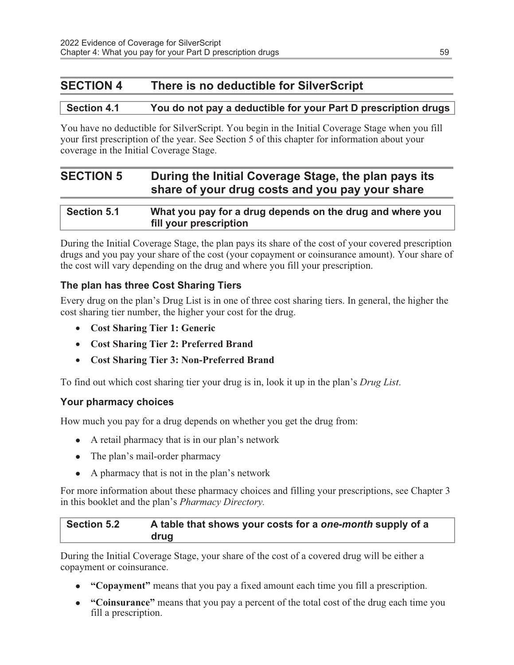### SECTION 4 There is no deductible for SilverScript

### Section 4.1 You do not pay a deductible for your Part D prescription drugs

You have no deductible for SilverScript. You begin in the Initial Coverage Stage when you fill your first prescription of the year. See Section 5 of this chapter for information about your coverage in the Initial Coverage Stage.

### SECTION 5 During the Initial Coverage Stage, the plan pays its share of your drug costs and you pay your share

| <b>Section 5.1</b> | What you pay for a drug depends on the drug and where you |
|--------------------|-----------------------------------------------------------|
|                    | fill your prescription                                    |

During the Initial Coverage Stage, the plan pays its share of the cost of your covered prescription drugs and you pay your share of the cost (your copayment or coinsurance amount). Your share of the cost will vary depending on the drug and where you fill your prescription.

### The plan has three Cost Sharing Tiers

Every drug on the plan's Drug List is in one of three cost sharing tiers. In general, the higher the cost sharing tier number, the higher your cost for the drug.

- · Cost Sharing Tier 1: Generic
- · Cost Sharing Tier 2: Preferred Brand
- · Cost Sharing Tier 3: Non-Preferred Brand

To find out which cost sharing tier your drug is in, look it up in the plan's Drug List.

### Your pharmacy choices

How much you pay for a drug depends on whether you get the drug from:

- $\bullet$  A retail pharmacy that is in our plan's network
- The plan's mail-order pharmacy
- A pharmacy that is not in the plan's network

For more information about these pharmacy choices and filling your prescriptions, see Chapter 3 in this booklet and the plan's Pharmacy Directory.

Section 5.2 A table that shows your costs for a one-month supply of a drug

During the Initial Coverage Stage, your share of the cost of a covered drug will be either a copayment or coinsurance.

- "Copayment" means that you pay a fixed amount each time you fill a prescription.
- "Coinsurance" means that you pay a percent of the total cost of the drug each time you fill a prescription.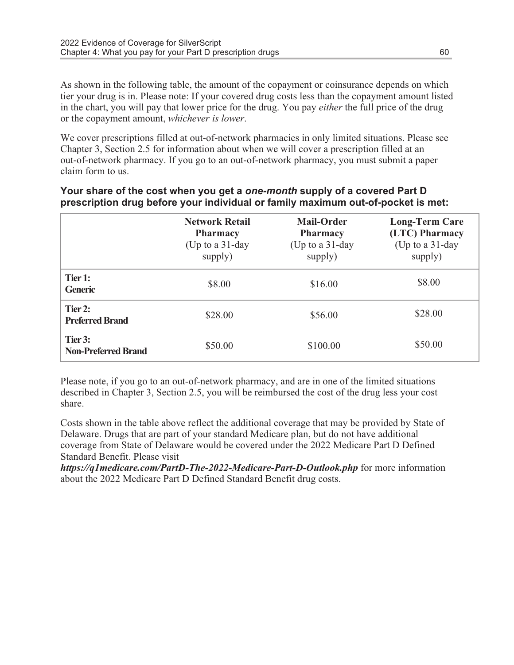As shown in the following table, the amount of the copayment or coinsurance depends on which tier your drug is in. Please note: If your covered drug costs less than the copayment amount listed in the chart, you will pay that lower price for the drug. You pay either the full price of the drug or the copayment amount, whichever is lower.

We cover prescriptions filled at out-of-network pharmacies in only limited situations. Please see Chapter 3, Section 2.5 for information about when we will cover a prescription filled at an out-of-network pharmacy. If you go to an out-of-network pharmacy, you must submit a paper claim form to us.

|                                       | <b>Network Retail</b><br><b>Pharmacy</b><br>(Up to a $31$ -day<br>supply) | Mail-Order<br><b>Pharmacy</b><br>(Up to a $31$ -day<br>supply) | <b>Long-Term Care</b><br>(LTC) Pharmacy<br>(Up to a 31-day<br>supply) |
|---------------------------------------|---------------------------------------------------------------------------|----------------------------------------------------------------|-----------------------------------------------------------------------|
| Tier 1:<br><b>Generic</b>             | \$8.00                                                                    | \$16.00                                                        | \$8.00                                                                |
| Tier 2:<br><b>Preferred Brand</b>     | \$28.00                                                                   | \$56.00                                                        | \$28.00                                                               |
| Tier 3:<br><b>Non-Preferred Brand</b> | \$50.00                                                                   | \$100.00                                                       | \$50.00                                                               |

### Your share of the cost when you get a one-month supply of a covered Part D prescription drug before your individual or family maximum out-of-pocket is met:

Please note, if you go to an out-of-network pharmacy, and are in one of the limited situations described in Chapter 3, Section 2.5, you will be reimbursed the cost of the drug less your cost share.

Costs shown in the table above reflect the additional coverage that may be provided by State of Delaware. Drugs that are part of your standard Medicare plan, but do not have additional coverage from State of Delaware would be covered under the 2022 Medicare Part D Defined Standard Benefit. Please visit

https://q1medicare.com/PartD-The-2022-Medicare-Part-D-Outlook.php for more information about the 2022 Medicare Part D Defined Standard Benefit drug costs.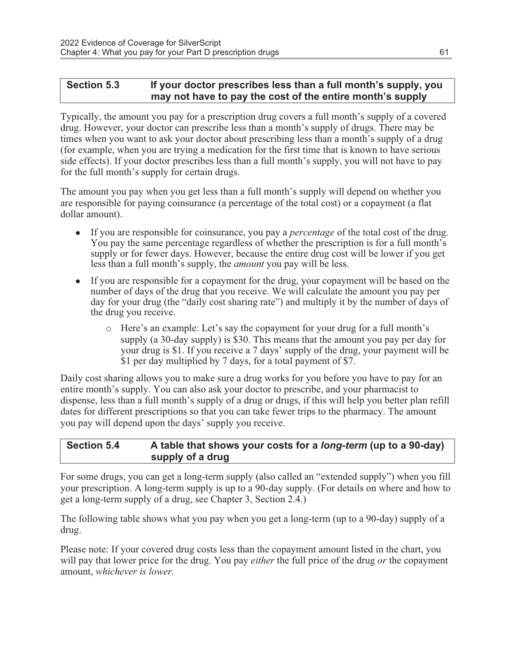### Section 5.3 If your doctor prescribes less than a full month's supply, you may not have to pay the cost of the entire month's supply

Typically, the amount you pay for a prescription drug covers a full month's supply of a covered drug. However, your doctor can prescribe less than a month's supply of drugs. There may be times when you want to ask your doctor about prescribing less than a month's supply of a drug (for example, when you are trying a medication for the first time that is known to have serious side effects). If your doctor prescribes less than a full month's supply, you will not have to pay for the full month's supply for certain drugs.

The amount you pay when you get less than a full month's supply will depend on whether you are responsible for paying coinsurance (a percentage of the total cost) or a copayment (a flat dollar amount).

- If you are responsible for coinsurance, you pay a *percentage* of the total cost of the drug. You pay the same percentage regardless of whether the prescription is for a full month's supply or for fewer days. However, because the entire drug cost will be lower if you get less than a full month's supply, the amount you pay will be less.
- If you are responsible for a copayment for the drug, your copayment will be based on the number of days of the drug that you receive. We will calculate the amount you pay per day for your drug (the "daily cost sharing rate") and multiply it by the number of days of the drug you receive.
	- o Here's an example: Let's say the copayment for your drug for a full month's supply (a 30-day supply) is \$30. This means that the amount you pay per day for your drug is \$1. If you receive a 7 days' supply of the drug, your payment will be \$1 per day multiplied by 7 days, for a total payment of \$7.

Daily cost sharing allows you to make sure a drug works for you before you have to pay for an entire month's supply. You can also ask your doctor to prescribe, and your pharmacist to dispense, less than a full month's supply of a drug or drugs, if this will help you better plan refill dates for different prescriptions so that you can take fewer trips to the pharmacy. The amount you pay will depend upon the days' supply you receive.

### Section 5.4 A table that shows your costs for a *long-term* (up to a 90-day) supply of a drug

For some drugs, you can get a long-term supply (also called an "extended supply") when you fill your prescription. A long-term supply is up to a 90-day supply. (For details on where and how to get a long-term supply of a drug, see Chapter 3, Section 2.4.)

The following table shows what you pay when you get a long-term (up to a 90-day) supply of a drug.

Please note: If your covered drug costs less than the copayment amount listed in the chart, you will pay that lower price for the drug. You pay *either* the full price of the drug *or* the copayment amount, whichever is lower.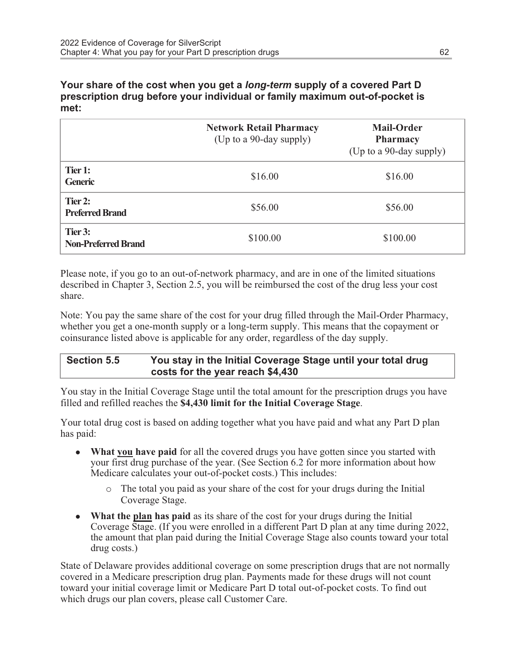Your share of the cost when you get a long-term supply of a covered Part D prescription drug before your individual or family maximum out-of-pocket is met:

|                                       | <b>Network Retail Pharmacy</b><br>(Up to a 90-day supply) | <b>Mail-Order</b><br><b>Pharmacy</b><br>(Up to a 90-day supply) |
|---------------------------------------|-----------------------------------------------------------|-----------------------------------------------------------------|
| Tier 1:<br><b>Generic</b>             | \$16.00                                                   | \$16.00                                                         |
| Tier 2:<br><b>Preferred Brand</b>     | \$56.00                                                   | \$56.00                                                         |
| Tier 3:<br><b>Non-Preferred Brand</b> | \$100.00                                                  | \$100.00                                                        |

Please note, if you go to an out-of-network pharmacy, and are in one of the limited situations described in Chapter 3, Section 2.5, you will be reimbursed the cost of the drug less your cost share.

Note: You pay the same share of the cost for your drug filled through the Mail-Order Pharmacy, whether you get a one-month supply or a long-term supply. This means that the copayment or coinsurance listed above is applicable for any order, regardless of the day supply.

### Section 5.5 You stay in the Initial Coverage Stage until your total drug costs for the year reach \$4,430

You stay in the Initial Coverage Stage until the total amount for the prescription drugs you have filled and refilled reaches the \$4,430 limit for the Initial Coverage Stage.

Your total drug cost is based on adding together what you have paid and what any Part D plan has paid:

- What you have paid for all the covered drugs you have gotten since you started with your first drug purchase of the year. (See Section 6.2 for more information about how Medicare calculates your out-of-pocket costs.) This includes:
	- o The total you paid as your share of the cost for your drugs during the Initial Coverage Stage.
- What the plan has paid as its share of the cost for your drugs during the Initial Coverage Stage. (If you were enrolled in a different Part D plan at any time during 2022, the amount that plan paid during the Initial Coverage Stage also counts toward your total drug costs.)

State of Delaware provides additional coverage on some prescription drugs that are not normally covered in a Medicare prescription drug plan. Payments made for these drugs will not count toward your initial coverage limit or Medicare Part D total out-of-pocket costs. To find out which drugs our plan covers, please call Customer Care.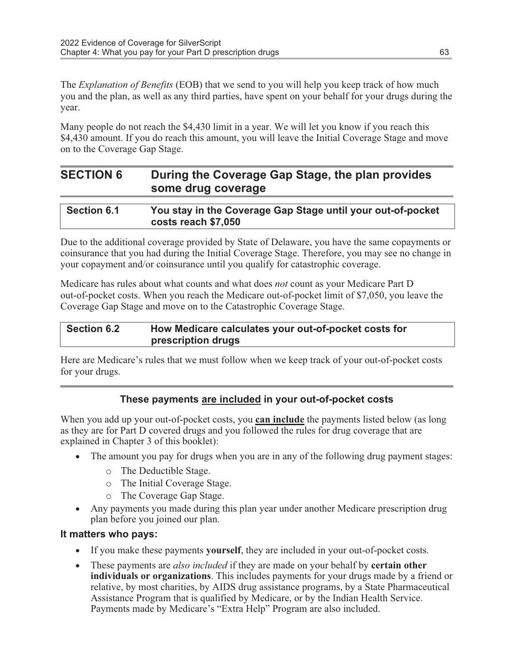The *Explanation of Benefits* (EOB) that we send to you will help you keep track of how much you and the plan, as well as any third parties, have spent on your behalf for your drugs during the year.

Many people do not reach the \$4,430 limit in a year. We will let you know if you reach this \$4,430 amount. If you do reach this amount, you will leave the Initial Coverage Stage and move on to the Coverage Gap Stage.

| <b>SECTION 6</b> | During the Coverage Gap Stage, the plan provides |
|------------------|--------------------------------------------------|
|                  | some drug coverage                               |

| <b>Section 6.1</b> | You stay in the Coverage Gap Stage until your out-of-pocket |
|--------------------|-------------------------------------------------------------|
|                    | costs reach \$7,050                                         |

Due to the additional coverage provided by State of Delaware, you have the same copayments or coinsurance that you had during the Initial Coverage Stage. Therefore, you may see no change in your copayment and/or coinsurance until you qualify for catastrophic coverage.

Medicare has rules about what counts and what does not count as your Medicare Part D out-of-pocket costs. When you reach the Medicare out-of-pocket limit of \$7,050, you leave the Coverage Gap Stage and move on to the Catastrophic Coverage Stage.

### Section 6.2 How Medicare calculates your out-of-pocket costs for prescription drugs

Here are Medicare's rules that we must follow when we keep track of your out-of-pocket costs for your drugs.

### These payments are included in your out-of-pocket costs

When you add up your out-of-pocket costs, you **can include** the payments listed below (as long as they are for Part D covered drugs and you followed the rules for drug coverage that are explained in Chapter 3 of this booklet):

- The amount you pay for drugs when you are in any of the following drug payment stages:
	- o The Deductible Stage.
	- o The Initial Coverage Stage.
	- o The Coverage Gap Stage.
- · Any payments you made during this plan year under another Medicare prescription drug plan before you joined our plan.

### It matters who pays:

- If you make these payments **yourself**, they are included in your out-of-pocket costs.
- These payments are *also included* if they are made on your behalf by **certain other** individuals or organizations. This includes payments for your drugs made by a friend or relative, by most charities, by AIDS drug assistance programs, by a State Pharmaceutical Assistance Program that is qualified by Medicare, or by the Indian Health Service. Payments made by Medicare's "Extra Help" Program are also included.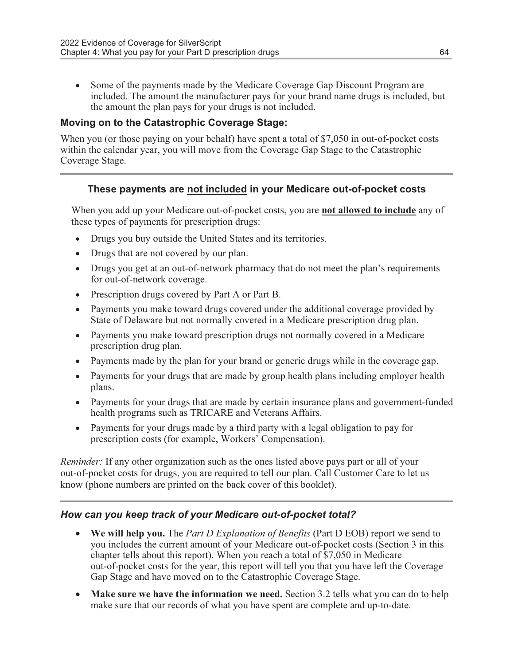• Some of the payments made by the Medicare Coverage Gap Discount Program are included. The amount the manufacturer pays for your brand name drugs is included, but the amount the plan pays for your drugs is not included.

### Moving on to the Catastrophic Coverage Stage:

When you (or those paying on your behalf) have spent a total of \$7,050 in out-of-pocket costs within the calendar year, you will move from the Coverage Gap Stage to the Catastrophic Coverage Stage.

### These payments are not included in your Medicare out-of-pocket costs

When you add up your Medicare out-of-pocket costs, you are **not allowed to include** any of these types of payments for prescription drugs:

- · Drugs you buy outside the United States and its territories.
- Drugs that are not covered by our plan.
- Drugs you get at an out-of-network pharmacy that do not meet the plan's requirements for out-of-network coverage.
- · Prescription drugs covered by Part A or Part B.
- · Payments you make toward drugs covered under the additional coverage provided by State of Delaware but not normally covered in a Medicare prescription drug plan.
- · Payments you make toward prescription drugs not normally covered in a Medicare prescription drug plan.
- · Payments made by the plan for your brand or generic drugs while in the coverage gap.
- · Payments for your drugs that are made by group health plans including employer health plans.
- · Payments for your drugs that are made by certain insurance plans and government-funded health programs such as TRICARE and Veterans Affairs.
- · Payments for your drugs made by a third party with a legal obligation to pay for prescription costs (for example, Workers' Compensation).

Reminder: If any other organization such as the ones listed above pays part or all of your out-of-pocket costs for drugs, you are required to tell our plan. Call Customer Care to let us know (phone numbers are printed on the back cover of this booklet).

### How can you keep track of your Medicare out-of-pocket total?

- We will help you. The *Part D Explanation of Benefits* (Part D EOB) report we send to you includes the current amount of your Medicare out-of-pocket costs (Section 3 in this chapter tells about this report). When you reach a total of \$7,050 in Medicare out-of-pocket costs for the year, this report will tell you that you have left the Coverage Gap Stage and have moved on to the Catastrophic Coverage Stage.
- Make sure we have the information we need. Section 3.2 tells what you can do to help make sure that our records of what you have spent are complete and up-to-date.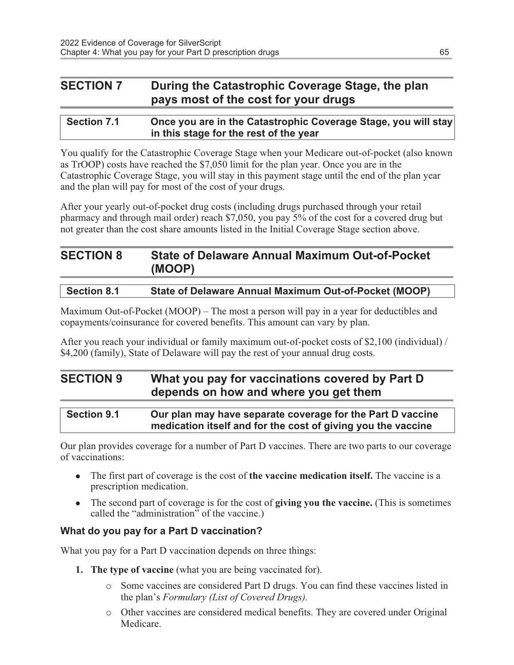### SECTION 7 During the Catastrophic Coverage Stage, the plan pays most of the cost for your drugs

| <b>Section 7.1</b> | Once you are in the Catastrophic Coverage Stage, you will stay |
|--------------------|----------------------------------------------------------------|
|                    | in this stage for the rest of the year                         |

You qualify for the Catastrophic Coverage Stage when your Medicare out-of-pocket (also known as TrOOP) costs have reached the \$7,050 limit for the plan year. Once you are in the Catastrophic Coverage Stage, you will stay in this payment stage until the end of the plan year and the plan will pay for most of the cost of your drugs.

After your yearly out-of-pocket drug costs (including drugs purchased through your retail pharmacy and through mail order) reach \$7,050, you pay 5% of the cost for a covered drug but not greater than the cost share amounts listed in the Initial Coverage Stage section above.

| <b>SECTION 8</b> | <b>State of Delaware Annual Maximum Out-of-Pocket</b> |
|------------------|-------------------------------------------------------|
|                  | (MOOP)                                                |

| <b>Section 8.1</b> | State of Delaware Annual Maximum Out-of-Pocket (MOOP) |
|--------------------|-------------------------------------------------------|
|--------------------|-------------------------------------------------------|

Maximum Out-of-Pocket (MOOP) – The most a person will pay in a year for deductibles and copayments/coinsurance for covered benefits. This amount can vary by plan.

After you reach your individual or family maximum out-of-pocket costs of \$2,100 (individual) / \$4,200 (family), State of Delaware will pay the rest of your annual drug costs.

### SECTION 9 What you pay for vaccinations covered by Part D depends on how and where you get them

| <b>Section 9.1</b> | Our plan may have separate coverage for the Part D vaccine   |
|--------------------|--------------------------------------------------------------|
|                    | medication itself and for the cost of giving you the vaccine |

Our plan provides coverage for a number of Part D vaccines. There are two parts to our coverage of vaccinations:

- $\bullet$  The first part of coverage is the cost of the vaccine medication itself. The vaccine is a prescription medication.
- $\bullet$  The second part of coverage is for the cost of giving you the vaccine. (This is sometimes called the "administration" of the vaccine.)

### What do you pay for a Part D vaccination?

What you pay for a Part D vaccination depends on three things:

- 1. The type of vaccine (what you are being vaccinated for).
	- o Some vaccines are considered Part D drugs. You can find these vaccines listed in the plan's Formulary (List of Covered Drugs).
	- o Other vaccines are considered medical benefits. They are covered under Original Medicare.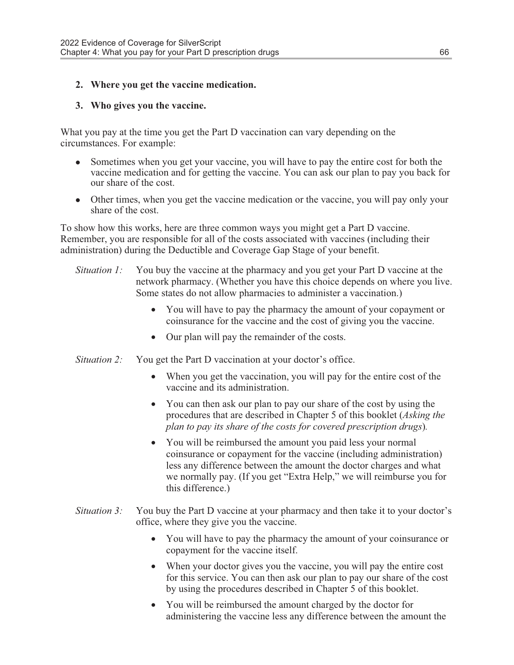### 2. Where you get the vaccine medication.

#### 3. Who gives you the vaccine.

What you pay at the time you get the Part D vaccination can vary depending on the circumstances. For example:

- Sometimes when you get your vaccine, you will have to pay the entire cost for both the vaccine medication and for getting the vaccine. You can ask our plan to pay you back for our share of the cost.
- Other times, when you get the vaccine medication or the vaccine, you will pay only your share of the cost.

To show how this works, here are three common ways you might get a Part D vaccine. Remember, you are responsible for all of the costs associated with vaccines (including their administration) during the Deductible and Coverage Gap Stage of your benefit.

- Situation 1: You buy the vaccine at the pharmacy and you get your Part D vaccine at the network pharmacy. (Whether you have this choice depends on where you live. Some states do not allow pharmacies to administer a vaccination.)
	- · You will have to pay the pharmacy the amount of your copayment or coinsurance for the vaccine and the cost of giving you the vaccine.
	- · Our plan will pay the remainder of the costs.
- Situation 2: You get the Part D vaccination at your doctor's office.
	- When you get the vaccination, you will pay for the entire cost of the vaccine and its administration.
	- You can then ask our plan to pay our share of the cost by using the procedures that are described in Chapter 5 of this booklet (Asking the plan to pay its share of the costs for covered prescription drugs).
	- You will be reimbursed the amount you paid less your normal coinsurance or copayment for the vaccine (including administration) less any difference between the amount the doctor charges and what we normally pay. (If you get "Extra Help," we will reimburse you for this difference.)
- Situation 3: You buy the Part D vaccine at your pharmacy and then take it to your doctor's office, where they give you the vaccine.
	- · You will have to pay the pharmacy the amount of your coinsurance or copayment for the vaccine itself.
	- When your doctor gives you the vaccine, you will pay the entire cost for this service. You can then ask our plan to pay our share of the cost by using the procedures described in Chapter 5 of this booklet.
	- You will be reimbursed the amount charged by the doctor for administering the vaccine less any difference between the amount the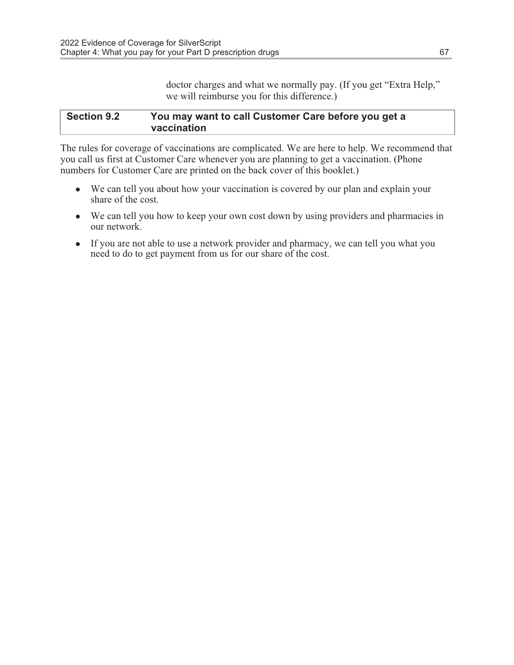doctor charges and what we normally pay. (If you get "Extra Help," we will reimburse you for this difference.)

#### Section 9.2 You may want to call Customer Care before you get a vaccination

The rules for coverage of vaccinations are complicated. We are here to help. We recommend that you call us first at Customer Care whenever you are planning to get a vaccination. (Phone numbers for Customer Care are printed on the back cover of this booklet.)

- We can tell you about how your vaccination is covered by our plan and explain your share of the cost.
- We can tell you how to keep your own cost down by using providers and pharmacies in our network.
- If you are not able to use a network provider and pharmacy, we can tell you what you need to do to get payment from us for our share of the cost.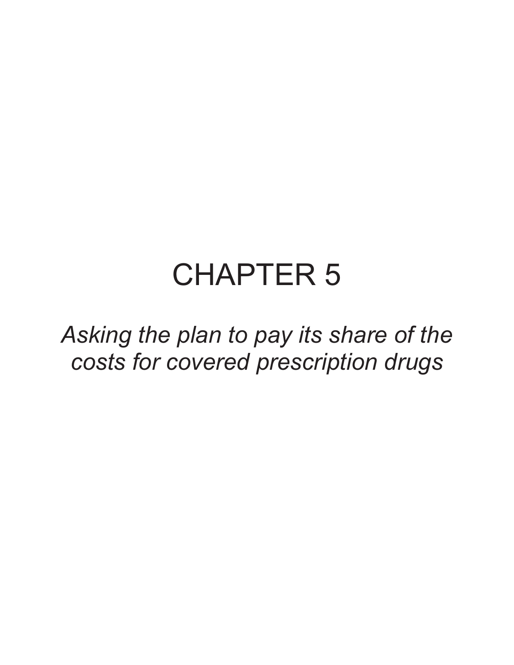# CHAPTER 5

Asking the plan to pay its share of the costs for covered prescription drugs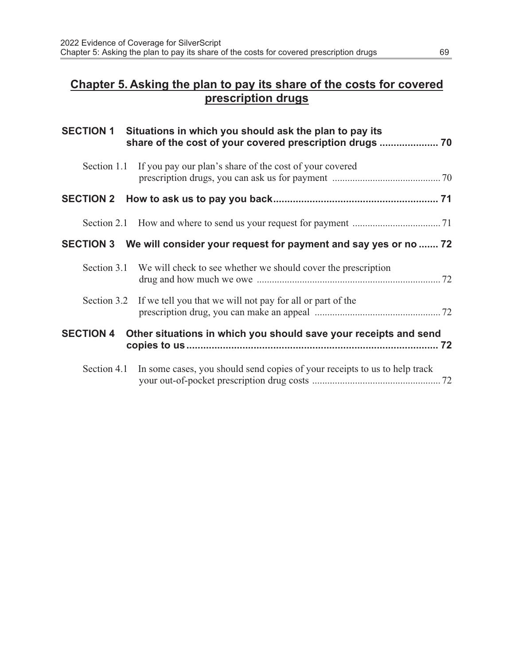### Chapter 5. Asking the plan to pay its share of the costs for covered prescription drugs

|                  | SECTION 1 Situations in which you should ask the plan to pay its                       |  |
|------------------|----------------------------------------------------------------------------------------|--|
|                  | Section 1.1 If you pay our plan's share of the cost of your covered                    |  |
|                  |                                                                                        |  |
|                  |                                                                                        |  |
|                  | SECTION 3 We will consider your request for payment and say yes or no  72              |  |
|                  | Section 3.1 We will check to see whether we should cover the prescription              |  |
|                  | Section 3.2 If we tell you that we will not pay for all or part of the                 |  |
| <b>SECTION 4</b> | Other situations in which you should save your receipts and send                       |  |
|                  | Section 4.1 In some cases, you should send copies of your receipts to us to help track |  |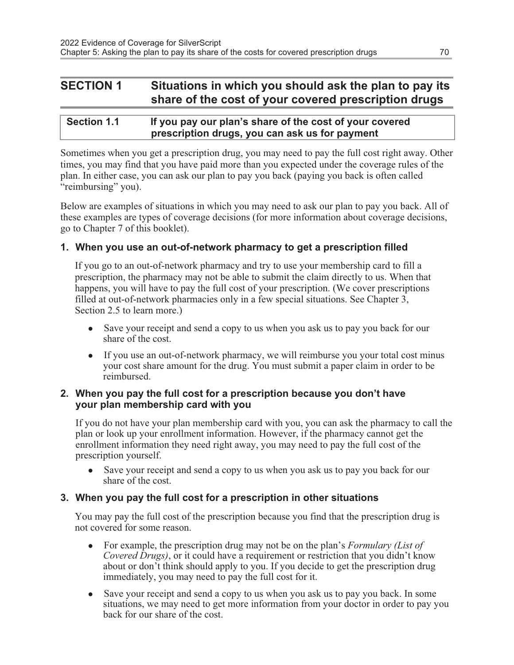### SECTION 1 Situations in which you should ask the plan to pay its share of the cost of your covered prescription drugs

| <b>Section 1.1</b> | If you pay our plan's share of the cost of your covered |
|--------------------|---------------------------------------------------------|
|                    | prescription drugs, you can ask us for payment          |

Sometimes when you get a prescription drug, you may need to pay the full cost right away. Other times, you may find that you have paid more than you expected under the coverage rules of the plan. In either case, you can ask our plan to pay you back (paying you back is often called "reimbursing" you).

Below are examples of situations in which you may need to ask our plan to pay you back. All of these examples are types of coverage decisions (for more information about coverage decisions, go to Chapter 7 of this booklet).

### 1. When you use an out-of-network pharmacy to get a prescription filled

If you go to an out-of-network pharmacy and try to use your membership card to fill a prescription, the pharmacy may not be able to submit the claim directly to us. When that happens, you will have to pay the full cost of your prescription. (We cover prescriptions filled at out-of-network pharmacies only in a few special situations. See Chapter 3, Section 2.5 to learn more.)

- Save your receipt and send a copy to us when you ask us to pay you back for our share of the cost.
- If you use an out-of-network pharmacy, we will reimburse you your total cost minus your cost share amount for the drug. You must submit a paper claim in order to be reimbursed.

#### 2. When you pay the full cost for a prescription because you don't have your plan membership card with you

If you do not have your plan membership card with you, you can ask the pharmacy to call the plan or look up your enrollment information. However, if the pharmacy cannot get the enrollment information they need right away, you may need to pay the full cost of the prescription yourself.

Save your receipt and send a copy to us when you ask us to pay you back for our share of the cost.

### 3. When you pay the full cost for a prescription in other situations

You may pay the full cost of the prescription because you find that the prescription drug is not covered for some reason.

- For example, the prescription drug may not be on the plan's Formulary (List of Covered Drugs), or it could have a requirement or restriction that you didn't know about or don't think should apply to you. If you decide to get the prescription drug immediately, you may need to pay the full cost for it.
- Save your receipt and send a copy to us when you ask us to pay you back. In some situations, we may need to get more information from your doctor in order to pay you back for our share of the cost.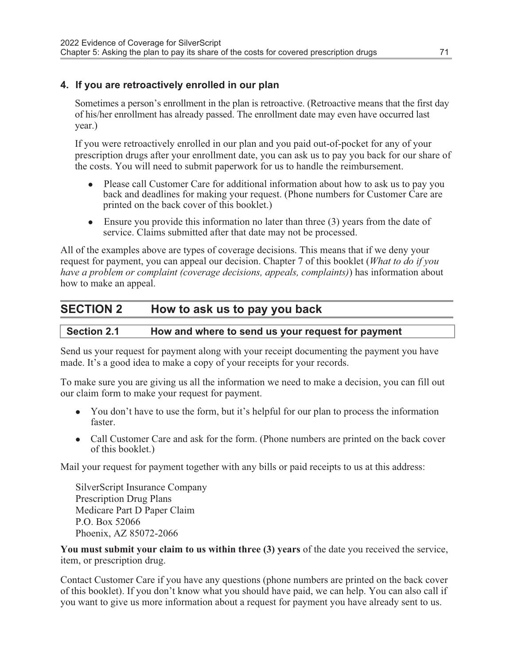#### 4. If you are retroactively enrolled in our plan

Sometimes a person's enrollment in the plan is retroactive. (Retroactive means that the first day of his/her enrollment has already passed. The enrollment date may even have occurred last year.)

If you were retroactively enrolled in our plan and you paid out-of-pocket for any of your prescription drugs after your enrollment date, you can ask us to pay you back for our share of the costs. You will need to submit paperwork for us to handle the reimbursement.

- <sup>l</sup> Please call Customer Care for additional information about how to ask us to pay you back and deadlines for making your request. (Phone numbers for Customer Care are printed on the back cover of this booklet.)
- $\bullet$  Ensure you provide this information no later than three (3) years from the date of service. Claims submitted after that date may not be processed.

All of the examples above are types of coverage decisions. This means that if we deny your request for payment, you can appeal our decision. Chapter 7 of this booklet (What to do if you have a problem or complaint (coverage decisions, appeals, complaints)) has information about how to make an appeal.

## SECTION 2 How to ask us to pay you back

#### Section 2.1 How and where to send us your request for payment

Send us your request for payment along with your receipt documenting the payment you have made. It's a good idea to make a copy of your receipts for your records.

To make sure you are giving us all the information we need to make a decision, you can fill out our claim form to make your request for payment.

- You don't have to use the form, but it's helpful for our plan to process the information faster.
- Call Customer Care and ask for the form. (Phone numbers are printed on the back cover of this booklet.)

Mail your request for payment together with any bills or paid receipts to us at this address:

SilverScript Insurance Company Prescription Drug Plans Medicare Part D Paper Claim P.O. Box 52066 Phoenix, AZ 85072-2066

You must submit your claim to us within three (3) years of the date you received the service, item, or prescription drug.

Contact Customer Care if you have any questions (phone numbers are printed on the back cover of this booklet). If you don't know what you should have paid, we can help. You can also call if you want to give us more information about a request for payment you have already sent to us.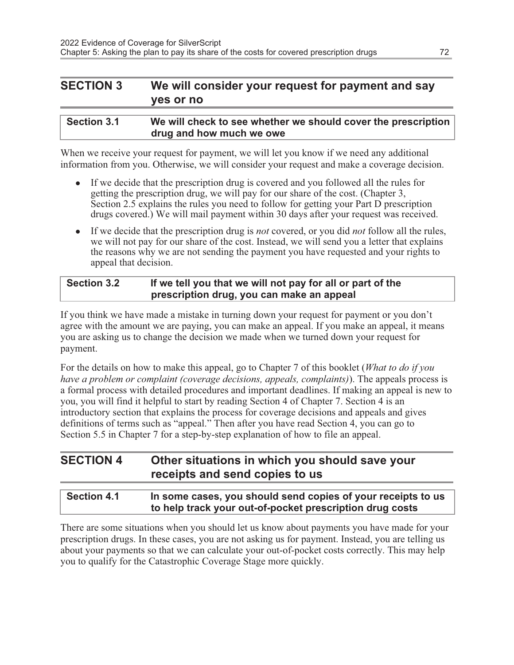## SECTION 3 We will consider your request for payment and say yes or no

| <b>Section 3.1</b> | We will check to see whether we should cover the prescription |
|--------------------|---------------------------------------------------------------|
|                    | drug and how much we owe                                      |

When we receive your request for payment, we will let you know if we need any additional information from you. Otherwise, we will consider your request and make a coverage decision.

- If we decide that the prescription drug is covered and you followed all the rules for getting the prescription drug, we will pay for our share of the cost. (Chapter 3, Section 2.5 explains the rules you need to follow for getting your Part D prescription drugs covered.) We will mail payment within 30 days after your request was received.
- If we decide that the prescription drug is *not* covered, or you did *not* follow all the rules, we will not pay for our share of the cost. Instead, we will send you a letter that explains the reasons why we are not sending the payment you have requested and your rights to appeal that decision.

#### Section 3.2 If we tell you that we will not pay for all or part of the prescription drug, you can make an appeal

If you think we have made a mistake in turning down your request for payment or you don't agree with the amount we are paying, you can make an appeal. If you make an appeal, it means you are asking us to change the decision we made when we turned down your request for payment.

For the details on how to make this appeal, go to Chapter 7 of this booklet (*What to do if you* have a problem or complaint (coverage decisions, appeals, complaints)). The appeals process is a formal process with detailed procedures and important deadlines. If making an appeal is new to you, you will find it helpful to start by reading Section 4 of Chapter 7. Section 4 is an introductory section that explains the process for coverage decisions and appeals and gives definitions of terms such as "appeal." Then after you have read Section 4, you can go to Section 5.5 in Chapter 7 for a step-by-step explanation of how to file an appeal.

## SECTION 4 Other situations in which you should save your receipts and send copies to us

#### Section 4.1 In some cases, you should send copies of your receipts to us to help track your out-of-pocket prescription drug costs

There are some situations when you should let us know about payments you have made for your prescription drugs. In these cases, you are not asking us for payment. Instead, you are telling us about your payments so that we can calculate your out-of-pocket costs correctly. This may help you to qualify for the Catastrophic Coverage Stage more quickly.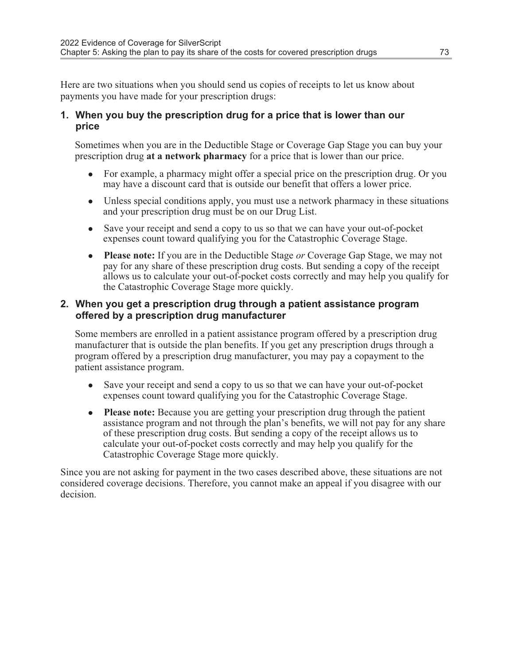Here are two situations when you should send us copies of receipts to let us know about payments you have made for your prescription drugs:

#### 1. When you buy the prescription drug for a price that is lower than our price

Sometimes when you are in the Deductible Stage or Coverage Gap Stage you can buy your prescription drug at a network pharmacy for a price that is lower than our price.

- For example, a pharmacy might offer a special price on the prescription drug. Or you may have a discount card that is outside our benefit that offers a lower price.
- $\bullet$  Unless special conditions apply, you must use a network pharmacy in these situations and your prescription drug must be on our Drug List.
- Save your receipt and send a copy to us so that we can have your out-of-pocket expenses count toward qualifying you for the Catastrophic Coverage Stage.
- Please note: If you are in the Deductible Stage or Coverage Gap Stage, we may not pay for any share of these prescription drug costs. But sending a copy of the receipt allows us to calculate your out-of-pocket costs correctly and may help you qualify for the Catastrophic Coverage Stage more quickly.

#### 2. When you get a prescription drug through a patient assistance program offered by a prescription drug manufacturer

Some members are enrolled in a patient assistance program offered by a prescription drug manufacturer that is outside the plan benefits. If you get any prescription drugs through a program offered by a prescription drug manufacturer, you may pay a copayment to the patient assistance program.

- Save your receipt and send a copy to us so that we can have your out-of-pocket expenses count toward qualifying you for the Catastrophic Coverage Stage.
- Please note: Because you are getting your prescription drug through the patient assistance program and not through the plan's benefits, we will not pay for any share of these prescription drug costs. But sending a copy of the receipt allows us to calculate your out-of-pocket costs correctly and may help you qualify for the Catastrophic Coverage Stage more quickly.

Since you are not asking for payment in the two cases described above, these situations are not considered coverage decisions. Therefore, you cannot make an appeal if you disagree with our decision.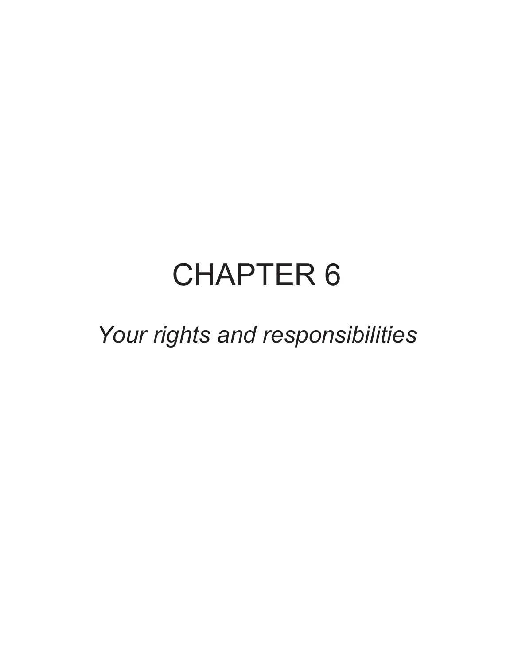# CHAPTER 6

Your rights and responsibilities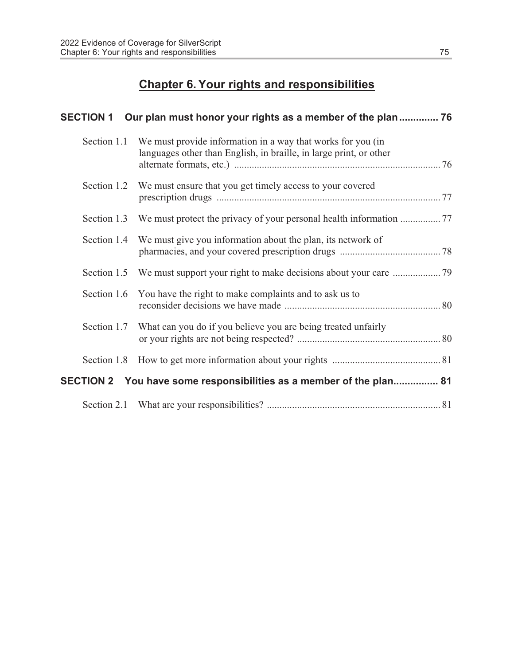## Chapter 6. Your rights and responsibilities

|             | SECTION 1 Our plan must honor your rights as a member of the plan 76                                                              |  |
|-------------|-----------------------------------------------------------------------------------------------------------------------------------|--|
| Section 1.1 | We must provide information in a way that works for you (in<br>languages other than English, in braille, in large print, or other |  |
|             | Section 1.2 We must ensure that you get timely access to your covered                                                             |  |
|             | Section 1.3 We must protect the privacy of your personal health information                                                       |  |
|             | Section 1.4 We must give you information about the plan, its network of                                                           |  |
|             |                                                                                                                                   |  |
|             | Section 1.6 You have the right to make complaints and to ask us to                                                                |  |
|             | Section 1.7 What can you do if you believe you are being treated unfairly                                                         |  |
|             |                                                                                                                                   |  |
|             | SECTION 2 You have some responsibilities as a member of the plan 81                                                               |  |
|             |                                                                                                                                   |  |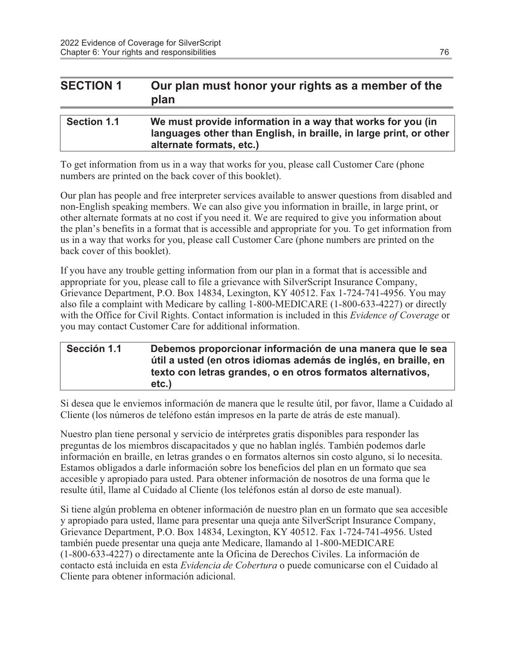## SECTION 1 Our plan must honor your rights as a member of the plan

#### Section 1.1 We must provide information in a way that works for you (in languages other than English, in braille, in large print, or other alternate formats, etc.)

To get information from us in a way that works for you, please call Customer Care (phone numbers are printed on the back cover of this booklet).

Our plan has people and free interpreter services available to answer questions from disabled and non-English speaking members. We can also give you information in braille, in large print, or other alternate formats at no cost if you need it. We are required to give you information about the plan's benefits in a format that is accessible and appropriate for you. To get information from us in a way that works for you, please call Customer Care (phone numbers are printed on the back cover of this booklet).

If you have any trouble getting information from our plan in a format that is accessible and appropriate for you, please call to file a grievance with SilverScript Insurance Company, Grievance Department, P.O. Box 14834, Lexington, KY 40512. Fax 1-724-741-4956. You may also file a complaint with Medicare by calling 1-800-MEDICARE (1-800-633-4227) or directly with the Office for Civil Rights. Contact information is included in this *Evidence of Coverage* or you may contact Customer Care for additional information.

#### Sección 1.1 Debemos proporcionar información de una manera que le sea útil a usted (en otros idiomas además de inglés, en braille, en texto con letras grandes, o en otros formatos alternativos, etc.)

Si desea que le enviemos información de manera que le resulte útil, por favor, llame a Cuidado al Cliente (los números de teléfono están impresos en la parte de atrás de este manual).

Nuestro plan tiene personal y servicio de intérpretes gratis disponibles para responder las preguntas de los miembros discapacitados y que no hablan inglés. También podemos darle información en braille, en letras grandes o en formatos alternos sin costo alguno, si lo necesita. Estamos obligados a darle información sobre los beneficios del plan en un formato que sea accesible y apropiado para usted. Para obtener información de nosotros de una forma que le resulte útil, llame al Cuidado al Cliente (los teléfonos están al dorso de este manual).

Si tiene algún problema en obtener información de nuestro plan en un formato que sea accesible y apropiado para usted, llame para presentar una queja ante SilverScript Insurance Company, Grievance Department, P.O. Box 14834, Lexington, KY 40512. Fax 1-724-741-4956. Usted también puede presentar una queja ante Medicare, llamando al 1-800-MEDICARE (1-800-633-4227) o directamente ante la Oficina de Derechos Civiles. La información de contacto está incluida en esta Evidencia de Cobertura o puede comunicarse con el Cuidado al Cliente para obtener información adicional.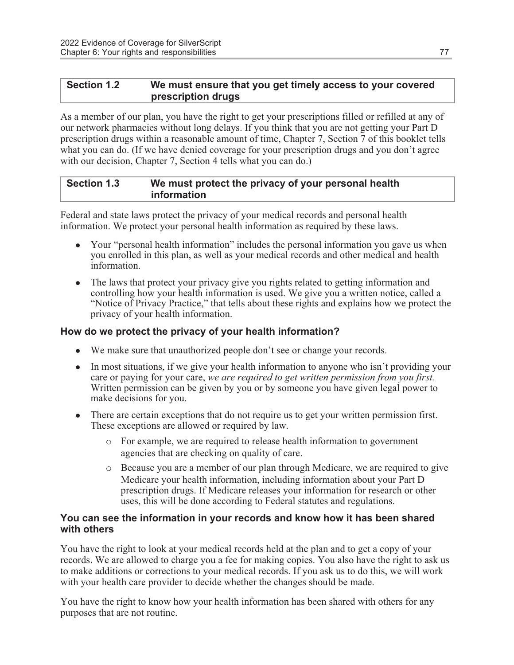#### Section 1.2 We must ensure that you get timely access to your covered prescription drugs

As a member of our plan, you have the right to get your prescriptions filled or refilled at any of our network pharmacies without long delays. If you think that you are not getting your Part D prescription drugs within a reasonable amount of time, Chapter 7, Section 7 of this booklet tells what you can do. (If we have denied coverage for your prescription drugs and you don't agree with our decision, Chapter 7, Section 4 tells what you can do.)

#### Section 1.3 We must protect the privacy of your personal health information

Federal and state laws protect the privacy of your medical records and personal health information. We protect your personal health information as required by these laws.

- Your "personal health information" includes the personal information you gave us when you enrolled in this plan, as well as your medical records and other medical and health information.
- The laws that protect your privacy give you rights related to getting information and controlling how your health information is used. We give you a written notice, called a "Notice of Privacy Practice," that tells about these rights and explains how we protect the privacy of your health information.

#### How do we protect the privacy of your health information?

- We make sure that unauthorized people don't see or change your records.
- $\bullet$  In most situations, if we give your health information to anyone who isn't providing your care or paying for your care, we are required to get written permission from you first. Written permission can be given by you or by someone you have given legal power to make decisions for you.
- There are certain exceptions that do not require us to get your written permission first. These exceptions are allowed or required by law.
	- o For example, we are required to release health information to government agencies that are checking on quality of care.
	- o Because you are a member of our plan through Medicare, we are required to give Medicare your health information, including information about your Part D prescription drugs. If Medicare releases your information for research or other uses, this will be done according to Federal statutes and regulations.

#### You can see the information in your records and know how it has been shared with others

You have the right to look at your medical records held at the plan and to get a copy of your records. We are allowed to charge you a fee for making copies. You also have the right to ask us to make additions or corrections to your medical records. If you ask us to do this, we will work with your health care provider to decide whether the changes should be made.

You have the right to know how your health information has been shared with others for any purposes that are not routine.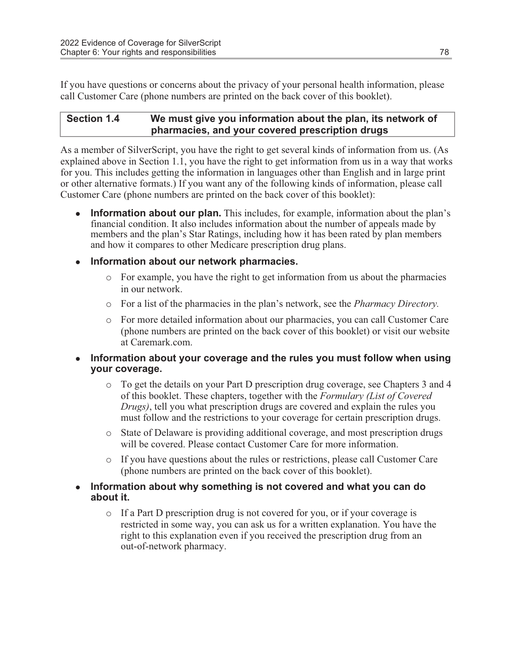If you have questions or concerns about the privacy of your personal health information, please call Customer Care (phone numbers are printed on the back cover of this booklet).

#### Section 1.4 We must give you information about the plan, its network of pharmacies, and your covered prescription drugs

As a member of SilverScript, you have the right to get several kinds of information from us. (As explained above in Section 1.1, you have the right to get information from us in a way that works for you. This includes getting the information in languages other than English and in large print or other alternative formats.) If you want any of the following kinds of information, please call Customer Care (phone numbers are printed on the back cover of this booklet):

**Information about our plan.** This includes, for example, information about the plan's financial condition. It also includes information about the number of appeals made by members and the plan's Star Ratings, including how it has been rated by plan members and how it compares to other Medicare prescription drug plans.

#### • Information about our network pharmacies.

- $\circ$  For example, you have the right to get information from us about the pharmacies in our network.
- o For a list of the pharmacies in the plan's network, see the Pharmacy Directory.
- o For more detailed information about our pharmacies, you can call Customer Care (phone numbers are printed on the back cover of this booklet) or visit our website at Caremark.com.

#### • Information about your coverage and the rules you must follow when using your coverage.

- o To get the details on your Part D prescription drug coverage, see Chapters 3 and 4 of this booklet. These chapters, together with the Formulary (List of Covered Drugs), tell you what prescription drugs are covered and explain the rules you must follow and the restrictions to your coverage for certain prescription drugs.
- o State of Delaware is providing additional coverage, and most prescription drugs will be covered. Please contact Customer Care for more information.
- o If you have questions about the rules or restrictions, please call Customer Care (phone numbers are printed on the back cover of this booklet).
- Information about why something is not covered and what you can do about it.
	- o If a Part D prescription drug is not covered for you, or if your coverage is restricted in some way, you can ask us for a written explanation. You have the right to this explanation even if you received the prescription drug from an out-of-network pharmacy.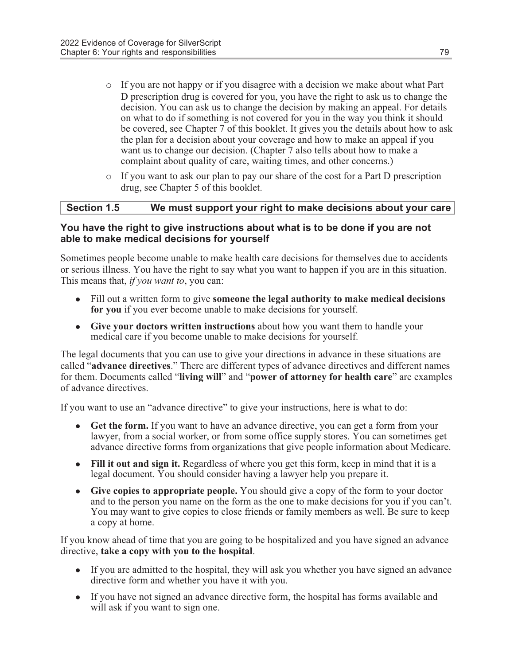- o If you are not happy or if you disagree with a decision we make about what Part D prescription drug is covered for you, you have the right to ask us to change the decision. You can ask us to change the decision by making an appeal. For details on what to do if something is not covered for you in the way you think it should be covered, see Chapter 7 of this booklet. It gives you the details about how to ask the plan for a decision about your coverage and how to make an appeal if you want us to change our decision. (Chapter 7 also tells about how to make a complaint about quality of care, waiting times, and other concerns.)
- $\circ$  If you want to ask our plan to pay our share of the cost for a Part D prescription drug, see Chapter 5 of this booklet.

#### Section 1.5 We must support your right to make decisions about your care

#### You have the right to give instructions about what is to be done if you are not able to make medical decisions for yourself

Sometimes people become unable to make health care decisions for themselves due to accidents or serious illness. You have the right to say what you want to happen if you are in this situation. This means that, *if you want to*, you can:

- Fill out a written form to give **someone the legal authority to make medical decisions** for you if you ever become unable to make decisions for yourself.
- Give your doctors written instructions about how you want them to handle your medical care if you become unable to make decisions for yourself.

The legal documents that you can use to give your directions in advance in these situations are called "advance directives." There are different types of advance directives and different names for them. Documents called "living will" and "power of attorney for health care" are examples of advance directives.

If you want to use an "advance directive" to give your instructions, here is what to do:

- Get the form. If you want to have an advance directive, you can get a form from your lawyer, from a social worker, or from some office supply stores. You can sometimes get advance directive forms from organizations that give people information about Medicare.
- $\bullet$  Fill it out and sign it. Regardless of where you get this form, keep in mind that it is a legal document. You should consider having a lawyer help you prepare it.
- Give copies to appropriate people. You should give a copy of the form to your doctor and to the person you name on the form as the one to make decisions for you if you can't. You may want to give copies to close friends or family members as well. Be sure to keep a copy at home.

If you know ahead of time that you are going to be hospitalized and you have signed an advance directive, take a copy with you to the hospital.

- If you are admitted to the hospital, they will ask you whether you have signed an advance directive form and whether you have it with you.
- If you have not signed an advance directive form, the hospital has forms available and will ask if you want to sign one.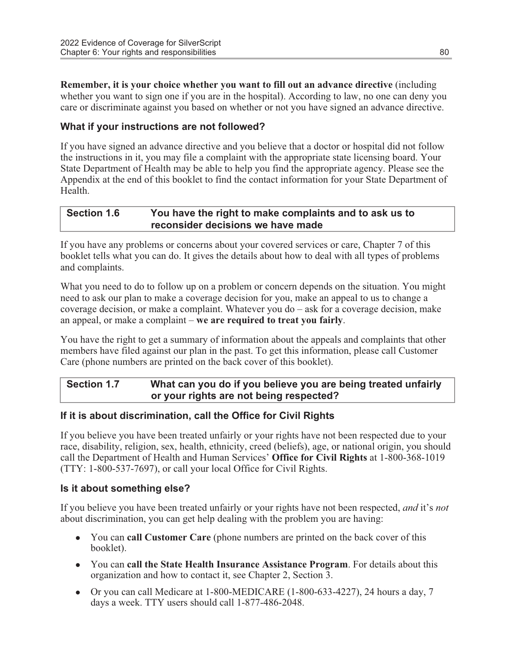Remember, it is your choice whether you want to fill out an advance directive (including whether you want to sign one if you are in the hospital). According to law, no one can deny you care or discriminate against you based on whether or not you have signed an advance directive.

#### What if your instructions are not followed?

If you have signed an advance directive and you believe that a doctor or hospital did not follow the instructions in it, you may file a complaint with the appropriate state licensing board. Your State Department of Health may be able to help you find the appropriate agency. Please see the Appendix at the end of this booklet to find the contact information for your State Department of Health.

#### Section 1.6 You have the right to make complaints and to ask us to reconsider decisions we have made

If you have any problems or concerns about your covered services or care, Chapter 7 of this booklet tells what you can do. It gives the details about how to deal with all types of problems and complaints.

What you need to do to follow up on a problem or concern depends on the situation. You might need to ask our plan to make a coverage decision for you, make an appeal to us to change a coverage decision, or make a complaint. Whatever you do – ask for a coverage decision, make an appeal, or make a complaint – we are required to treat you fairly.

You have the right to get a summary of information about the appeals and complaints that other members have filed against our plan in the past. To get this information, please call Customer Care (phone numbers are printed on the back cover of this booklet).

#### Section 1.7 What can you do if you believe you are being treated unfairly or your rights are not being respected?

#### If it is about discrimination, call the Office for Civil Rights

If you believe you have been treated unfairly or your rights have not been respected due to your race, disability, religion, sex, health, ethnicity, creed (beliefs), age, or national origin, you should call the Department of Health and Human Services' Office for Civil Rights at 1-800-368-1019 (TTY: 1-800-537-7697), or call your local Office for Civil Rights.

#### Is it about something else?

If you believe you have been treated unfairly or your rights have not been respected, and it's not about discrimination, you can get help dealing with the problem you are having:

- You can call Customer Care (phone numbers are printed on the back cover of this booklet).
- You can call the State Health Insurance Assistance Program. For details about this organization and how to contact it, see Chapter 2, Section 3.
- Or you can call Medicare at  $1-800-MEDICARE$  (1-800-633-4227), 24 hours a day, 7 days a week. TTY users should call 1-877-486-2048.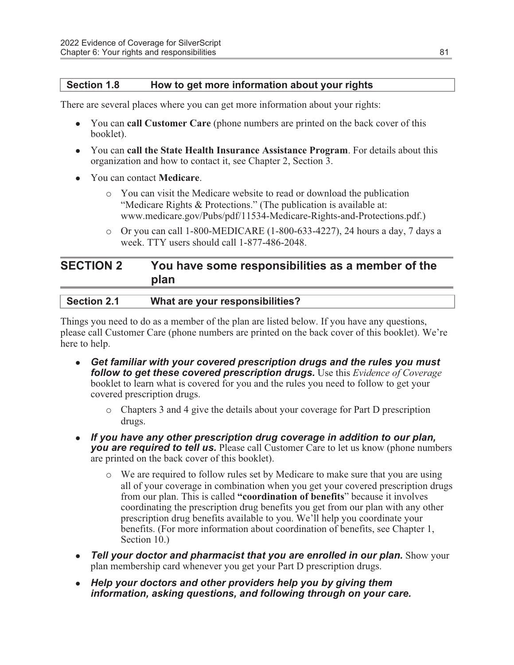#### Section 1.8 How to get more information about your rights

There are several places where you can get more information about your rights:

- You can call Customer Care (phone numbers are printed on the back cover of this booklet).
- You can call the State Health Insurance Assistance Program. For details about this organization and how to contact it, see Chapter 2, Section 3.
- You can contact **Medicare**.
	- o You can visit the Medicare website to read or download the publication "Medicare Rights & Protections." (The publication is available at: www.medicare.gov/Pubs/pdf/11534-Medicare-Rights-and-Protections.pdf.)
	- o Or you can call 1-800-MEDICARE (1-800-633-4227), 24 hours a day, 7 days a week. TTY users should call 1-877-486-2048.

## SECTION 2 You have some responsibilities as a member of the plan

| <b>Section 2.1</b> | What are your responsibilities? |
|--------------------|---------------------------------|
|                    |                                 |

Things you need to do as a member of the plan are listed below. If you have any questions, please call Customer Care (phone numbers are printed on the back cover of this booklet). We're here to help.

- Get familiar with your covered prescription drugs and the rules you must follow to get these covered prescription drugs. Use this Evidence of Coverage booklet to learn what is covered for you and the rules you need to follow to get your covered prescription drugs.
	- o Chapters 3 and 4 give the details about your coverage for Part D prescription drugs.
- If you have any other prescription drug coverage in addition to our plan, you are required to tell us. Please call Customer Care to let us know (phone numbers are printed on the back cover of this booklet).
	- o We are required to follow rules set by Medicare to make sure that you are using all of your coverage in combination when you get your covered prescription drugs from our plan. This is called "coordination of benefits" because it involves coordinating the prescription drug benefits you get from our plan with any other prescription drug benefits available to you. We'll help you coordinate your benefits. (For more information about coordination of benefits, see Chapter 1, Section 10.)
- **Tell your doctor and pharmacist that you are enrolled in our plan.** Show your plan membership card whenever you get your Part D prescription drugs.
- Help your doctors and other providers help you by giving them information, asking questions, and following through on your care.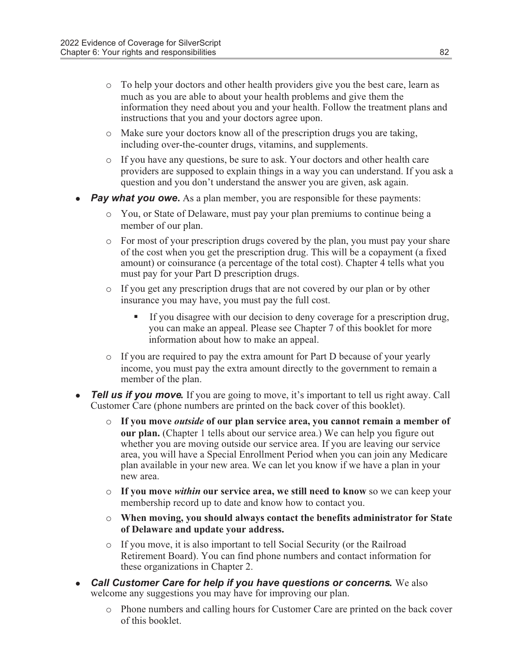- o To help your doctors and other health providers give you the best care, learn as much as you are able to about your health problems and give them the information they need about you and your health. Follow the treatment plans and instructions that you and your doctors agree upon.
- o Make sure your doctors know all of the prescription drugs you are taking, including over-the-counter drugs, vitamins, and supplements.
- o If you have any questions, be sure to ask. Your doctors and other health care providers are supposed to explain things in a way you can understand. If you ask a question and you don't understand the answer you are given, ask again.
- **Pay what you owe.** As a plan member, you are responsible for these payments:
	- o You, or State of Delaware, must pay your plan premiums to continue being a member of our plan.
	- $\circ$  For most of your prescription drugs covered by the plan, you must pay your share of the cost when you get the prescription drug. This will be a copayment (a fixed amount) or coinsurance (a percentage of the total cost). Chapter 4 tells what you must pay for your Part D prescription drugs.
	- o If you get any prescription drugs that are not covered by our plan or by other insurance you may have, you must pay the full cost.
		- § If you disagree with our decision to deny coverage for a prescription drug, you can make an appeal. Please see Chapter 7 of this booklet for more information about how to make an appeal.
	- o If you are required to pay the extra amount for Part D because of your yearly income, you must pay the extra amount directly to the government to remain a member of the plan.
- **Tell us if you move.** If you are going to move, it's important to tell us right away. Call Customer Care (phone numbers are printed on the back cover of this booklet).
	- $\circ$  If you move *outside* of our plan service area, you cannot remain a member of our plan. (Chapter 1 tells about our service area.) We can help you figure out whether you are moving outside our service area. If you are leaving our service area, you will have a Special Enrollment Period when you can join any Medicare plan available in your new area. We can let you know if we have a plan in your new area.
	- $\circ$  If you move *within* our service area, we still need to know so we can keep your membership record up to date and know how to contact you.
	- $\circ$  When moving, you should always contact the benefits administrator for State of Delaware and update your address.
	- o If you move, it is also important to tell Social Security (or the Railroad Retirement Board). You can find phone numbers and contact information for these organizations in Chapter 2.
- **Call Customer Care for help if you have questions or concerns.** We also welcome any suggestions you may have for improving our plan.
	- o Phone numbers and calling hours for Customer Care are printed on the back cover of this booklet.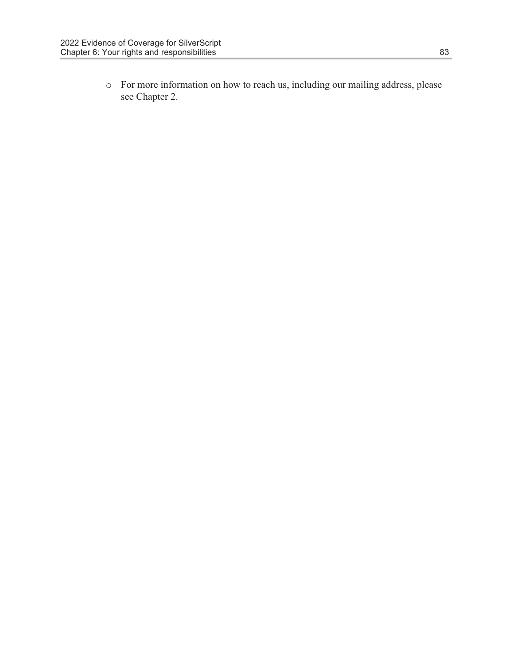o For more information on how to reach us, including our mailing address, please see Chapter 2.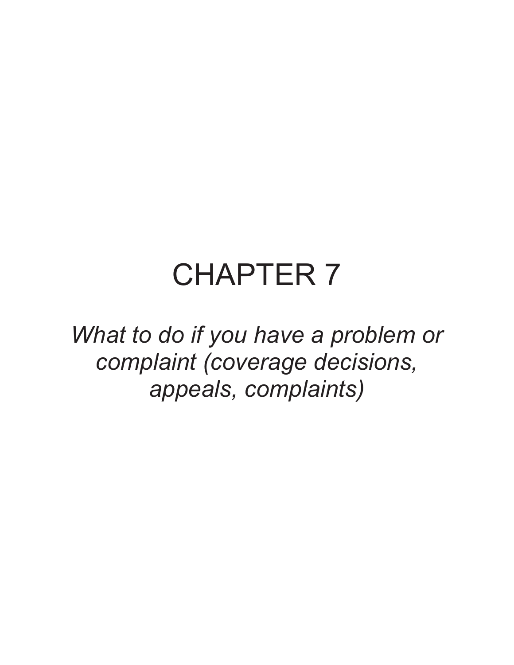## CHAPTER 7

What to do if you have a problem or complaint (coverage decisions, appeals, complaints)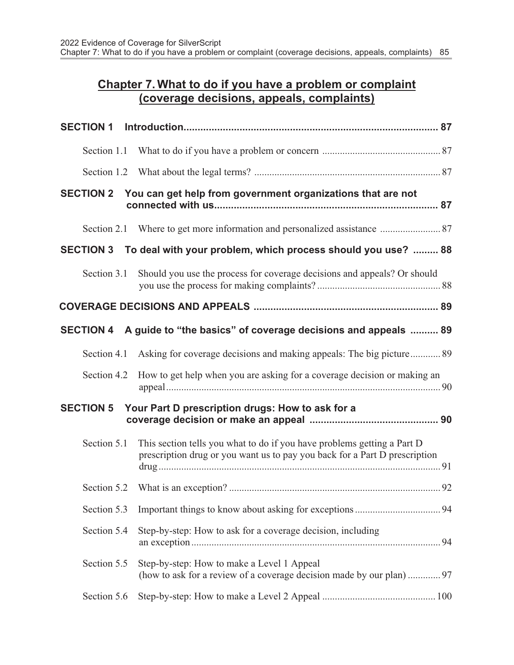## Chapter 7. What to do if you have a problem or complaint (coverage decisions, appeals, complaints)

| <b>SECTION 1</b> |                                                                                                                                                       |  |
|------------------|-------------------------------------------------------------------------------------------------------------------------------------------------------|--|
|                  |                                                                                                                                                       |  |
|                  |                                                                                                                                                       |  |
| <b>SECTION 2</b> | You can get help from government organizations that are not                                                                                           |  |
|                  | Section 2.1 Where to get more information and personalized assistance  87                                                                             |  |
|                  | SECTION 3 To deal with your problem, which process should you use?  88                                                                                |  |
| Section 3.1      | Should you use the process for coverage decisions and appeals? Or should                                                                              |  |
|                  |                                                                                                                                                       |  |
| <b>SECTION 4</b> | A guide to "the basics" of coverage decisions and appeals  89                                                                                         |  |
| Section 4.1      | Asking for coverage decisions and making appeals: The big picture 89                                                                                  |  |
| Section 4.2      | How to get help when you are asking for a coverage decision or making an                                                                              |  |
|                  | SECTION 5 Your Part D prescription drugs: How to ask for a                                                                                            |  |
| Section 5.1      | This section tells you what to do if you have problems getting a Part D<br>prescription drug or you want us to pay you back for a Part D prescription |  |
|                  |                                                                                                                                                       |  |
| Section 5.3      |                                                                                                                                                       |  |
| Section 5.4      | Step-by-step: How to ask for a coverage decision, including                                                                                           |  |
| Section 5.5      | Step-by-step: How to make a Level 1 Appeal                                                                                                            |  |
| Section 5.6      |                                                                                                                                                       |  |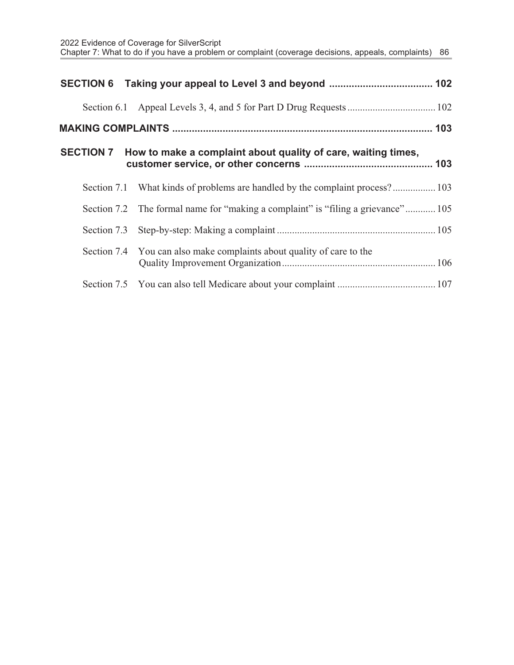| <b>SECTION 7</b> | How to make a complaint about quality of care, waiting times,                    |  |
|------------------|----------------------------------------------------------------------------------|--|
|                  | Section 7.1 What kinds of problems are handled by the complaint process? 103     |  |
|                  | Section 7.2 The formal name for "making a complaint" is "filing a grievance" 105 |  |
|                  |                                                                                  |  |
|                  | Section 7.4 You can also make complaints about quality of care to the            |  |
|                  |                                                                                  |  |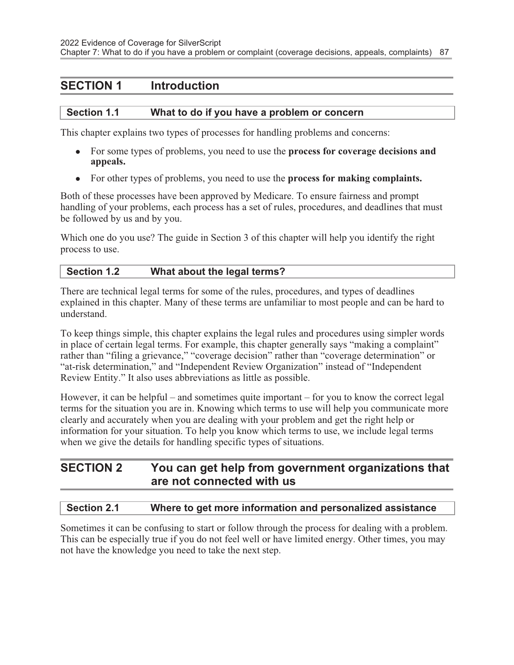## SECTION 1 Introduction

#### Section 1.1 What to do if you have a problem or concern

This chapter explains two types of processes for handling problems and concerns:

- For some types of problems, you need to use the **process for coverage decisions and** appeals.
- For other types of problems, you need to use the **process for making complaints.**

Both of these processes have been approved by Medicare. To ensure fairness and prompt handling of your problems, each process has a set of rules, procedures, and deadlines that must be followed by us and by you.

Which one do you use? The guide in Section 3 of this chapter will help you identify the right process to use.

#### Section 1.2 What about the legal terms?

There are technical legal terms for some of the rules, procedures, and types of deadlines explained in this chapter. Many of these terms are unfamiliar to most people and can be hard to understand.

To keep things simple, this chapter explains the legal rules and procedures using simpler words in place of certain legal terms. For example, this chapter generally says "making a complaint" rather than "filing a grievance," "coverage decision" rather than "coverage determination" or "at-risk determination," and "Independent Review Organization" instead of "Independent Review Entity." It also uses abbreviations as little as possible.

However, it can be helpful – and sometimes quite important – for you to know the correct legal terms for the situation you are in. Knowing which terms to use will help you communicate more clearly and accurately when you are dealing with your problem and get the right help or information for your situation. To help you know which terms to use, we include legal terms when we give the details for handling specific types of situations.

## SECTION 2 You can get help from government organizations that are not connected with us

#### Section 2.1 Where to get more information and personalized assistance

Sometimes it can be confusing to start or follow through the process for dealing with a problem. This can be especially true if you do not feel well or have limited energy. Other times, you may not have the knowledge you need to take the next step.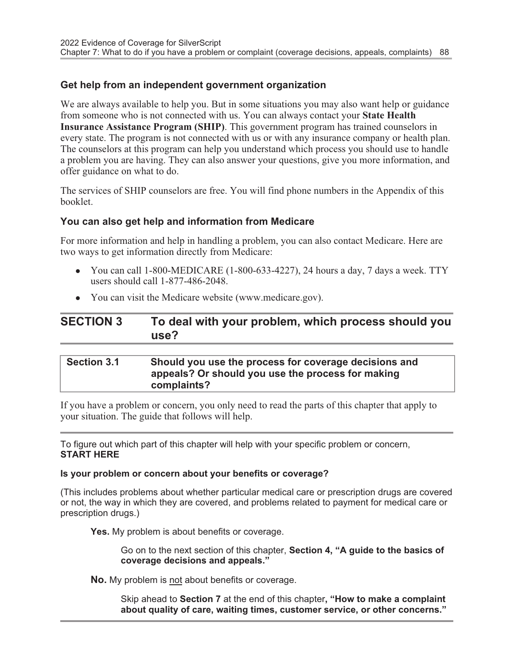#### Get help from an independent government organization

We are always available to help you. But in some situations you may also want help or guidance from someone who is not connected with us. You can always contact your State Health Insurance Assistance Program (SHIP). This government program has trained counselors in every state. The program is not connected with us or with any insurance company or health plan. The counselors at this program can help you understand which process you should use to handle a problem you are having. They can also answer your questions, give you more information, and offer guidance on what to do.

The services of SHIP counselors are free. You will find phone numbers in the Appendix of this booklet.

#### You can also get help and information from Medicare

For more information and help in handling a problem, you can also contact Medicare. Here are two ways to get information directly from Medicare:

- You can call 1-800-MEDICARE  $(1-800-633-4227)$ , 24 hours a day, 7 days a week. TTY users should call 1-877-486-2048.
- You can visit the Medicare website (www.medicare.gov).

## SECTION 3 To deal with your problem, which process should you use?

#### Section 3.1 Should you use the process for coverage decisions and appeals? Or should you use the process for making complaints?

If you have a problem or concern, you only need to read the parts of this chapter that apply to your situation. The guide that follows will help.

To figure out which part of this chapter will help with your specific problem or concern, START HERE

#### Is your problem or concern about your benefits or coverage?

(This includes problems about whether particular medical care or prescription drugs are covered or not, the way in which they are covered, and problems related to payment for medical care or prescription drugs.)

Yes. My problem is about benefits or coverage.

Go on to the next section of this chapter, Section 4, "A guide to the basics of coverage decisions and appeals."

No. My problem is not about benefits or coverage.

Skip ahead to Section 7 at the end of this chapter, "How to make a complaint about quality of care, waiting times, customer service, or other concerns."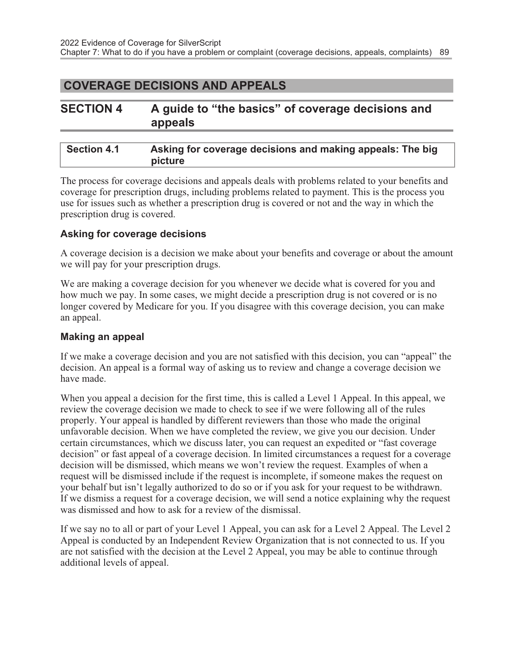## COVERAGE DECISIONS AND APPEALS

| <b>SECTION 4</b> |         | A guide to "the basics" of coverage decisions and |
|------------------|---------|---------------------------------------------------|
|                  | appeals |                                                   |

| Section 4.1 | Asking for coverage decisions and making appeals: The big |
|-------------|-----------------------------------------------------------|
|             | picture                                                   |

The process for coverage decisions and appeals deals with problems related to your benefits and coverage for prescription drugs, including problems related to payment. This is the process you use for issues such as whether a prescription drug is covered or not and the way in which the prescription drug is covered.

#### Asking for coverage decisions

A coverage decision is a decision we make about your benefits and coverage or about the amount we will pay for your prescription drugs.

We are making a coverage decision for you whenever we decide what is covered for you and how much we pay. In some cases, we might decide a prescription drug is not covered or is no longer covered by Medicare for you. If you disagree with this coverage decision, you can make an appeal.

#### Making an appeal

If we make a coverage decision and you are not satisfied with this decision, you can "appeal" the decision. An appeal is a formal way of asking us to review and change a coverage decision we have made.

When you appeal a decision for the first time, this is called a Level 1 Appeal. In this appeal, we review the coverage decision we made to check to see if we were following all of the rules properly. Your appeal is handled by different reviewers than those who made the original unfavorable decision. When we have completed the review, we give you our decision. Under certain circumstances, which we discuss later, you can request an expedited or "fast coverage decision" or fast appeal of a coverage decision. In limited circumstances a request for a coverage decision will be dismissed, which means we won't review the request. Examples of when a request will be dismissed include if the request is incomplete, if someone makes the request on your behalf but isn't legally authorized to do so or if you ask for your request to be withdrawn. If we dismiss a request for a coverage decision, we will send a notice explaining why the request was dismissed and how to ask for a review of the dismissal.

If we say no to all or part of your Level 1 Appeal, you can ask for a Level 2 Appeal. The Level 2 Appeal is conducted by an Independent Review Organization that is not connected to us. If you are not satisfied with the decision at the Level 2 Appeal, you may be able to continue through additional levels of appeal.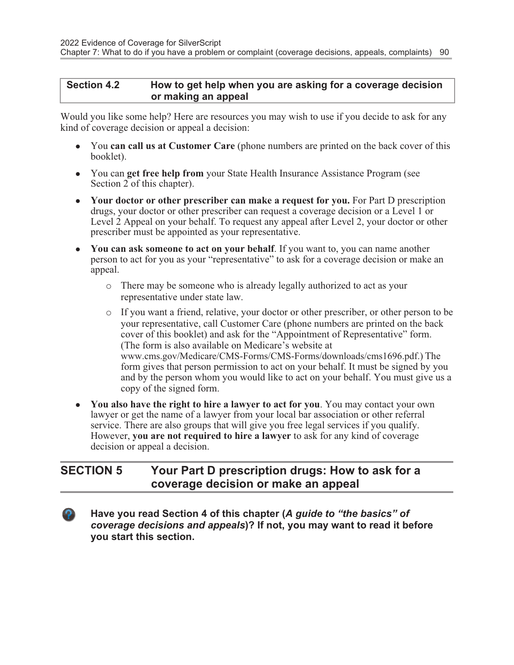#### Section 4.2 How to get help when you are asking for a coverage decision or making an appeal

Would you like some help? Here are resources you may wish to use if you decide to ask for any kind of coverage decision or appeal a decision:

- You can call us at Customer Care (phone numbers are printed on the back cover of this booklet).
- You can get free help from your State Health Insurance Assistance Program (see Section 2 of this chapter).
- Your doctor or other prescriber can make a request for you. For Part D prescription drugs, your doctor or other prescriber can request a coverage decision or a Level 1 or Level 2 Appeal on your behalf. To request any appeal after Level 2, your doctor or other prescriber must be appointed as your representative.
- You can ask someone to act on your behalf. If you want to, you can name another person to act for you as your "representative" to ask for a coverage decision or make an appeal.
	- o There may be someone who is already legally authorized to act as your representative under state law.
	- o If you want a friend, relative, your doctor or other prescriber, or other person to be your representative, call Customer Care (phone numbers are printed on the back cover of this booklet) and ask for the "Appointment of Representative" form. (The form is also available on Medicare's website at www.cms.gov/Medicare/CMS-Forms/CMS-Forms/downloads/cms1696.pdf.) The form gives that person permission to act on your behalf. It must be signed by you and by the person whom you would like to act on your behalf. You must give us a copy of the signed form.
- You also have the right to hire a lawyer to act for you. You may contact your own lawyer or get the name of a lawyer from your local bar association or other referral service. There are also groups that will give you free legal services if you qualify. However, you are not required to hire a lawyer to ask for any kind of coverage decision or appeal a decision.

## SECTION 5 Your Part D prescription drugs: How to ask for a coverage decision or make an appeal

Have you read Section 4 of this chapter (A guide to "the basics" of coverage decisions and appeals)? If not, you may want to read it before you start this section.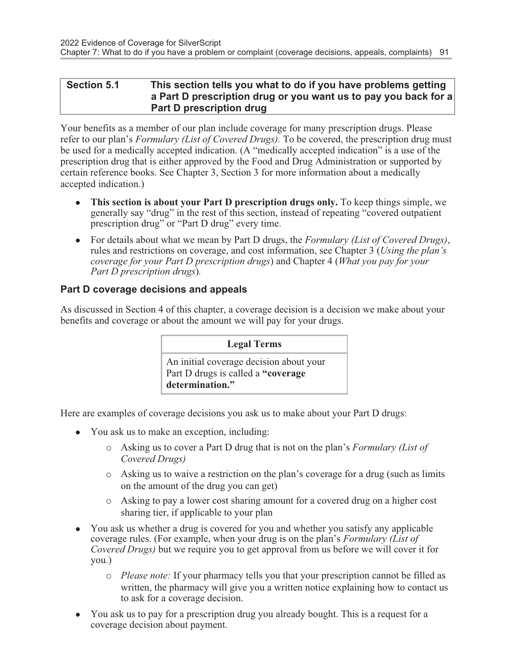#### Section 5.1 This section tells you what to do if you have problems getting a Part D prescription drug or you want us to pay you back for a Part D prescription drug

Your benefits as a member of our plan include coverage for many prescription drugs. Please refer to our plan's *Formulary (List of Covered Drugs)*. To be covered, the prescription drug must be used for a medically accepted indication. (A "medically accepted indication" is a use of the prescription drug that is either approved by the Food and Drug Administration or supported by certain reference books. See Chapter 3, Section 3 for more information about a medically accepted indication.)

- **This section is about your Part D prescription drugs only.** To keep things simple, we generally say "drug" in the rest of this section, instead of repeating "covered outpatient prescription drug" or "Part D drug" every time.
- For details about what we mean by Part D drugs, the Formulary (List of Covered Drugs), rules and restrictions on coverage, and cost information, see Chapter 3 (Using the plan's coverage for your Part D prescription drugs) and Chapter 4 (What you pay for your Part D prescription drugs).

## Part D coverage decisions and appeals

As discussed in Section 4 of this chapter, a coverage decision is a decision we make about your benefits and coverage or about the amount we will pay for your drugs.

Legal Terms

An initial coverage decision about your Part D drugs is called a "coverage determination."

Here are examples of coverage decisions you ask us to make about your Part D drugs:

- You ask us to make an exception, including:
	- o Asking us to cover a Part D drug that is not on the plan's Formulary (List of Covered Drugs)
	- o Asking us to waive a restriction on the plan's coverage for a drug (such as limits on the amount of the drug you can get)
	- o Asking to pay a lower cost sharing amount for a covered drug on a higher cost sharing tier, if applicable to your plan
- You ask us whether a drug is covered for you and whether you satisfy any applicable coverage rules. (For example, when your drug is on the plan's Formulary (List of Covered Drugs) but we require you to get approval from us before we will cover it for you.)
	- o Please note: If your pharmacy tells you that your prescription cannot be filled as written, the pharmacy will give you a written notice explaining how to contact us to ask for a coverage decision.
- <sup>l</sup> You ask us to pay for a prescription drug you already bought. This is a request for a coverage decision about payment.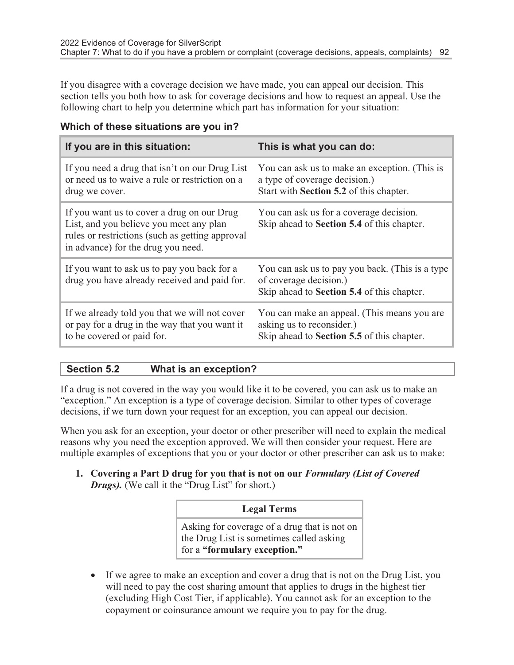If you disagree with a coverage decision we have made, you can appeal our decision. This section tells you both how to ask for coverage decisions and how to request an appeal. Use the following chart to help you determine which part has information for your situation:

| If you are in this situation:                                                                                                                                                  | This is what you can do:                                                                                                  |
|--------------------------------------------------------------------------------------------------------------------------------------------------------------------------------|---------------------------------------------------------------------------------------------------------------------------|
| If you need a drug that isn't on our Drug List<br>or need us to waive a rule or restriction on a<br>drug we cover.                                                             | You can ask us to make an exception. (This is<br>a type of coverage decision.)<br>Start with Section 5.2 of this chapter. |
| If you want us to cover a drug on our Drug<br>List, and you believe you meet any plan<br>rules or restrictions (such as getting approval<br>in advance) for the drug you need. | You can ask us for a coverage decision.<br>Skip ahead to Section 5.4 of this chapter.                                     |
| If you want to ask us to pay you back for a<br>drug you have already received and paid for.                                                                                    | You can ask us to pay you back. (This is a type<br>of coverage decision.)<br>Skip ahead to Section 5.4 of this chapter.   |
| If we already told you that we will not cover<br>or pay for a drug in the way that you want it<br>to be covered or paid for.                                                   | You can make an appeal. (This means you are<br>asking us to reconsider.)<br>Skip ahead to Section 5.5 of this chapter.    |

#### Which of these situations are you in?

#### Section 5.2 What is an exception?

If a drug is not covered in the way you would like it to be covered, you can ask us to make an "exception." An exception is a type of coverage decision. Similar to other types of coverage decisions, if we turn down your request for an exception, you can appeal our decision.

When you ask for an exception, your doctor or other prescriber will need to explain the medical reasons why you need the exception approved. We will then consider your request. Here are multiple examples of exceptions that you or your doctor or other prescriber can ask us to make:

1. Covering a Part D drug for you that is not on our Formulary (List of Covered Drugs). (We call it the "Drug List" for short.)

#### Legal Terms

Asking for coverage of a drug that is not on the Drug List is sometimes called asking for a "formulary exception."

• If we agree to make an exception and cover a drug that is not on the Drug List, you will need to pay the cost sharing amount that applies to drugs in the highest tier (excluding High Cost Tier, if applicable). You cannot ask for an exception to the copayment or coinsurance amount we require you to pay for the drug.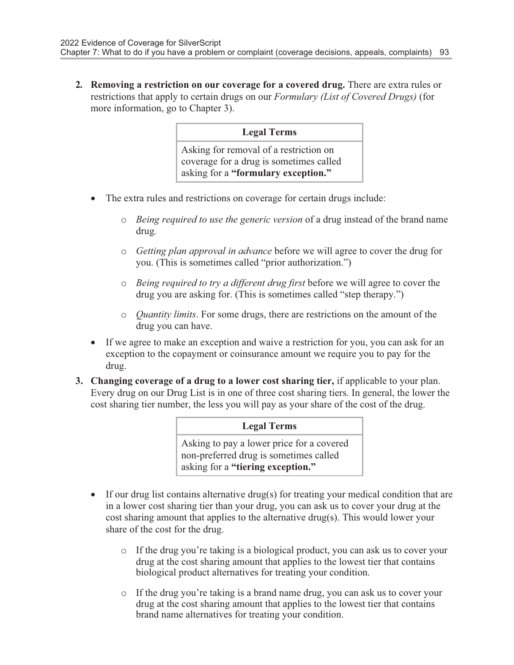2. Removing a restriction on our coverage for a covered drug. There are extra rules or restrictions that apply to certain drugs on our Formulary (List of Covered Drugs) (for more information, go to Chapter 3).

#### Legal Terms

Asking for removal of a restriction on coverage for a drug is sometimes called asking for a "formulary exception."

- · The extra rules and restrictions on coverage for certain drugs include:
	- o Being required to use the generic version of a drug instead of the brand name drug.
	- o Getting plan approval in advance before we will agree to cover the drug for you. (This is sometimes called "prior authorization.")
	- $\circ$  Being required to try a different drug first before we will agree to cover the drug you are asking for. (This is sometimes called "step therapy.")
	- o Quantity limits. For some drugs, there are restrictions on the amount of the drug you can have.
- If we agree to make an exception and waive a restriction for you, you can ask for an exception to the copayment or coinsurance amount we require you to pay for the drug.
- 3. Changing coverage of a drug to a lower cost sharing tier, if applicable to your plan. Every drug on our Drug List is in one of three cost sharing tiers. In general, the lower the cost sharing tier number, the less you will pay as your share of the cost of the drug.

#### Legal Terms

Asking to pay a lower price for a covered non-preferred drug is sometimes called asking for a "tiering exception."

- If our drug list contains alternative drug(s) for treating your medical condition that are in a lower cost sharing tier than your drug, you can ask us to cover your drug at the cost sharing amount that applies to the alternative drug(s). This would lower your share of the cost for the drug.
	- o If the drug you're taking is a biological product, you can ask us to cover your drug at the cost sharing amount that applies to the lowest tier that contains biological product alternatives for treating your condition.
	- o If the drug you're taking is a brand name drug, you can ask us to cover your drug at the cost sharing amount that applies to the lowest tier that contains brand name alternatives for treating your condition.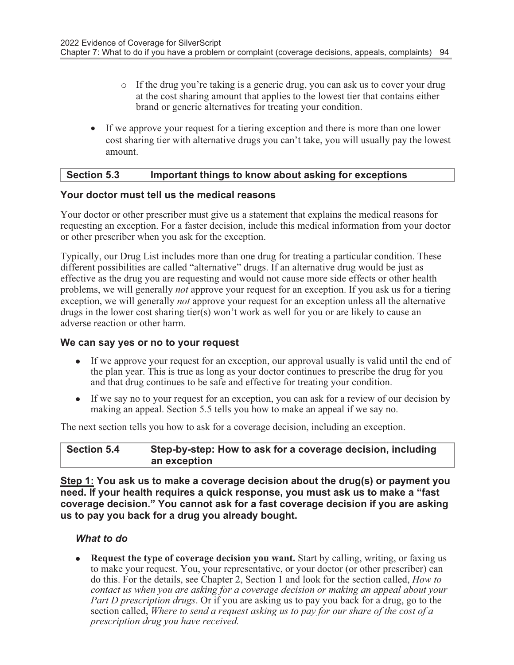- o If the drug you're taking is a generic drug, you can ask us to cover your drug at the cost sharing amount that applies to the lowest tier that contains either brand or generic alternatives for treating your condition.
- If we approve your request for a tiering exception and there is more than one lower cost sharing tier with alternative drugs you can't take, you will usually pay the lowest amount.

#### Section 5.3 Important things to know about asking for exceptions

#### Your doctor must tell us the medical reasons

Your doctor or other prescriber must give us a statement that explains the medical reasons for requesting an exception. For a faster decision, include this medical information from your doctor or other prescriber when you ask for the exception.

Typically, our Drug List includes more than one drug for treating a particular condition. These different possibilities are called "alternative" drugs. If an alternative drug would be just as effective as the drug you are requesting and would not cause more side effects or other health problems, we will generally *not* approve your request for an exception. If you ask us for a tiering exception, we will generally *not* approve your request for an exception unless all the alternative drugs in the lower cost sharing tier(s) won't work as well for you or are likely to cause an adverse reaction or other harm.

#### We can say yes or no to your request

- If we approve your request for an exception, our approval usually is valid until the end of the plan year. This is true as long as your doctor continues to prescribe the drug for you and that drug continues to be safe and effective for treating your condition.
- If we say no to your request for an exception, you can ask for a review of our decision by making an appeal. Section 5.5 tells you how to make an appeal if we say no.

The next section tells you how to ask for a coverage decision, including an exception.

#### Section 5.4 Step-by-step: How to ask for a coverage decision, including an exception

Step 1: You ask us to make a coverage decision about the drug(s) or payment you need. If your health requires a quick response, you must ask us to make a "fast coverage decision." You cannot ask for a fast coverage decision if you are asking us to pay you back for a drug you already bought.

#### What to do

• Request the type of coverage decision you want. Start by calling, writing, or faxing us to make your request. You, your representative, or your doctor (or other prescriber) can do this. For the details, see Chapter 2, Section 1 and look for the section called, How to contact us when you are asking for a coverage decision or making an appeal about your Part D prescription drugs. Or if you are asking us to pay you back for a drug, go to the section called, Where to send a request asking us to pay for our share of the cost of a prescription drug you have received.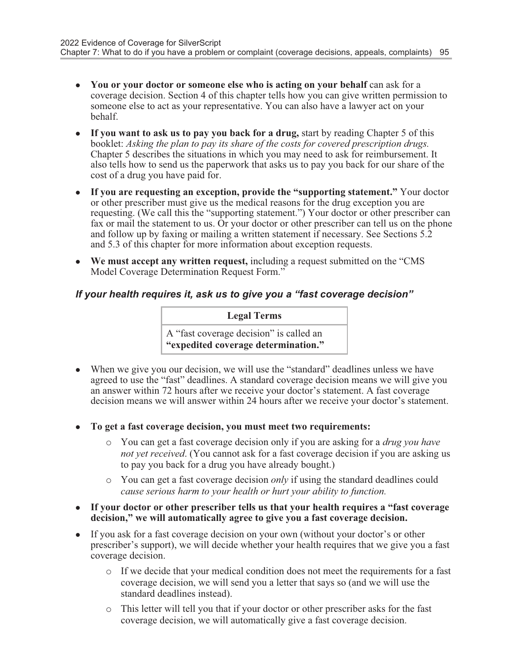- You or your doctor or someone else who is acting on your behalf can ask for a coverage decision. Section 4 of this chapter tells how you can give written permission to someone else to act as your representative. You can also have a lawyer act on your behalf.
- If you want to ask us to pay you back for a drug, start by reading Chapter 5 of this booklet: Asking the plan to pay its share of the costs for covered prescription drugs. Chapter 5 describes the situations in which you may need to ask for reimbursement. It also tells how to send us the paperwork that asks us to pay you back for our share of the cost of a drug you have paid for.
- If you are requesting an exception, provide the "supporting statement." Your doctor or other prescriber must give us the medical reasons for the drug exception you are requesting. (We call this the "supporting statement.") Your doctor or other prescriber can fax or mail the statement to us. Or your doctor or other prescriber can tell us on the phone and follow up by faxing or mailing a written statement if necessary. See Sections 5.2 and 5.3 of this chapter for more information about exception requests.
- We must accept any written request, including a request submitted on the "CMS" Model Coverage Determination Request Form."

#### If your health requires it, ask us to give you a "fast coverage decision"

Legal Terms

A "fast coverage decision" is called an "expedited coverage determination."

- When we give you our decision, we will use the "standard" deadlines unless we have agreed to use the "fast" deadlines. A standard coverage decision means we will give you an answer within 72 hours after we receive your doctor's statement. A fast coverage decision means we will answer within 24 hours after we receive your doctor's statement.
- <sup>l</sup> To get a fast coverage decision, you must meet two requirements:
	- $\circ$  You can get a fast coverage decision only if you are asking for a *drug you have* not yet received. (You cannot ask for a fast coverage decision if you are asking us to pay you back for a drug you have already bought.)
	- $\circ$  You can get a fast coverage decision *only* if using the standard deadlines could cause serious harm to your health or hurt your ability to function.
- If your doctor or other prescriber tells us that your health requires a "fast coverage decision," we will automatically agree to give you a fast coverage decision.
- If you ask for a fast coverage decision on your own (without your doctor's or other prescriber's support), we will decide whether your health requires that we give you a fast coverage decision.
	- o If we decide that your medical condition does not meet the requirements for a fast coverage decision, we will send you a letter that says so (and we will use the standard deadlines instead).
	- o This letter will tell you that if your doctor or other prescriber asks for the fast coverage decision, we will automatically give a fast coverage decision.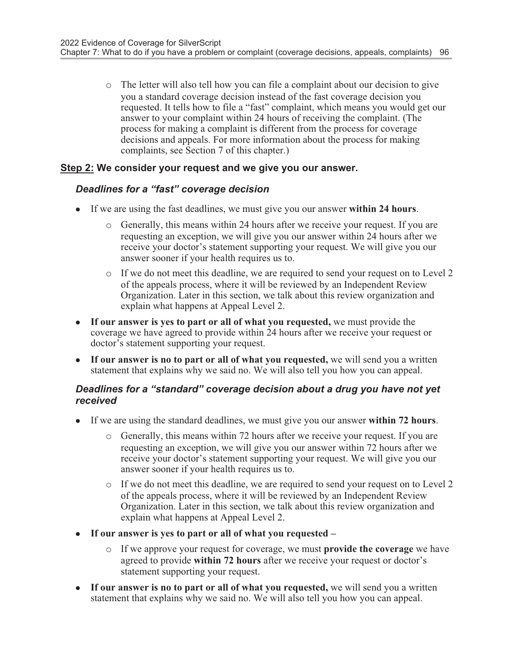o The letter will also tell how you can file a complaint about our decision to give you a standard coverage decision instead of the fast coverage decision you requested. It tells how to file a "fast" complaint, which means you would get our answer to your complaint within 24 hours of receiving the complaint. (The process for making a complaint is different from the process for coverage decisions and appeals. For more information about the process for making complaints, see Section 7 of this chapter.)

#### Step 2: We consider your request and we give you our answer.

#### Deadlines for a "fast" coverage decision

- If we are using the fast deadlines, we must give you our answer within  $24$  hours.
	- o Generally, this means within 24 hours after we receive your request. If you are requesting an exception, we will give you our answer within 24 hours after we receive your doctor's statement supporting your request. We will give you our answer sooner if your health requires us to.
	- o If we do not meet this deadline, we are required to send your request on to Level 2 of the appeals process, where it will be reviewed by an Independent Review Organization. Later in this section, we talk about this review organization and explain what happens at Appeal Level 2.
- If our answer is yes to part or all of what you requested, we must provide the coverage we have agreed to provide within 24 hours after we receive your request or doctor's statement supporting your request.
- If our answer is no to part or all of what you requested, we will send you a written statement that explains why we said no. We will also tell you how you can appeal.

#### Deadlines for a "standard" coverage decision about a drug you have not yet received

- If we are using the standard deadlines, we must give you our answer within 72 hours.
	- o Generally, this means within 72 hours after we receive your request. If you are requesting an exception, we will give you our answer within 72 hours after we receive your doctor's statement supporting your request. We will give you our answer sooner if your health requires us to.
	- o If we do not meet this deadline, we are required to send your request on to Level 2 of the appeals process, where it will be reviewed by an Independent Review Organization. Later in this section, we talk about this review organization and explain what happens at Appeal Level 2.
- If our answer is yes to part or all of what you requested  $$ 
	- o If we approve your request for coverage, we must provide the coverage we have agreed to provide within 72 hours after we receive your request or doctor's statement supporting your request.
- If our answer is no to part or all of what you requested, we will send you a written statement that explains why we said no. We will also tell you how you can appeal.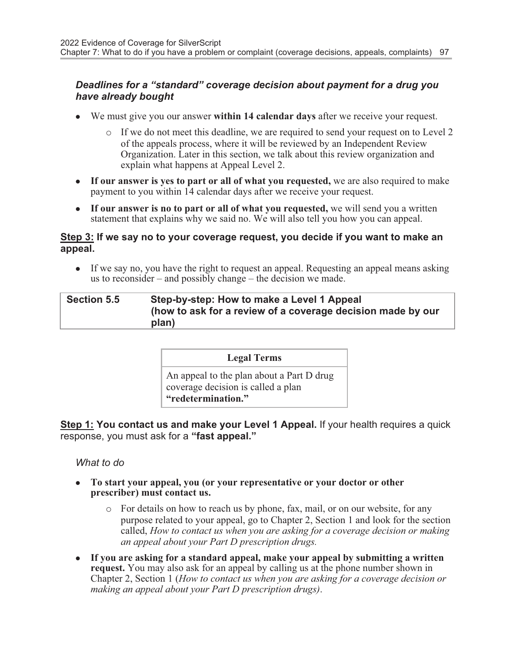#### Deadlines for a "standard" coverage decision about payment for a drug you have already bought

- $\bullet$  We must give you our answer within 14 calendar days after we receive your request.
	- o If we do not meet this deadline, we are required to send your request on to Level 2 of the appeals process, where it will be reviewed by an Independent Review Organization. Later in this section, we talk about this review organization and explain what happens at Appeal Level 2.
- If our answer is yes to part or all of what you requested, we are also required to make payment to you within 14 calendar days after we receive your request.
- $\bullet$  If our answer is no to part or all of what you requested, we will send you a written statement that explains why we said no. We will also tell you how you can appeal.

#### Step 3: If we say no to your coverage request, you decide if you want to make an appeal.

If we say no, you have the right to request an appeal. Requesting an appeal means asking us to reconsider – and possibly change – the decision we made.

#### Section 5.5 Step-by-step: How to make a Level 1 Appeal (how to ask for a review of a coverage decision made by our plan)

#### Legal Terms

An appeal to the plan about a Part D drug coverage decision is called a plan "redetermination."

Step 1: You contact us and make your Level 1 Appeal. If your health requires a quick response, you must ask for a "fast appeal."

#### What to do

- To start your appeal, you (or your representative or your doctor or other prescriber) must contact us.
	- $\circ$  For details on how to reach us by phone, fax, mail, or on our website, for any purpose related to your appeal, go to Chapter 2, Section 1 and look for the section called, How to contact us when you are asking for a coverage decision or making an appeal about your Part D prescription drugs.
- If you are asking for a standard appeal, make your appeal by submitting a written request. You may also ask for an appeal by calling us at the phone number shown in Chapter 2, Section 1 (How to contact us when you are asking for a coverage decision or making an appeal about your Part D prescription drugs).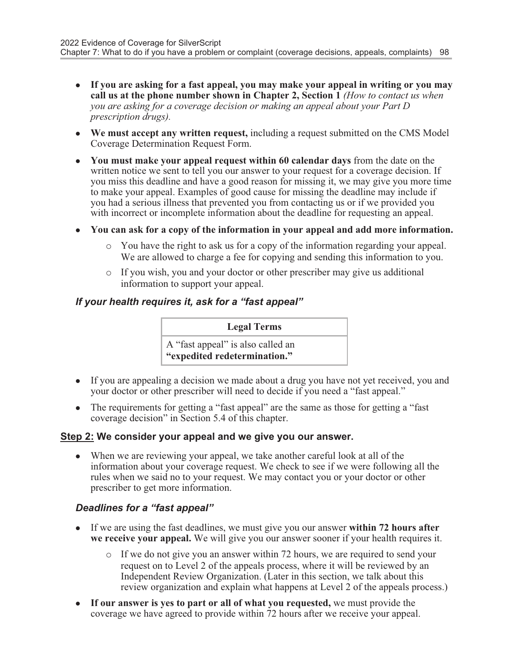- If you are asking for a fast appeal, you may make your appeal in writing or you may call us at the phone number shown in Chapter 2, Section 1 (How to contact us when you are asking for a coverage decision or making an appeal about your Part D prescription drugs).
- We must accept any written request, including a request submitted on the CMS Model Coverage Determination Request Form.
- You must make your appeal request within 60 calendar days from the date on the written notice we sent to tell you our answer to your request for a coverage decision. If you miss this deadline and have a good reason for missing it, we may give you more time to make your appeal. Examples of good cause for missing the deadline may include if you had a serious illness that prevented you from contacting us or if we provided you with incorrect or incomplete information about the deadline for requesting an appeal.
- You can ask for a copy of the information in your appeal and add more information.
	- o You have the right to ask us for a copy of the information regarding your appeal. We are allowed to charge a fee for copying and sending this information to you.
	- o If you wish, you and your doctor or other prescriber may give us additional information to support your appeal.

#### If your health requires it, ask for a "fast appeal"

#### Legal Terms

A "fast appeal" is also called an "expedited redetermination."

- If you are appealing a decision we made about a drug you have not yet received, you and your doctor or other prescriber will need to decide if you need a "fast appeal."
- The requirements for getting a "fast appeal" are the same as those for getting a "fast coverage decision" in Section 5.4 of this chapter.

#### Step 2: We consider your appeal and we give you our answer.

• When we are reviewing your appeal, we take another careful look at all of the information about your coverage request. We check to see if we were following all the rules when we said no to your request. We may contact you or your doctor or other prescriber to get more information.

#### Deadlines for a "fast appeal"

- If we are using the fast deadlines, we must give you our answer within  $72$  hours after we receive your appeal. We will give you our answer sooner if your health requires it.
	- o If we do not give you an answer within 72 hours, we are required to send your request on to Level 2 of the appeals process, where it will be reviewed by an Independent Review Organization. (Later in this section, we talk about this review organization and explain what happens at Level 2 of the appeals process.)
- If our answer is yes to part or all of what you requested, we must provide the coverage we have agreed to provide within 72 hours after we receive your appeal.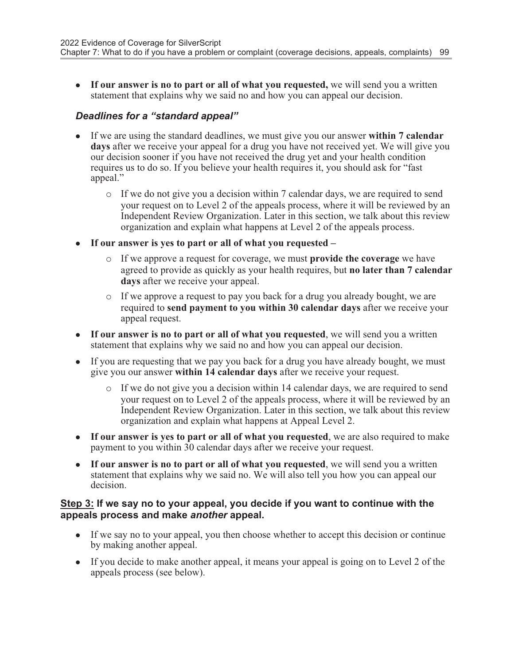• If our answer is no to part or all of what you requested, we will send you a written statement that explains why we said no and how you can appeal our decision.

#### Deadlines for a "standard appeal"

- If we are using the standard deadlines, we must give you our answer within 7 calendar days after we receive your appeal for a drug you have not received yet. We will give you our decision sooner if you have not received the drug yet and your health condition requires us to do so. If you believe your health requires it, you should ask for "fast appeal."
	- o If we do not give you a decision within 7 calendar days, we are required to send your request on to Level 2 of the appeals process, where it will be reviewed by an Independent Review Organization. Later in this section, we talk about this review organization and explain what happens at Level 2 of the appeals process.
- $\bullet$  If our answer is yes to part or all of what you requested
	- o If we approve a request for coverage, we must provide the coverage we have agreed to provide as quickly as your health requires, but no later than 7 calendar days after we receive your appeal.
	- o If we approve a request to pay you back for a drug you already bought, we are required to send payment to you within 30 calendar days after we receive your appeal request.
- $\bullet$  If our answer is no to part or all of what you requested, we will send you a written statement that explains why we said no and how you can appeal our decision.
- If you are requesting that we pay you back for a drug you have already bought, we must give you our answer within 14 calendar days after we receive your request.
	- o If we do not give you a decision within 14 calendar days, we are required to send your request on to Level 2 of the appeals process, where it will be reviewed by an Independent Review Organization. Later in this section, we talk about this review organization and explain what happens at Appeal Level 2.
- If our answer is yes to part or all of what you requested, we are also required to make payment to you within 30 calendar days after we receive your request.
- If our answer is no to part or all of what you requested, we will send you a written statement that explains why we said no. We will also tell you how you can appeal our decision.

#### Step 3: If we say no to your appeal, you decide if you want to continue with the appeals process and make another appeal.

- If we say no to your appeal, you then choose whether to accept this decision or continue by making another appeal.
- If you decide to make another appeal, it means your appeal is going on to Level 2 of the appeals process (see below).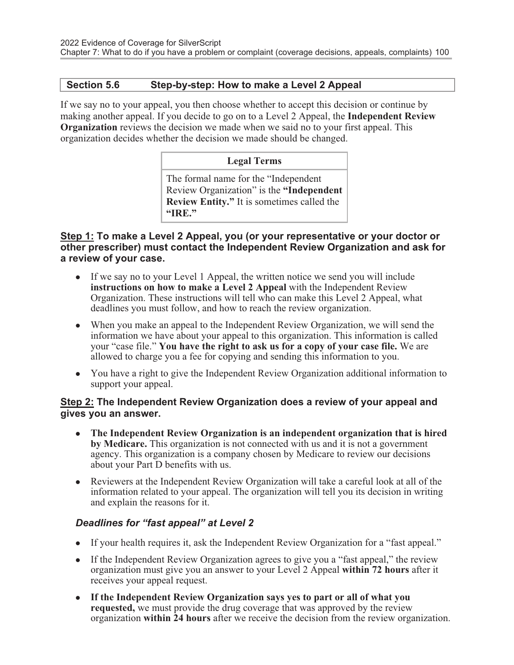#### Section 5.6 Step-by-step: How to make a Level 2 Appeal

If we say no to your appeal, you then choose whether to accept this decision or continue by making another appeal. If you decide to go on to a Level 2 Appeal, the Independent Review Organization reviews the decision we made when we said no to your first appeal. This organization decides whether the decision we made should be changed.

#### Legal Terms

The formal name for the "Independent Review Organization" is the "Independent Review Entity." It is sometimes called the "IRE."

#### Step 1: To make a Level 2 Appeal, you (or your representative or your doctor or other prescriber) must contact the Independent Review Organization and ask for a review of your case.

- If we say no to your Level 1 Appeal, the written notice we send you will include instructions on how to make a Level 2 Appeal with the Independent Review Organization. These instructions will tell who can make this Level 2 Appeal, what deadlines you must follow, and how to reach the review organization.
- When you make an appeal to the Independent Review Organization, we will send the information we have about your appeal to this organization. This information is called your "case file." You have the right to ask us for a copy of your case file. We are allowed to charge you a fee for copying and sending this information to you.
- You have a right to give the Independent Review Organization additional information to support your appeal.

#### Step 2: The Independent Review Organization does a review of your appeal and gives you an answer.

- The Independent Review Organization is an independent organization that is hired by Medicare. This organization is not connected with us and it is not a government agency. This organization is a company chosen by Medicare to review our decisions about your Part D benefits with us.
- Reviewers at the Independent Review Organization will take a careful look at all of the information related to your appeal. The organization will tell you its decision in writing and explain the reasons for it.

#### Deadlines for "fast appeal" at Level 2

- If your health requires it, ask the Independent Review Organization for a "fast appeal."
- If the Independent Review Organization agrees to give you a "fast appeal," the review organization must give you an answer to your Level 2 Appeal within 72 hours after it receives your appeal request.
- If the Independent Review Organization says yes to part or all of what you requested, we must provide the drug coverage that was approved by the review organization within 24 hours after we receive the decision from the review organization.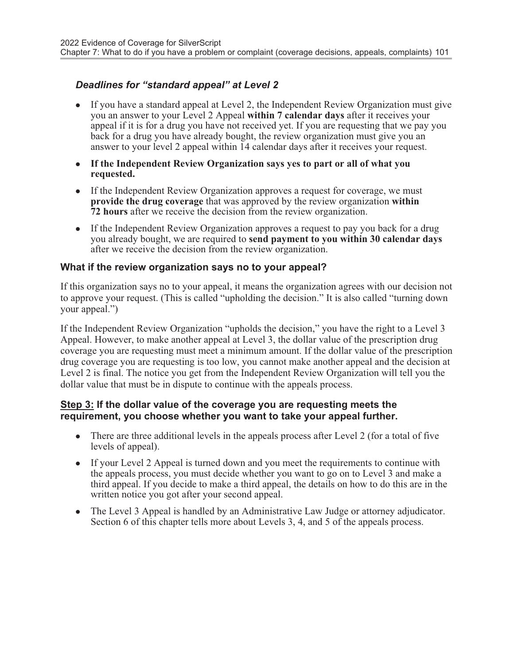## Deadlines for "standard appeal" at Level 2

- If you have a standard appeal at Level 2, the Independent Review Organization must give you an answer to your Level 2 Appeal within 7 calendar days after it receives your appeal if it is for a drug you have not received yet. If you are requesting that we pay you back for a drug you have already bought, the review organization must give you an answer to your level 2 appeal within 14 calendar days after it receives your request.
- If the Independent Review Organization says yes to part or all of what you requested.
- If the Independent Review Organization approves a request for coverage, we must provide the drug coverage that was approved by the review organization within 72 hours after we receive the decision from the review organization.
- If the Independent Review Organization approves a request to pay you back for a drug you already bought, we are required to send payment to you within 30 calendar days after we receive the decision from the review organization.

#### What if the review organization says no to your appeal?

If this organization says no to your appeal, it means the organization agrees with our decision not to approve your request. (This is called "upholding the decision." It is also called "turning down your appeal.")

If the Independent Review Organization "upholds the decision," you have the right to a Level 3 Appeal. However, to make another appeal at Level 3, the dollar value of the prescription drug coverage you are requesting must meet a minimum amount. If the dollar value of the prescription drug coverage you are requesting is too low, you cannot make another appeal and the decision at Level 2 is final. The notice you get from the Independent Review Organization will tell you the dollar value that must be in dispute to continue with the appeals process.

#### Step 3: If the dollar value of the coverage you are requesting meets the requirement, you choose whether you want to take your appeal further.

- $\bullet$  There are three additional levels in the appeals process after Level 2 (for a total of five levels of appeal).
- If your Level 2 Appeal is turned down and you meet the requirements to continue with the appeals process, you must decide whether you want to go on to Level 3 and make a third appeal. If you decide to make a third appeal, the details on how to do this are in the written notice you got after your second appeal.
- The Level 3 Appeal is handled by an Administrative Law Judge or attorney adjudicator. Section 6 of this chapter tells more about Levels 3, 4, and 5 of the appeals process.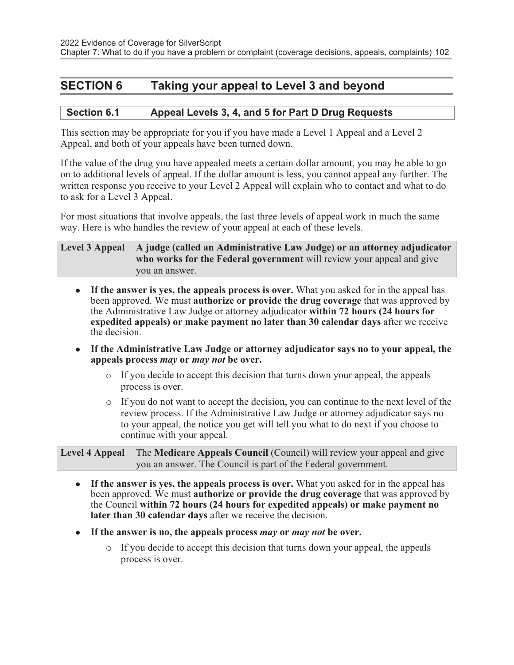## SECTION 6 Taking your appeal to Level 3 and beyond

#### Section 6.1 Appeal Levels 3, 4, and 5 for Part D Drug Requests

This section may be appropriate for you if you have made a Level 1 Appeal and a Level 2 Appeal, and both of your appeals have been turned down.

If the value of the drug you have appealed meets a certain dollar amount, you may be able to go on to additional levels of appeal. If the dollar amount is less, you cannot appeal any further. The written response you receive to your Level 2 Appeal will explain who to contact and what to do to ask for a Level 3 Appeal.

For most situations that involve appeals, the last three levels of appeal work in much the same way. Here is who handles the review of your appeal at each of these levels.

#### Level 3 Appeal A judge (called an Administrative Law Judge) or an attorney adjudicator who works for the Federal government will review your appeal and give you an answer.

- If the answer is yes, the appeals process is over. What you asked for in the appeal has been approved. We must authorize or provide the drug coverage that was approved by the Administrative Law Judge or attorney adjudicator within 72 hours (24 hours for expedited appeals) or make payment no later than 30 calendar days after we receive the decision.
- If the Administrative Law Judge or attorney adjudicator says no to your appeal, the appeals process may or may not be over.
	- $\circ$  If you decide to accept this decision that turns down your appeal, the appeals process is over.
	- o If you do not want to accept the decision, you can continue to the next level of the review process. If the Administrative Law Judge or attorney adjudicator says no to your appeal, the notice you get will tell you what to do next if you choose to continue with your appeal.

Level 4 Appeal The Medicare Appeals Council (Council) will review your appeal and give you an answer. The Council is part of the Federal government.

- If the answer is yes, the appeals process is over. What you asked for in the appeal has been approved. We must authorize or provide the drug coverage that was approved by the Council within 72 hours (24 hours for expedited appeals) or make payment no later than 30 calendar days after we receive the decision.
- If the answer is no, the appeals process may or may not be over.
	- o If you decide to accept this decision that turns down your appeal, the appeals process is over.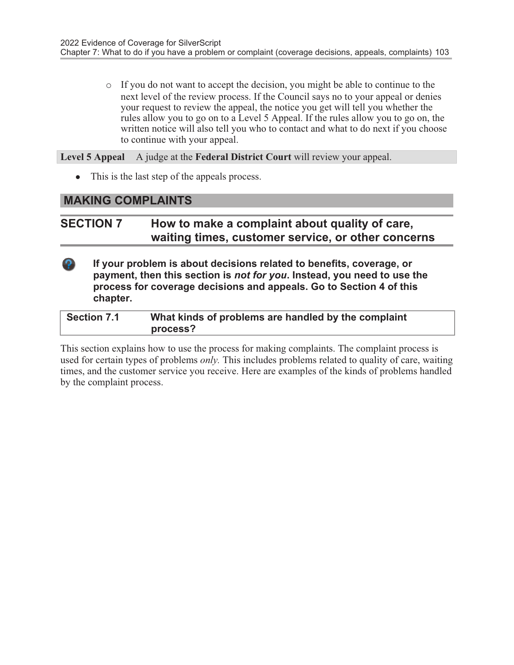o If you do not want to accept the decision, you might be able to continue to the next level of the review process. If the Council says no to your appeal or denies your request to review the appeal, the notice you get will tell you whether the rules allow you to go on to a Level 5 Appeal. If the rules allow you to go on, the written notice will also tell you who to contact and what to do next if you choose to continue with your appeal.

Level 5 Appeal A judge at the Federal District Court will review your appeal.

• This is the last step of the appeals process.

## MAKING COMPLAINTS

## SECTION 7 How to make a complaint about quality of care, waiting times, customer service, or other concerns

If your problem is about decisions related to benefits, coverage, or payment, then this section is not for you. Instead, you need to use the process for coverage decisions and appeals. Go to Section 4 of this chapter.

| <b>Section 7.1</b> | What kinds of problems are handled by the complaint |
|--------------------|-----------------------------------------------------|
|                    | process?                                            |

This section explains how to use the process for making complaints. The complaint process is used for certain types of problems *only*. This includes problems related to quality of care, waiting times, and the customer service you receive. Here are examples of the kinds of problems handled by the complaint process.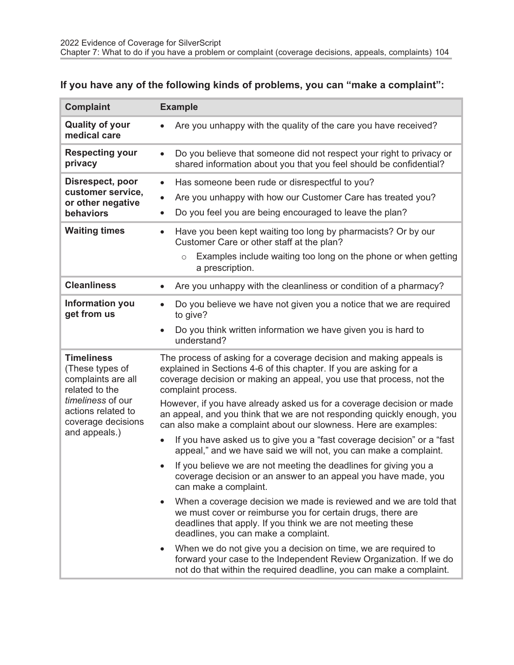## If you have any of the following kinds of problems, you can "make a complaint":

| <b>Complaint</b>                                                                                | <b>Example</b>                                                                                                                                                                                                                                                                                                                                                                                                                |
|-------------------------------------------------------------------------------------------------|-------------------------------------------------------------------------------------------------------------------------------------------------------------------------------------------------------------------------------------------------------------------------------------------------------------------------------------------------------------------------------------------------------------------------------|
| <b>Quality of your</b><br>medical care                                                          | Are you unhappy with the quality of the care you have received?                                                                                                                                                                                                                                                                                                                                                               |
| <b>Respecting your</b><br>privacy                                                               | Do you believe that someone did not respect your right to privacy or<br>$\bullet$<br>shared information about you that you feel should be confidential?                                                                                                                                                                                                                                                                       |
| Disrespect, poor<br>customer service,<br>or other negative<br>behaviors<br><b>Waiting times</b> | Has someone been rude or disrespectful to you?<br>$\bullet$<br>Are you unhappy with how our Customer Care has treated you?<br>$\bullet$<br>Do you feel you are being encouraged to leave the plan?<br>Have you been kept waiting too long by pharmacists? Or by our<br>$\bullet$<br>Customer Care or other staff at the plan?<br>Examples include waiting too long on the phone or when getting<br>$\circ$<br>a prescription. |
| <b>Cleanliness</b>                                                                              | Are you unhappy with the cleanliness or condition of a pharmacy?<br>$\bullet$                                                                                                                                                                                                                                                                                                                                                 |
| <b>Information you</b><br>get from us                                                           | Do you believe we have not given you a notice that we are required<br>$\bullet$<br>to give?<br>Do you think written information we have given you is hard to<br>$\bullet$<br>understand?                                                                                                                                                                                                                                      |
| <b>Timeliness</b><br>(These types of<br>complaints are all<br>related to the                    | The process of asking for a coverage decision and making appeals is<br>explained in Sections 4-6 of this chapter. If you are asking for a<br>coverage decision or making an appeal, you use that process, not the<br>complaint process.                                                                                                                                                                                       |
| timeliness of our<br>actions related to<br>coverage decisions<br>and appeals.)                  | However, if you have already asked us for a coverage decision or made<br>an appeal, and you think that we are not responding quickly enough, you<br>can also make a complaint about our slowness. Here are examples:<br>If you have asked us to give you a "fast coverage decision" or a "fast<br>$\bullet$                                                                                                                   |
|                                                                                                 | appeal," and we have said we will not, you can make a complaint.                                                                                                                                                                                                                                                                                                                                                              |
|                                                                                                 | If you believe we are not meeting the deadlines for giving you a<br>$\bullet$<br>coverage decision or an answer to an appeal you have made, you<br>can make a complaint.                                                                                                                                                                                                                                                      |
|                                                                                                 | When a coverage decision we made is reviewed and we are told that<br>we must cover or reimburse you for certain drugs, there are<br>deadlines that apply. If you think we are not meeting these<br>deadlines, you can make a complaint.                                                                                                                                                                                       |
|                                                                                                 | When we do not give you a decision on time, we are required to<br>forward your case to the Independent Review Organization. If we do<br>not do that within the required deadline, you can make a complaint.                                                                                                                                                                                                                   |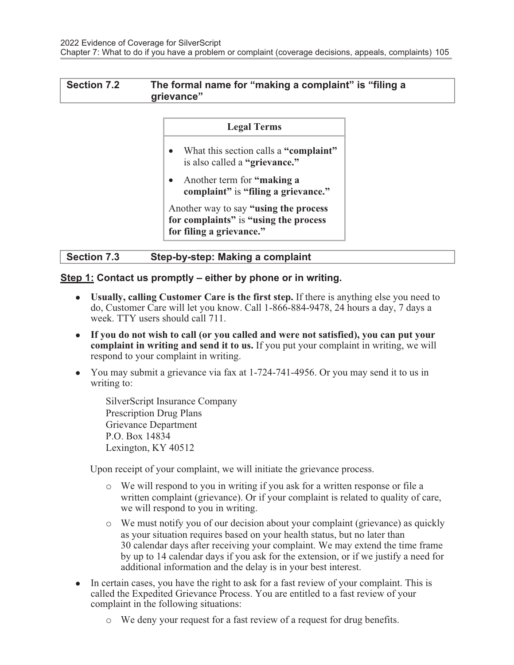#### Section 7.2 The formal name for "making a complaint" is "filing a grievance"

#### Legal Terms

- What this section calls a "complaint" is also called a "grievance."
- Another term for "making a complaint" is "filing a grievance."

Another way to say "using the process for complaints" is "using the process" for filing a grievance."

| <b>Section 7.3</b> | Step-by-step: Making a complaint |
|--------------------|----------------------------------|
|                    |                                  |

Step 1: Contact us promptly – either by phone or in writing.

- Usually, calling Customer Care is the first step. If there is anything else you need to do, Customer Care will let you know. Call 1-866-884-9478, 24 hours a day, 7 days a week. TTY users should call 711.
- If you do not wish to call (or you called and were not satisfied), you can put your complaint in writing and send it to us. If you put your complaint in writing, we will respond to your complaint in writing.
- You may submit a grievance via fax at 1-724-741-4956. Or you may send it to us in writing to:

SilverScript Insurance Company Prescription Drug Plans Grievance Department P.O. Box 14834 Lexington, KY 40512

Upon receipt of your complaint, we will initiate the grievance process.

- o We will respond to you in writing if you ask for a written response or file a written complaint (grievance). Or if your complaint is related to quality of care, we will respond to you in writing.
- o We must notify you of our decision about your complaint (grievance) as quickly as your situation requires based on your health status, but no later than 30 calendar days after receiving your complaint. We may extend the time frame by up to 14 calendar days if you ask for the extension, or if we justify a need for additional information and the delay is in your best interest.
- In certain cases, you have the right to ask for a fast review of your complaint. This is called the Expedited Grievance Process. You are entitled to a fast review of your complaint in the following situations:
	- o We deny your request for a fast review of a request for drug benefits.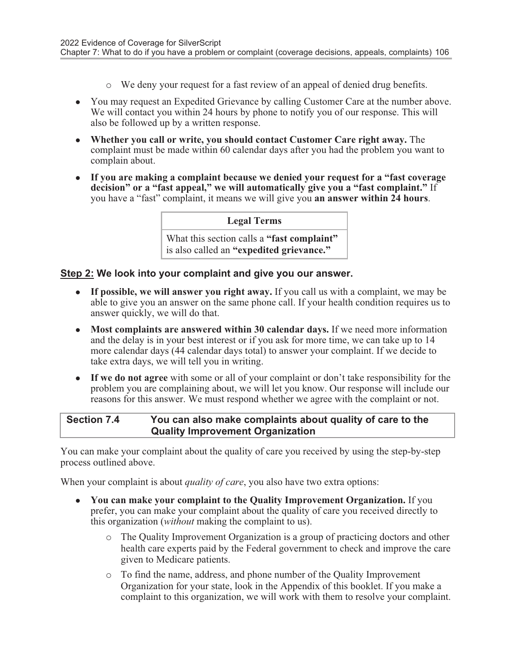- o We deny your request for a fast review of an appeal of denied drug benefits.
- You may request an Expedited Grievance by calling Customer Care at the number above. We will contact you within 24 hours by phone to notify you of our response. This will also be followed up by a written response.
- Whether you call or write, you should contact Customer Care right away. The complaint must be made within 60 calendar days after you had the problem you want to complain about.
- If you are making a complaint because we denied your request for a "fast coverage" decision" or a "fast appeal," we will automatically give you a "fast complaint." If you have a "fast" complaint, it means we will give you an answer within 24 hours.

#### Legal Terms

What this section calls a "fast complaint" is also called an "expedited grievance."

#### Step 2: We look into your complaint and give you our answer.

- **If possible, we will answer you right away.** If you call us with a complaint, we may be able to give you an answer on the same phone call. If your health condition requires us to answer quickly, we will do that.
- Most complaints are answered within 30 calendar days. If we need more information and the delay is in your best interest or if you ask for more time, we can take up to 14 more calendar days (44 calendar days total) to answer your complaint. If we decide to take extra days, we will tell you in writing.
- If we do not agree with some or all of your complaint or don't take responsibility for the problem you are complaining about, we will let you know. Our response will include our reasons for this answer. We must respond whether we agree with the complaint or not.

#### Section 7.4 You can also make complaints about quality of care to the Quality Improvement Organization

You can make your complaint about the quality of care you received by using the step-by-step process outlined above.

When your complaint is about *quality of care*, you also have two extra options:

- You can make your complaint to the Quality Improvement Organization. If you prefer, you can make your complaint about the quality of care you received directly to this organization (*without* making the complaint to us).
	- o The Quality Improvement Organization is a group of practicing doctors and other health care experts paid by the Federal government to check and improve the care given to Medicare patients.
	- o To find the name, address, and phone number of the Quality Improvement Organization for your state, look in the Appendix of this booklet. If you make a complaint to this organization, we will work with them to resolve your complaint.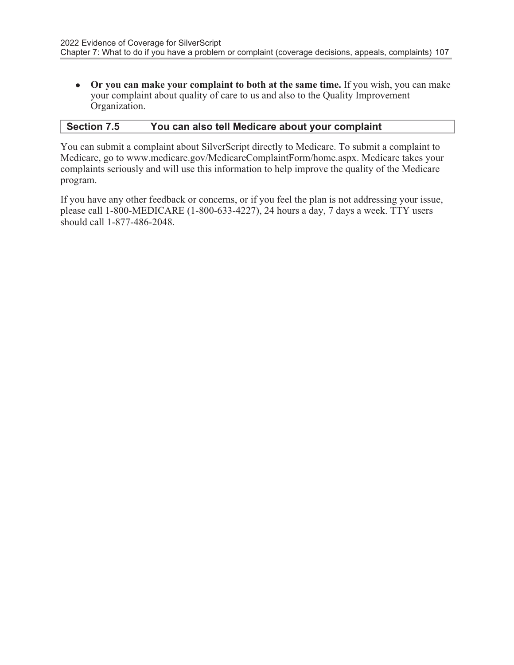• Or you can make your complaint to both at the same time. If you wish, you can make your complaint about quality of care to us and also to the Quality Improvement Organization.

#### Section 7.5 You can also tell Medicare about your complaint

You can submit a complaint about SilverScript directly to Medicare. To submit a complaint to Medicare, go to www.medicare.gov/MedicareComplaintForm/home.aspx. Medicare takes your complaints seriously and will use this information to help improve the quality of the Medicare program.

If you have any other feedback or concerns, or if you feel the plan is not addressing your issue, please call 1-800-MEDICARE (1-800-633-4227), 24 hours a day, 7 days a week. TTY users should call 1-877-486-2048.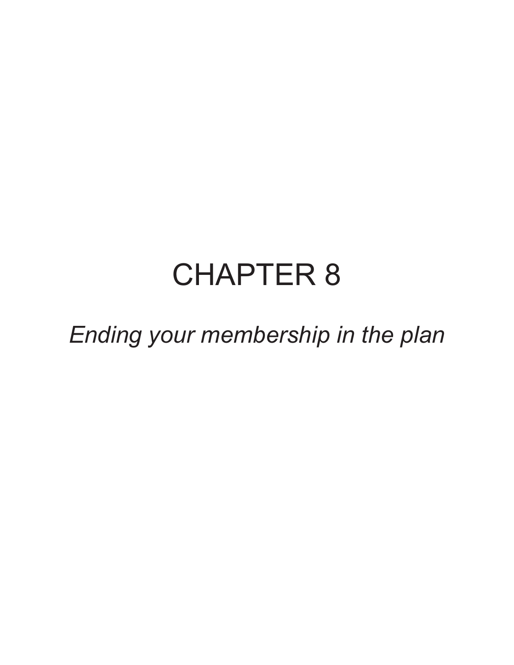## CHAPTER 8

Ending your membership in the plan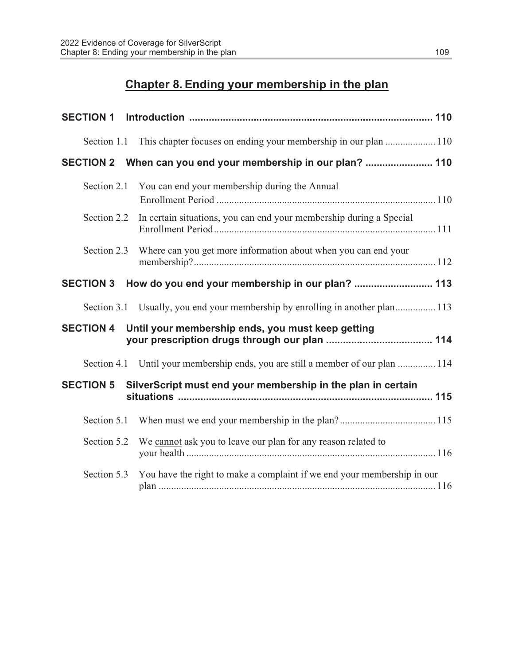### Chapter 8. Ending your membership in the plan

| Section 1.1      |                                                                                 |  |
|------------------|---------------------------------------------------------------------------------|--|
| <b>SECTION 2</b> | When can you end your membership in our plan?  110                              |  |
| Section 2.1      | You can end your membership during the Annual                                   |  |
| Section 2.2      | In certain situations, you can end your membership during a Special             |  |
| Section 2.3      | Where can you get more information about when you can end your                  |  |
| <b>SECTION 3</b> | How do you end your membership in our plan?  113                                |  |
|                  | Section 3.1 Usually, you end your membership by enrolling in another plan 113   |  |
| <b>SECTION 4</b> | Until your membership ends, you must keep getting                               |  |
|                  | Section 4.1 Until your membership ends, you are still a member of our plan  114 |  |
| <b>SECTION 5</b> | SilverScript must end your membership in the plan in certain                    |  |
| Section 5.1      |                                                                                 |  |
| Section 5.2      | We cannot ask you to leave our plan for any reason related to                   |  |
| Section 5.3      | You have the right to make a complaint if we end your membership in our         |  |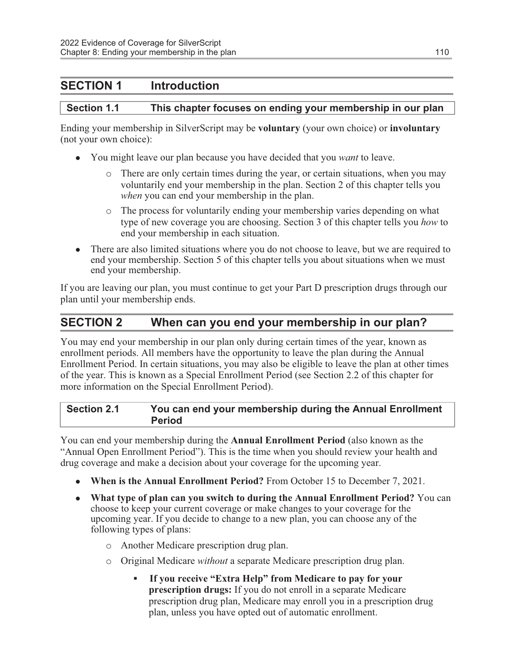#### SECTION 1 Introduction

#### Section 1.1 This chapter focuses on ending your membership in our plan

Ending your membership in SilverScript may be voluntary (your own choice) or involuntary (not your own choice):

- You might leave our plan because you have decided that you *want* to leave.
	- o There are only certain times during the year, or certain situations, when you may voluntarily end your membership in the plan. Section 2 of this chapter tells you when you can end your membership in the plan.
	- o The process for voluntarily ending your membership varies depending on what type of new coverage you are choosing. Section 3 of this chapter tells you how to end your membership in each situation.
- There are also limited situations where you do not choose to leave, but we are required to end your membership. Section 5 of this chapter tells you about situations when we must end your membership.

If you are leaving our plan, you must continue to get your Part D prescription drugs through our plan until your membership ends.

#### SECTION 2 When can you end your membership in our plan?

You may end your membership in our plan only during certain times of the year, known as enrollment periods. All members have the opportunity to leave the plan during the Annual Enrollment Period. In certain situations, you may also be eligible to leave the plan at other times of the year. This is known as a Special Enrollment Period (see Section 2.2 of this chapter for more information on the Special Enrollment Period).

Section 2.1 You can end your membership during the Annual Enrollment Period

You can end your membership during the Annual Enrollment Period (also known as the "Annual Open Enrollment Period"). This is the time when you should review your health and drug coverage and make a decision about your coverage for the upcoming year.

- When is the Annual Enrollment Period? From October 15 to December 7, 2021.
- What type of plan can you switch to during the Annual Enrollment Period? You can choose to keep your current coverage or make changes to your coverage for the upcoming year. If you decide to change to a new plan, you can choose any of the following types of plans:
	- o Another Medicare prescription drug plan.
	- o Original Medicare without a separate Medicare prescription drug plan.
		- If you receive "Extra Help" from Medicare to pay for your prescription drugs: If you do not enroll in a separate Medicare prescription drug plan, Medicare may enroll you in a prescription drug plan, unless you have opted out of automatic enrollment.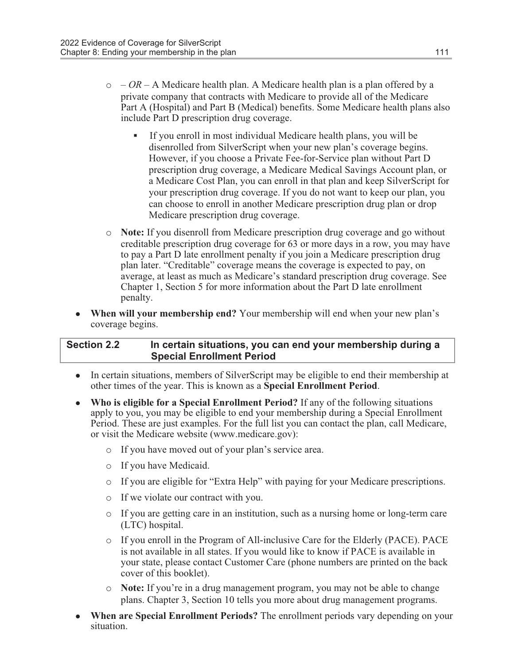- $\circ$  OR A Medicare health plan. A Medicare health plan is a plan offered by a private company that contracts with Medicare to provide all of the Medicare Part A (Hospital) and Part B (Medical) benefits. Some Medicare health plans also include Part D prescription drug coverage.
	- If you enroll in most individual Medicare health plans, you will be disenrolled from SilverScript when your new plan's coverage begins. However, if you choose a Private Fee-for-Service plan without Part D prescription drug coverage, a Medicare Medical Savings Account plan, or a Medicare Cost Plan, you can enroll in that plan and keep SilverScript for your prescription drug coverage. If you do not want to keep our plan, you can choose to enroll in another Medicare prescription drug plan or drop Medicare prescription drug coverage.
- o Note: If you disenroll from Medicare prescription drug coverage and go without creditable prescription drug coverage for 63 or more days in a row, you may have to pay a Part D late enrollment penalty if you join a Medicare prescription drug plan later. "Creditable" coverage means the coverage is expected to pay, on average, at least as much as Medicare's standard prescription drug coverage. See Chapter 1, Section 5 for more information about the Part D late enrollment penalty.
- When will your membership end? Your membership will end when your new plan's coverage begins.

#### Section 2.2 In certain situations, you can end your membership during a Special Enrollment Period

- In certain situations, members of SilverScript may be eligible to end their membership at other times of the year. This is known as a Special Enrollment Period.
- Who is eligible for a Special Enrollment Period? If any of the following situations apply to you, you may be eligible to end your membership during a Special Enrollment Period. These are just examples. For the full list you can contact the plan, call Medicare, or visit the Medicare website (www.medicare.gov):
	- o If you have moved out of your plan's service area.
	- o If you have Medicaid.
	- o If you are eligible for "Extra Help" with paying for your Medicare prescriptions.
	- o If we violate our contract with you.
	- $\circ$  If you are getting care in an institution, such as a nursing home or long-term care (LTC) hospital.
	- o If you enroll in the Program of All-inclusive Care for the Elderly (PACE). PACE is not available in all states. If you would like to know if PACE is available in your state, please contact Customer Care (phone numbers are printed on the back cover of this booklet).
	- o Note: If you're in a drug management program, you may not be able to change plans. Chapter 3, Section 10 tells you more about drug management programs.
- **When are Special Enrollment Periods?** The enrollment periods vary depending on your situation.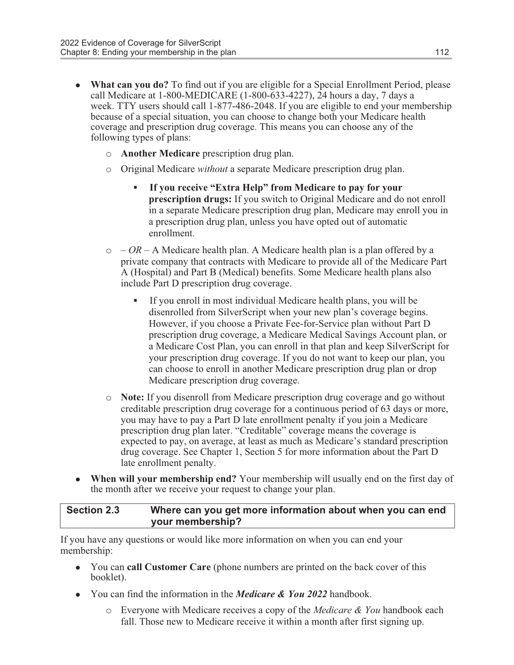- What can you do? To find out if you are eligible for a Special Enrollment Period, please call Medicare at 1-800-MEDICARE (1-800-633-4227), 24 hours a day, 7 days a week. TTY users should call 1-877-486-2048. If you are eligible to end your membership because of a special situation, you can choose to change both your Medicare health coverage and prescription drug coverage. This means you can choose any of the following types of plans:
	- o Another Medicare prescription drug plan.
	- o Original Medicare without a separate Medicare prescription drug plan.
		- If you receive "Extra Help" from Medicare to pay for your prescription drugs: If you switch to Original Medicare and do not enroll in a separate Medicare prescription drug plan, Medicare may enroll you in a prescription drug plan, unless you have opted out of automatic enrollment.
	- $\circ$  OR A Medicare health plan. A Medicare health plan is a plan offered by a private company that contracts with Medicare to provide all of the Medicare Part A (Hospital) and Part B (Medical) benefits. Some Medicare health plans also include Part D prescription drug coverage.
		- If you enroll in most individual Medicare health plans, you will be disenrolled from SilverScript when your new plan's coverage begins. However, if you choose a Private Fee-for-Service plan without Part D prescription drug coverage, a Medicare Medical Savings Account plan, or a Medicare Cost Plan, you can enroll in that plan and keep SilverScript for your prescription drug coverage. If you do not want to keep our plan, you can choose to enroll in another Medicare prescription drug plan or drop Medicare prescription drug coverage.
	- o Note: If you disenroll from Medicare prescription drug coverage and go without creditable prescription drug coverage for a continuous period of 63 days or more, you may have to pay a Part D late enrollment penalty if you join a Medicare prescription drug plan later. "Creditable" coverage means the coverage is expected to pay, on average, at least as much as Medicare's standard prescription drug coverage. See Chapter 1, Section 5 for more information about the Part D late enrollment penalty.
- When will your membership end? Your membership will usually end on the first day of the month after we receive your request to change your plan.

#### Section 2.3 Where can you get more information about when you can end your membership?

If you have any questions or would like more information on when you can end your membership:

- You can call Customer Care (phone numbers are printed on the back cover of this booklet).
- You can find the information in the *Medicare & You 2022* handbook.
	- $\circ$  Everyone with Medicare receives a copy of the *Medicare & You* handbook each fall. Those new to Medicare receive it within a month after first signing up.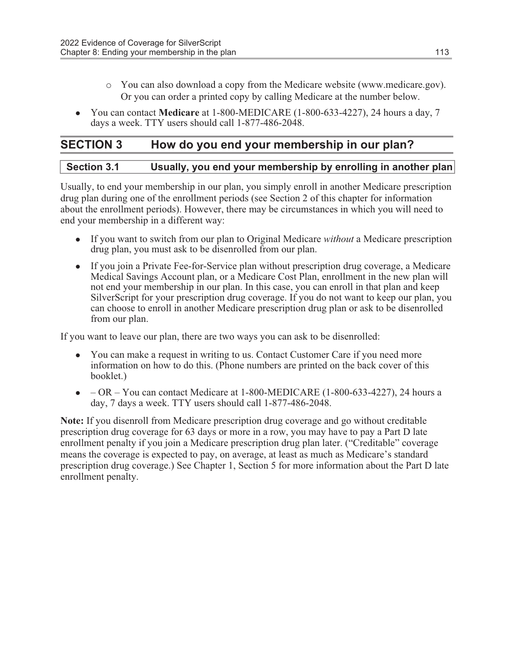- o You can also download a copy from the Medicare website (www.medicare.gov). Or you can order a printed copy by calling Medicare at the number below.
- You can contact Medicare at 1-800-MEDICARE  $(1-800-633-4227)$ , 24 hours a day, 7 days a week. TTY users should call 1-877-486-2048.

#### SECTION 3 How do you end your membership in our plan?

Usually, to end your membership in our plan, you simply enroll in another Medicare prescription drug plan during one of the enrollment periods (see Section 2 of this chapter for information about the enrollment periods). However, there may be circumstances in which you will need to end your membership in a different way:

- $\bullet$  If you want to switch from our plan to Original Medicare *without* a Medicare prescription drug plan, you must ask to be disenrolled from our plan.
- If you join a Private Fee-for-Service plan without prescription drug coverage, a Medicare Medical Savings Account plan, or a Medicare Cost Plan, enrollment in the new plan will not end your membership in our plan. In this case, you can enroll in that plan and keep SilverScript for your prescription drug coverage. If you do not want to keep our plan, you can choose to enroll in another Medicare prescription drug plan or ask to be disenrolled from our plan.

If you want to leave our plan, there are two ways you can ask to be disenrolled:

- You can make a request in writing to us. Contact Customer Care if you need more information on how to do this. (Phone numbers are printed on the back cover of this booklet.)
- $\bullet$  OR You can contact Medicare at 1-800-MEDICARE (1-800-633-4227), 24 hours a day, 7 days a week. TTY users should call 1-877-486-2048.

Note: If you disenroll from Medicare prescription drug coverage and go without creditable prescription drug coverage for 63 days or more in a row, you may have to pay a Part D late enrollment penalty if you join a Medicare prescription drug plan later. ("Creditable" coverage means the coverage is expected to pay, on average, at least as much as Medicare's standard prescription drug coverage.) See Chapter 1, Section 5 for more information about the Part D late enrollment penalty.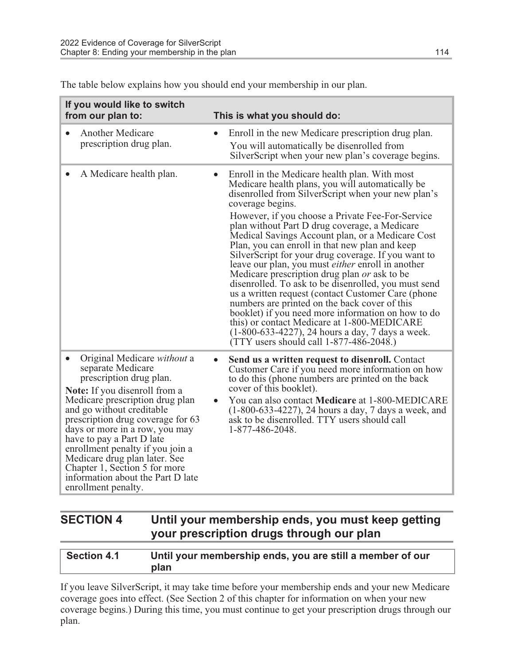| If you would like to switch<br>from our plan to:                                                                                                                                                                                                                                                                                                                                                                                                                              | This is what you should do:                                                                                                                                                                                                                                                                                                                                                                                                                                                                                                                                                                                                                                                                                                                                                                                                                                                                                                                    |  |  |
|-------------------------------------------------------------------------------------------------------------------------------------------------------------------------------------------------------------------------------------------------------------------------------------------------------------------------------------------------------------------------------------------------------------------------------------------------------------------------------|------------------------------------------------------------------------------------------------------------------------------------------------------------------------------------------------------------------------------------------------------------------------------------------------------------------------------------------------------------------------------------------------------------------------------------------------------------------------------------------------------------------------------------------------------------------------------------------------------------------------------------------------------------------------------------------------------------------------------------------------------------------------------------------------------------------------------------------------------------------------------------------------------------------------------------------------|--|--|
| <b>Another Medicare</b><br>$\bullet$<br>prescription drug plan.                                                                                                                                                                                                                                                                                                                                                                                                               | Enroll in the new Medicare prescription drug plan.<br>$\bullet$<br>You will automatically be disenrolled from<br>SilverScript when your new plan's coverage begins.                                                                                                                                                                                                                                                                                                                                                                                                                                                                                                                                                                                                                                                                                                                                                                            |  |  |
| A Medicare health plan.<br>$\bullet$                                                                                                                                                                                                                                                                                                                                                                                                                                          | Enroll in the Medicare health plan. With most<br>$\bullet$<br>Medicare health plans, you will automatically be<br>disenrolled from SilverScript when your new plan's<br>coverage begins.<br>However, if you choose a Private Fee-For-Service<br>plan without Part D drug coverage, a Medicare<br>Medical Savings Account plan, or a Medicare Cost<br>Plan, you can enroll in that new plan and keep<br>SilverScript for your drug coverage. If you want to<br>leave our plan, you must <i>either</i> enroll in another<br>Medicare prescription drug plan or ask to be<br>disenrolled. To ask to be disenrolled, you must send<br>us a written request (contact Customer Care (phone<br>numbers are printed on the back cover of this<br>booklet) if you need more information on how to do<br>this) or contact Medicare at 1-800-MEDICARE<br>$(1-800-633-4227)$ , 24 hours a day, 7 days a week.<br>$(TTY$ users should call 1-877-486-2048.) |  |  |
| Original Medicare <i>without</i> a<br>$\bullet$<br>separate Medicare<br>prescription drug plan.<br><b>Note:</b> If you disenroll from a<br>Medicare prescription drug plan<br>and go without creditable<br>prescription drug coverage for 63<br>days or more in a row, you may<br>have to pay a Part D late<br>enrollment penalty if you join a<br>Medicare drug plan later. See<br>Chapter 1, Section 5 for more<br>information about the Part D late<br>enrollment penalty. | Send us a written request to disenroll. Contact<br>Customer Care if you need more information on how<br>to do this (phone numbers are printed on the back<br>cover of this booklet).<br>You can also contact <b>Medicare</b> at 1-800-MEDICARE<br>$(1-800-633-4227)$ , 24 hours a day, 7 days a week, and<br>ask to be disenrolled. TTY users should call<br>1-877-486-2048.                                                                                                                                                                                                                                                                                                                                                                                                                                                                                                                                                                   |  |  |

The table below explains how you should end your membership in our plan.

#### SECTION 4 Until your membership ends, you must keep getting your prescription drugs through our plan

| <b>Section 4.1</b> | Until your membership ends, you are still a member of our |
|--------------------|-----------------------------------------------------------|
|                    | plan                                                      |

If you leave SilverScript, it may take time before your membership ends and your new Medicare coverage goes into effect. (See Section 2 of this chapter for information on when your new coverage begins.) During this time, you must continue to get your prescription drugs through our plan.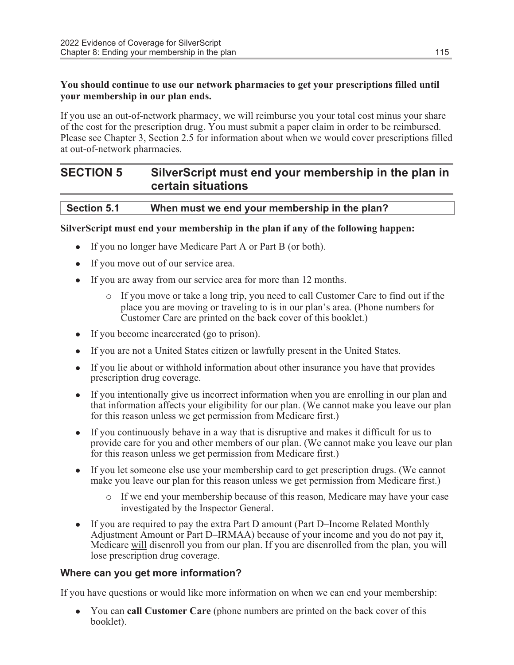#### You should continue to use our network pharmacies to get your prescriptions filled until your membership in our plan ends.

If you use an out-of-network pharmacy, we will reimburse you your total cost minus your share of the cost for the prescription drug. You must submit a paper claim in order to be reimbursed. Please see Chapter 3, Section 2.5 for information about when we would cover prescriptions filled at out-of-network pharmacies.

#### SECTION 5 SilverScript must end your membership in the plan in certain situations

#### Section 5.1 When must we end your membership in the plan?

#### SilverScript must end your membership in the plan if any of the following happen:

- If you no longer have Medicare Part A or Part B (or both).
- If you move out of our service area.
- If you are away from our service area for more than 12 months.
	- o If you move or take a long trip, you need to call Customer Care to find out if the place you are moving or traveling to is in our plan's area. (Phone numbers for Customer Care are printed on the back cover of this booklet.)
- If you become incarcerated (go to prison).
- If you are not a United States citizen or lawfully present in the United States.
- If you lie about or withhold information about other insurance you have that provides prescription drug coverage.
- If you intentionally give us incorrect information when you are enrolling in our plan and that information affects your eligibility for our plan. (We cannot make you leave our plan for this reason unless we get permission from Medicare first.)
- If you continuously behave in a way that is disruptive and makes it difficult for us to provide care for you and other members of our plan. (We cannot make you leave our plan for this reason unless we get permission from Medicare first.)
- If you let someone else use your membership card to get prescription drugs. (We cannot make you leave our plan for this reason unless we get permission from Medicare first.)
	- o If we end your membership because of this reason, Medicare may have your case investigated by the Inspector General.
- If you are required to pay the extra Part D amount (Part D–Income Related Monthly Adjustment Amount or Part D–IRMAA) because of your income and you do not pay it, Medicare will disenroll you from our plan. If you are disenrolled from the plan, you will lose prescription drug coverage.

#### Where can you get more information?

If you have questions or would like more information on when we can end your membership:

• You can **call Customer Care** (phone numbers are printed on the back cover of this booklet).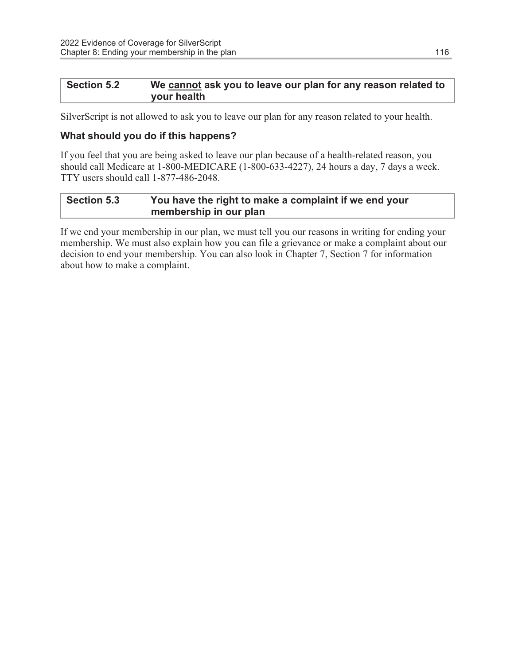#### Section 5.2 We cannot ask you to leave our plan for any reason related to your health

SilverScript is not allowed to ask you to leave our plan for any reason related to your health.

#### What should you do if this happens?

If you feel that you are being asked to leave our plan because of a health-related reason, you should call Medicare at 1-800-MEDICARE (1-800-633-4227), 24 hours a day, 7 days a week. TTY users should call 1-877-486-2048.

#### Section 5.3 You have the right to make a complaint if we end your membership in our plan

If we end your membership in our plan, we must tell you our reasons in writing for ending your membership. We must also explain how you can file a grievance or make a complaint about our decision to end your membership. You can also look in Chapter 7, Section 7 for information about how to make a complaint.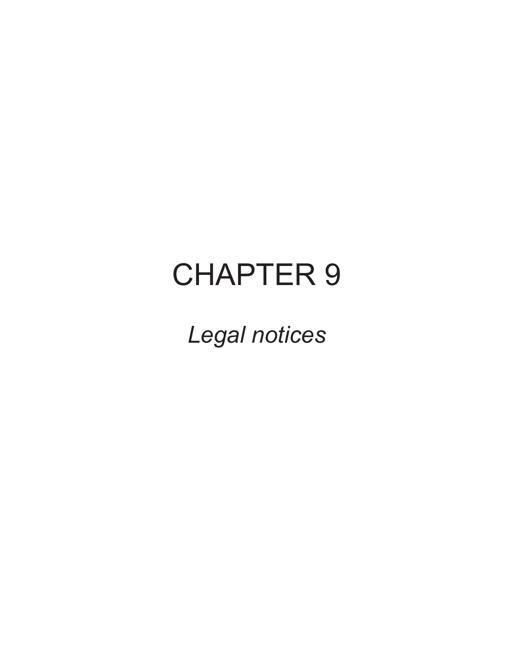## CHAPTER 9

Legal notices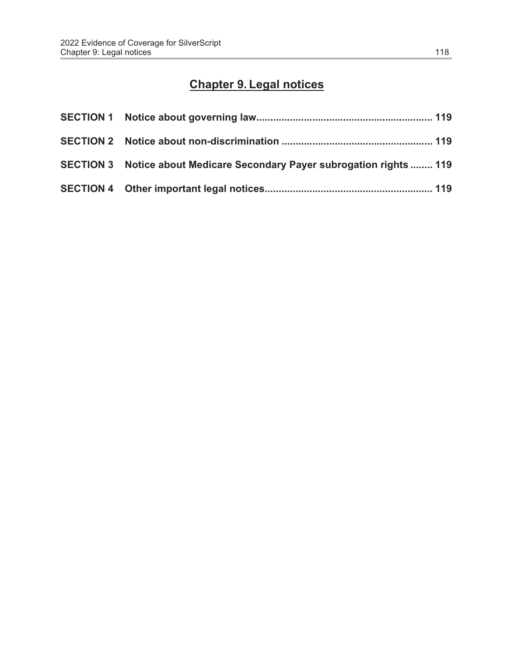### Chapter 9. Legal notices

| SECTION 3 Notice about Medicare Secondary Payer subrogation rights  119 |  |
|-------------------------------------------------------------------------|--|
|                                                                         |  |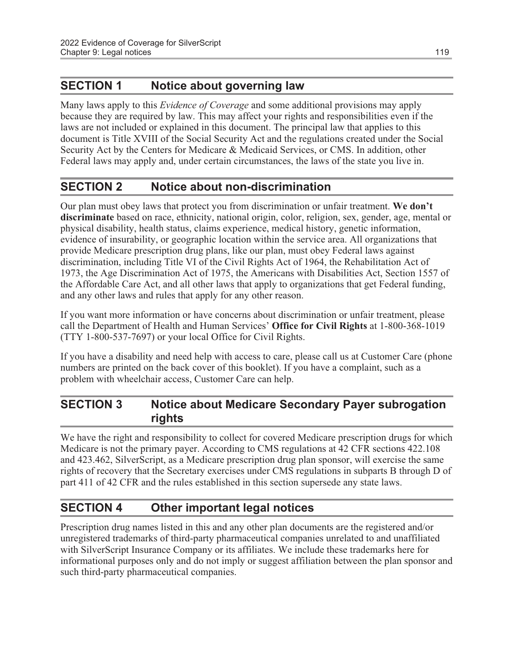#### SECTION 1 Notice about governing law

Many laws apply to this *Evidence of Coverage* and some additional provisions may apply because they are required by law. This may affect your rights and responsibilities even if the laws are not included or explained in this document. The principal law that applies to this document is Title XVIII of the Social Security Act and the regulations created under the Social Security Act by the Centers for Medicare & Medicaid Services, or CMS. In addition, other Federal laws may apply and, under certain circumstances, the laws of the state you live in.

#### SECTION 2 Notice about non-discrimination

Our plan must obey laws that protect you from discrimination or unfair treatment. We don't discriminate based on race, ethnicity, national origin, color, religion, sex, gender, age, mental or physical disability, health status, claims experience, medical history, genetic information, evidence of insurability, or geographic location within the service area. All organizations that provide Medicare prescription drug plans, like our plan, must obey Federal laws against discrimination, including Title VI of the Civil Rights Act of 1964, the Rehabilitation Act of 1973, the Age Discrimination Act of 1975, the Americans with Disabilities Act, Section 1557 of the Affordable Care Act, and all other laws that apply to organizations that get Federal funding, and any other laws and rules that apply for any other reason.

If you want more information or have concerns about discrimination or unfair treatment, please call the Department of Health and Human Services' Office for Civil Rights at 1-800-368-1019 (TTY 1-800-537-7697) or your local Office for Civil Rights.

If you have a disability and need help with access to care, please call us at Customer Care (phone numbers are printed on the back cover of this booklet). If you have a complaint, such as a problem with wheelchair access, Customer Care can help.

#### SECTION 3 Notice about Medicare Secondary Payer subrogation rights

We have the right and responsibility to collect for covered Medicare prescription drugs for which Medicare is not the primary payer. According to CMS regulations at 42 CFR sections 422.108 and 423.462, SilverScript, as a Medicare prescription drug plan sponsor, will exercise the same rights of recovery that the Secretary exercises under CMS regulations in subparts B through D of part 411 of 42 CFR and the rules established in this section supersede any state laws.

#### SECTION 4 Other important legal notices

Prescription drug names listed in this and any other plan documents are the registered and/or unregistered trademarks of third-party pharmaceutical companies unrelated to and unaffiliated with SilverScript Insurance Company or its affiliates. We include these trademarks here for informational purposes only and do not imply or suggest affiliation between the plan sponsor and such third-party pharmaceutical companies.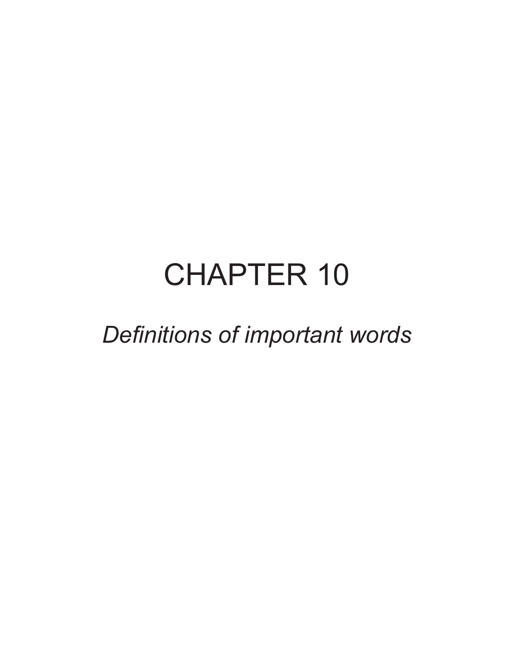# CHAPTER 10

### Definitions of important words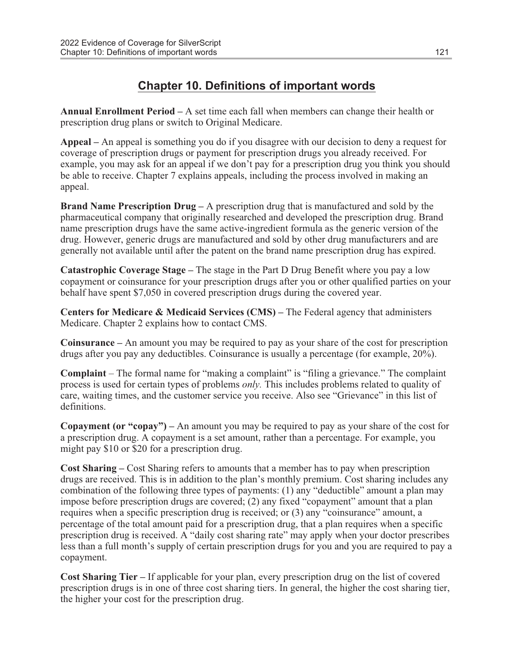#### Chapter 10. Definitions of important words

Annual Enrollment Period – A set time each fall when members can change their health or prescription drug plans or switch to Original Medicare.

Appeal – An appeal is something you do if you disagree with our decision to deny a request for coverage of prescription drugs or payment for prescription drugs you already received. For example, you may ask for an appeal if we don't pay for a prescription drug you think you should be able to receive. Chapter 7 explains appeals, including the process involved in making an appeal.

**Brand Name Prescription Drug** – A prescription drug that is manufactured and sold by the pharmaceutical company that originally researched and developed the prescription drug. Brand name prescription drugs have the same active-ingredient formula as the generic version of the drug. However, generic drugs are manufactured and sold by other drug manufacturers and are generally not available until after the patent on the brand name prescription drug has expired.

Catastrophic Coverage Stage – The stage in the Part D Drug Benefit where you pay a low copayment or coinsurance for your prescription drugs after you or other qualified parties on your behalf have spent \$7,050 in covered prescription drugs during the covered year.

Centers for Medicare & Medicaid Services (CMS) – The Federal agency that administers Medicare. Chapter 2 explains how to contact CMS.

Coinsurance – An amount you may be required to pay as your share of the cost for prescription drugs after you pay any deductibles. Coinsurance is usually a percentage (for example, 20%).

Complaint – The formal name for "making a complaint" is "filing a grievance." The complaint process is used for certain types of problems only. This includes problems related to quality of care, waiting times, and the customer service you receive. Also see "Grievance" in this list of definitions.

Copayment (or "copay") – An amount you may be required to pay as your share of the cost for a prescription drug. A copayment is a set amount, rather than a percentage. For example, you might pay \$10 or \$20 for a prescription drug.

Cost Sharing – Cost Sharing refers to amounts that a member has to pay when prescription drugs are received. This is in addition to the plan's monthly premium. Cost sharing includes any combination of the following three types of payments: (1) any "deductible" amount a plan may impose before prescription drugs are covered; (2) any fixed "copayment" amount that a plan requires when a specific prescription drug is received; or (3) any "coinsurance" amount, a percentage of the total amount paid for a prescription drug, that a plan requires when a specific prescription drug is received. A "daily cost sharing rate" may apply when your doctor prescribes less than a full month's supply of certain prescription drugs for you and you are required to pay a copayment.

Cost Sharing Tier – If applicable for your plan, every prescription drug on the list of covered prescription drugs is in one of three cost sharing tiers. In general, the higher the cost sharing tier, the higher your cost for the prescription drug.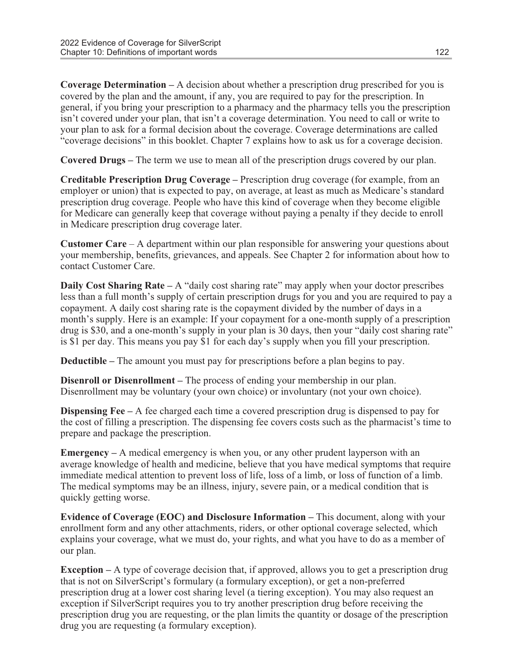Coverage Determination – A decision about whether a prescription drug prescribed for you is covered by the plan and the amount, if any, you are required to pay for the prescription. In general, if you bring your prescription to a pharmacy and the pharmacy tells you the prescription isn't covered under your plan, that isn't a coverage determination. You need to call or write to your plan to ask for a formal decision about the coverage. Coverage determinations are called "coverage decisions" in this booklet. Chapter 7 explains how to ask us for a coverage decision.

Covered Drugs – The term we use to mean all of the prescription drugs covered by our plan.

Creditable Prescription Drug Coverage – Prescription drug coverage (for example, from an employer or union) that is expected to pay, on average, at least as much as Medicare's standard prescription drug coverage. People who have this kind of coverage when they become eligible for Medicare can generally keep that coverage without paying a penalty if they decide to enroll in Medicare prescription drug coverage later.

Customer Care – A department within our plan responsible for answering your questions about your membership, benefits, grievances, and appeals. See Chapter 2 for information about how to contact Customer Care.

**Daily Cost Sharing Rate**  $- A$  "daily cost sharing rate" may apply when your doctor prescribes less than a full month's supply of certain prescription drugs for you and you are required to pay a copayment. A daily cost sharing rate is the copayment divided by the number of days in a month's supply. Here is an example: If your copayment for a one-month supply of a prescription drug is \$30, and a one-month's supply in your plan is 30 days, then your "daily cost sharing rate" is \$1 per day. This means you pay \$1 for each day's supply when you fill your prescription.

Deductible – The amount you must pay for prescriptions before a plan begins to pay.

Disenroll or Disenrollment – The process of ending your membership in our plan. Disenrollment may be voluntary (your own choice) or involuntary (not your own choice).

Dispensing Fee – A fee charged each time a covered prescription drug is dispensed to pay for the cost of filling a prescription. The dispensing fee covers costs such as the pharmacist's time to prepare and package the prescription.

Emergency – A medical emergency is when you, or any other prudent layperson with an average knowledge of health and medicine, believe that you have medical symptoms that require immediate medical attention to prevent loss of life, loss of a limb, or loss of function of a limb. The medical symptoms may be an illness, injury, severe pain, or a medical condition that is quickly getting worse.

Evidence of Coverage (EOC) and Disclosure Information – This document, along with your enrollment form and any other attachments, riders, or other optional coverage selected, which explains your coverage, what we must do, your rights, and what you have to do as a member of our plan.

Exception – A type of coverage decision that, if approved, allows you to get a prescription drug that is not on SilverScript's formulary (a formulary exception), or get a non-preferred prescription drug at a lower cost sharing level (a tiering exception). You may also request an exception if SilverScript requires you to try another prescription drug before receiving the prescription drug you are requesting, or the plan limits the quantity or dosage of the prescription drug you are requesting (a formulary exception).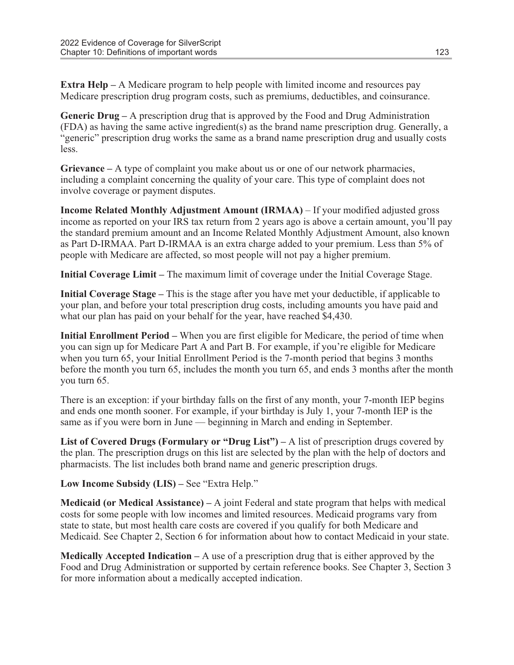Extra Help – A Medicare program to help people with limited income and resources pay Medicare prescription drug program costs, such as premiums, deductibles, and coinsurance.

Generic Drug – A prescription drug that is approved by the Food and Drug Administration (FDA) as having the same active ingredient(s) as the brand name prescription drug. Generally, a "generic" prescription drug works the same as a brand name prescription drug and usually costs less.

Grievance – A type of complaint you make about us or one of our network pharmacies, including a complaint concerning the quality of your care. This type of complaint does not involve coverage or payment disputes.

Income Related Monthly Adjustment Amount (IRMAA) – If your modified adjusted gross income as reported on your IRS tax return from 2 years ago is above a certain amount, you'll pay the standard premium amount and an Income Related Monthly Adjustment Amount, also known as Part D-IRMAA. Part D-IRMAA is an extra charge added to your premium. Less than 5% of people with Medicare are affected, so most people will not pay a higher premium.

Initial Coverage Limit – The maximum limit of coverage under the Initial Coverage Stage.

Initial Coverage Stage – This is the stage after you have met your deductible, if applicable to your plan, and before your total prescription drug costs, including amounts you have paid and what our plan has paid on your behalf for the year, have reached \$4,430.

Initial Enrollment Period – When you are first eligible for Medicare, the period of time when you can sign up for Medicare Part A and Part B. For example, if you're eligible for Medicare when you turn 65, your Initial Enrollment Period is the 7-month period that begins 3 months before the month you turn 65, includes the month you turn 65, and ends 3 months after the month you turn 65.

There is an exception: if your birthday falls on the first of any month, your 7-month IEP begins and ends one month sooner. For example, if your birthday is July 1, your 7-month IEP is the same as if you were born in June — beginning in March and ending in September.

List of Covered Drugs (Formulary or "Drug List") – A list of prescription drugs covered by the plan. The prescription drugs on this list are selected by the plan with the help of doctors and pharmacists. The list includes both brand name and generic prescription drugs.

Low Income Subsidy (LIS) – See "Extra Help."

**Medicaid (or Medical Assistance)** – A joint Federal and state program that helps with medical costs for some people with low incomes and limited resources. Medicaid programs vary from state to state, but most health care costs are covered if you qualify for both Medicare and Medicaid. See Chapter 2, Section 6 for information about how to contact Medicaid in your state.

**Medically Accepted Indication** – A use of a prescription drug that is either approved by the Food and Drug Administration or supported by certain reference books. See Chapter 3, Section 3 for more information about a medically accepted indication.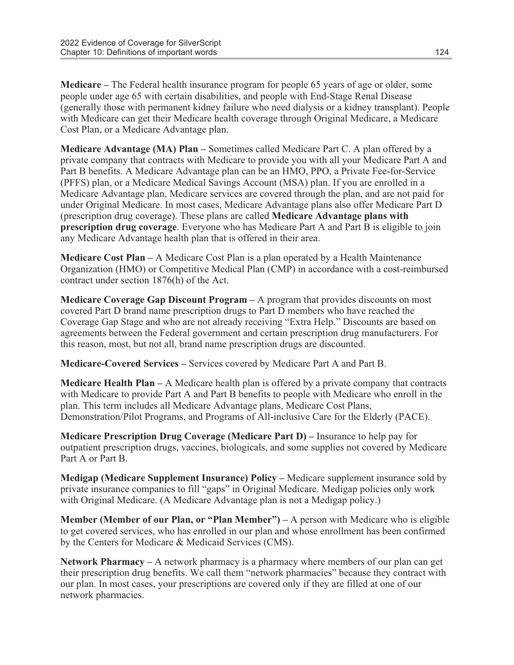Medicare – The Federal health insurance program for people 65 years of age or older, some people under age 65 with certain disabilities, and people with End-Stage Renal Disease (generally those with permanent kidney failure who need dialysis or a kidney transplant). People with Medicare can get their Medicare health coverage through Original Medicare, a Medicare Cost Plan, or a Medicare Advantage plan.

Medicare Advantage (MA) Plan – Sometimes called Medicare Part C. A plan offered by a private company that contracts with Medicare to provide you with all your Medicare Part A and Part B benefits. A Medicare Advantage plan can be an HMO, PPO, a Private Fee-for-Service (PFFS) plan, or a Medicare Medical Savings Account (MSA) plan. If you are enrolled in a Medicare Advantage plan, Medicare services are covered through the plan, and are not paid for under Original Medicare. In most cases, Medicare Advantage plans also offer Medicare Part D (prescription drug coverage). These plans are called Medicare Advantage plans with prescription drug coverage. Everyone who has Medicare Part A and Part B is eligible to join any Medicare Advantage health plan that is offered in their area.

Medicare Cost Plan – A Medicare Cost Plan is a plan operated by a Health Maintenance Organization (HMO) or Competitive Medical Plan (CMP) in accordance with a cost-reimbursed contract under section 1876(h) of the Act.

Medicare Coverage Gap Discount Program – A program that provides discounts on most covered Part D brand name prescription drugs to Part D members who have reached the Coverage Gap Stage and who are not already receiving "Extra Help." Discounts are based on agreements between the Federal government and certain prescription drug manufacturers. For this reason, most, but not all, brand name prescription drugs are discounted.

Medicare-Covered Services – Services covered by Medicare Part A and Part B.

Medicare Health Plan – A Medicare health plan is offered by a private company that contracts with Medicare to provide Part A and Part B benefits to people with Medicare who enroll in the plan. This term includes all Medicare Advantage plans, Medicare Cost Plans, Demonstration/Pilot Programs, and Programs of All-inclusive Care for the Elderly (PACE).

Medicare Prescription Drug Coverage (Medicare Part D) – Insurance to help pay for outpatient prescription drugs, vaccines, biologicals, and some supplies not covered by Medicare Part A or Part B.

Medigap (Medicare Supplement Insurance) Policy – Medicare supplement insurance sold by private insurance companies to fill "gaps" in Original Medicare. Medigap policies only work with Original Medicare. (A Medicare Advantage plan is not a Medigap policy.)

Member (Member of our Plan, or "Plan Member") – A person with Medicare who is eligible to get covered services, who has enrolled in our plan and whose enrollment has been confirmed by the Centers for Medicare & Medicaid Services (CMS).

Network Pharmacy – A network pharmacy is a pharmacy where members of our plan can get their prescription drug benefits. We call them "network pharmacies" because they contract with our plan. In most cases, your prescriptions are covered only if they are filled at one of our network pharmacies.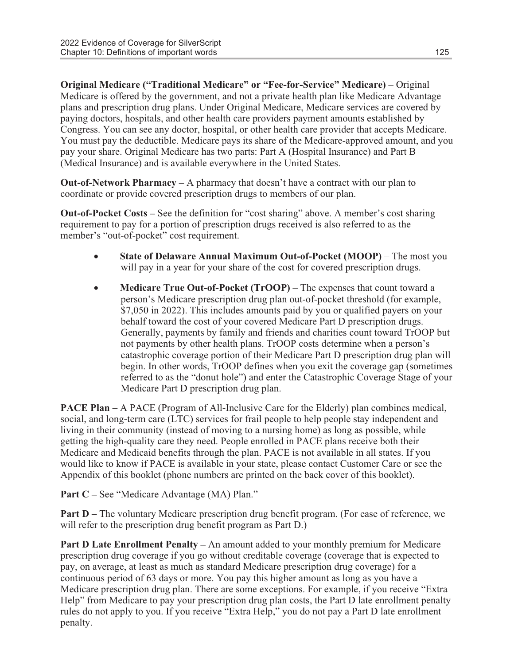Original Medicare ("Traditional Medicare" or "Fee-for-Service" Medicare) – Original Medicare is offered by the government, and not a private health plan like Medicare Advantage plans and prescription drug plans. Under Original Medicare, Medicare services are covered by paying doctors, hospitals, and other health care providers payment amounts established by Congress. You can see any doctor, hospital, or other health care provider that accepts Medicare. You must pay the deductible. Medicare pays its share of the Medicare-approved amount, and you pay your share. Original Medicare has two parts: Part A (Hospital Insurance) and Part B (Medical Insurance) and is available everywhere in the United States.

Out-of-Network Pharmacy – A pharmacy that doesn't have a contract with our plan to coordinate or provide covered prescription drugs to members of our plan.

Out-of-Pocket Costs – See the definition for "cost sharing" above. A member's cost sharing requirement to pay for a portion of prescription drugs received is also referred to as the member's "out-of-pocket" cost requirement.

- · State of Delaware Annual Maximum Out-of-Pocket (MOOP) The most you will pay in a year for your share of the cost for covered prescription drugs.
- Medicare True Out-of-Pocket (TrOOP) The expenses that count toward a person's Medicare prescription drug plan out-of-pocket threshold (for example, \$7,050 in 2022). This includes amounts paid by you or qualified payers on your behalf toward the cost of your covered Medicare Part D prescription drugs. Generally, payments by family and friends and charities count toward TrOOP but not payments by other health plans. TrOOP costs determine when a person's catastrophic coverage portion of their Medicare Part D prescription drug plan will begin. In other words, TrOOP defines when you exit the coverage gap (sometimes referred to as the "donut hole") and enter the Catastrophic Coverage Stage of your Medicare Part D prescription drug plan.

PACE Plan – A PACE (Program of All-Inclusive Care for the Elderly) plan combines medical, social, and long-term care (LTC) services for frail people to help people stay independent and living in their community (instead of moving to a nursing home) as long as possible, while getting the high-quality care they need. People enrolled in PACE plans receive both their Medicare and Medicaid benefits through the plan. PACE is not available in all states. If you would like to know if PACE is available in your state, please contact Customer Care or see the Appendix of this booklet (phone numbers are printed on the back cover of this booklet).

Part C – See "Medicare Advantage (MA) Plan."

Part D – The voluntary Medicare prescription drug benefit program. (For ease of reference, we will refer to the prescription drug benefit program as Part D.)

Part D Late Enrollment Penalty – An amount added to your monthly premium for Medicare prescription drug coverage if you go without creditable coverage (coverage that is expected to pay, on average, at least as much as standard Medicare prescription drug coverage) for a continuous period of 63 days or more. You pay this higher amount as long as you have a Medicare prescription drug plan. There are some exceptions. For example, if you receive "Extra Help" from Medicare to pay your prescription drug plan costs, the Part D late enrollment penalty rules do not apply to you. If you receive "Extra Help," you do not pay a Part D late enrollment penalty.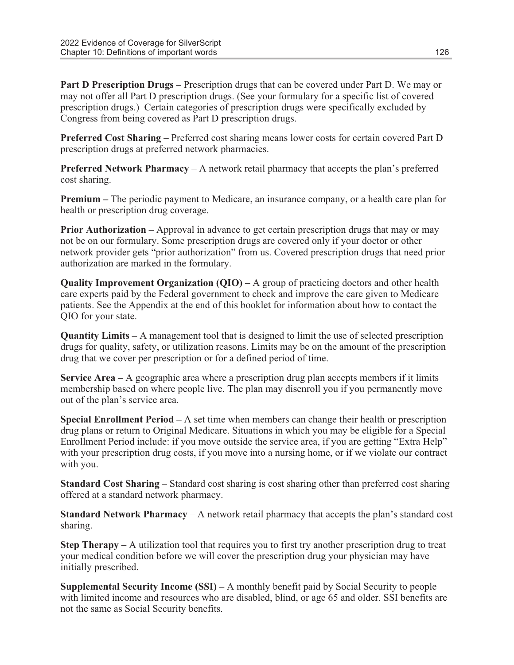Part D Prescription Drugs – Prescription drugs that can be covered under Part D. We may or may not offer all Part D prescription drugs. (See your formulary for a specific list of covered prescription drugs.) Certain categories of prescription drugs were specifically excluded by Congress from being covered as Part D prescription drugs.

Preferred Cost Sharing – Preferred cost sharing means lower costs for certain covered Part D prescription drugs at preferred network pharmacies.

**Preferred Network Pharmacy** – A network retail pharmacy that accepts the plan's preferred cost sharing.

Premium – The periodic payment to Medicare, an insurance company, or a health care plan for health or prescription drug coverage.

Prior Authorization – Approval in advance to get certain prescription drugs that may or may not be on our formulary. Some prescription drugs are covered only if your doctor or other network provider gets "prior authorization" from us. Covered prescription drugs that need prior authorization are marked in the formulary.

**Quality Improvement Organization (OIO)** – A group of practicing doctors and other health care experts paid by the Federal government to check and improve the care given to Medicare patients. See the Appendix at the end of this booklet for information about how to contact the QIO for your state.

Quantity Limits – A management tool that is designed to limit the use of selected prescription drugs for quality, safety, or utilization reasons. Limits may be on the amount of the prescription drug that we cover per prescription or for a defined period of time.

Service Area  $- A$  geographic area where a prescription drug plan accepts members if it limits membership based on where people live. The plan may disenroll you if you permanently move out of the plan's service area.

Special Enrollment Period – A set time when members can change their health or prescription drug plans or return to Original Medicare. Situations in which you may be eligible for a Special Enrollment Period include: if you move outside the service area, if you are getting "Extra Help" with your prescription drug costs, if you move into a nursing home, or if we violate our contract with you.

Standard Cost Sharing – Standard cost sharing is cost sharing other than preferred cost sharing offered at a standard network pharmacy.

Standard Network Pharmacy – A network retail pharmacy that accepts the plan's standard cost sharing.

Step Therapy – A utilization tool that requires you to first try another prescription drug to treat your medical condition before we will cover the prescription drug your physician may have initially prescribed.

Supplemental Security Income (SSI) – A monthly benefit paid by Social Security to people with limited income and resources who are disabled, blind, or age 65 and older. SSI benefits are not the same as Social Security benefits.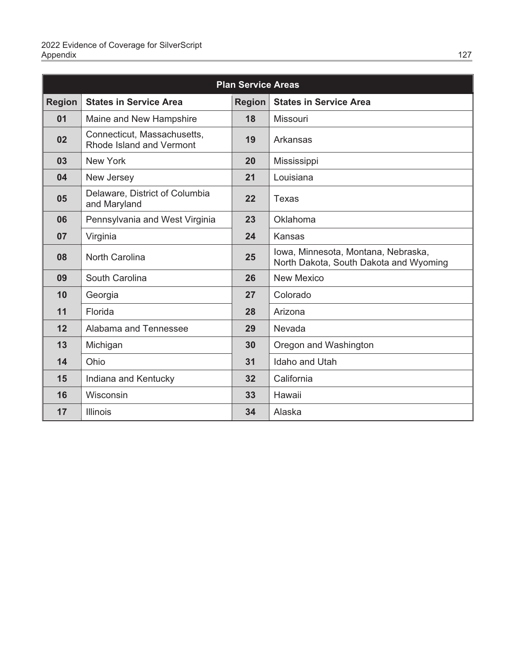| <b>Plan Service Areas</b> |                                                         |               |                                                                               |
|---------------------------|---------------------------------------------------------|---------------|-------------------------------------------------------------------------------|
| <b>Region</b>             | <b>States in Service Area</b>                           | <b>Region</b> | <b>States in Service Area</b>                                                 |
| 01                        | Maine and New Hampshire                                 | 18            | Missouri                                                                      |
| 02                        | Connecticut, Massachusetts,<br>Rhode Island and Vermont | 19            | Arkansas                                                                      |
| 03                        | New York                                                | 20            | Mississippi                                                                   |
| 04                        | New Jersey                                              | 21            | Louisiana                                                                     |
| 05                        | Delaware, District of Columbia<br>and Maryland          | 22            | Texas                                                                         |
| 06                        | Pennsylvania and West Virginia                          | 23            | Oklahoma                                                                      |
| 07                        | Virginia                                                | 24            | Kansas                                                                        |
| 08                        | North Carolina                                          | 25            | Iowa, Minnesota, Montana, Nebraska,<br>North Dakota, South Dakota and Wyoming |
| 09                        | South Carolina                                          | 26            | <b>New Mexico</b>                                                             |
| 10                        | Georgia                                                 | 27            | Colorado                                                                      |
| 11                        | Florida                                                 | 28            | Arizona                                                                       |
| 12                        | Alabama and Tennessee                                   | 29            | Nevada                                                                        |
| 13                        | Michigan                                                | 30            | Oregon and Washington                                                         |
| 14                        | Ohio                                                    | 31            | Idaho and Utah                                                                |
| 15                        | Indiana and Kentucky                                    | 32            | California                                                                    |
| 16                        | Wisconsin                                               | 33            | Hawaii                                                                        |
| 17                        | <b>Illinois</b>                                         | 34            | Alaska                                                                        |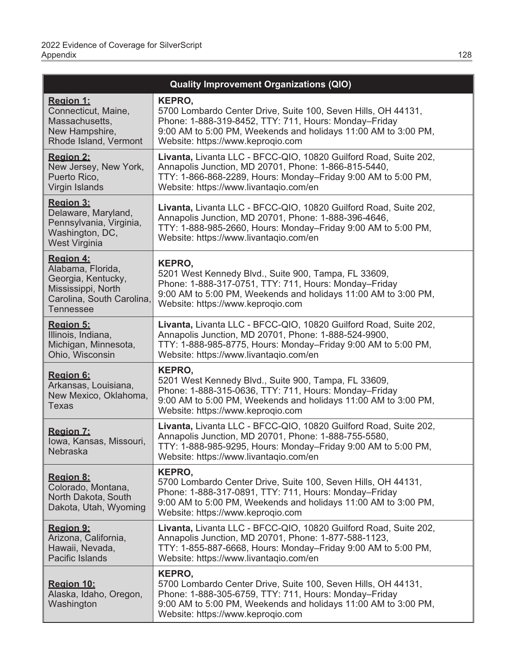|                                                                                                                                    | <b>Quality Improvement Organizations (QIO)</b>                                                                                                                                                                                          |
|------------------------------------------------------------------------------------------------------------------------------------|-----------------------------------------------------------------------------------------------------------------------------------------------------------------------------------------------------------------------------------------|
| <b>Region 1:</b><br>Connecticut, Maine,<br>Massachusetts,<br>New Hampshire,<br>Rhode Island, Vermont                               | KEPRO,<br>5700 Lombardo Center Drive, Suite 100, Seven Hills, OH 44131,<br>Phone: 1-888-319-8452, TTY: 711, Hours: Monday-Friday<br>9:00 AM to 5:00 PM, Weekends and holidays 11:00 AM to 3:00 PM,<br>Website: https://www.keproqio.com |
| <b>Region 2:</b><br>New Jersey, New York,<br>Puerto Rico,<br>Virgin Islands                                                        | Livanta, Livanta LLC - BFCC-QIO, 10820 Guilford Road, Suite 202,<br>Annapolis Junction, MD 20701, Phone: 1-866-815-5440,<br>TTY: 1-866-868-2289, Hours: Monday-Friday 9:00 AM to 5:00 PM,<br>Website: https://www.livantaqio.com/en     |
| <b>Region 3:</b><br>Delaware, Maryland,<br>Pennsylvania, Virginia,<br>Washington, DC,<br>West Virginia                             | Livanta, Livanta LLC - BFCC-QIO, 10820 Guilford Road, Suite 202,<br>Annapolis Junction, MD 20701, Phone: 1-888-396-4646,<br>TTY: 1-888-985-2660, Hours: Monday-Friday 9:00 AM to 5:00 PM,<br>Website: https://www.livantaqio.com/en     |
| <b>Region 4:</b><br>Alabama, Florida,<br>Georgia, Kentucky,<br>Mississippi, North<br>Carolina, South Carolina,<br><b>Tennessee</b> | KEPRO,<br>5201 West Kennedy Blvd., Suite 900, Tampa, FL 33609,<br>Phone: 1-888-317-0751, TTY: 711, Hours: Monday-Friday<br>9:00 AM to 5:00 PM, Weekends and holidays 11:00 AM to 3:00 PM,<br>Website: https://www.keproqio.com          |
| Region 5:<br>Illinois, Indiana,<br>Michigan, Minnesota,<br>Ohio, Wisconsin                                                         | Livanta, Livanta LLC - BFCC-QIO, 10820 Guilford Road, Suite 202,<br>Annapolis Junction, MD 20701, Phone: 1-888-524-9900,<br>TTY: 1-888-985-8775, Hours: Monday-Friday 9:00 AM to 5:00 PM,<br>Website: https://www.livantaqio.com/en     |
| Region 6:<br>Arkansas, Louisiana,<br>New Mexico, Oklahoma,<br><b>Texas</b>                                                         | KEPRO,<br>5201 West Kennedy Blvd., Suite 900, Tampa, FL 33609,<br>Phone: 1-888-315-0636, TTY: 711, Hours: Monday-Friday<br>9:00 AM to 5:00 PM, Weekends and holidays 11:00 AM to 3:00 PM,<br>Website: https://www.keproqio.com          |
| <b>Region 7:</b><br>Iowa, Kansas, Missouri,<br>Nebraska                                                                            | Livanta, Livanta LLC - BFCC-QIO, 10820 Guilford Road, Suite 202,<br>Annapolis Junction, MD 20701, Phone: 1-888-755-5580,<br>TTY: 1-888-985-9295, Hours: Monday-Friday 9:00 AM to 5:00 PM,<br>Website: https://www.livantagio.com/en     |
| Region 8:<br>Colorado, Montana,<br>North Dakota, South<br>Dakota, Utah, Wyoming                                                    | KEPRO,<br>5700 Lombardo Center Drive, Suite 100, Seven Hills, OH 44131,<br>Phone: 1-888-317-0891, TTY: 711, Hours: Monday-Friday<br>9:00 AM to 5:00 PM, Weekends and holidays 11:00 AM to 3:00 PM,<br>Website: https://www.keproqio.com |
| Region 9:<br>Arizona, California,<br>Hawaii, Nevada,<br>Pacific Islands                                                            | Livanta, Livanta LLC - BFCC-QIO, 10820 Guilford Road, Suite 202,<br>Annapolis Junction, MD 20701, Phone: 1-877-588-1123,<br>TTY: 1-855-887-6668, Hours: Monday-Friday 9:00 AM to 5:00 PM,<br>Website: https://www.livantagio.com/en     |
| Region 10:<br>Alaska, Idaho, Oregon,<br>Washington                                                                                 | KEPRO,<br>5700 Lombardo Center Drive, Suite 100, Seven Hills, OH 44131,<br>Phone: 1-888-305-6759, TTY: 711, Hours: Monday-Friday<br>9:00 AM to 5:00 PM, Weekends and holidays 11:00 AM to 3:00 PM,<br>Website: https://www.keproqio.com |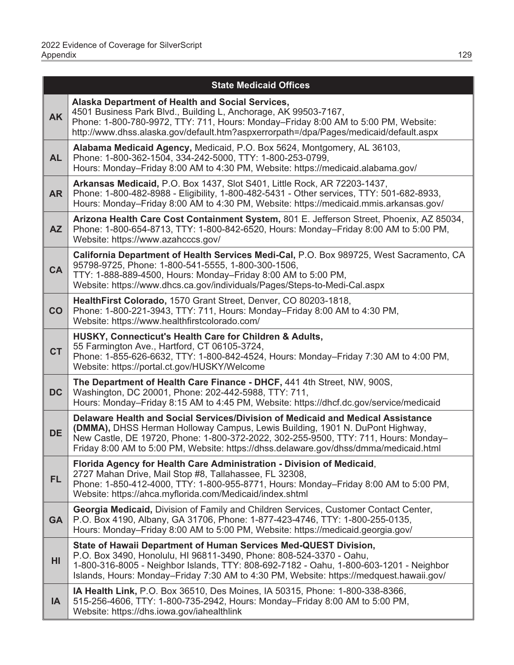|           | <b>State Medicaid Offices</b>                                                                                                                                                                                                                                                                                                                           |
|-----------|---------------------------------------------------------------------------------------------------------------------------------------------------------------------------------------------------------------------------------------------------------------------------------------------------------------------------------------------------------|
| <b>AK</b> | Alaska Department of Health and Social Services,<br>4501 Business Park Blvd., Building L, Anchorage, AK 99503-7167,<br>Phone: 1-800-780-9972, TTY: 711, Hours: Monday-Friday 8:00 AM to 5:00 PM, Website:<br>http://www.dhss.alaska.gov/default.htm?aspxerrorpath=/dpa/Pages/medicaid/default.aspx                                                      |
| <b>AL</b> | Alabama Medicaid Agency, Medicaid, P.O. Box 5624, Montgomery, AL 36103,<br>Phone: 1-800-362-1504, 334-242-5000, TTY: 1-800-253-0799,<br>Hours: Monday-Friday 8:00 AM to 4:30 PM, Website: https://medicaid.alabama.gov/                                                                                                                                 |
| <b>AR</b> | Arkansas Medicaid, P.O. Box 1437, Slot S401, Little Rock, AR 72203-1437,<br>Phone: 1-800-482-8988 - Eligibility, 1-800-482-5431 - Other services, TTY: 501-682-8933,<br>Hours: Monday-Friday 8:00 AM to 4:30 PM, Website: https://medicaid.mmis.arkansas.gov/                                                                                           |
| <b>AZ</b> | Arizona Health Care Cost Containment System, 801 E. Jefferson Street, Phoenix, AZ 85034,<br>Phone: 1-800-654-8713, TTY: 1-800-842-6520, Hours: Monday-Friday 8:00 AM to 5:00 PM,<br>Website: https://www.azahcccs.gov/                                                                                                                                  |
| <b>CA</b> | California Department of Health Services Medi-Cal, P.O. Box 989725, West Sacramento, CA<br>95798-9725, Phone: 1-800-541-5555, 1-800-300-1506,<br>TTY: 1-888-889-4500, Hours: Monday-Friday 8:00 AM to 5:00 PM,<br>Website: https://www.dhcs.ca.gov/individuals/Pages/Steps-to-Medi-Cal.aspx                                                             |
| CO        | HealthFirst Colorado, 1570 Grant Street, Denver, CO 80203-1818,<br>Phone: 1-800-221-3943, TTY: 711, Hours: Monday-Friday 8:00 AM to 4:30 PM,<br>Website: https://www.healthfirstcolorado.com/                                                                                                                                                           |
| <b>CT</b> | HUSKY, Connecticut's Health Care for Children & Adults,<br>55 Farmington Ave., Hartford, CT 06105-3724,<br>Phone: 1-855-626-6632, TTY: 1-800-842-4524, Hours: Monday-Friday 7:30 AM to 4:00 PM,<br>Website: https://portal.ct.gov/HUSKY/Welcome                                                                                                         |
| <b>DC</b> | The Department of Health Care Finance - DHCF, 441 4th Street, NW, 900S,<br>Washington, DC 20001, Phone: 202-442-5988, TTY: 711,<br>Hours: Monday-Friday 8:15 AM to 4:45 PM, Website: https://dhcf.dc.gov/service/medicaid                                                                                                                               |
| <b>DE</b> | Delaware Health and Social Services/Division of Medicaid and Medical Assistance<br><b>(DMMA)</b> , DHSS Herman Holloway Campus, Lewis Building, 1901 N. DuPont Highway,<br>New Castle, DE 19720, Phone: 1-800-372-2022, 302-255-9500, TTY: 711, Hours: Monday-<br>Friday 8:00 AM to 5:00 PM, Website: https://dhss.delaware.gov/dhss/dmma/medicaid.html |
| <b>FL</b> | Florida Agency for Health Care Administration - Division of Medicaid,<br>2727 Mahan Drive, Mail Stop #8, Tallahassee, FL 32308,<br>Phone: 1-850-412-4000, TTY: 1-800-955-8771, Hours: Monday-Friday 8:00 AM to 5:00 PM,<br>Website: https://ahca.myflorida.com/Medicaid/index.shtml                                                                     |
| <b>GA</b> | Georgia Medicaid, Division of Family and Children Services, Customer Contact Center,<br>P.O. Box 4190, Albany, GA 31706, Phone: 1-877-423-4746, TTY: 1-800-255-0135,<br>Hours: Monday-Friday 8:00 AM to 5:00 PM, Website: https://medicaid.georgia.gov/                                                                                                 |
| HI        | State of Hawaii Department of Human Services Med-QUEST Division,<br>P.O. Box 3490, Honolulu, HI 96811-3490, Phone: 808-524-3370 - Oahu,<br>1-800-316-8005 - Neighbor Islands, TTY: 808-692-7182 - Oahu, 1-800-603-1201 - Neighbor<br>Islands, Hours: Monday-Friday 7:30 AM to 4:30 PM, Website: https://medquest.hawaii.gov/                            |
| IA        | IA Health Link, P.O. Box 36510, Des Moines, IA 50315, Phone: 1-800-338-8366,<br>515-256-4606, TTY: 1-800-735-2942, Hours: Monday-Friday 8:00 AM to 5:00 PM,<br>Website: https://dhs.jowa.gov/jahealthlink                                                                                                                                               |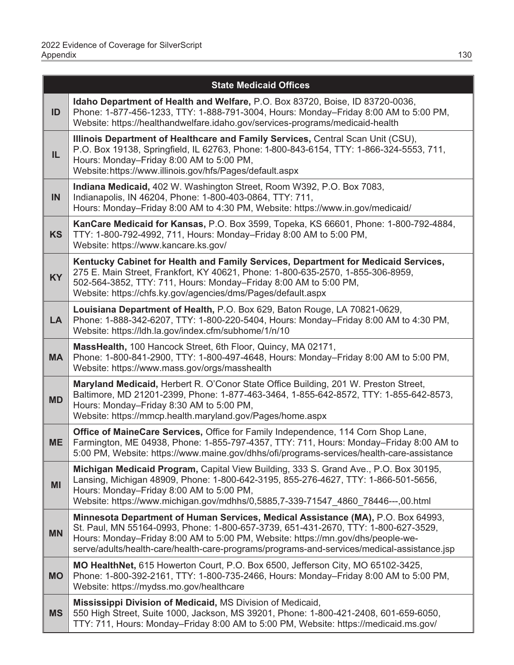|           | <b>State Medicaid Offices</b>                                                                                                                                                                                                                                                                                                                           |
|-----------|---------------------------------------------------------------------------------------------------------------------------------------------------------------------------------------------------------------------------------------------------------------------------------------------------------------------------------------------------------|
| ID        | Idaho Department of Health and Welfare, P.O. Box 83720, Boise, ID 83720-0036,<br>Phone: 1-877-456-1233, TTY: 1-888-791-3004, Hours: Monday-Friday 8:00 AM to 5:00 PM,<br>Website: https://healthandwelfare.idaho.gov/services-programs/medicaid-health                                                                                                  |
| IL.       | Illinois Department of Healthcare and Family Services, Central Scan Unit (CSU),<br>P.O. Box 19138, Springfield, IL 62763, Phone: 1-800-843-6154, TTY: 1-866-324-5553, 711,<br>Hours: Monday-Friday 8:00 AM to 5:00 PM,<br>Website: https://www.illinois.gov/hfs/Pages/default.aspx                                                                      |
| IN        | Indiana Medicaid, 402 W. Washington Street, Room W392, P.O. Box 7083,<br>Indianapolis, IN 46204, Phone: 1-800-403-0864, TTY: 711,<br>Hours: Monday-Friday 8:00 AM to 4:30 PM, Website: https://www.in.gov/medicaid/                                                                                                                                     |
| <b>KS</b> | KanCare Medicaid for Kansas, P.O. Box 3599, Topeka, KS 66601, Phone: 1-800-792-4884,<br>TTY: 1-800-792-4992, 711, Hours: Monday-Friday 8:00 AM to 5:00 PM,<br>Website: https://www.kancare.ks.gov/                                                                                                                                                      |
| <b>KY</b> | Kentucky Cabinet for Health and Family Services, Department for Medicaid Services,<br>275 E. Main Street, Frankfort, KY 40621, Phone: 1-800-635-2570, 1-855-306-8959,<br>502-564-3852, TTY: 711, Hours: Monday-Friday 8:00 AM to 5:00 PM,<br>Website: https://chfs.ky.gov/agencies/dms/Pages/default.aspx                                               |
| <b>LA</b> | Louisiana Department of Health, P.O. Box 629, Baton Rouge, LA 70821-0629,<br>Phone: 1-888-342-6207, TTY: 1-800-220-5404, Hours: Monday-Friday 8:00 AM to 4:30 PM,<br>Website: https://ldh.la.gov/index.cfm/subhome/1/n/10                                                                                                                               |
| <b>MA</b> | MassHealth, 100 Hancock Street, 6th Floor, Quincy, MA 02171,<br>Phone: 1-800-841-2900, TTY: 1-800-497-4648, Hours: Monday-Friday 8:00 AM to 5:00 PM,<br>Website: https://www.mass.gov/orgs/masshealth                                                                                                                                                   |
| <b>MD</b> | Maryland Medicaid, Herbert R. O'Conor State Office Building, 201 W. Preston Street,<br>Baltimore, MD 21201-2399, Phone: 1-877-463-3464, 1-855-642-8572, TTY: 1-855-642-8573,<br>Hours: Monday-Friday 8:30 AM to 5:00 PM,<br>Website: https://mmcp.health.maryland.gov/Pages/home.aspx                                                                   |
| <b>ME</b> | Office of MaineCare Services, Office for Family Independence, 114 Corn Shop Lane,<br>Farmington, ME 04938, Phone: 1-855-797-4357, TTY: 711, Hours: Monday-Friday 8:00 AM to<br>5:00 PM, Website: https://www.maine.gov/dhhs/ofi/programs-services/health-care-assistance                                                                                |
| MI        | Michigan Medicaid Program, Capital View Building, 333 S. Grand Ave., P.O. Box 30195,<br>Lansing, Michigan 48909, Phone: 1-800-642-3195, 855-276-4627, TTY: 1-866-501-5656,<br>Hours: Monday-Friday 8:00 AM to 5:00 PM,<br>Website: https://www.michigan.gov/mdhhs/0,5885,7-339-71547_4860_78446---,00.html                                              |
| <b>MN</b> | Minnesota Department of Human Services, Medical Assistance (MA), P.O. Box 64993,<br>St. Paul, MN 55164-0993, Phone: 1-800-657-3739, 651-431-2670, TTY: 1-800-627-3529,<br>Hours: Monday-Friday 8:00 AM to 5:00 PM, Website: https://mn.gov/dhs/people-we-<br>serve/adults/health-care/health-care-programs/programs-and-services/medical-assistance.jsp |
| <b>MO</b> | MO HealthNet, 615 Howerton Court, P.O. Box 6500, Jefferson City, MO 65102-3425,<br>Phone: 1-800-392-2161, TTY: 1-800-735-2466, Hours: Monday-Friday 8:00 AM to 5:00 PM,<br>Website: https://mydss.mo.gov/healthcare                                                                                                                                     |
| <b>MS</b> | Mississippi Division of Medicaid, MS Division of Medicaid,<br>550 High Street, Suite 1000, Jackson, MS 39201, Phone: 1-800-421-2408, 601-659-6050,<br>TTY: 711, Hours: Monday-Friday 8:00 AM to 5:00 PM, Website: https://medicaid.ms.gov/                                                                                                              |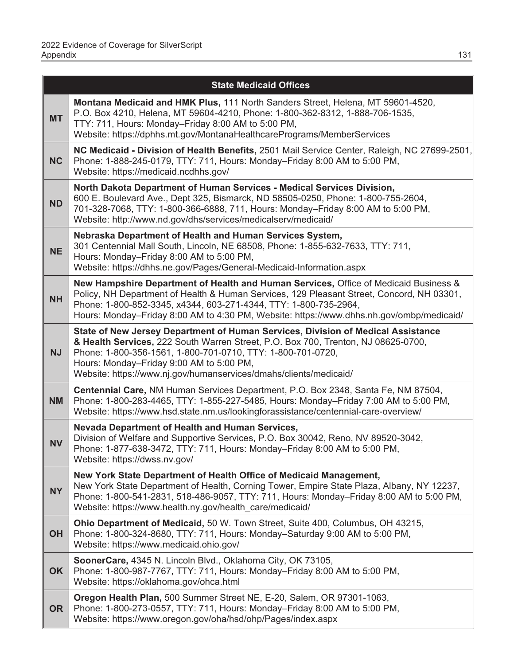|           | <b>State Medicaid Offices</b>                                                                                                                                                                                                                                                                                                                         |
|-----------|-------------------------------------------------------------------------------------------------------------------------------------------------------------------------------------------------------------------------------------------------------------------------------------------------------------------------------------------------------|
| <b>MT</b> | Montana Medicaid and HMK Plus, 111 North Sanders Street, Helena, MT 59601-4520,<br>P.O. Box 4210, Helena, MT 59604-4210, Phone: 1-800-362-8312, 1-888-706-1535,<br>TTY: 711, Hours: Monday-Friday 8:00 AM to 5:00 PM,<br>Website: https://dphhs.mt.gov/MontanaHealthcarePrograms/MemberServices                                                       |
| <b>NC</b> | NC Medicaid - Division of Health Benefits, 2501 Mail Service Center, Raleigh, NC 27699-2501,<br>Phone: 1-888-245-0179, TTY: 711, Hours: Monday-Friday 8:00 AM to 5:00 PM,<br>Website: https://medicaid.ncdhhs.gov/                                                                                                                                    |
| <b>ND</b> | North Dakota Department of Human Services - Medical Services Division,<br>600 E. Boulevard Ave., Dept 325, Bismarck, ND 58505-0250, Phone: 1-800-755-2604,<br>701-328-7068, TTY: 1-800-366-6888, 711, Hours: Monday-Friday 8:00 AM to 5:00 PM,<br>Website: http://www.nd.gov/dhs/services/medicalserv/medicaid/                                       |
| <b>NE</b> | Nebraska Department of Health and Human Services System,<br>301 Centennial Mall South, Lincoln, NE 68508, Phone: 1-855-632-7633, TTY: 711,<br>Hours: Monday-Friday 8:00 AM to 5:00 PM,<br>Website: https://dhhs.ne.gov/Pages/General-Medicaid-Information.aspx                                                                                        |
| <b>NH</b> | New Hampshire Department of Health and Human Services, Office of Medicaid Business &<br>Policy, NH Department of Health & Human Services, 129 Pleasant Street, Concord, NH 03301,<br>Phone: 1-800-852-3345, x4344, 603-271-4344, TTY: 1-800-735-2964,<br>Hours: Monday-Friday 8:00 AM to 4:30 PM, Website: https://www.dhhs.nh.gov/ombp/medicaid/     |
| <b>NJ</b> | State of New Jersey Department of Human Services, Division of Medical Assistance<br>& Health Services, 222 South Warren Street, P.O. Box 700, Trenton, NJ 08625-0700,<br>Phone: 1-800-356-1561, 1-800-701-0710, TTY: 1-800-701-0720,<br>Hours: Monday-Friday 9:00 AM to 5:00 PM,<br>Website: https://www.nj.gov/humanservices/dmahs/clients/medicaid/ |
| <b>NM</b> | Centennial Care, NM Human Services Department, P.O. Box 2348, Santa Fe, NM 87504,<br>Phone: 1-800-283-4465, TTY: 1-855-227-5485, Hours: Monday-Friday 7:00 AM to 5:00 PM,<br>Website: https://www.hsd.state.nm.us/lookingforassistance/centennial-care-overview/                                                                                      |
| <b>NV</b> | <b>Nevada Department of Health and Human Services,</b><br>Division of Welfare and Supportive Services, P.O. Box 30042, Reno, NV 89520-3042,<br>Phone: 1-877-638-3472, TTY: 711, Hours: Monday-Friday 8:00 AM to 5:00 PM,<br>Website: https://dwss.nv.gov/                                                                                             |
| <b>NY</b> | New York State Department of Health Office of Medicaid Management,<br>New York State Department of Health, Corning Tower, Empire State Plaza, Albany, NY 12237,<br>Phone: 1-800-541-2831, 518-486-9057, TTY: 711, Hours: Monday-Friday 8:00 AM to 5:00 PM,<br>Website: https://www.health.ny.gov/health care/medicaid/                                |
| <b>OH</b> | Ohio Department of Medicaid, 50 W. Town Street, Suite 400, Columbus, OH 43215,<br>Phone: 1-800-324-8680, TTY: 711, Hours: Monday-Saturday 9:00 AM to 5:00 PM,<br>Website: https://www.medicaid.ohio.gov/                                                                                                                                              |
| <b>OK</b> | SoonerCare, 4345 N. Lincoln Blvd., Oklahoma City, OK 73105,<br>Phone: 1-800-987-7767, TTY: 711, Hours: Monday-Friday 8:00 AM to 5:00 PM,<br>Website: https://oklahoma.gov/ohca.html                                                                                                                                                                   |
| <b>OR</b> | Oregon Health Plan, 500 Summer Street NE, E-20, Salem, OR 97301-1063,<br>Phone: 1-800-273-0557, TTY: 711, Hours: Monday-Friday 8:00 AM to 5:00 PM,<br>Website: https://www.oregon.gov/oha/hsd/ohp/Pages/index.aspx                                                                                                                                    |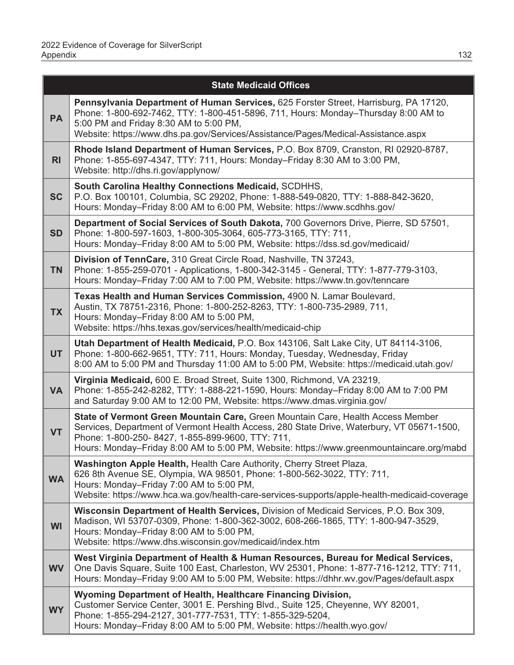|                | <b>State Medicaid Offices</b>                                                                                                                                                                                                                                                                                                |
|----------------|------------------------------------------------------------------------------------------------------------------------------------------------------------------------------------------------------------------------------------------------------------------------------------------------------------------------------|
| <b>PA</b>      | Pennsylvania Department of Human Services, 625 Forster Street, Harrisburg, PA 17120,<br>Phone: 1-800-692-7462, TTY: 1-800-451-5896, 711, Hours: Monday-Thursday 8:00 AM to<br>5:00 PM and Friday 8:30 AM to 5:00 PM,<br>Website: https://www.dhs.pa.gov/Services/Assistance/Pages/Medical-Assistance.aspx                    |
| R <sub>l</sub> | Rhode Island Department of Human Services, P.O. Box 8709, Cranston, RI 02920-8787,<br>Phone: 1-855-697-4347, TTY: 711, Hours: Monday-Friday 8:30 AM to 3:00 PM,<br>Website: http://dhs.ri.gov/applynow/                                                                                                                      |
| <b>SC</b>      | South Carolina Healthy Connections Medicaid, SCDHHS,<br>P.O. Box 100101, Columbia, SC 29202, Phone: 1-888-549-0820, TTY: 1-888-842-3620,<br>Hours: Monday-Friday 8:00 AM to 6:00 PM, Website: https://www.scdhhs.gov/                                                                                                        |
| <b>SD</b>      | Department of Social Services of South Dakota, 700 Governors Drive, Pierre, SD 57501,<br>Phone: 1-800-597-1603, 1-800-305-3064, 605-773-3165, TTY: 711,<br>Hours: Monday-Friday 8:00 AM to 5:00 PM, Website: https://dss.sd.gov/medicaid/                                                                                    |
| <b>TN</b>      | Division of TennCare, 310 Great Circle Road, Nashville, TN 37243,<br>Phone: 1-855-259-0701 - Applications, 1-800-342-3145 - General, TTY: 1-877-779-3103,<br>Hours: Monday-Friday 7:00 AM to 7:00 PM, Website: https://www.tn.gov/tenncare                                                                                   |
| <b>TX</b>      | Texas Health and Human Services Commission, 4900 N. Lamar Boulevard,<br>Austin, TX 78751-2316, Phone: 1-800-252-8263, TTY: 1-800-735-2989, 711,<br>Hours: Monday-Friday 8:00 AM to 5:00 PM,<br>Website: https://hhs.texas.gov/services/health/medicaid-chip                                                                  |
| <b>UT</b>      | Utah Department of Health Medicaid, P.O. Box 143106, Salt Lake City, UT 84114-3106,<br>Phone: 1-800-662-9651, TTY: 711, Hours: Monday, Tuesday, Wednesday, Friday<br>8:00 AM to 5:00 PM and Thursday 11:00 AM to 5:00 PM, Website: https://medicaid.utah.gov/                                                                |
| <b>VA</b>      | Virginia Medicaid, 600 E. Broad Street, Suite 1300, Richmond, VA 23219,<br>Phone: 1-855-242-8282, TTY: 1-888-221-1590, Hours: Monday-Friday 8:00 AM to 7:00 PM<br>and Saturday 9:00 AM to 12:00 PM, Website: https://www.dmas.virginia.gov/                                                                                  |
| <b>VT</b>      | State of Vermont Green Mountain Care, Green Mountain Care, Health Access Member<br>Services, Department of Vermont Health Access, 280 State Drive, Waterbury, VT 05671-1500,<br>Phone: 1-800-250-8427, 1-855-899-9600, TTY: 711,<br>Hours: Monday-Friday 8:00 AM to 5:00 PM, Website: https://www.greenmountaincare.org/mabd |
| <b>WA</b>      | Washington Apple Health, Health Care Authority, Cherry Street Plaza,<br>626 8th Avenue SE, Olympia, WA 98501, Phone: 1-800-562-3022, TTY: 711,<br>Hours: Monday-Friday 7:00 AM to 5:00 PM,<br>Website: https://www.hca.wa.gov/health-care-services-supports/apple-health-medicaid-coverage                                   |
| WI             | Wisconsin Department of Health Services, Division of Medicaid Services, P.O. Box 309,<br>Madison, WI 53707-0309, Phone: 1-800-362-3002, 608-266-1865, TTY: 1-800-947-3529,<br>Hours: Monday-Friday 8:00 AM to 5:00 PM,<br>Website: https://www.dhs.wisconsin.gov/medicaid/index.htm                                          |
| <b>WV</b>      | West Virginia Department of Health & Human Resources, Bureau for Medical Services,<br>One Davis Square, Suite 100 East, Charleston, WV 25301, Phone: 1-877-716-1212, TTY: 711,<br>Hours: Monday-Friday 9:00 AM to 5:00 PM, Website: https://dhhr.wv.gov/Pages/default.aspx                                                   |
| <b>WY</b>      | Wyoming Department of Health, Healthcare Financing Division,<br>Customer Service Center, 3001 E. Pershing Blvd., Suite 125, Cheyenne, WY 82001,<br>Phone: 1-855-294-2127, 301-777-7531, TTY: 1-855-329-5204,<br>Hours: Monday-Friday 8:00 AM to 5:00 PM, Website: https://health.wyo.gov/                                    |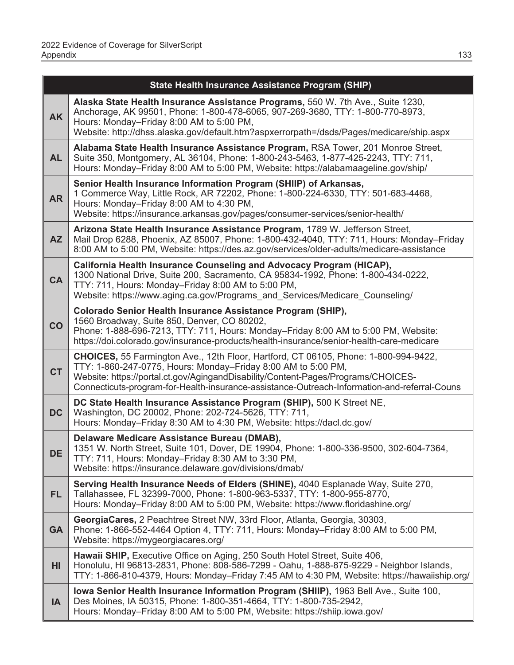|           | <b>State Health Insurance Assistance Program (SHIP)</b>                                                                                                                                                                                                                                                                                   |
|-----------|-------------------------------------------------------------------------------------------------------------------------------------------------------------------------------------------------------------------------------------------------------------------------------------------------------------------------------------------|
| <b>AK</b> | Alaska State Health Insurance Assistance Programs, 550 W. 7th Ave., Suite 1230,<br>Anchorage, AK 99501, Phone: 1-800-478-6065, 907-269-3680, TTY: 1-800-770-8973,<br>Hours: Monday-Friday 8:00 AM to 5:00 PM,<br>Website: http://dhss.alaska.gov/default.htm?aspxerrorpath=/dsds/Pages/medicare/ship.aspx                                 |
| <b>AL</b> | Alabama State Health Insurance Assistance Program, RSA Tower, 201 Monroe Street,<br>Suite 350, Montgomery, AL 36104, Phone: 1-800-243-5463, 1-877-425-2243, TTY: 711,<br>Hours: Monday-Friday 8:00 AM to 5:00 PM, Website: https://alabamaageline.gov/ship/                                                                               |
| <b>AR</b> | Senior Health Insurance Information Program (SHIIP) of Arkansas,<br>1 Commerce Way, Little Rock, AR 72202, Phone: 1-800-224-6330, TTY: 501-683-4468,<br>Hours: Monday-Friday 8:00 AM to 4:30 PM,<br>Website: https://insurance.arkansas.gov/pages/consumer-services/senior-health/                                                        |
| <b>AZ</b> | Arizona State Health Insurance Assistance Program, 1789 W. Jefferson Street,<br>Mail Drop 6288, Phoenix, AZ 85007, Phone: 1-800-432-4040, TTY: 711, Hours: Monday-Friday<br>8:00 AM to 5:00 PM, Website: https://des.az.gov/services/older-adults/medicare-assistance                                                                     |
| <b>CA</b> | California Health Insurance Counseling and Advocacy Program (HICAP),<br>1300 National Drive, Suite 200, Sacramento, CA 95834-1992, Phone: 1-800-434-0222,<br>TTY: 711, Hours: Monday-Friday 8:00 AM to 5:00 PM,<br>Website: https://www.aging.ca.gov/Programs and Services/Medicare Counseling/                                           |
| CO        | Colorado Senior Health Insurance Assistance Program (SHIP),<br>1560 Broadway, Suite 850, Denver, CO 80202,<br>Phone: 1-888-696-7213, TTY: 711, Hours: Monday–Friday 8:00 AM to 5:00 PM, Website:<br>https://doi.colorado.gov/insurance-products/health-insurance/senior-health-care-medicare                                              |
| <b>CT</b> | CHOICES, 55 Farmington Ave., 12th Floor, Hartford, CT 06105, Phone: 1-800-994-9422,<br>TTY: 1-860-247-0775, Hours: Monday-Friday 8:00 AM to 5:00 PM,<br>Website: https://portal.ct.gov/AgingandDisability/Content-Pages/Programs/CHOICES-<br>Connecticuts-program-for-Health-insurance-assistance-Outreach-Information-and-referral-Couns |
| <b>DC</b> | DC State Health Insurance Assistance Program (SHIP), 500 K Street NE,<br>Washington, DC 20002, Phone: 202-724-5626, TTY: 711,<br>Hours: Monday-Friday 8:30 AM to 4:30 PM, Website: https://dacl.dc.gov/                                                                                                                                   |
| <b>DE</b> | Delaware Medicare Assistance Bureau (DMAB),<br>1351 W. North Street, Suite 101, Dover, DE 19904, Phone: 1-800-336-9500, 302-604-7364,<br>TTY: 711, Hours: Monday-Friday 8:30 AM to 3:30 PM,<br>Website: https://insurance.delaware.gov/divisions/dmab/                                                                                    |
| <b>FL</b> | Serving Health Insurance Needs of Elders (SHINE), 4040 Esplanade Way, Suite 270,<br>Tallahassee, FL 32399-7000, Phone: 1-800-963-5337, TTY: 1-800-955-8770,<br>Hours: Monday-Friday 8:00 AM to 5:00 PM, Website: https://www.floridashine.org/                                                                                            |
| <b>GA</b> | GeorgiaCares, 2 Peachtree Street NW, 33rd Floor, Atlanta, Georgia, 30303,<br>Phone: 1-866-552-4464 Option 4, TTY: 711, Hours: Monday-Friday 8:00 AM to 5:00 PM,<br>Website: https://mygeorgiacares.org/                                                                                                                                   |
| HI        | Hawaii SHIP, Executive Office on Aging, 250 South Hotel Street, Suite 406,<br>Honolulu, HI 96813-2831, Phone: 808-586-7299 - Oahu, 1-888-875-9229 - Neighbor Islands,<br>TTY: 1-866-810-4379, Hours: Monday-Friday 7:45 AM to 4:30 PM, Website: https://hawaiiship.org/                                                                   |
| IA        | lowa Senior Health Insurance Information Program (SHIIP), 1963 Bell Ave., Suite 100,<br>Des Moines, IA 50315, Phone: 1-800-351-4664, TTY: 1-800-735-2942,<br>Hours: Monday–Friday 8:00 AM to 5:00 PM, Website: https://shiip.iowa.gov/                                                                                                    |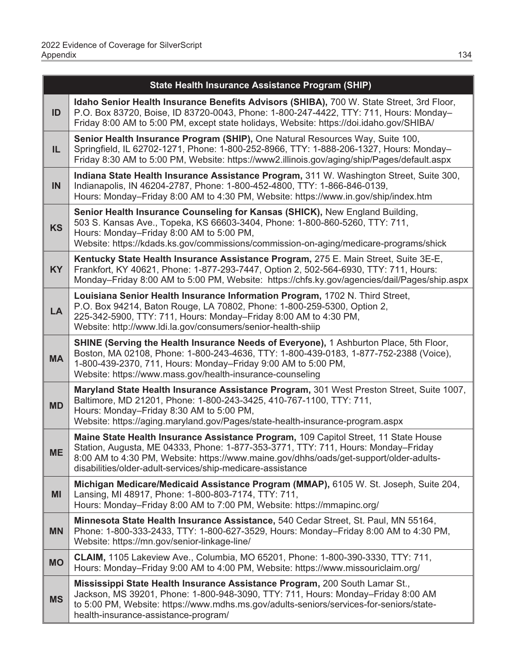|           | <b>State Health Insurance Assistance Program (SHIP)</b>                                                                                                                                                                                                                                                                          |
|-----------|----------------------------------------------------------------------------------------------------------------------------------------------------------------------------------------------------------------------------------------------------------------------------------------------------------------------------------|
| ID        | Idaho Senior Health Insurance Benefits Advisors (SHIBA), 700 W. State Street, 3rd Floor,<br>P.O. Box 83720, Boise, ID 83720-0043, Phone: 1-800-247-4422, TTY: 711, Hours: Monday-<br>Friday 8:00 AM to 5:00 PM, except state holidays, Website: https://doi.idaho.gov/SHIBA/                                                     |
| IL.       | Senior Health Insurance Program (SHIP), One Natural Resources Way, Suite 100,<br>Springfield, IL 62702-1271, Phone: 1-800-252-8966, TTY: 1-888-206-1327, Hours: Monday-<br>Friday 8:30 AM to 5:00 PM, Website: https://www2.illinois.gov/aging/ship/Pages/default.aspx                                                           |
| IN        | Indiana State Health Insurance Assistance Program, 311 W. Washington Street, Suite 300,<br>Indianapolis, IN 46204-2787, Phone: 1-800-452-4800, TTY: 1-866-846-0139,<br>Hours: Monday-Friday 8:00 AM to 4:30 PM, Website: https://www.in.gov/ship/index.htm                                                                       |
| <b>KS</b> | Senior Health Insurance Counseling for Kansas (SHICK), New England Building,<br>503 S. Kansas Ave., Topeka, KS 66603-3404, Phone: 1-800-860-5260, TTY: 711,<br>Hours: Monday-Friday 8:00 AM to 5:00 PM,<br>Website: https://kdads.ks.gov/commissions/commission-on-aging/medicare-programs/shick                                 |
| <b>KY</b> | Kentucky State Health Insurance Assistance Program, 275 E. Main Street, Suite 3E-E,<br>Frankfort, KY 40621, Phone: 1-877-293-7447, Option 2, 502-564-6930, TTY: 711, Hours:<br>Monday-Friday 8:00 AM to 5:00 PM, Website: https://chfs.ky.gov/agencies/dail/Pages/ship.aspx                                                      |
| <b>LA</b> | Louisiana Senior Health Insurance Information Program, 1702 N. Third Street,<br>P.O. Box 94214, Baton Rouge, LA 70802, Phone: 1-800-259-5300, Option 2,<br>225-342-5900, TTY: 711, Hours: Monday-Friday 8:00 AM to 4:30 PM,<br>Website: http://www.ldi.la.gov/consumers/senior-health-shiip                                      |
| <b>MA</b> | SHINE (Serving the Health Insurance Needs of Everyone), 1 Ashburton Place, 5th Floor,<br>Boston, MA 02108, Phone: 1-800-243-4636, TTY: 1-800-439-0183, 1-877-752-2388 (Voice),<br>1-800-439-2370, 711, Hours: Monday-Friday 9:00 AM to 5:00 PM,<br>Website: https://www.mass.gov/health-insurance-counseling                     |
| <b>MD</b> | Maryland State Health Insurance Assistance Program, 301 West Preston Street, Suite 1007,<br>Baltimore, MD 21201, Phone: 1-800-243-3425, 410-767-1100, TTY: 711,<br>Hours: Monday-Friday 8:30 AM to 5:00 PM,<br>Website: https://aging.maryland.gov/Pages/state-health-insurance-program.aspx                                     |
| <b>ME</b> | Maine State Health Insurance Assistance Program, 109 Capitol Street, 11 State House<br>Station, Augusta, ME 04333, Phone: 1-877-353-3771, TTY: 711, Hours: Monday-Friday<br>8:00 AM to 4:30 PM, Website: https://www.maine.gov/dhhs/oads/get-support/older-adults-<br>disabilities/older-adult-services/ship-medicare-assistance |
| MI        | Michigan Medicare/Medicaid Assistance Program (MMAP), 6105 W. St. Joseph, Suite 204,<br>Lansing, MI 48917, Phone: 1-800-803-7174, TTY: 711,<br>Hours: Monday-Friday 8:00 AM to 7:00 PM, Website: https://mmapinc.org/                                                                                                            |
| <b>MN</b> | Minnesota State Health Insurance Assistance, 540 Cedar Street, St. Paul, MN 55164,<br>Phone: 1-800-333-2433, TTY: 1-800-627-3529, Hours: Monday-Friday 8:00 AM to 4:30 PM,<br>Website: https://mn.gov/senior-linkage-line/                                                                                                       |
| <b>MO</b> | CLAIM, 1105 Lakeview Ave., Columbia, MO 65201, Phone: 1-800-390-3330, TTY: 711,<br>Hours: Monday-Friday 9:00 AM to 4:00 PM, Website: https://www.missouriclaim.org/                                                                                                                                                              |
| <b>MS</b> | Mississippi State Health Insurance Assistance Program, 200 South Lamar St.,<br>Jackson, MS 39201, Phone: 1-800-948-3090, TTY: 711, Hours: Monday-Friday 8:00 AM<br>to 5:00 PM, Website: https://www.mdhs.ms.gov/adults-seniors/services-for-seniors/state-<br>health-insurance-assistance-program/                               |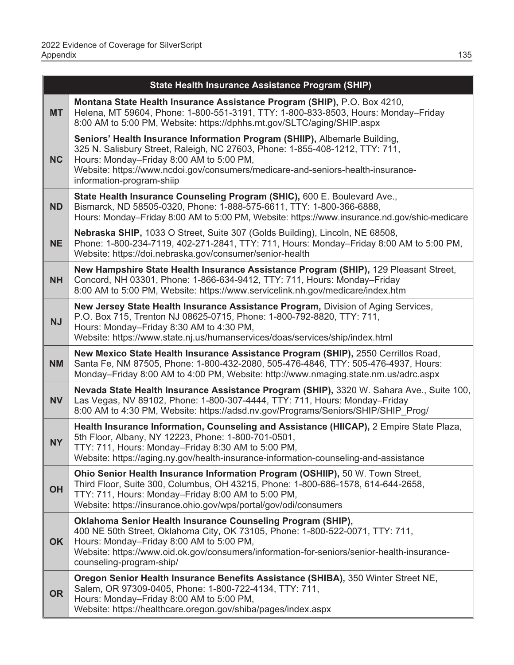|           | State Health Insurance Assistance Program (SHIP)                                                                                                                                                                                                                                                                       |
|-----------|------------------------------------------------------------------------------------------------------------------------------------------------------------------------------------------------------------------------------------------------------------------------------------------------------------------------|
| <b>MT</b> | Montana State Health Insurance Assistance Program (SHIP), P.O. Box 4210,<br>Helena, MT 59604, Phone: 1-800-551-3191, TTY: 1-800-833-8503, Hours: Monday-Friday<br>8:00 AM to 5:00 PM, Website: https://dphhs.mt.gov/SLTC/aging/SHIP.aspx                                                                               |
| <b>NC</b> | Seniors' Health Insurance Information Program (SHIIP), Albemarle Building,<br>325 N. Salisbury Street, Raleigh, NC 27603, Phone: 1-855-408-1212, TTY: 711,<br>Hours: Monday-Friday 8:00 AM to 5:00 PM,<br>Website: https://www.ncdoi.gov/consumers/medicare-and-seniors-health-insurance-<br>information-program-shiip |
| <b>ND</b> | State Health Insurance Counseling Program (SHIC), 600 E. Boulevard Ave.,<br>Bismarck, ND 58505-0320, Phone: 1-888-575-6611, TTY: 1-800-366-6888,<br>Hours: Monday-Friday 8:00 AM to 5:00 PM, Website: https://www.insurance.nd.gov/shic-medicare                                                                       |
| NE        | Nebraska SHIP, 1033 O Street, Suite 307 (Golds Building), Lincoln, NE 68508,<br>Phone: 1-800-234-7119, 402-271-2841, TTY: 711, Hours: Monday-Friday 8:00 AM to 5:00 PM,<br>Website: https://doi.nebraska.gov/consumer/senior-health                                                                                    |
| <b>NH</b> | New Hampshire State Health Insurance Assistance Program (SHIP), 129 Pleasant Street,<br>Concord, NH 03301, Phone: 1-866-634-9412, TTY: 711, Hours: Monday-Friday<br>8:00 AM to 5:00 PM, Website: https://www.servicelink.nh.gov/medicare/index.htm                                                                     |
| <b>NJ</b> | New Jersey State Health Insurance Assistance Program, Division of Aging Services,<br>P.O. Box 715, Trenton NJ 08625-0715, Phone: 1-800-792-8820, TTY: 711,<br>Hours: Monday-Friday 8:30 AM to 4:30 PM,<br>Website: https://www.state.nj.us/humanservices/doas/services/ship/index.html                                 |
| <b>NM</b> | New Mexico State Health Insurance Assistance Program (SHIP), 2550 Cerrillos Road,<br>Santa Fe, NM 87505, Phone: 1-800-432-2080, 505-476-4846, TTY: 505-476-4937, Hours:<br>Monday-Friday 8:00 AM to 4:00 PM, Website: http://www.nmaging.state.nm.us/adrc.aspx                                                         |
| <b>NV</b> | Nevada State Health Insurance Assistance Program (SHIP), 3320 W. Sahara Ave., Suite 100,<br>Las Vegas, NV 89102, Phone: 1-800-307-4444, TTY: 711, Hours: Monday-Friday<br>8:00 AM to 4:30 PM, Website: https://adsd.nv.gov/Programs/Seniors/SHIP/SHIP_Prog/                                                            |
| <b>NY</b> | Health Insurance Information, Counseling and Assistance (HIICAP), 2 Empire State Plaza,<br>5th Floor, Albany, NY 12223, Phone: 1-800-701-0501,<br>TTY: 711, Hours: Monday-Friday 8:30 AM to 5:00 PM,<br>Website: https://aging.ny.gov/health-insurance-information-counseling-and-assistance                           |
| <b>OH</b> | Ohio Senior Health Insurance Information Program (OSHIIP), 50 W. Town Street,<br>Third Floor, Suite 300, Columbus, OH 43215, Phone: 1-800-686-1578, 614-644-2658,<br>TTY: 711, Hours: Monday-Friday 8:00 AM to 5:00 PM,<br>Website: https://insurance.ohio.gov/wps/portal/gov/odi/consumers                            |
| <b>OK</b> | Oklahoma Senior Health Insurance Counseling Program (SHIP),<br>400 NE 50th Street, Oklahoma City, OK 73105, Phone: 1-800-522-0071, TTY: 711,<br>Hours: Monday-Friday 8:00 AM to 5:00 PM,<br>Website: https://www.oid.ok.gov/consumers/information-for-seniors/senior-health-insurance-<br>counseling-program-ship/     |
| <b>OR</b> | Oregon Senior Health Insurance Benefits Assistance (SHIBA), 350 Winter Street NE,<br>Salem, OR 97309-0405, Phone: 1-800-722-4134, TTY: 711,<br>Hours: Monday-Friday 8:00 AM to 5:00 PM,<br>Website: https://healthcare.oregon.gov/shiba/pages/index.aspx                                                               |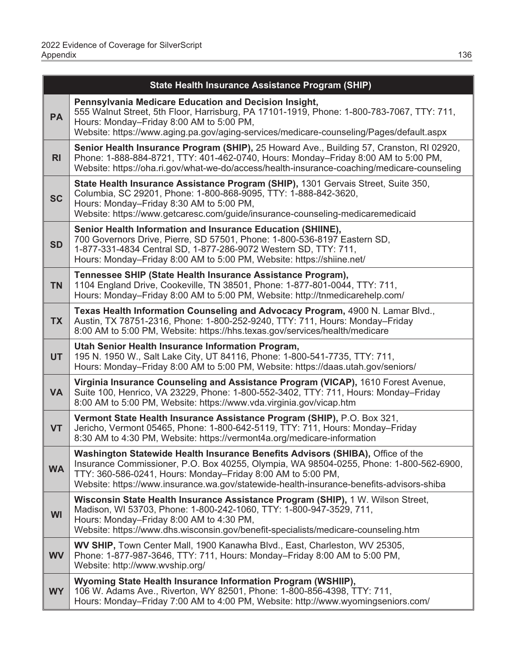|                | State Health Insurance Assistance Program (SHIP)                                                                                                                                                                                                                                                                                    |
|----------------|-------------------------------------------------------------------------------------------------------------------------------------------------------------------------------------------------------------------------------------------------------------------------------------------------------------------------------------|
| <b>PA</b>      | Pennsylvania Medicare Education and Decision Insight,<br>555 Walnut Street, 5th Floor, Harrisburg, PA 17101-1919, Phone: 1-800-783-7067, TTY: 711,<br>Hours: Monday-Friday 8:00 AM to 5:00 PM,<br>Website: https://www.aging.pa.gov/aging-services/medicare-counseling/Pages/default.aspx                                           |
| R <sub>l</sub> | Senior Health Insurance Program (SHIP), 25 Howard Ave., Building 57, Cranston, RI 02920,<br>Phone: 1-888-884-8721, TTY: 401-462-0740, Hours: Monday-Friday 8:00 AM to 5:00 PM,<br>Website: https://oha.ri.gov/what-we-do/access/health-insurance-coaching/medicare-counseling                                                       |
| <b>SC</b>      | State Health Insurance Assistance Program (SHIP), 1301 Gervais Street, Suite 350,<br>Columbia, SC 29201, Phone: 1-800-868-9095, TTY: 1-888-842-3620,<br>Hours: Monday-Friday 8:30 AM to 5:00 PM,<br>Website: https://www.getcaresc.com/guide/insurance-counseling-medicaremedicaid                                                  |
| <b>SD</b>      | Senior Health Information and Insurance Education (SHIINE),<br>700 Governors Drive, Pierre, SD 57501, Phone: 1-800-536-8197 Eastern SD,<br>1-877-331-4834 Central SD, 1-877-286-9072 Western SD, TTY: 711,<br>Hours: Monday-Friday 8:00 AM to 5:00 PM, Website: https://shiine.net/                                                 |
| <b>TN</b>      | Tennessee SHIP (State Health Insurance Assistance Program),<br>1104 England Drive, Cookeville, TN 38501, Phone: 1-877-801-0044, TTY: 711,<br>Hours: Monday-Friday 8:00 AM to 5:00 PM, Website: http://tnmedicarehelp.com/                                                                                                           |
| <b>TX</b>      | Texas Health Information Counseling and Advocacy Program, 4900 N. Lamar Blvd.,<br>Austin, TX 78751-2316, Phone: 1-800-252-9240, TTY: 711, Hours: Monday-Friday<br>8:00 AM to 5:00 PM, Website: https://hhs.texas.gov/services/health/medicare                                                                                       |
| <b>UT</b>      | Utah Senior Health Insurance Information Program,<br>195 N. 1950 W., Salt Lake City, UT 84116, Phone: 1-800-541-7735, TTY: 711,<br>Hours: Monday-Friday 8:00 AM to 5:00 PM, Website: https://daas.utah.gov/seniors/                                                                                                                 |
| <b>VA</b>      | Virginia Insurance Counseling and Assistance Program (VICAP), 1610 Forest Avenue,<br>Suite 100, Henrico, VA 23229, Phone: 1-800-552-3402, TTY: 711, Hours: Monday-Friday<br>8:00 AM to 5:00 PM, Website: https://www.vda.virginia.gov/vicap.htm                                                                                     |
| <b>VT</b>      | Vermont State Health Insurance Assistance Program (SHIP), P.O. Box 321,<br>Jericho, Vermont 05465, Phone: 1-800-642-5119, TTY: 711, Hours: Monday-Friday<br>8:30 AM to 4:30 PM, Website: https://vermont4a.org/medicare-information                                                                                                 |
| <b>WA</b>      | Washington Statewide Health Insurance Benefits Advisors (SHIBA), Office of the<br>Insurance Commissioner, P.O. Box 40255, Olympia, WA 98504-0255, Phone: 1-800-562-6900,<br>TTY: 360-586-0241, Hours: Monday-Friday 8:00 AM to 5:00 PM,<br>Website: https://www.insurance.wa.gov/statewide-health-insurance-benefits-advisors-shiba |
| <b>WI</b>      | Wisconsin State Health Insurance Assistance Program (SHIP), 1 W. Wilson Street,<br>Madison, WI 53703, Phone: 1-800-242-1060, TTY: 1-800-947-3529, 711,<br>Hours: Monday-Friday 8:00 AM to 4:30 PM,<br>Website: https://www.dhs.wisconsin.gov/benefit-specialists/medicare-counseling.htm                                            |
| <b>WV</b>      | WV SHIP, Town Center Mall, 1900 Kanawha Blvd., East, Charleston, WV 25305,<br>Phone: 1-877-987-3646, TTY: 711, Hours: Monday-Friday 8:00 AM to 5:00 PM,<br>Website: http://www.wvship.org/                                                                                                                                          |
| <b>WY</b>      | Wyoming State Health Insurance Information Program (WSHIIP),<br>106 W. Adams Ave., Riverton, WY 82501, Phone: 1-800-856-4398, TTY: 711,<br>Hours: Monday-Friday 7:00 AM to 4:00 PM, Website: http://www.wyomingseniors.com/                                                                                                         |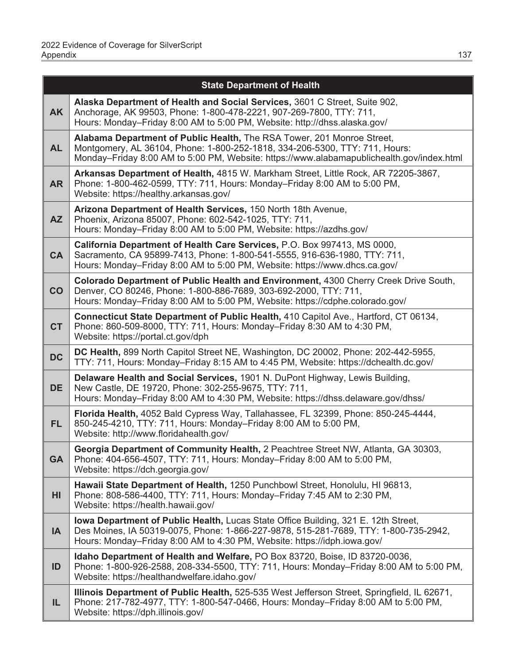|           | <b>State Department of Health</b>                                                                                                                                                                                                                      |
|-----------|--------------------------------------------------------------------------------------------------------------------------------------------------------------------------------------------------------------------------------------------------------|
| <b>AK</b> | Alaska Department of Health and Social Services, 3601 C Street, Suite 902,<br>Anchorage, AK 99503, Phone: 1-800-478-2221, 907-269-7800, TTY: 711,<br>Hours: Monday–Friday 8:00 AM to 5:00 PM, Website: http://dhss.alaska.gov/                         |
| <b>AL</b> | Alabama Department of Public Health, The RSA Tower, 201 Monroe Street,<br>Montgomery, AL 36104, Phone: 1-800-252-1818, 334-206-5300, TTY: 711, Hours:<br>Monday-Friday 8:00 AM to 5:00 PM, Website: https://www.alabamapublichealth.gov/index.html     |
| <b>AR</b> | Arkansas Department of Health, 4815 W. Markham Street, Little Rock, AR 72205-3867,<br>Phone: 1-800-462-0599, TTY: 711, Hours: Monday-Friday 8:00 AM to 5:00 PM,<br>Website: https://healthy.arkansas.gov/                                              |
| <b>AZ</b> | Arizona Department of Health Services, 150 North 18th Avenue,<br>Phoenix, Arizona 85007, Phone: 602-542-1025, TTY: 711,<br>Hours: Monday-Friday 8:00 AM to 5:00 PM, Website: https://azdhs.gov/                                                        |
| <b>CA</b> | California Department of Health Care Services, P.O. Box 997413, MS 0000,<br>Sacramento, CA 95899-7413, Phone: 1-800-541-5555, 916-636-1980, TTY: 711,<br>Hours: Monday–Friday 8:00 AM to 5:00 PM, Website: https://www.dhcs.ca.gov/                    |
| CO        | Colorado Department of Public Health and Environment, 4300 Cherry Creek Drive South,<br>Denver, CO 80246, Phone: 1-800-886-7689, 303-692-2000, TTY: 711,<br>Hours: Monday-Friday 8:00 AM to 5:00 PM, Website: https://cdphe.colorado.gov/              |
| <b>CT</b> | Connecticut State Department of Public Health, 410 Capitol Ave., Hartford, CT 06134,<br>Phone: 860-509-8000, TTY: 711, Hours: Monday-Friday 8:30 AM to 4:30 PM,<br>Website: https://portal.ct.gov/dph                                                  |
| <b>DC</b> | DC Health, 899 North Capitol Street NE, Washington, DC 20002, Phone: 202-442-5955,<br>TTY: 711, Hours: Monday-Friday 8:15 AM to 4:45 PM, Website: https://dchealth.dc.gov/                                                                             |
| <b>DE</b> | Delaware Health and Social Services, 1901 N. DuPont Highway, Lewis Building,<br>New Castle, DE 19720, Phone: 302-255-9675, TTY: 711,<br>Hours: Monday-Friday 8:00 AM to 4:30 PM, Website: https://dhss.delaware.gov/dhss/                              |
| FL.       | Florida Health, 4052 Bald Cypress Way, Tallahassee, FL 32399, Phone: 850-245-4444,<br>850-245-4210, TTY: 711, Hours: Monday-Friday 8:00 AM to 5:00 PM,<br>Website: http://www.floridahealth.gov/                                                       |
| <b>GA</b> | Georgia Department of Community Health, 2 Peachtree Street NW, Atlanta, GA 30303,<br>Phone: 404-656-4507, TTY: 711, Hours: Monday-Friday 8:00 AM to 5:00 PM,<br>Website: https://dch.georgia.gov/                                                      |
| HI        | Hawaii State Department of Health, 1250 Punchbowl Street, Honolulu, HI 96813,<br>Phone: 808-586-4400, TTY: 711, Hours: Monday-Friday 7:45 AM to 2:30 PM,<br>Website: https://health.hawaii.gov/                                                        |
| IA        | lowa Department of Public Health, Lucas State Office Building, 321 E. 12th Street,<br>Des Moines, IA 50319-0075, Phone: 1-866-227-9878, 515-281-7689, TTY: 1-800-735-2942,<br>Hours: Monday-Friday 8:00 AM to 4:30 PM, Website: https://idph.iowa.gov/ |
| ID        | Idaho Department of Health and Welfare, PO Box 83720, Boise, ID 83720-0036,<br>Phone: 1-800-926-2588, 208-334-5500, TTY: 711, Hours: Monday-Friday 8:00 AM to 5:00 PM,<br>Website: https://healthandwelfare.idaho.gov/                                 |
| IL.       | Illinois Department of Public Health, 525-535 West Jefferson Street, Springfield, IL 62671,<br>Phone: 217-782-4977, TTY: 1-800-547-0466, Hours: Monday-Friday 8:00 AM to 5:00 PM,<br>Website: https://dph.illinois.gov/                                |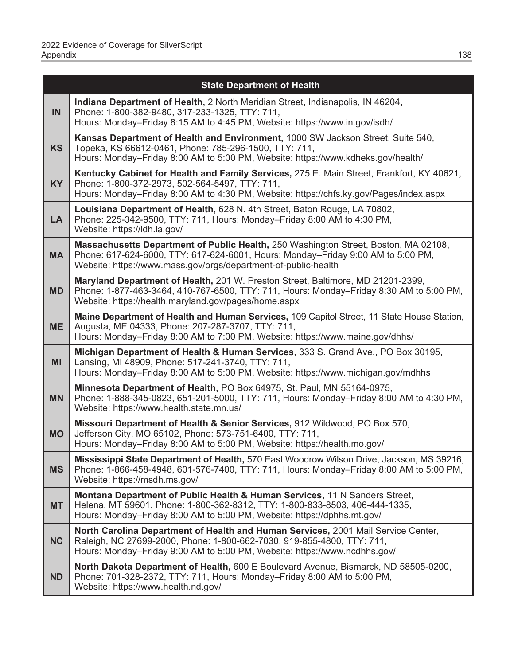|           | <b>State Department of Health</b>                                                                                                                                                                                                         |
|-----------|-------------------------------------------------------------------------------------------------------------------------------------------------------------------------------------------------------------------------------------------|
| IN        | Indiana Department of Health, 2 North Meridian Street, Indianapolis, IN 46204,<br>Phone: 1-800-382-9480, 317-233-1325, TTY: 711,<br>Hours: Monday-Friday 8:15 AM to 4:45 PM, Website: https://www.in.gov/isdh/                            |
| <b>KS</b> | Kansas Department of Health and Environment, 1000 SW Jackson Street, Suite 540,<br>Topeka, KS 66612-0461, Phone: 785-296-1500, TTY: 711,<br>Hours: Monday-Friday 8:00 AM to 5:00 PM, Website: https://www.kdheks.gov/health/              |
| <b>KY</b> | Kentucky Cabinet for Health and Family Services, 275 E. Main Street, Frankfort, KY 40621,<br>Phone: 1-800-372-2973, 502-564-5497, TTY: 711,<br>Hours: Monday-Friday 8:00 AM to 4:30 PM, Website: https://chfs.ky.gov/Pages/index.aspx     |
| <b>LA</b> | Louisiana Department of Health, 628 N. 4th Street, Baton Rouge, LA 70802,<br>Phone: 225-342-9500, TTY: 711, Hours: Monday-Friday 8:00 AM to 4:30 PM,<br>Website: https://ldh.la.gov/                                                      |
| <b>MA</b> | Massachusetts Department of Public Health, 250 Washington Street, Boston, MA 02108,<br>Phone: 617-624-6000, TTY: 617-624-6001, Hours: Monday-Friday 9:00 AM to 5:00 PM,<br>Website: https://www.mass.gov/orgs/department-of-public-health |
| <b>MD</b> | Maryland Department of Health, 201 W. Preston Street, Baltimore, MD 21201-2399,<br>Phone: 1-877-463-3464, 410-767-6500, TTY: 711, Hours: Monday-Friday 8:30 AM to 5:00 PM,<br>Website: https://health.maryland.gov/pages/home.aspx        |
| <b>ME</b> | Maine Department of Health and Human Services, 109 Capitol Street, 11 State House Station,<br>Augusta, ME 04333, Phone: 207-287-3707, TTY: 711,<br>Hours: Monday-Friday 8:00 AM to 7:00 PM, Website: https://www.maine.gov/dhhs/          |
| <b>MI</b> | Michigan Department of Health & Human Services, 333 S. Grand Ave., PO Box 30195,<br>Lansing, MI 48909, Phone: 517-241-3740, TTY: 711,<br>Hours: Monday-Friday 8:00 AM to 5:00 PM, Website: https://www.michigan.gov/mdhhs                 |
| <b>MN</b> | Minnesota Department of Health, PO Box 64975, St. Paul, MN 55164-0975,<br>Phone: 1-888-345-0823, 651-201-5000, TTY: 711, Hours: Monday-Friday 8:00 AM to 4:30 PM,<br>Website: https://www.health.state.mn.us/                             |
| <b>MO</b> | Missouri Department of Health & Senior Services, 912 Wildwood, PO Box 570,<br>Jefferson City, MO 65102, Phone: 573-751-6400, TTY: 711,<br>Hours: Monday-Friday 8:00 AM to 5:00 PM, Website: https://health.mo.gov/                        |
| <b>MS</b> | Mississippi State Department of Health, 570 East Woodrow Wilson Drive, Jackson, MS 39216,<br>Phone: 1-866-458-4948, 601-576-7400, TTY: 711, Hours: Monday-Friday 8:00 AM to 5:00 PM,<br>Website: https://msdh.ms.gov/                     |
| <b>MT</b> | Montana Department of Public Health & Human Services, 11 N Sanders Street,<br>Helena, MT 59601, Phone: 1-800-362-8312, TTY: 1-800-833-8503, 406-444-1335,<br>Hours: Monday-Friday 8:00 AM to 5:00 PM, Website: https://dphhs.mt.gov/      |
| <b>NC</b> | North Carolina Department of Health and Human Services, 2001 Mail Service Center,<br>Raleigh, NC 27699-2000, Phone: 1-800-662-7030, 919-855-4800, TTY: 711,<br>Hours: Monday–Friday 9:00 AM to 5:00 PM, Website: https://www.ncdhhs.gov/  |
| <b>ND</b> | North Dakota Department of Health, 600 E Boulevard Avenue, Bismarck, ND 58505-0200,<br>Phone: 701-328-2372, TTY: 711, Hours: Monday-Friday 8:00 AM to 5:00 PM,<br>Website: https://www.health.nd.gov/                                     |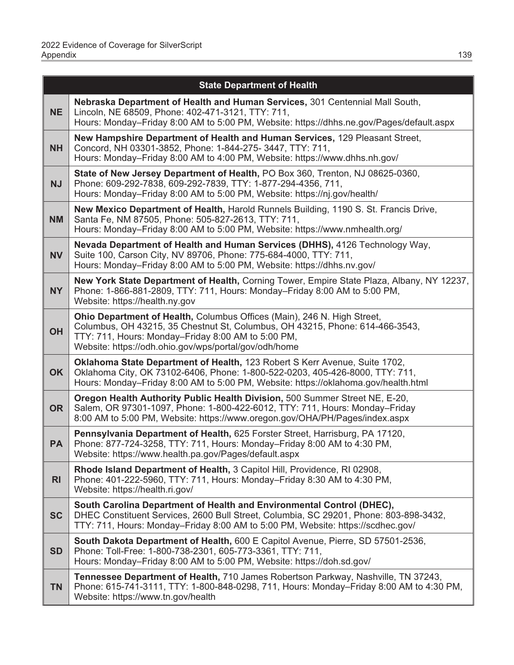|                | <b>State Department of Health</b>                                                                                                                                                                                                                                      |
|----------------|------------------------------------------------------------------------------------------------------------------------------------------------------------------------------------------------------------------------------------------------------------------------|
| <b>NE</b>      | Nebraska Department of Health and Human Services, 301 Centennial Mall South,<br>Lincoln, NE 68509, Phone: 402-471-3121, TTY: 711,<br>Hours: Monday-Friday 8:00 AM to 5:00 PM, Website: https://dhhs.ne.gov/Pages/default.aspx                                          |
| <b>NH</b>      | New Hampshire Department of Health and Human Services, 129 Pleasant Street,<br>Concord, NH 03301-3852, Phone: 1-844-275-3447, TTY: 711,<br>Hours: Monday-Friday 8:00 AM to 4:00 PM, Website: https://www.dhhs.nh.gov/                                                  |
| <b>NJ</b>      | State of New Jersey Department of Health, PO Box 360, Trenton, NJ 08625-0360,<br>Phone: 609-292-7838, 609-292-7839, TTY: 1-877-294-4356, 711,<br>Hours: Monday-Friday 8:00 AM to 5:00 PM, Website: https://nj.gov/health/                                              |
| <b>NM</b>      | New Mexico Department of Health, Harold Runnels Building, 1190 S. St. Francis Drive,<br>Santa Fe, NM 87505, Phone: 505-827-2613, TTY: 711,<br>Hours: Monday-Friday 8:00 AM to 5:00 PM, Website: https://www.nmhealth.org/                                              |
| <b>NV</b>      | Nevada Department of Health and Human Services (DHHS), 4126 Technology Way,<br>Suite 100, Carson City, NV 89706, Phone: 775-684-4000, TTY: 711,<br>Hours: Monday-Friday 8:00 AM to 5:00 PM, Website: https://dhhs.nv.gov/                                              |
| <b>NY</b>      | New York State Department of Health, Corning Tower, Empire State Plaza, Albany, NY 12237,<br>Phone: 1-866-881-2809, TTY: 711, Hours: Monday-Friday 8:00 AM to 5:00 PM,<br>Website: https://health.ny.gov                                                               |
| <b>OH</b>      | Ohio Department of Health, Columbus Offices (Main), 246 N. High Street,<br>Columbus, OH 43215, 35 Chestnut St, Columbus, OH 43215, Phone: 614-466-3543,<br>TTY: 711, Hours: Monday-Friday 8:00 AM to 5:00 PM,<br>Website: https://odh.ohio.gov/wps/portal/gov/odh/home |
| <b>OK</b>      | Oklahoma State Department of Health, 123 Robert S Kerr Avenue, Suite 1702,<br>Oklahoma City, OK 73102-6406, Phone: 1-800-522-0203, 405-426-8000, TTY: 711,<br>Hours: Monday-Friday 8:00 AM to 5:00 PM, Website: https://oklahoma.gov/health.html                       |
| <b>OR</b>      | Oregon Health Authority Public Health Division, 500 Summer Street NE, E-20,<br>Salem, OR 97301-1097, Phone: 1-800-422-6012, TTY: 711, Hours: Monday-Friday<br>8:00 AM to 5:00 PM, Website: https://www.oregon.gov/OHA/PH/Pages/index.aspx                              |
| <b>PA</b>      | Pennsylvania Department of Health, 625 Forster Street, Harrisburg, PA 17120,<br>Phone: 877-724-3258, TTY: 711, Hours: Monday-Friday 8:00 AM to 4:30 PM,<br>Website: https://www.health.pa.gov/Pages/default.aspx                                                       |
| R <sub>l</sub> | Rhode Island Department of Health, 3 Capitol Hill, Providence, RI 02908,<br>Phone: 401-222-5960, TTY: 711, Hours: Monday-Friday 8:30 AM to 4:30 PM,<br>Website: https://health.ri.gov/                                                                                 |
| <b>SC</b>      | South Carolina Department of Health and Environmental Control (DHEC),<br>DHEC Constituent Services, 2600 Bull Street, Columbia, SC 29201, Phone: 803-898-3432,<br>TTY: 711, Hours: Monday-Friday 8:00 AM to 5:00 PM, Website: https://scdhec.gov/                      |
| <b>SD</b>      | South Dakota Department of Health, 600 E Capitol Avenue, Pierre, SD 57501-2536,<br>Phone: Toll-Free: 1-800-738-2301, 605-773-3361, TTY: 711,<br>Hours: Monday-Friday 8:00 AM to 5:00 PM, Website: https://doh.sd.gov/                                                  |
| <b>TN</b>      | Tennessee Department of Health, 710 James Robertson Parkway, Nashville, TN 37243,<br>Phone: 615-741-3111, TTY: 1-800-848-0298, 711, Hours: Monday-Friday 8:00 AM to 4:30 PM,<br>Website: https://www.tn.gov/health                                                     |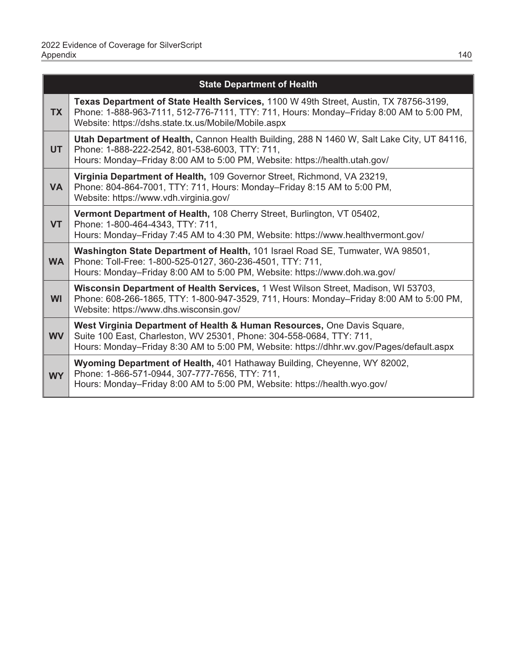|           | <b>State Department of Health</b>                                                                                                                                                                                                           |
|-----------|---------------------------------------------------------------------------------------------------------------------------------------------------------------------------------------------------------------------------------------------|
| <b>TX</b> | Texas Department of State Health Services, 1100 W 49th Street, Austin, TX 78756-3199,<br>Phone: 1-888-963-7111, 512-776-7111, TTY: 711, Hours: Monday-Friday 8:00 AM to 5:00 PM,<br>Website: https://dshs.state.tx.us/Mobile/Mobile.aspx    |
| <b>UT</b> | Utah Department of Health, Cannon Health Building, 288 N 1460 W, Salt Lake City, UT 84116,<br>Phone: 1-888-222-2542, 801-538-6003, TTY: 711,<br>Hours: Monday-Friday 8:00 AM to 5:00 PM, Website: https://health.utah.gov/                  |
| <b>VA</b> | Virginia Department of Health, 109 Governor Street, Richmond, VA 23219,<br>Phone: 804-864-7001, TTY: 711, Hours: Monday-Friday 8:15 AM to 5:00 PM,<br>Website: https://www.vdh.virginia.gov/                                                |
| <b>VT</b> | Vermont Department of Health, 108 Cherry Street, Burlington, VT 05402,<br>Phone: 1-800-464-4343, TTY: 711,<br>Hours: Monday-Friday 7:45 AM to 4:30 PM, Website: https://www.healthvermont.gov/                                              |
| <b>WA</b> | Washington State Department of Health, 101 Israel Road SE, Tumwater, WA 98501,<br>Phone: Toll-Free: 1-800-525-0127, 360-236-4501, TTY: 711,<br>Hours: Monday–Friday 8:00 AM to 5:00 PM, Website: https://www.doh.wa.gov/                    |
| <b>WI</b> | Wisconsin Department of Health Services, 1 West Wilson Street, Madison, WI 53703,<br>Phone: 608-266-1865, TTY: 1-800-947-3529, 711, Hours: Monday-Friday 8:00 AM to 5:00 PM,<br>Website: https://www.dhs.wisconsin.gov/                     |
| <b>WV</b> | West Virginia Department of Health & Human Resources, One Davis Square,<br>Suite 100 East, Charleston, WV 25301, Phone: 304-558-0684, TTY: 711,<br>Hours: Monday-Friday 8:30 AM to 5:00 PM, Website: https://dhhr.wv.gov/Pages/default.aspx |
| <b>WY</b> | Wyoming Department of Health, 401 Hathaway Building, Cheyenne, WY 82002,<br>Phone: 1-866-571-0944, 307-777-7656, TTY: 711,<br>Hours: Monday-Friday 8:00 AM to 5:00 PM, Website: https://health.wyo.gov/                                     |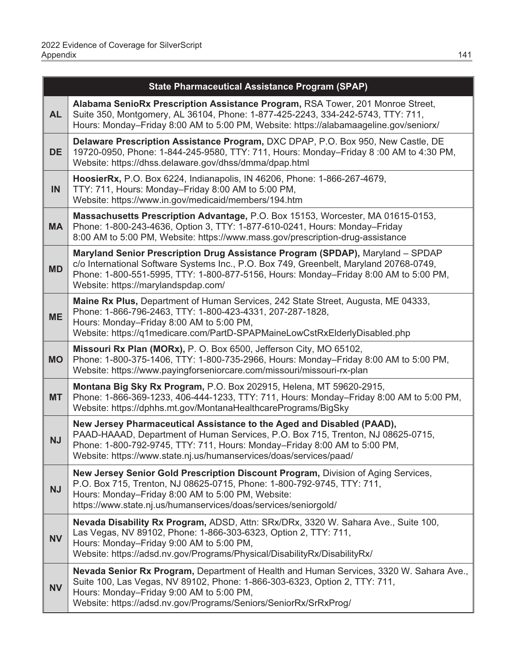|           | <b>State Pharmaceutical Assistance Program (SPAP)</b>                                                                                                                                                                                                                                                       |
|-----------|-------------------------------------------------------------------------------------------------------------------------------------------------------------------------------------------------------------------------------------------------------------------------------------------------------------|
| <b>AL</b> | Alabama SenioRx Prescription Assistance Program, RSA Tower, 201 Monroe Street,<br>Suite 350, Montgomery, AL 36104, Phone: 1-877-425-2243, 334-242-5743, TTY: 711,<br>Hours: Monday-Friday 8:00 AM to 5:00 PM, Website: https://alabamaageline.gov/seniorx/                                                  |
| <b>DE</b> | Delaware Prescription Assistance Program, DXC DPAP, P.O. Box 950, New Castle, DE<br>19720-0950, Phone: 1-844-245-9580, TTY: 711, Hours: Monday-Friday 8:00 AM to 4:30 PM,<br>Website: https://dhss.delaware.gov/dhss/dmma/dpap.html                                                                         |
| IN        | HoosierRx, P.O. Box 6224, Indianapolis, IN 46206, Phone: 1-866-267-4679,<br>TTY: 711, Hours: Monday-Friday 8:00 AM to 5:00 PM,<br>Website: https://www.in.gov/medicaid/members/194.htm                                                                                                                      |
| <b>MA</b> | Massachusetts Prescription Advantage, P.O. Box 15153, Worcester, MA 01615-0153,<br>Phone: 1-800-243-4636, Option 3, TTY: 1-877-610-0241, Hours: Monday-Friday<br>8:00 AM to 5:00 PM, Website: https://www.mass.gov/prescription-drug-assistance                                                             |
| <b>MD</b> | Maryland Senior Prescription Drug Assistance Program (SPDAP), Maryland - SPDAP<br>c/o International Software Systems Inc., P.O. Box 749, Greenbelt, Maryland 20768-0749,<br>Phone: 1-800-551-5995, TTY: 1-800-877-5156, Hours: Monday-Friday 8:00 AM to 5:00 PM,<br>Website: https://marylandspdap.com/     |
| <b>ME</b> | Maine Rx Plus, Department of Human Services, 242 State Street, Augusta, ME 04333,<br>Phone: 1-866-796-2463, TTY: 1-800-423-4331, 207-287-1828,<br>Hours: Monday-Friday 8:00 AM to 5:00 PM,<br>Website: https://q1medicare.com/PartD-SPAPMaineLowCstRxElderlyDisabled.php                                    |
| <b>MO</b> | Missouri Rx Plan (MORx), P. O. Box 6500, Jefferson City, MO 65102,<br>Phone: 1-800-375-1406, TTY: 1-800-735-2966, Hours: Monday-Friday 8:00 AM to 5:00 PM,<br>Website: https://www.payingforseniorcare.com/missouri/missouri-rx-plan                                                                        |
| <b>MT</b> | Montana Big Sky Rx Program, P.O. Box 202915, Helena, MT 59620-2915,<br>Phone: 1-866-369-1233, 406-444-1233, TTY: 711, Hours: Monday-Friday 8:00 AM to 5:00 PM,<br>Website: https://dphhs.mt.gov/MontanaHealthcarePrograms/BigSky                                                                            |
| <b>NJ</b> | New Jersey Pharmaceutical Assistance to the Aged and Disabled (PAAD),<br>PAAD-HAAAD, Department of Human Services, P.O. Box 715, Trenton, NJ 08625-0715,<br>Phone: 1-800-792-9745, TTY: 711, Hours: Monday-Friday 8:00 AM to 5:00 PM,<br>Website: https://www.state.nj.us/humanservices/doas/services/paad/ |
| <b>NJ</b> | New Jersey Senior Gold Prescription Discount Program, Division of Aging Services,<br>P.O. Box 715, Trenton, NJ 08625-0715, Phone: 1-800-792-9745, TTY: 711,<br>Hours: Monday-Friday 8:00 AM to 5:00 PM, Website:<br>https://www.state.nj.us/humanservices/doas/services/seniorgold/                         |
| <b>NV</b> | Nevada Disability Rx Program, ADSD, Attn: SRx/DRx, 3320 W. Sahara Ave., Suite 100,<br>Las Vegas, NV 89102, Phone: 1-866-303-6323, Option 2, TTY: 711,<br>Hours: Monday-Friday 9:00 AM to 5:00 PM,<br>Website: https://adsd.nv.gov/Programs/Physical/DisabilityRx/DisabilityRx/                              |
| <b>NV</b> | Nevada Senior Rx Program, Department of Health and Human Services, 3320 W. Sahara Ave.,<br>Suite 100, Las Vegas, NV 89102, Phone: 1-866-303-6323, Option 2, TTY: 711,<br>Hours: Monday-Friday 9:00 AM to 5:00 PM,<br>Website: https://adsd.nv.gov/Programs/Seniors/SeniorRx/SrRxProg/                       |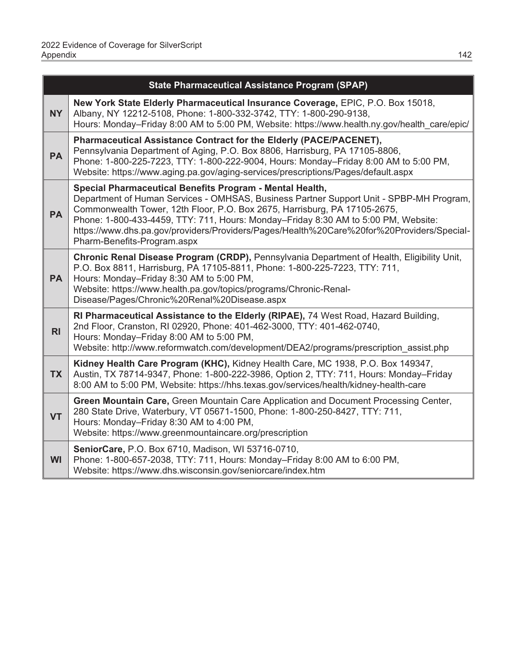|                | <b>State Pharmaceutical Assistance Program (SPAP)</b>                                                                                                                                                                                                                                                                                                                                                                                              |
|----------------|----------------------------------------------------------------------------------------------------------------------------------------------------------------------------------------------------------------------------------------------------------------------------------------------------------------------------------------------------------------------------------------------------------------------------------------------------|
| <b>NY</b>      | New York State Elderly Pharmaceutical Insurance Coverage, EPIC, P.O. Box 15018,<br>Albany, NY 12212-5108, Phone: 1-800-332-3742, TTY: 1-800-290-9138,<br>Hours: Monday-Friday 8:00 AM to 5:00 PM, Website: https://www.health.ny.gov/health care/epic/                                                                                                                                                                                             |
| <b>PA</b>      | Pharmaceutical Assistance Contract for the Elderly (PACE/PACENET),<br>Pennsylvania Department of Aging, P.O. Box 8806, Harrisburg, PA 17105-8806,<br>Phone: 1-800-225-7223, TTY: 1-800-222-9004, Hours: Monday-Friday 8:00 AM to 5:00 PM,<br>Website: https://www.aging.pa.gov/aging-services/prescriptions/Pages/default.aspx                                                                                                                     |
| <b>PA</b>      | Special Pharmaceutical Benefits Program - Mental Health,<br>Department of Human Services - OMHSAS, Business Partner Support Unit - SPBP-MH Program,<br>Commonwealth Tower, 12th Floor, P.O. Box 2675, Harrisburg, PA 17105-2675,<br>Phone: 1-800-433-4459, TTY: 711, Hours: Monday-Friday 8:30 AM to 5:00 PM, Website:<br>https://www.dhs.pa.gov/providers/Providers/Pages/Health%20Care%20for%20Providers/Special-<br>Pharm-Benefits-Program.aspx |
| <b>PA</b>      | Chronic Renal Disease Program (CRDP), Pennsylvania Department of Health, Eligibility Unit,<br>P.O. Box 8811, Harrisburg, PA 17105-8811, Phone: 1-800-225-7223, TTY: 711,<br>Hours: Monday-Friday 8:30 AM to 5:00 PM,<br>Website: https://www.health.pa.gov/topics/programs/Chronic-Renal-<br>Disease/Pages/Chronic%20Renal%20Disease.aspx                                                                                                          |
| R <sub>l</sub> | RI Pharmaceutical Assistance to the Elderly (RIPAE), 74 West Road, Hazard Building,<br>2nd Floor, Cranston, RI 02920, Phone: 401-462-3000, TTY: 401-462-0740,<br>Hours: Monday-Friday 8:00 AM to 5:00 PM,<br>Website: http://www.reformwatch.com/development/DEA2/programs/prescription assist.php                                                                                                                                                 |
| <b>TX</b>      | Kidney Health Care Program (KHC), Kidney Health Care, MC 1938, P.O. Box 149347,<br>Austin, TX 78714-9347, Phone: 1-800-222-3986, Option 2, TTY: 711, Hours: Monday-Friday<br>8:00 AM to 5:00 PM, Website: https://hhs.texas.gov/services/health/kidney-health-care                                                                                                                                                                                 |
| <b>VT</b>      | Green Mountain Care, Green Mountain Care Application and Document Processing Center,<br>280 State Drive, Waterbury, VT 05671-1500, Phone: 1-800-250-8427, TTY: 711,<br>Hours: Monday-Friday 8:30 AM to 4:00 PM,<br>Website: https://www.greenmountaincare.org/prescription                                                                                                                                                                         |
| <b>WI</b>      | SeniorCare, P.O. Box 6710, Madison, WI 53716-0710,<br>Phone: 1-800-657-2038, TTY: 711, Hours: Monday-Friday 8:00 AM to 6:00 PM,<br>Website: https://www.dhs.wisconsin.gov/seniorcare/index.htm                                                                                                                                                                                                                                                     |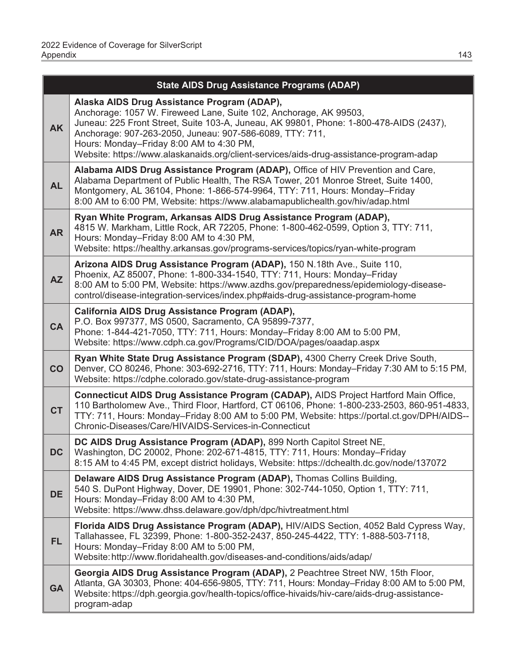|           | <b>State AIDS Drug Assistance Programs (ADAP)</b>                                                                                                                                                                                                                                                                                                                                                            |  |  |
|-----------|--------------------------------------------------------------------------------------------------------------------------------------------------------------------------------------------------------------------------------------------------------------------------------------------------------------------------------------------------------------------------------------------------------------|--|--|
| <b>AK</b> | Alaska AIDS Drug Assistance Program (ADAP),<br>Anchorage: 1057 W. Fireweed Lane, Suite 102, Anchorage, AK 99503,<br>Juneau: 225 Front Street, Suite 103-A, Juneau, AK 99801, Phone: 1-800-478-AIDS (2437),<br>Anchorage: 907-263-2050, Juneau: 907-586-6089, TTY: 711,<br>Hours: Monday-Friday 8:00 AM to 4:30 PM,<br>Website: https://www.alaskanaids.org/client-services/aids-drug-assistance-program-adap |  |  |
| <b>AL</b> | Alabama AIDS Drug Assistance Program (ADAP), Office of HIV Prevention and Care,<br>Alabama Department of Public Health, The RSA Tower, 201 Monroe Street, Suite 1400,<br>Montgomery, AL 36104, Phone: 1-866-574-9964, TTY: 711, Hours: Monday-Friday<br>8:00 AM to 6:00 PM, Website: https://www.alabamapublichealth.gov/hiv/adap.html                                                                       |  |  |
| <b>AR</b> | Ryan White Program, Arkansas AIDS Drug Assistance Program (ADAP),<br>4815 W. Markham, Little Rock, AR 72205, Phone: 1-800-462-0599, Option 3, TTY: 711,<br>Hours: Monday-Friday 8:00 AM to 4:30 PM,<br>Website: https://healthy.arkansas.gov/programs-services/topics/ryan-white-program                                                                                                                     |  |  |
| <b>AZ</b> | Arizona AIDS Drug Assistance Program (ADAP), 150 N.18th Ave., Suite 110,<br>Phoenix, AZ 85007, Phone: 1-800-334-1540, TTY: 711, Hours: Monday-Friday<br>8:00 AM to 5:00 PM, Website: https://www.azdhs.gov/preparedness/epidemiology-disease-<br>control/disease-integration-services/index.php#aids-drug-assistance-program-home                                                                            |  |  |
| <b>CA</b> | California AIDS Drug Assistance Program (ADAP),<br>P.O. Box 997377, MS 0500, Sacramento, CA 95899-7377,<br>Phone: 1-844-421-7050, TTY: 711, Hours: Monday-Friday 8:00 AM to 5:00 PM,<br>Website: https://www.cdph.ca.gov/Programs/CID/DOA/pages/oaadap.aspx                                                                                                                                                  |  |  |
| CO        | Ryan White State Drug Assistance Program (SDAP), 4300 Cherry Creek Drive South,<br>Denver, CO 80246, Phone: 303-692-2716, TTY: 711, Hours: Monday-Friday 7:30 AM to 5:15 PM,<br>Website: https://cdphe.colorado.gov/state-drug-assistance-program                                                                                                                                                            |  |  |
| <b>CT</b> | Connecticut AIDS Drug Assistance Program (CADAP), AIDS Project Hartford Main Office,<br>110 Bartholomew Ave., Third Floor, Hartford, CT 06106, Phone: 1-800-233-2503, 860-951-4833,<br>TTY: 711, Hours: Monday–Friday 8:00 AM to 5:00 PM, Website: https://portal.ct.gov/DPH/AIDS--<br>Chronic-Diseases/Care/HIVAIDS-Services-in-Connecticut                                                                 |  |  |
| <b>DC</b> | DC AIDS Drug Assistance Program (ADAP), 899 North Capitol Street NE,<br>Washington, DC 20002, Phone: 202-671-4815, TTY: 711, Hours: Monday-Friday<br>8:15 AM to 4:45 PM, except district holidays, Website: https://dchealth.dc.gov/node/137072                                                                                                                                                              |  |  |
| <b>DE</b> | Delaware AIDS Drug Assistance Program (ADAP), Thomas Collins Building,<br>540 S. DuPont Highway, Dover, DE 19901, Phone: 302-744-1050, Option 1, TTY: 711,<br>Hours: Monday-Friday 8:00 AM to 4:30 PM,<br>Website: https://www.dhss.delaware.gov/dph/dpc/hivtreatment.html                                                                                                                                   |  |  |
| <b>FL</b> | Florida AIDS Drug Assistance Program (ADAP), HIV/AIDS Section, 4052 Bald Cypress Way,<br>Tallahassee, FL 32399, Phone: 1-800-352-2437, 850-245-4422, TTY: 1-888-503-7118,<br>Hours: Monday-Friday 8:00 AM to 5:00 PM,<br>Website: http://www.floridahealth.gov/diseases-and-conditions/aids/adap/                                                                                                            |  |  |
| <b>GA</b> | Georgia AIDS Drug Assistance Program (ADAP), 2 Peachtree Street NW, 15th Floor,<br>Atlanta, GA 30303, Phone: 404-656-9805, TTY: 711, Hours: Monday-Friday 8:00 AM to 5:00 PM,<br>Website: https://dph.georgia.gov/health-topics/office-hivaids/hiv-care/aids-drug-assistance-<br>program-adap                                                                                                                |  |  |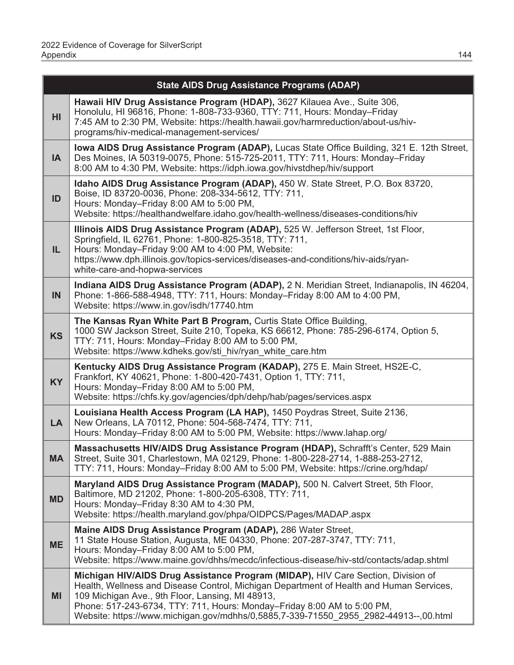|           | <b>State AIDS Drug Assistance Programs (ADAP)</b>                                                                                                                                                                                                                                                                                                                                                  |  |  |
|-----------|----------------------------------------------------------------------------------------------------------------------------------------------------------------------------------------------------------------------------------------------------------------------------------------------------------------------------------------------------------------------------------------------------|--|--|
| HI        | Hawaii HIV Drug Assistance Program (HDAP), 3627 Kilauea Ave., Suite 306,<br>Honolulu, HI 96816, Phone: 1-808-733-9360, TTY: 711, Hours: Monday-Friday<br>7:45 AM to 2:30 PM, Website: https://health.hawaii.gov/harmreduction/about-us/hiv-<br>programs/hiv-medical-management-services/                                                                                                           |  |  |
| <b>IA</b> | Iowa AIDS Drug Assistance Program (ADAP), Lucas State Office Building, 321 E. 12th Street,<br>Des Moines, IA 50319-0075, Phone: 515-725-2011, TTY: 711, Hours: Monday-Friday<br>8:00 AM to 4:30 PM, Website: https://idph.iowa.gov/hivstdhep/hiv/support                                                                                                                                           |  |  |
| ID        | Idaho AIDS Drug Assistance Program (ADAP), 450 W. State Street, P.O. Box 83720,<br>Boise, ID 83720-0036, Phone: 208-334-5612, TTY: 711,<br>Hours: Monday-Friday 8:00 AM to 5:00 PM,<br>Website: https://healthandwelfare.idaho.gov/health-wellness/diseases-conditions/hiv                                                                                                                         |  |  |
| IL.       | Illinois AIDS Drug Assistance Program (ADAP), 525 W. Jefferson Street, 1st Floor,<br>Springfield, IL 62761, Phone: 1-800-825-3518, TTY: 711,<br>Hours: Monday-Friday 9:00 AM to 4:00 PM, Website:<br>https://www.dph.illinois.gov/topics-services/diseases-and-conditions/hiv-aids/ryan-<br>white-care-and-hopwa-services                                                                          |  |  |
| IN        | Indiana AIDS Drug Assistance Program (ADAP), 2 N. Meridian Street, Indianapolis, IN 46204,<br>Phone: 1-866-588-4948, TTY: 711, Hours: Monday-Friday 8:00 AM to 4:00 PM,<br>Website: https://www.in.gov/isdh/17740.htm                                                                                                                                                                              |  |  |
| <b>KS</b> | The Kansas Ryan White Part B Program, Curtis State Office Building,<br>1000 SW Jackson Street, Suite 210, Topeka, KS 66612, Phone: 785-296-6174, Option 5,<br>TTY: 711, Hours: Monday-Friday 8:00 AM to 5:00 PM,<br>Website: https://www.kdheks.gov/sti hiv/ryan white care.htm                                                                                                                    |  |  |
| <b>KY</b> | Kentucky AIDS Drug Assistance Program (KADAP), 275 E. Main Street, HS2E-C,<br>Frankfort, KY 40621, Phone: 1-800-420-7431, Option 1, TTY: 711,<br>Hours: Monday-Friday 8:00 AM to 5:00 PM,<br>Website: https://chfs.ky.gov/agencies/dph/dehp/hab/pages/services.aspx                                                                                                                                |  |  |
| <b>LA</b> | Louisiana Health Access Program (LA HAP), 1450 Poydras Street, Suite 2136,<br>New Orleans, LA 70112, Phone: 504-568-7474, TTY: 711,<br>Hours: Monday-Friday 8:00 AM to 5:00 PM, Website: https://www.lahap.org/                                                                                                                                                                                    |  |  |
| <b>MA</b> | Massachusetts HIV/AIDS Drug Assistance Program (HDAP), Schrafft's Center, 529 Main<br>Street, Suite 301, Charlestown, MA 02129, Phone: 1-800-228-2714, 1-888-253-2712,<br>TTY: 711, Hours: Monday-Friday 8:00 AM to 5:00 PM, Website: https://crine.org/hdap/                                                                                                                                      |  |  |
| <b>MD</b> | Maryland AIDS Drug Assistance Program (MADAP), 500 N. Calvert Street, 5th Floor,<br>Baltimore, MD 21202, Phone: 1-800-205-6308, TTY: 711,<br>Hours: Monday-Friday 8:30 AM to 4:30 PM,<br>Website: https://health.maryland.gov/phpa/OIDPCS/Pages/MADAP.aspx                                                                                                                                         |  |  |
| <b>ME</b> | Maine AIDS Drug Assistance Program (ADAP), 286 Water Street,<br>11 State House Station, Augusta, ME 04330, Phone: 207-287-3747, TTY: 711,<br>Hours: Monday-Friday 8:00 AM to 5:00 PM,<br>Website: https://www.maine.gov/dhhs/mecdc/infectious-disease/hiv-std/contacts/adap.shtml                                                                                                                  |  |  |
| <b>MI</b> | Michigan HIV/AIDS Drug Assistance Program (MIDAP), HIV Care Section, Division of<br>Health, Wellness and Disease Control, Michigan Department of Health and Human Services,<br>109 Michigan Ave., 9th Floor, Lansing, MI 48913,<br>Phone: 517-243-6734, TTY: 711, Hours: Monday-Friday 8:00 AM to 5:00 PM,<br>Website: https://www.michigan.gov/mdhhs/0,5885,7-339-71550 2955 2982-44913--,00.html |  |  |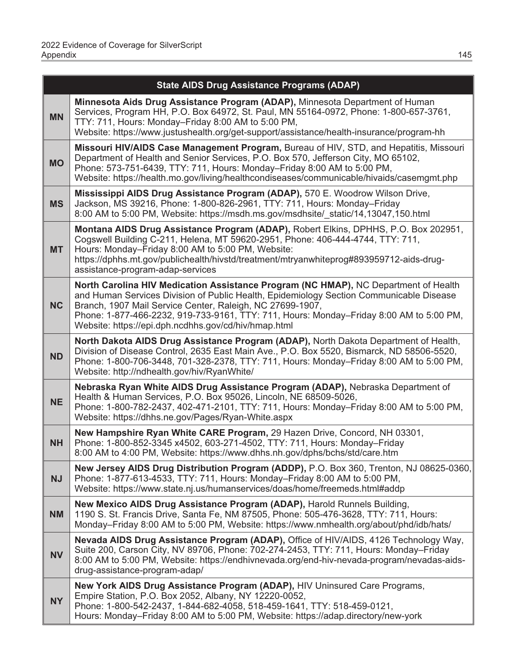|           | <b>State AIDS Drug Assistance Programs (ADAP)</b>                                                                                                                                                                                                                                                                                                                                              |  |  |
|-----------|------------------------------------------------------------------------------------------------------------------------------------------------------------------------------------------------------------------------------------------------------------------------------------------------------------------------------------------------------------------------------------------------|--|--|
| <b>MN</b> | Minnesota Aids Drug Assistance Program (ADAP), Minnesota Department of Human<br>Services, Program HH, P.O. Box 64972, St. Paul, MN 55164-0972, Phone: 1-800-657-3761,<br>TTY: 711, Hours: Monday-Friday 8:00 AM to 5:00 PM,<br>Website: https://www.justushealth.org/get-support/assistance/health-insurance/program-hh                                                                        |  |  |
| <b>MO</b> | Missouri HIV/AIDS Case Management Program, Bureau of HIV, STD, and Hepatitis, Missouri<br>Department of Health and Senior Services, P.O. Box 570, Jefferson City, MO 65102,<br>Phone: 573-751-6439, TTY: 711, Hours: Monday-Friday 8:00 AM to 5:00 PM,<br>Website: https://health.mo.gov/living/healthcondiseases/communicable/hivaids/casemgmt.php                                            |  |  |
| <b>MS</b> | Mississippi AIDS Drug Assistance Program (ADAP), 570 E. Woodrow Wilson Drive,<br>Jackson, MS 39216, Phone: 1-800-826-2961, TTY: 711, Hours: Monday-Friday<br>8:00 AM to 5:00 PM, Website: https://msdh.ms.gov/msdhsite/ static/14,13047,150.html                                                                                                                                               |  |  |
| <b>MT</b> | Montana AIDS Drug Assistance Program (ADAP), Robert Elkins, DPHHS, P.O. Box 202951,<br>Cogswell Building C-211, Helena, MT 59620-2951, Phone: 406-444-4744, TTY: 711,<br>Hours: Monday-Friday 8:00 AM to 5:00 PM, Website:<br>https://dphhs.mt.gov/publichealth/hivstd/treatment/mtryanwhiteprog#893959712-aids-drug-<br>assistance-program-adap-services                                      |  |  |
| <b>NC</b> | North Carolina HIV Medication Assistance Program (NC HMAP), NC Department of Health<br>and Human Services Division of Public Health, Epidemiology Section Communicable Disease<br>Branch, 1907 Mail Service Center, Raleigh, NC 27699-1907,<br>Phone: 1-877-466-2232, 919-733-9161, TTY: 711, Hours: Monday-Friday 8:00 AM to 5:00 PM,<br>Website: https://epi.dph.ncdhhs.gov/cd/hiv/hmap.html |  |  |
| <b>ND</b> | North Dakota AIDS Drug Assistance Program (ADAP), North Dakota Department of Health,<br>Division of Disease Control, 2635 East Main Ave., P.O. Box 5520, Bismarck, ND 58506-5520,<br>Phone: 1-800-706-3448, 701-328-2378, TTY: 711, Hours: Monday-Friday 8:00 AM to 5:00 PM,<br>Website: http://ndhealth.gov/hiv/RyanWhite/                                                                    |  |  |
| <b>NE</b> | Nebraska Ryan White AIDS Drug Assistance Program (ADAP), Nebraska Department of<br>Health & Human Services, P.O. Box 95026, Lincoln, NE 68509-5026,<br>Phone: 1-800-782-2437, 402-471-2101, TTY: 711, Hours: Monday-Friday 8:00 AM to 5:00 PM,<br>Website: https://dhhs.ne.gov/Pages/Ryan-White.aspx                                                                                           |  |  |
| <b>NH</b> | New Hampshire Ryan White CARE Program, 29 Hazen Drive, Concord, NH 03301,<br>Phone: 1-800-852-3345 x4502, 603-271-4502, TTY: 711, Hours: Monday-Friday<br>8:00 AM to 4:00 PM, Website: https://www.dhhs.nh.gov/dphs/bchs/std/care.htm                                                                                                                                                          |  |  |
| <b>NJ</b> | New Jersey AIDS Drug Distribution Program (ADDP), P.O. Box 360, Trenton, NJ 08625-0360,<br>Phone: 1-877-613-4533, TTY: 711, Hours: Monday-Friday 8:00 AM to 5:00 PM,<br>Website: https://www.state.nj.us/humanservices/doas/home/freemeds.html#addp                                                                                                                                            |  |  |
| <b>NM</b> | New Mexico AIDS Drug Assistance Program (ADAP), Harold Runnels Building,<br>1190 S. St. Francis Drive, Santa Fe, NM 87505, Phone: 505-476-3628, TTY: 711, Hours:<br>Monday-Friday 8:00 AM to 5:00 PM, Website: https://www.nmhealth.org/about/phd/idb/hats/                                                                                                                                    |  |  |
| <b>NV</b> | Nevada AIDS Drug Assistance Program (ADAP), Office of HIV/AIDS, 4126 Technology Way,<br>Suite 200, Carson City, NV 89706, Phone: 702-274-2453, TTY: 711, Hours: Monday-Friday<br>8:00 AM to 5:00 PM, Website: https://endhivnevada.org/end-hiv-nevada-program/nevadas-aids-<br>drug-assistance-program-adap/                                                                                   |  |  |
| <b>NY</b> | New York AIDS Drug Assistance Program (ADAP), HIV Uninsured Care Programs,<br>Empire Station, P.O. Box 2052, Albany, NY 12220-0052,<br>Phone: 1-800-542-2437, 1-844-682-4058, 518-459-1641, TTY: 518-459-0121,<br>Hours: Monday-Friday 8:00 AM to 5:00 PM, Website: https://adap.directory/new-york                                                                                            |  |  |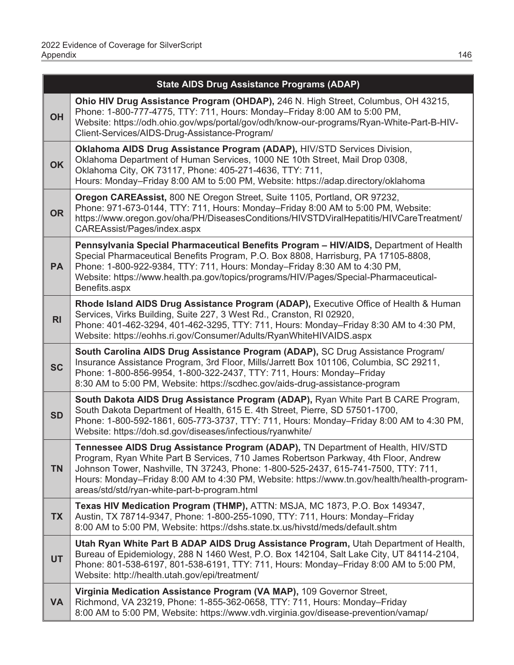|                | <b>State AIDS Drug Assistance Programs (ADAP)</b>                                                                                                                                                                                                                                                                                                                                                           |
|----------------|-------------------------------------------------------------------------------------------------------------------------------------------------------------------------------------------------------------------------------------------------------------------------------------------------------------------------------------------------------------------------------------------------------------|
| <b>OH</b>      | Ohio HIV Drug Assistance Program (OHDAP), 246 N. High Street, Columbus, OH 43215,<br>Phone: 1-800-777-4775, TTY: 711, Hours: Monday-Friday 8:00 AM to 5:00 PM,<br>Website: https://odh.ohio.gov/wps/portal/gov/odh/know-our-programs/Ryan-White-Part-B-HIV-<br>Client-Services/AIDS-Drug-Assistance-Program/                                                                                                |
| <b>OK</b>      | Oklahoma AIDS Drug Assistance Program (ADAP), HIV/STD Services Division,<br>Oklahoma Department of Human Services, 1000 NE 10th Street, Mail Drop 0308,<br>Oklahoma City, OK 73117, Phone: 405-271-4636, TTY: 711,<br>Hours: Monday-Friday 8:00 AM to 5:00 PM, Website: https://adap.directory/oklahoma                                                                                                     |
| <b>OR</b>      | Oregon CAREAssist, 800 NE Oregon Street, Suite 1105, Portland, OR 97232,<br>Phone: 971-673-0144, TTY: 711, Hours: Monday-Friday 8:00 AM to 5:00 PM, Website:<br>https://www.oregon.gov/oha/PH/DiseasesConditions/HIVSTDViralHepatitis/HIVCareTreatment/<br>CAREAssist/Pages/index.aspx                                                                                                                      |
| <b>PA</b>      | Pennsylvania Special Pharmaceutical Benefits Program - HIV/AIDS, Department of Health<br>Special Pharmaceutical Benefits Program, P.O. Box 8808, Harrisburg, PA 17105-8808,<br>Phone: 1-800-922-9384, TTY: 711, Hours: Monday-Friday 8:30 AM to 4:30 PM,<br>Website: https://www.health.pa.gov/topics/programs/HIV/Pages/Special-Pharmaceutical-<br>Benefits.aspx                                           |
| R <sub>l</sub> | Rhode Island AIDS Drug Assistance Program (ADAP), Executive Office of Health & Human<br>Services, Virks Building, Suite 227, 3 West Rd., Cranston, RI 02920,<br>Phone: 401-462-3294, 401-462-3295, TTY: 711, Hours: Monday-Friday 8:30 AM to 4:30 PM,<br>Website: https://eohhs.ri.gov/Consumer/Adults/RyanWhiteHIVAIDS.aspx                                                                                |
| <b>SC</b>      | South Carolina AIDS Drug Assistance Program (ADAP), SC Drug Assistance Program/<br>Insurance Assistance Program, 3rd Floor, Mills/Jarrett Box 101106, Columbia, SC 29211,<br>Phone: 1-800-856-9954, 1-800-322-2437, TTY: 711, Hours: Monday-Friday<br>8:30 AM to 5:00 PM, Website: https://scdhec.gov/aids-drug-assistance-program                                                                          |
| <b>SD</b>      | South Dakota AIDS Drug Assistance Program (ADAP), Ryan White Part B CARE Program,<br>South Dakota Department of Health, 615 E. 4th Street, Pierre, SD 57501-1700,<br>Phone: 1-800-592-1861, 605-773-3737, TTY: 711, Hours: Monday-Friday 8:00 AM to 4:30 PM,<br>Website: https://doh.sd.gov/diseases/infectious/ryanwhite/                                                                                  |
| <b>TN</b>      | Tennessee AIDS Drug Assistance Program (ADAP), TN Department of Health, HIV/STD<br>Program, Ryan White Part B Services, 710 James Robertson Parkway, 4th Floor, Andrew<br>Johnson Tower, Nashville, TN 37243, Phone: 1-800-525-2437, 615-741-7500, TTY: 711,<br>Hours: Monday-Friday 8:00 AM to 4:30 PM, Website: https://www.tn.gov/health/health-program-<br>areas/std/std/ryan-white-part-b-program.html |
| <b>TX</b>      | Texas HIV Medication Program (THMP), ATTN: MSJA, MC 1873, P.O. Box 149347,<br>Austin, TX 78714-9347, Phone: 1-800-255-1090, TTY: 711, Hours: Monday-Friday<br>8:00 AM to 5:00 PM, Website: https://dshs.state.tx.us/hivstd/meds/default.shtm                                                                                                                                                                |
| <b>UT</b>      | Utah Ryan White Part B ADAP AIDS Drug Assistance Program, Utah Department of Health,<br>Bureau of Epidemiology, 288 N 1460 West, P.O. Box 142104, Salt Lake City, UT 84114-2104,<br>Phone: 801-538-6197, 801-538-6191, TTY: 711, Hours: Monday-Friday 8:00 AM to 5:00 PM,<br>Website: http://health.utah.gov/epi/treatment/                                                                                 |
| <b>VA</b>      | Virginia Medication Assistance Program (VA MAP), 109 Governor Street,<br>Richmond, VA 23219, Phone: 1-855-362-0658, TTY: 711, Hours: Monday-Friday<br>8:00 AM to 5:00 PM, Website: https://www.vdh.virginia.gov/disease-prevention/vamap/                                                                                                                                                                   |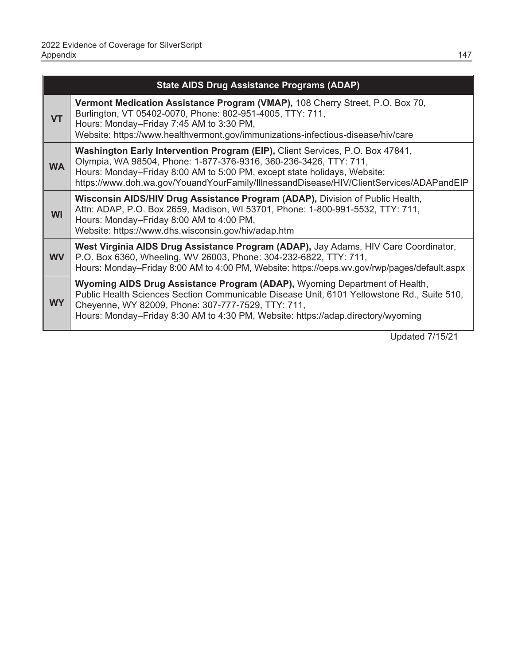|                             | <b>State AIDS Drug Assistance Programs (ADAP)</b>                                                                                                                                                                                                                                                                         |  |  |
|-----------------------------|---------------------------------------------------------------------------------------------------------------------------------------------------------------------------------------------------------------------------------------------------------------------------------------------------------------------------|--|--|
| <b>VT</b>                   | Vermont Medication Assistance Program (VMAP), 108 Cherry Street, P.O. Box 70,<br>Burlington, VT 05402-0070, Phone: 802-951-4005, TTY: 711,<br>Hours: Monday-Friday 7:45 AM to 3:30 PM,<br>Website: https://www.healthvermont.gov/immunizations-infectious-disease/hiv/care                                                |  |  |
| <b>WA</b>                   | Washington Early Intervention Program (EIP), Client Services, P.O. Box 47841,<br>Olympia, WA 98504, Phone: 1-877-376-9316, 360-236-3426, TTY: 711,<br>Hours: Monday-Friday 8:00 AM to 5:00 PM, except state holidays, Website:<br>https://www.doh.wa.gov/YouandYourFamily/IllnessandDisease/HIV/ClientServices/ADAPandEIP |  |  |
| <b>WI</b>                   | Wisconsin AIDS/HIV Drug Assistance Program (ADAP), Division of Public Health,<br>Attn: ADAP, P.O. Box 2659, Madison, WI 53701, Phone: 1-800-991-5532, TTY: 711,<br>Hours: Monday-Friday 8:00 AM to 4:00 PM,<br>Website: https://www.dhs.wisconsin.gov/hiv/adap.htm                                                        |  |  |
| <b>WV</b>                   | West Virginia AIDS Drug Assistance Program (ADAP), Jay Adams, HIV Care Coordinator,<br>P.O. Box 6360, Wheeling, WV 26003, Phone: 304-232-6822, TTY: 711,<br>Hours: Monday–Friday 8:00 AM to 4:00 PM, Website: https://oeps.wv.gov/rwp/pages/default.aspx                                                                  |  |  |
| <b>WY</b>                   | Wyoming AIDS Drug Assistance Program (ADAP), Wyoming Department of Health,<br>Public Health Sciences Section Communicable Disease Unit, 6101 Yellowstone Rd., Suite 510,<br>Cheyenne, WY 82009, Phone: 307-777-7529, TTY: 711,<br>Hours: Monday-Friday 8:30 AM to 4:30 PM, Website: https://adap.directory/wyoming        |  |  |
| <u>II. I.I. J 714 FIO 4</u> |                                                                                                                                                                                                                                                                                                                           |  |  |

Updated 7/15/21